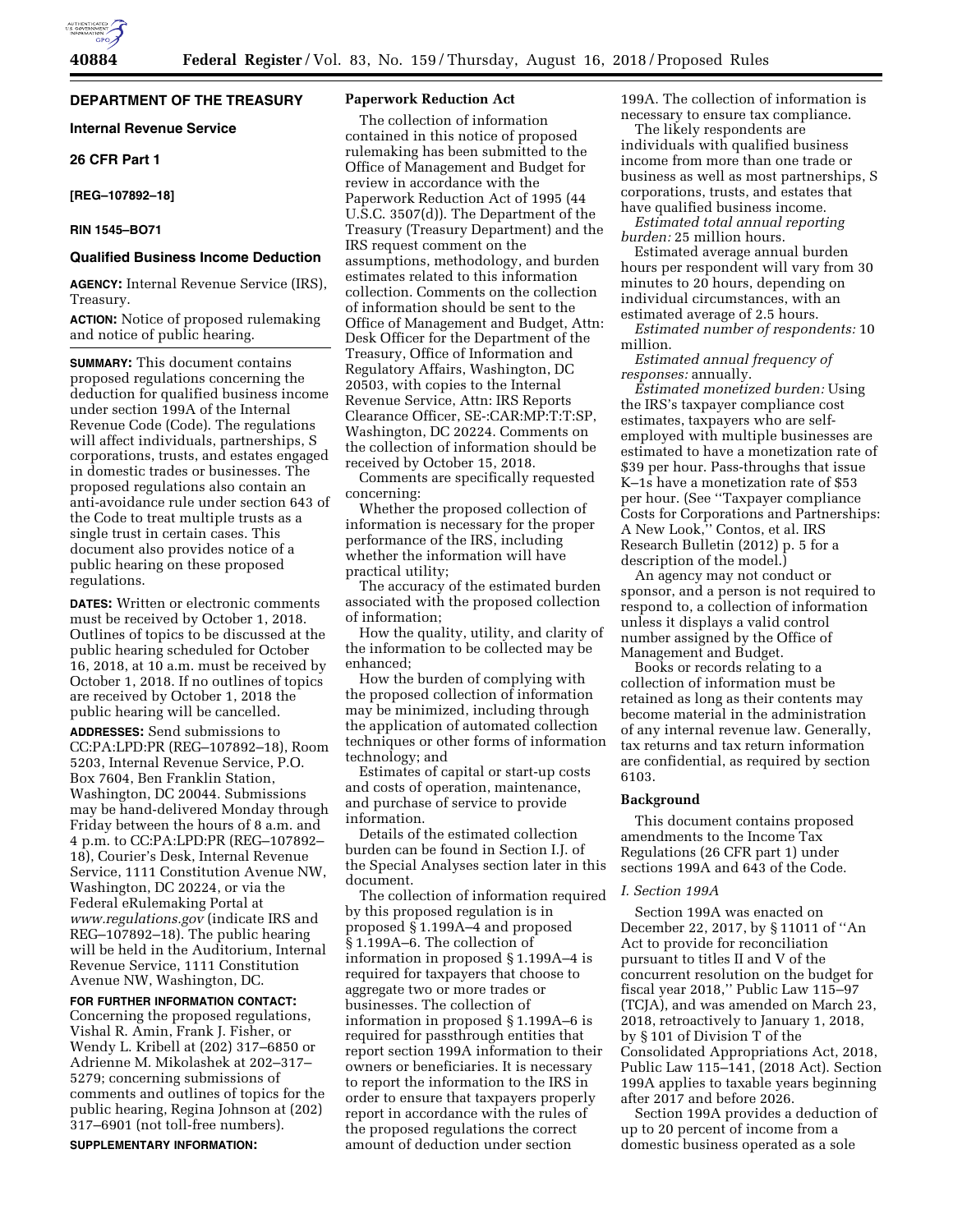### **DEPARTMENT OF THE TREASURY**

**Internal Revenue Service** 

# **26 CFR Part 1**

# **[REG–107892–18]**

# **RIN 1545–BO71**

# **Qualified Business Income Deduction**

**AGENCY:** Internal Revenue Service (IRS), Treasury.

**ACTION:** Notice of proposed rulemaking and notice of public hearing.

**SUMMARY:** This document contains proposed regulations concerning the deduction for qualified business income under section 199A of the Internal Revenue Code (Code). The regulations will affect individuals, partnerships, S corporations, trusts, and estates engaged in domestic trades or businesses. The proposed regulations also contain an anti-avoidance rule under section 643 of the Code to treat multiple trusts as a single trust in certain cases. This document also provides notice of a public hearing on these proposed regulations.

**DATES:** Written or electronic comments must be received by October 1, 2018. Outlines of topics to be discussed at the public hearing scheduled for October 16, 2018, at 10 a.m. must be received by October 1, 2018. If no outlines of topics are received by October 1, 2018 the public hearing will be cancelled.

**ADDRESSES:** Send submissions to CC:PA:LPD:PR (REG–107892–18), Room 5203, Internal Revenue Service, P.O. Box 7604, Ben Franklin Station, Washington, DC 20044. Submissions may be hand-delivered Monday through Friday between the hours of 8 a.m. and 4 p.m. to CC:PA:LPD:PR (REG–107892– 18), Courier's Desk, Internal Revenue Service, 1111 Constitution Avenue NW, Washington, DC 20224, or via the Federal eRulemaking Portal at *[www.regulations.gov](http://www.regulations.gov)* (indicate IRS and REG–107892–18). The public hearing will be held in the Auditorium, Internal Revenue Service, 1111 Constitution Avenue NW, Washington, DC.

#### **FOR FURTHER INFORMATION CONTACT:**

Concerning the proposed regulations, Vishal R. Amin, Frank J. Fisher, or Wendy L. Kribell at (202) 317–6850 or Adrienne M. Mikolashek at 202–317– 5279; concerning submissions of comments and outlines of topics for the public hearing, Regina Johnson at (202) 317–6901 (not toll-free numbers).

**SUPPLEMENTARY INFORMATION:** 

# **Paperwork Reduction Act**

The collection of information contained in this notice of proposed rulemaking has been submitted to the Office of Management and Budget for review in accordance with the Paperwork Reduction Act of 1995 (44 U.S.C. 3507(d)). The Department of the Treasury (Treasury Department) and the IRS request comment on the assumptions, methodology, and burden estimates related to this information collection. Comments on the collection of information should be sent to the Office of Management and Budget, Attn: Desk Officer for the Department of the Treasury, Office of Information and Regulatory Affairs, Washington, DC 20503, with copies to the Internal Revenue Service, Attn: IRS Reports Clearance Officer, SE-:CAR:MP:T:T:SP, Washington, DC 20224. Comments on the collection of information should be received by October 15, 2018.

Comments are specifically requested concerning:

Whether the proposed collection of information is necessary for the proper performance of the IRS, including whether the information will have practical utility;

The accuracy of the estimated burden associated with the proposed collection of information;

How the quality, utility, and clarity of the information to be collected may be enhanced;

How the burden of complying with the proposed collection of information may be minimized, including through the application of automated collection techniques or other forms of information technology; and

Estimates of capital or start-up costs and costs of operation, maintenance, and purchase of service to provide information.

Details of the estimated collection burden can be found in Section I.J. of the Special Analyses section later in this document.

The collection of information required by this proposed regulation is in proposed § 1.199A–4 and proposed § 1.199A–6. The collection of information in proposed § 1.199A–4 is required for taxpayers that choose to aggregate two or more trades or businesses. The collection of information in proposed § 1.199A–6 is required for passthrough entities that report section 199A information to their owners or beneficiaries. It is necessary to report the information to the IRS in order to ensure that taxpayers properly report in accordance with the rules of the proposed regulations the correct amount of deduction under section

199A. The collection of information is necessary to ensure tax compliance.

The likely respondents are individuals with qualified business income from more than one trade or business as well as most partnerships, S corporations, trusts, and estates that have qualified business income.

*Estimated total annual reporting burden:* 25 million hours.

Estimated average annual burden hours per respondent will vary from 30 minutes to 20 hours, depending on individual circumstances, with an estimated average of 2.5 hours.

*Estimated number of respondents:* 10 million.

*Estimated annual frequency of responses:* annually.

*Estimated monetized burden:* Using the IRS's taxpayer compliance cost estimates, taxpayers who are selfemployed with multiple businesses are estimated to have a monetization rate of \$39 per hour. Pass-throughs that issue K–1s have a monetization rate of \$53 per hour. (See ''Taxpayer compliance Costs for Corporations and Partnerships: A New Look,'' Contos, et al. IRS Research Bulletin (2012) p. 5 for a description of the model.)

An agency may not conduct or sponsor, and a person is not required to respond to, a collection of information unless it displays a valid control number assigned by the Office of Management and Budget.

Books or records relating to a collection of information must be retained as long as their contents may become material in the administration of any internal revenue law. Generally, tax returns and tax return information are confidential, as required by section 6103.

#### **Background**

This document contains proposed amendments to the Income Tax Regulations (26 CFR part 1) under sections 199A and 643 of the Code.

### *I. Section 199A*

Section 199A was enacted on December 22, 2017, by § 11011 of ''An Act to provide for reconciliation pursuant to titles II and V of the concurrent resolution on the budget for fiscal year 2018,'' Public Law 115–97 (TCJA), and was amended on March 23, 2018, retroactively to January 1, 2018, by § 101 of Division T of the Consolidated Appropriations Act, 2018, Public Law 115–141, (2018 Act). Section 199A applies to taxable years beginning after 2017 and before 2026.

Section 199A provides a deduction of up to 20 percent of income from a domestic business operated as a sole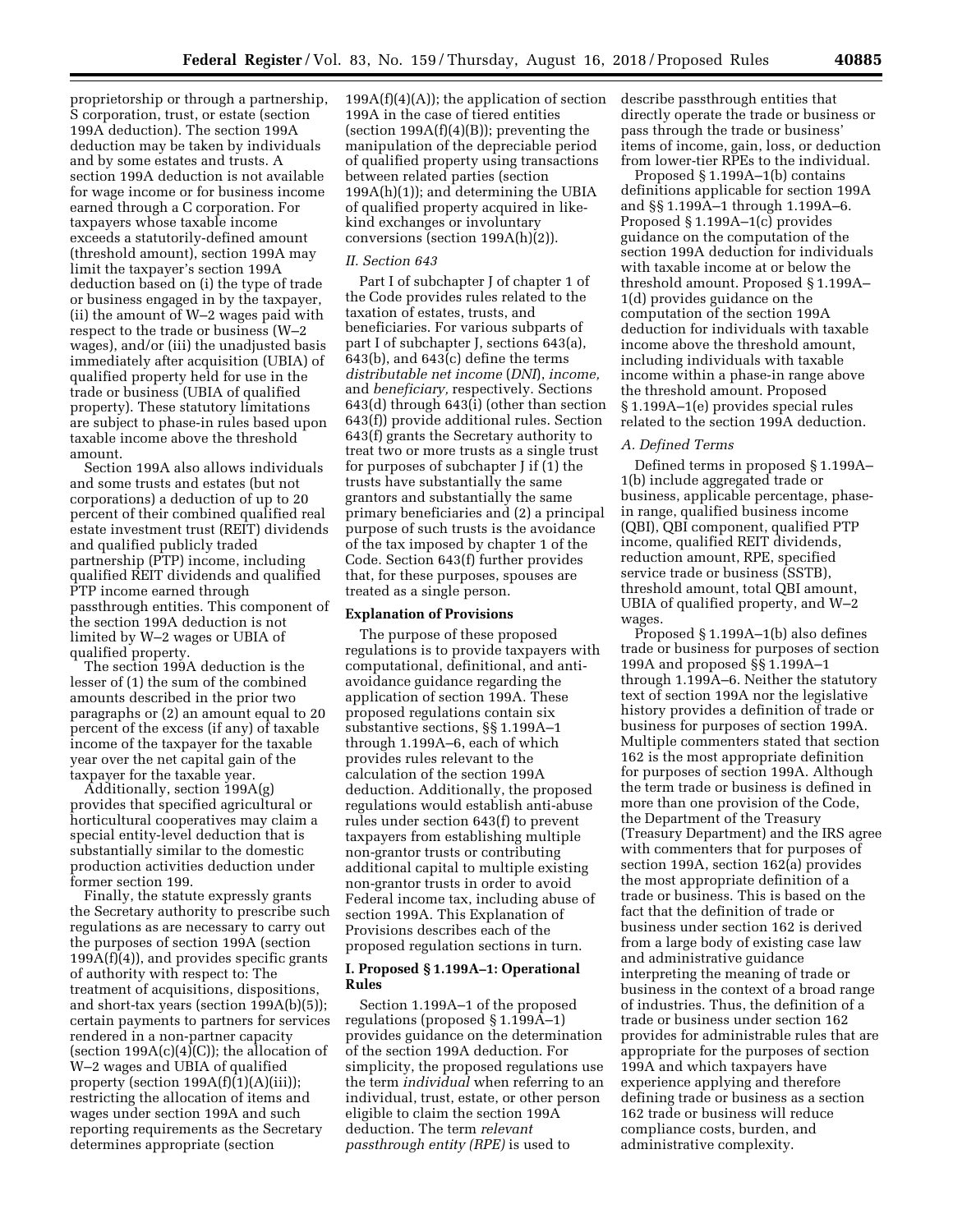proprietorship or through a partnership, S corporation, trust, or estate (section 199A deduction). The section 199A deduction may be taken by individuals and by some estates and trusts. A section 199A deduction is not available for wage income or for business income earned through a C corporation. For taxpayers whose taxable income exceeds a statutorily-defined amount (threshold amount), section 199A may limit the taxpayer's section 199A deduction based on (i) the type of trade or business engaged in by the taxpayer, (ii) the amount of W–2 wages paid with respect to the trade or business (W–2 wages), and/or (iii) the unadjusted basis immediately after acquisition (UBIA) of qualified property held for use in the trade or business (UBIA of qualified property). These statutory limitations are subject to phase-in rules based upon taxable income above the threshold amount.

Section 199A also allows individuals and some trusts and estates (but not corporations) a deduction of up to 20 percent of their combined qualified real estate investment trust (REIT) dividends and qualified publicly traded partnership (PTP) income, including qualified REIT dividends and qualified PTP income earned through passthrough entities. This component of the section 199A deduction is not limited by W–2 wages or UBIA of qualified property.

The section 199A deduction is the lesser of (1) the sum of the combined amounts described in the prior two paragraphs or (2) an amount equal to 20 percent of the excess (if any) of taxable income of the taxpayer for the taxable year over the net capital gain of the taxpayer for the taxable year.

Additionally, section 199A(g) provides that specified agricultural or horticultural cooperatives may claim a special entity-level deduction that is substantially similar to the domestic production activities deduction under former section 199.

Finally, the statute expressly grants the Secretary authority to prescribe such regulations as are necessary to carry out the purposes of section 199A (section 199A(f)(4)), and provides specific grants of authority with respect to: The treatment of acquisitions, dispositions, and short-tax years (section 199A(b)(5)); certain payments to partners for services rendered in a non-partner capacity (section  $199A(c)(4)(C)$ ); the allocation of W–2 wages and UBIA of qualified property (section 199A(f)(1)(A)(iii)); restricting the allocation of items and wages under section 199A and such reporting requirements as the Secretary determines appropriate (section

 $199A(f)(4)(A)$ ; the application of section 199A in the case of tiered entities (section  $199A(f)(4)(B)$ ); preventing the manipulation of the depreciable period of qualified property using transactions between related parties (section 199A(h)(1)); and determining the UBIA of qualified property acquired in likekind exchanges or involuntary conversions (section 199A(h)(2)).

### *II. Section 643*

Part I of subchapter J of chapter 1 of the Code provides rules related to the taxation of estates, trusts, and beneficiaries. For various subparts of part I of subchapter J, sections 643(a), 643(b), and 643(c) define the terms *distributable net income* (*DNI*), *income,*  and *beneficiary,* respectively. Sections 643(d) through 643(i) (other than section 643(f)) provide additional rules. Section 643(f) grants the Secretary authority to treat two or more trusts as a single trust for purposes of subchapter J if (1) the trusts have substantially the same grantors and substantially the same primary beneficiaries and (2) a principal purpose of such trusts is the avoidance of the tax imposed by chapter 1 of the Code. Section 643(f) further provides that, for these purposes, spouses are treated as a single person.

# **Explanation of Provisions**

The purpose of these proposed regulations is to provide taxpayers with computational, definitional, and antiavoidance guidance regarding the application of section 199A. These proposed regulations contain six substantive sections, §§ 1.199A–1 through 1.199A–6, each of which provides rules relevant to the calculation of the section 199A deduction. Additionally, the proposed regulations would establish anti-abuse rules under section 643(f) to prevent taxpayers from establishing multiple non-grantor trusts or contributing additional capital to multiple existing non-grantor trusts in order to avoid Federal income tax, including abuse of section 199A. This Explanation of Provisions describes each of the proposed regulation sections in turn.

# **I. Proposed § 1.199A–1: Operational Rules**

Section 1.199A–1 of the proposed regulations (proposed § 1.199A–1) provides guidance on the determination of the section 199A deduction. For simplicity, the proposed regulations use the term *individual* when referring to an individual, trust, estate, or other person eligible to claim the section 199A deduction. The term *relevant passthrough entity (RPE)* is used to

describe passthrough entities that directly operate the trade or business or pass through the trade or business' items of income, gain, loss, or deduction from lower-tier RPEs to the individual.

Proposed § 1.199A–1(b) contains definitions applicable for section 199A and §§ 1.199A–1 through 1.199A–6. Proposed § 1.199A–1(c) provides guidance on the computation of the section 199A deduction for individuals with taxable income at or below the threshold amount. Proposed § 1.199A– 1(d) provides guidance on the computation of the section 199A deduction for individuals with taxable income above the threshold amount, including individuals with taxable income within a phase-in range above the threshold amount. Proposed § 1.199A–1(e) provides special rules related to the section 199A deduction.

### *A. Defined Terms*

Defined terms in proposed § 1.199A– 1(b) include aggregated trade or business, applicable percentage, phasein range, qualified business income (QBI), QBI component, qualified PTP income, qualified REIT dividends, reduction amount, RPE, specified service trade or business (SSTB), threshold amount, total QBI amount, UBIA of qualified property, and W–2 wages.

Proposed § 1.199A–1(b) also defines trade or business for purposes of section 199A and proposed §§ 1.199A–1 through 1.199A–6. Neither the statutory text of section 199A nor the legislative history provides a definition of trade or business for purposes of section 199A. Multiple commenters stated that section 162 is the most appropriate definition for purposes of section 199A. Although the term trade or business is defined in more than one provision of the Code, the Department of the Treasury (Treasury Department) and the IRS agree with commenters that for purposes of section 199A, section 162(a) provides the most appropriate definition of a trade or business. This is based on the fact that the definition of trade or business under section 162 is derived from a large body of existing case law and administrative guidance interpreting the meaning of trade or business in the context of a broad range of industries. Thus, the definition of a trade or business under section 162 provides for administrable rules that are appropriate for the purposes of section 199A and which taxpayers have experience applying and therefore defining trade or business as a section 162 trade or business will reduce compliance costs, burden, and administrative complexity.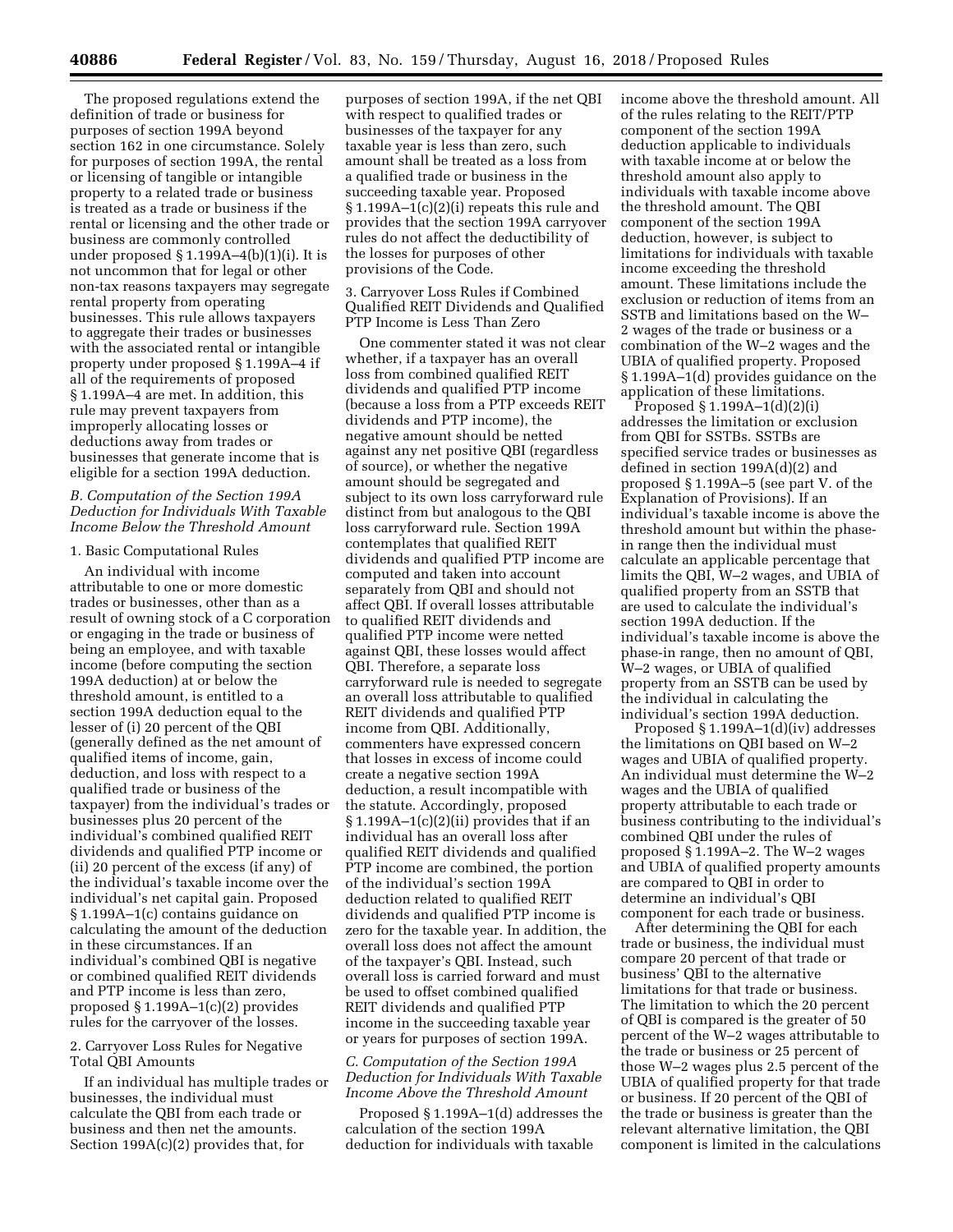The proposed regulations extend the definition of trade or business for purposes of section 199A beyond section 162 in one circumstance. Solely for purposes of section 199A, the rental or licensing of tangible or intangible property to a related trade or business is treated as a trade or business if the rental or licensing and the other trade or business are commonly controlled under proposed § 1.199A–4(b)(1)(i). It is not uncommon that for legal or other non-tax reasons taxpayers may segregate rental property from operating businesses. This rule allows taxpayers to aggregate their trades or businesses with the associated rental or intangible property under proposed § 1.199A–4 if all of the requirements of proposed § 1.199A–4 are met. In addition, this rule may prevent taxpayers from improperly allocating losses or deductions away from trades or businesses that generate income that is eligible for a section 199A deduction.

# *B. Computation of the Section 199A Deduction for Individuals With Taxable Income Below the Threshold Amount*

## 1. Basic Computational Rules

An individual with income attributable to one or more domestic trades or businesses, other than as a result of owning stock of a C corporation or engaging in the trade or business of being an employee, and with taxable income (before computing the section 199A deduction) at or below the threshold amount, is entitled to a section 199A deduction equal to the lesser of (i) 20 percent of the QBI (generally defined as the net amount of qualified items of income, gain, deduction, and loss with respect to a qualified trade or business of the taxpayer) from the individual's trades or businesses plus 20 percent of the individual's combined qualified REIT dividends and qualified PTP income or (ii) 20 percent of the excess (if any) of the individual's taxable income over the individual's net capital gain. Proposed § 1.199A–1(c) contains guidance on calculating the amount of the deduction in these circumstances. If an individual's combined QBI is negative or combined qualified REIT dividends and PTP income is less than zero, proposed § 1.199A–1(c)(2) provides rules for the carryover of the losses.

# 2. Carryover Loss Rules for Negative Total QBI Amounts

If an individual has multiple trades or businesses, the individual must calculate the QBI from each trade or business and then net the amounts. Section 199A(c)(2) provides that, for

purposes of section 199A, if the net QBI with respect to qualified trades or businesses of the taxpayer for any taxable year is less than zero, such amount shall be treated as a loss from a qualified trade or business in the succeeding taxable year. Proposed § 1.199A–1(c)(2)(i) repeats this rule and provides that the section 199A carryover rules do not affect the deductibility of the losses for purposes of other provisions of the Code.

3. Carryover Loss Rules if Combined Qualified REIT Dividends and Qualified PTP Income is Less Than Zero

One commenter stated it was not clear whether, if a taxpayer has an overall loss from combined qualified REIT dividends and qualified PTP income (because a loss from a PTP exceeds REIT dividends and PTP income), the negative amount should be netted against any net positive QBI (regardless of source), or whether the negative amount should be segregated and subject to its own loss carryforward rule distinct from but analogous to the QBI loss carryforward rule. Section 199A contemplates that qualified REIT dividends and qualified PTP income are computed and taken into account separately from QBI and should not affect QBI. If overall losses attributable to qualified REIT dividends and qualified PTP income were netted against QBI, these losses would affect QBI. Therefore, a separate loss carryforward rule is needed to segregate an overall loss attributable to qualified REIT dividends and qualified PTP income from QBI. Additionally, commenters have expressed concern that losses in excess of income could create a negative section 199A deduction, a result incompatible with the statute. Accordingly, proposed  $§ 1.199A-1(c)(2)(ii)$  provides that if an individual has an overall loss after qualified REIT dividends and qualified PTP income are combined, the portion of the individual's section 199A deduction related to qualified REIT dividends and qualified PTP income is zero for the taxable year. In addition, the overall loss does not affect the amount of the taxpayer's QBI. Instead, such overall loss is carried forward and must be used to offset combined qualified REIT dividends and qualified PTP income in the succeeding taxable year or years for purposes of section 199A.

# *C. Computation of the Section 199A Deduction for Individuals With Taxable Income Above the Threshold Amount*

Proposed § 1.199A–1(d) addresses the calculation of the section 199A deduction for individuals with taxable

income above the threshold amount. All of the rules relating to the REIT/PTP component of the section 199A deduction applicable to individuals with taxable income at or below the threshold amount also apply to individuals with taxable income above the threshold amount. The QBI component of the section 199A deduction, however, is subject to limitations for individuals with taxable income exceeding the threshold amount. These limitations include the exclusion or reduction of items from an SSTB and limitations based on the W– 2 wages of the trade or business or a combination of the W–2 wages and the UBIA of qualified property. Proposed § 1.199A–1(d) provides guidance on the application of these limitations.

Proposed § 1.199A–1(d)(2)(i) addresses the limitation or exclusion from QBI for SSTBs. SSTBs are specified service trades or businesses as defined in section 199A(d)(2) and proposed § 1.199A–5 (see part V. of the Explanation of Provisions). If an individual's taxable income is above the threshold amount but within the phasein range then the individual must calculate an applicable percentage that limits the QBI, W–2 wages, and UBIA of qualified property from an SSTB that are used to calculate the individual's section 199A deduction. If the individual's taxable income is above the phase-in range, then no amount of QBI, W–2 wages, or UBIA of qualified property from an SSTB can be used by the individual in calculating the individual's section 199A deduction.

Proposed § 1.199A–1(d)(iv) addresses the limitations on QBI based on W–2 wages and UBIA of qualified property. An individual must determine the W–2 wages and the UBIA of qualified property attributable to each trade or business contributing to the individual's combined QBI under the rules of proposed § 1.199A–2. The W–2 wages and UBIA of qualified property amounts are compared to QBI in order to determine an individual's QBI component for each trade or business.

After determining the QBI for each trade or business, the individual must compare 20 percent of that trade or business' QBI to the alternative limitations for that trade or business. The limitation to which the 20 percent of QBI is compared is the greater of 50 percent of the W–2 wages attributable to the trade or business or 25 percent of those W–2 wages plus 2.5 percent of the UBIA of qualified property for that trade or business. If 20 percent of the QBI of the trade or business is greater than the relevant alternative limitation, the QBI component is limited in the calculations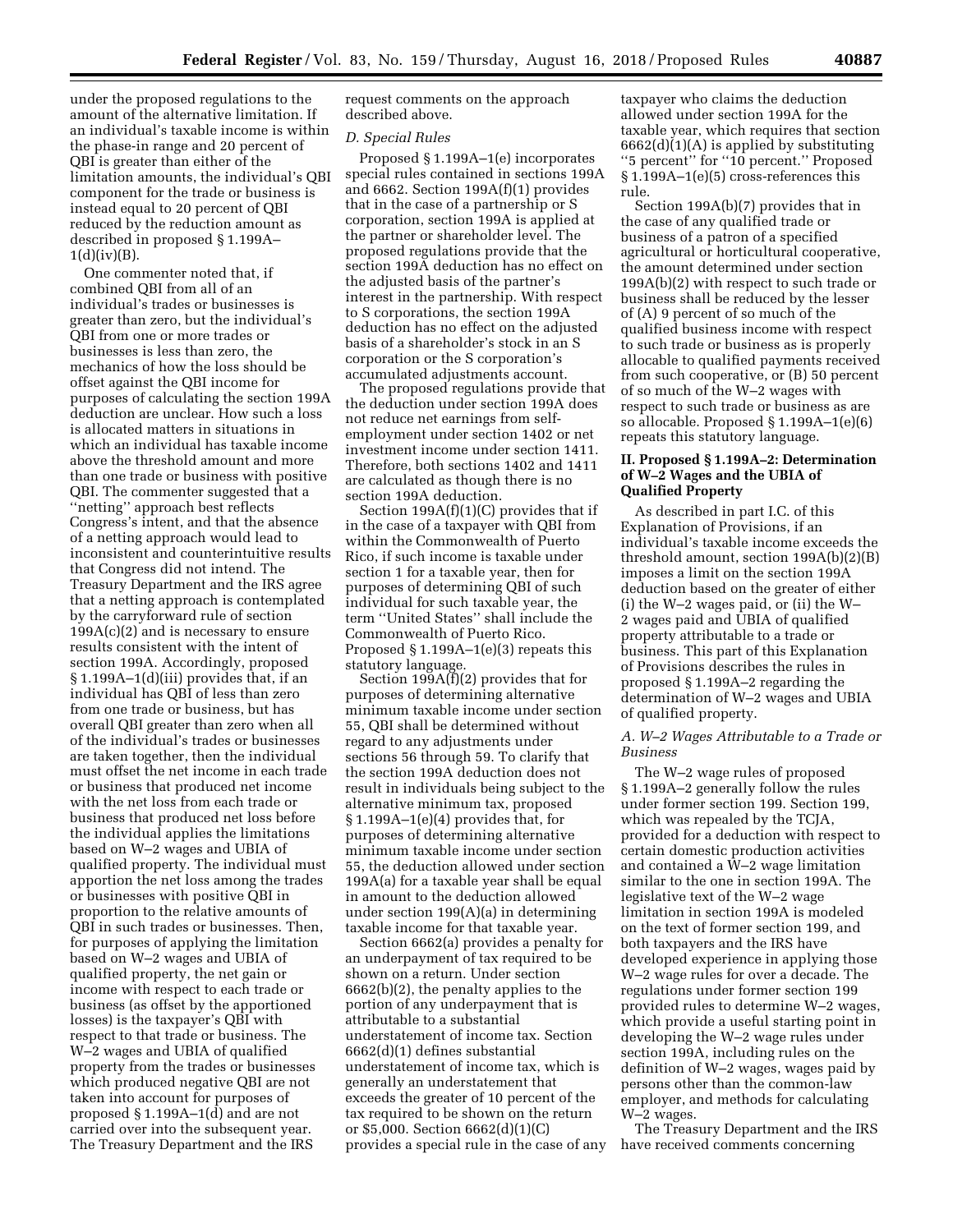under the proposed regulations to the amount of the alternative limitation. If an individual's taxable income is within the phase-in range and 20 percent of QBI is greater than either of the limitation amounts, the individual's QBI component for the trade or business is instead equal to 20 percent of QBI reduced by the reduction amount as described in proposed § 1.199A–  $1(d)(iv)(B)$ .

One commenter noted that, if combined QBI from all of an individual's trades or businesses is greater than zero, but the individual's QBI from one or more trades or businesses is less than zero, the mechanics of how the loss should be offset against the QBI income for purposes of calculating the section 199A deduction are unclear. How such a loss is allocated matters in situations in which an individual has taxable income above the threshold amount and more than one trade or business with positive QBI. The commenter suggested that a ''netting'' approach best reflects Congress's intent, and that the absence of a netting approach would lead to inconsistent and counterintuitive results that Congress did not intend. The Treasury Department and the IRS agree that a netting approach is contemplated by the carryforward rule of section  $199A(c)(2)$  and is necessary to ensure results consistent with the intent of section 199A. Accordingly, proposed § 1.199A–1(d)(iii) provides that, if an individual has QBI of less than zero from one trade or business, but has overall QBI greater than zero when all of the individual's trades or businesses are taken together, then the individual must offset the net income in each trade or business that produced net income with the net loss from each trade or business that produced net loss before the individual applies the limitations based on W–2 wages and UBIA of qualified property. The individual must apportion the net loss among the trades or businesses with positive QBI in proportion to the relative amounts of QBI in such trades or businesses. Then, for purposes of applying the limitation based on W–2 wages and UBIA of qualified property, the net gain or income with respect to each trade or business (as offset by the apportioned losses) is the taxpayer's QBI with respect to that trade or business. The W–2 wages and UBIA of qualified property from the trades or businesses which produced negative QBI are not taken into account for purposes of proposed § 1.199A–1(d) and are not carried over into the subsequent year. The Treasury Department and the IRS

request comments on the approach described above.

### *D. Special Rules*

Proposed § 1.199A–1(e) incorporates special rules contained in sections 199A and 6662. Section 199A(f)(1) provides that in the case of a partnership or S corporation, section 199A is applied at the partner or shareholder level. The proposed regulations provide that the section 199A deduction has no effect on the adjusted basis of the partner's interest in the partnership. With respect to S corporations, the section 199A deduction has no effect on the adjusted basis of a shareholder's stock in an S corporation or the S corporation's accumulated adjustments account.

The proposed regulations provide that the deduction under section 199A does not reduce net earnings from selfemployment under section 1402 or net investment income under section 1411. Therefore, both sections 1402 and 1411 are calculated as though there is no section 199A deduction.

Section 199A(f)(1)(C) provides that if in the case of a taxpayer with QBI from within the Commonwealth of Puerto Rico, if such income is taxable under section 1 for a taxable year, then for purposes of determining QBI of such individual for such taxable year, the term ''United States'' shall include the Commonwealth of Puerto Rico. Proposed § 1.199A–1(e)(3) repeats this statutory language.

Section 199A(f)(2) provides that for purposes of determining alternative minimum taxable income under section 55, QBI shall be determined without regard to any adjustments under sections 56 through 59. To clarify that the section 199A deduction does not result in individuals being subject to the alternative minimum tax, proposed  $§ 1.199A-1(e)(4)$  provides that, for purposes of determining alternative minimum taxable income under section 55, the deduction allowed under section 199A(a) for a taxable year shall be equal in amount to the deduction allowed under section 199(A)(a) in determining taxable income for that taxable year.

Section 6662(a) provides a penalty for an underpayment of tax required to be shown on a return. Under section 6662(b)(2), the penalty applies to the portion of any underpayment that is attributable to a substantial understatement of income tax. Section 6662(d)(1) defines substantial understatement of income tax, which is generally an understatement that exceeds the greater of 10 percent of the tax required to be shown on the return or \$5,000. Section 6662(d)(1)(C) provides a special rule in the case of any

taxpayer who claims the deduction allowed under section 199A for the taxable year, which requires that section  $6662(d)(1)(A)$  is applied by substituting ''5 percent'' for ''10 percent.'' Proposed § 1.199A–1(e)(5) cross-references this rule.

Section 199A(b)(7) provides that in the case of any qualified trade or business of a patron of a specified agricultural or horticultural cooperative, the amount determined under section 199A(b)(2) with respect to such trade or business shall be reduced by the lesser of (A) 9 percent of so much of the qualified business income with respect to such trade or business as is properly allocable to qualified payments received from such cooperative, or (B) 50 percent of so much of the W–2 wages with respect to such trade or business as are so allocable. Proposed § 1.199A–1(e)(6) repeats this statutory language.

# **II. Proposed § 1.199A–2: Determination of W–2 Wages and the UBIA of Qualified Property**

As described in part I.C. of this Explanation of Provisions, if an individual's taxable income exceeds the threshold amount, section 199A(b)(2)(B) imposes a limit on the section 199A deduction based on the greater of either (i) the W–2 wages paid, or (ii) the W– 2 wages paid and UBIA of qualified property attributable to a trade or business. This part of this Explanation of Provisions describes the rules in proposed § 1.199A–2 regarding the determination of W–2 wages and UBIA of qualified property.

# *A. W–2 Wages Attributable to a Trade or Business*

The W–2 wage rules of proposed § 1.199A–2 generally follow the rules under former section 199. Section 199, which was repealed by the TCJA, provided for a deduction with respect to certain domestic production activities and contained a W–2 wage limitation similar to the one in section 199A. The legislative text of the W–2 wage limitation in section 199A is modeled on the text of former section 199, and both taxpayers and the IRS have developed experience in applying those W–2 wage rules for over a decade. The regulations under former section 199 provided rules to determine W–2 wages, which provide a useful starting point in developing the W–2 wage rules under section 199A, including rules on the definition of W–2 wages, wages paid by persons other than the common-law employer, and methods for calculating W–2 wages.

The Treasury Department and the IRS have received comments concerning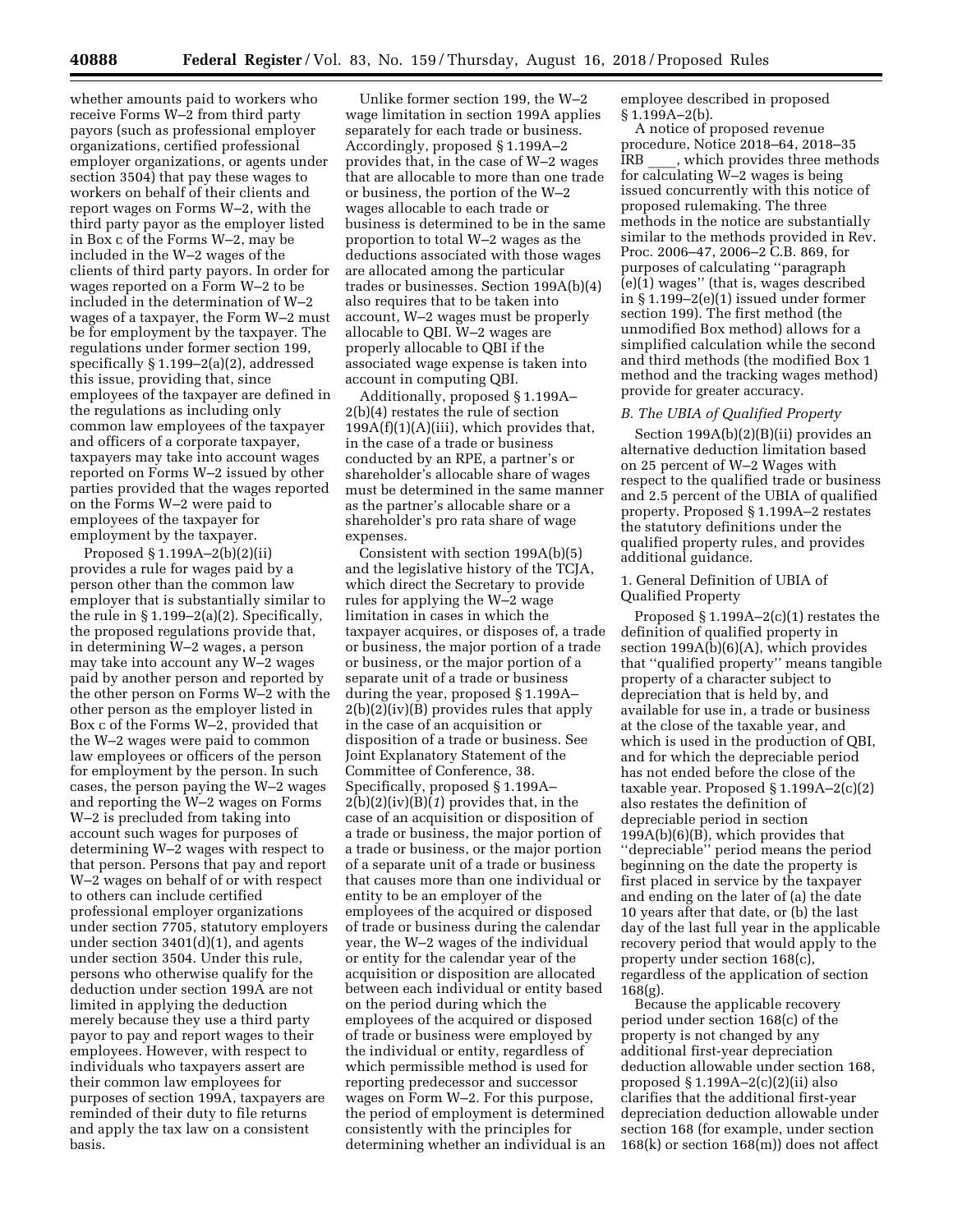whether amounts paid to workers who receive Forms W–2 from third party payors (such as professional employer organizations, certified professional employer organizations, or agents under section 3504) that pay these wages to workers on behalf of their clients and report wages on Forms W–2, with the third party payor as the employer listed in Box c of the Forms W–2, may be included in the W–2 wages of the clients of third party payors. In order for wages reported on a Form W–2 to be included in the determination of W–2 wages of a taxpayer, the Form W–2 must be for employment by the taxpayer. The regulations under former section 199, specifically § 1.199–2(a)(2), addressed this issue, providing that, since employees of the taxpayer are defined in the regulations as including only common law employees of the taxpayer and officers of a corporate taxpayer, taxpayers may take into account wages reported on Forms W–2 issued by other parties provided that the wages reported on the Forms W–2 were paid to employees of the taxpayer for employment by the taxpayer.

Proposed § 1.199A–2(b)(2)(ii) provides a rule for wages paid by a person other than the common law employer that is substantially similar to the rule in  $\S 1.199-2(a)(2)$ . Specifically, the proposed regulations provide that, in determining W–2 wages, a person may take into account any W–2 wages paid by another person and reported by the other person on Forms W–2 with the other person as the employer listed in Box c of the Forms W–2, provided that the W–2 wages were paid to common law employees or officers of the person for employment by the person. In such cases, the person paying the W–2 wages and reporting the W–2 wages on Forms W–2 is precluded from taking into account such wages for purposes of determining W–2 wages with respect to that person. Persons that pay and report W–2 wages on behalf of or with respect to others can include certified professional employer organizations under section 7705, statutory employers under section 3401(d)(1), and agents under section 3504. Under this rule, persons who otherwise qualify for the deduction under section 199A are not limited in applying the deduction merely because they use a third party payor to pay and report wages to their employees. However, with respect to individuals who taxpayers assert are their common law employees for purposes of section 199A, taxpayers are reminded of their duty to file returns and apply the tax law on a consistent basis.

Unlike former section 199, the W–2 wage limitation in section 199A applies separately for each trade or business. Accordingly, proposed § 1.199A–2 provides that, in the case of W–2 wages that are allocable to more than one trade or business, the portion of the W–2 wages allocable to each trade or business is determined to be in the same proportion to total W–2 wages as the deductions associated with those wages are allocated among the particular trades or businesses. Section 199A(b)(4) also requires that to be taken into account, W–2 wages must be properly allocable to QBI. W–2 wages are properly allocable to QBI if the associated wage expense is taken into account in computing QBI.

Additionally, proposed § 1.199A– 2(b)(4) restates the rule of section  $199A(f)(1)(A)(iii)$ , which provides that, in the case of a trade or business conducted by an RPE, a partner's or shareholder's allocable share of wages must be determined in the same manner as the partner's allocable share or a shareholder's pro rata share of wage expenses.

Consistent with section 199A(b)(5) and the legislative history of the TCJA, which direct the Secretary to provide rules for applying the W–2 wage limitation in cases in which the taxpayer acquires, or disposes of, a trade or business, the major portion of a trade or business, or the major portion of a separate unit of a trade or business during the year, proposed § 1.199A– 2(b)(2)(iv)(B) provides rules that apply in the case of an acquisition or disposition of a trade or business. See Joint Explanatory Statement of the Committee of Conference, 38. Specifically, proposed § 1.199A– 2(b)(2)(iv)(B)(*1*) provides that, in the case of an acquisition or disposition of a trade or business, the major portion of a trade or business, or the major portion of a separate unit of a trade or business that causes more than one individual or entity to be an employer of the employees of the acquired or disposed of trade or business during the calendar year, the W–2 wages of the individual or entity for the calendar year of the acquisition or disposition are allocated between each individual or entity based on the period during which the employees of the acquired or disposed of trade or business were employed by the individual or entity, regardless of which permissible method is used for reporting predecessor and successor wages on Form W–2. For this purpose, the period of employment is determined consistently with the principles for determining whether an individual is an employee described in proposed  $§ 1.199A - 2(b).$ 

A notice of proposed revenue procedure, Notice 2018–64, 2018–35 IRB \_\_\_\_, which provides three methods for calculating W–2 wages is being issued concurrently with this notice of proposed rulemaking. The three methods in the notice are substantially similar to the methods provided in Rev. Proc. 2006–47, 2006–2 C.B. 869, for purposes of calculating ''paragraph  $(e)(1)$  wages" (that is, wages described in § 1.199–2(e)(1) issued under former section 199). The first method (the unmodified Box method) allows for a simplified calculation while the second and third methods (the modified Box 1 method and the tracking wages method) provide for greater accuracy.

# *B. The UBIA of Qualified Property*

Section 199A(b)(2)(B)(ii) provides an alternative deduction limitation based on 25 percent of W–2 Wages with respect to the qualified trade or business and 2.5 percent of the UBIA of qualified property. Proposed § 1.199A–2 restates the statutory definitions under the qualified property rules, and provides additional guidance.

## 1. General Definition of UBIA of Qualified Property

Proposed § 1.199A–2(c)(1) restates the definition of qualified property in section 199A(b)(6)(A), which provides that ''qualified property'' means tangible property of a character subject to depreciation that is held by, and available for use in, a trade or business at the close of the taxable year, and which is used in the production of QBI, and for which the depreciable period has not ended before the close of the taxable year. Proposed § 1.199A–2(c)(2) also restates the definition of depreciable period in section 199A(b)(6)(B), which provides that ''depreciable'' period means the period beginning on the date the property is first placed in service by the taxpayer and ending on the later of (a) the date 10 years after that date, or (b) the last day of the last full year in the applicable recovery period that would apply to the property under section 168(c), regardless of the application of section 168(g).

Because the applicable recovery period under section 168(c) of the property is not changed by any additional first-year depreciation deduction allowable under section 168, proposed § 1.199A–2(c)(2)(ii) also clarifies that the additional first-year depreciation deduction allowable under section 168 (for example, under section 168(k) or section 168(m)) does not affect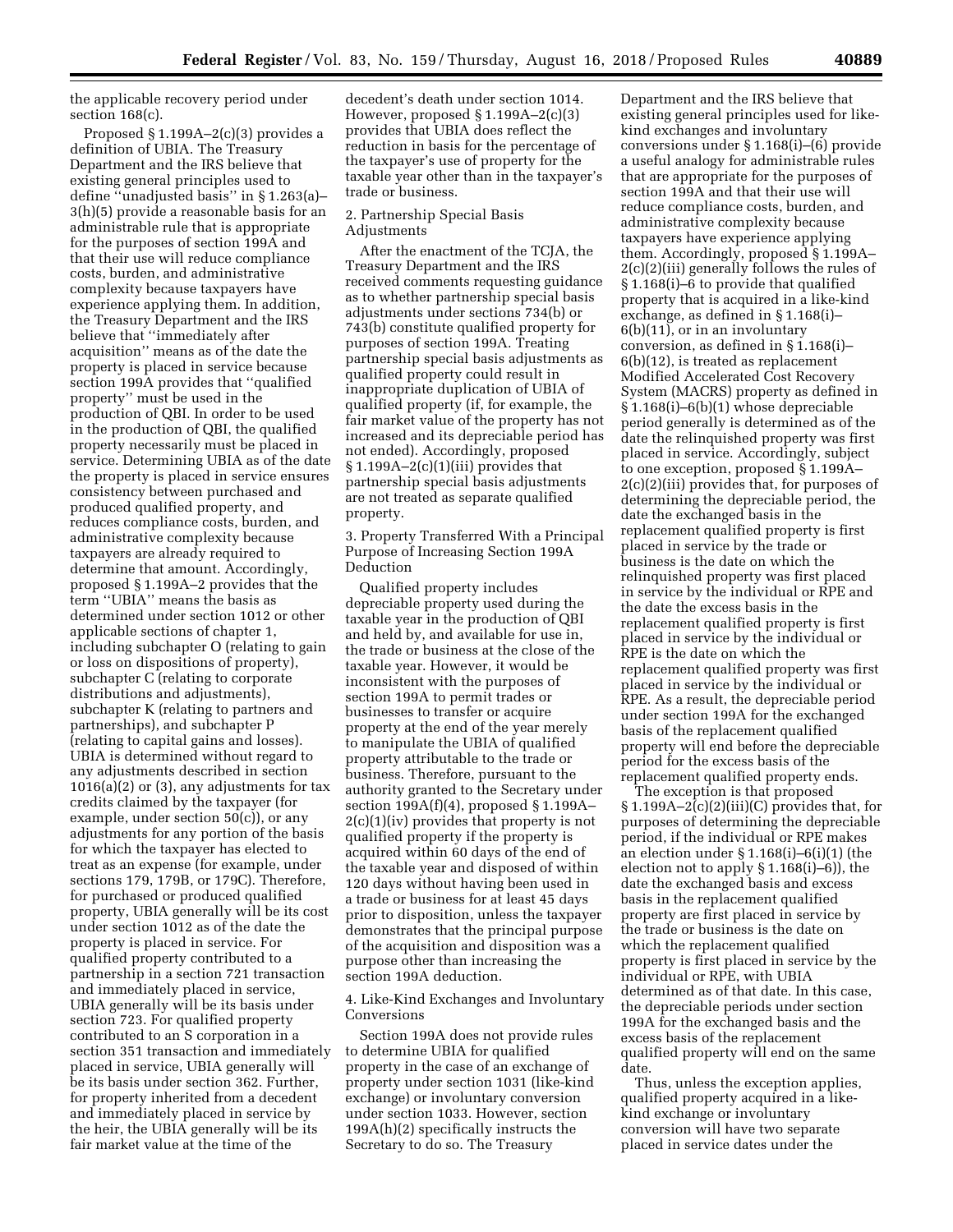the applicable recovery period under section 168(c).

Proposed § 1.199A–2(c)(3) provides a definition of UBIA. The Treasury Department and the IRS believe that existing general principles used to define ''unadjusted basis'' in § 1.263(a)– 3(h)(5) provide a reasonable basis for an administrable rule that is appropriate for the purposes of section 199A and that their use will reduce compliance costs, burden, and administrative complexity because taxpayers have experience applying them. In addition, the Treasury Department and the IRS believe that ''immediately after acquisition'' means as of the date the property is placed in service because section 199A provides that ''qualified property'' must be used in the production of QBI. In order to be used in the production of QBI, the qualified property necessarily must be placed in service. Determining UBIA as of the date the property is placed in service ensures consistency between purchased and produced qualified property, and reduces compliance costs, burden, and administrative complexity because taxpayers are already required to determine that amount. Accordingly, proposed § 1.199A–2 provides that the term ''UBIA'' means the basis as determined under section 1012 or other applicable sections of chapter 1, including subchapter O (relating to gain or loss on dispositions of property), subchapter C (relating to corporate distributions and adjustments), subchapter K (relating to partners and partnerships), and subchapter P (relating to capital gains and losses). UBIA is determined without regard to any adjustments described in section  $1016(a)(2)$  or  $(3)$ , any adjustments for tax credits claimed by the taxpayer (for example, under section 50(c)), or any adjustments for any portion of the basis for which the taxpayer has elected to treat as an expense (for example, under sections 179, 179B, or 179C). Therefore, for purchased or produced qualified property, UBIA generally will be its cost under section 1012 as of the date the property is placed in service. For qualified property contributed to a partnership in a section 721 transaction and immediately placed in service, UBIA generally will be its basis under section 723. For qualified property contributed to an S corporation in a section 351 transaction and immediately placed in service, UBIA generally will be its basis under section 362. Further, for property inherited from a decedent and immediately placed in service by the heir, the UBIA generally will be its fair market value at the time of the

decedent's death under section 1014. However, proposed § 1.199A–2(c)(3) provides that UBIA does reflect the reduction in basis for the percentage of the taxpayer's use of property for the taxable year other than in the taxpayer's trade or business.

## 2. Partnership Special Basis Adjustments

After the enactment of the TCJA, the Treasury Department and the IRS received comments requesting guidance as to whether partnership special basis adjustments under sections 734(b) or 743(b) constitute qualified property for purposes of section 199A. Treating partnership special basis adjustments as qualified property could result in inappropriate duplication of UBIA of qualified property (if, for example, the fair market value of the property has not increased and its depreciable period has not ended). Accordingly, proposed  $§ 1.199A-2(c)(1)(iii)$  provides that partnership special basis adjustments are not treated as separate qualified property.

3. Property Transferred With a Principal Purpose of Increasing Section 199A Deduction

Qualified property includes depreciable property used during the taxable year in the production of QBI and held by, and available for use in, the trade or business at the close of the taxable year. However, it would be inconsistent with the purposes of section 199A to permit trades or businesses to transfer or acquire property at the end of the year merely to manipulate the UBIA of qualified property attributable to the trade or business. Therefore, pursuant to the authority granted to the Secretary under section 199A(f)(4), proposed § 1.199A– 2(c)(1)(iv) provides that property is not qualified property if the property is acquired within 60 days of the end of the taxable year and disposed of within 120 days without having been used in a trade or business for at least 45 days prior to disposition, unless the taxpayer demonstrates that the principal purpose of the acquisition and disposition was a purpose other than increasing the section 199A deduction.

# 4. Like-Kind Exchanges and Involuntary **Conversions**

Section 199A does not provide rules to determine UBIA for qualified property in the case of an exchange of property under section 1031 (like-kind exchange) or involuntary conversion under section 1033. However, section 199A(h)(2) specifically instructs the Secretary to do so. The Treasury

Department and the IRS believe that existing general principles used for likekind exchanges and involuntary conversions under § 1.168(i)–(6) provide a useful analogy for administrable rules that are appropriate for the purposes of section 199A and that their use will reduce compliance costs, burden, and administrative complexity because taxpayers have experience applying them. Accordingly, proposed § 1.199A– 2(c)(2)(iii) generally follows the rules of § 1.168(i)–6 to provide that qualified property that is acquired in a like-kind exchange, as defined in § 1.168(i)– 6(b)(11), or in an involuntary conversion, as defined in § 1.168(i)– 6(b)(12), is treated as replacement Modified Accelerated Cost Recovery System (MACRS) property as defined in § 1.168(i)–6(b)(1) whose depreciable period generally is determined as of the date the relinquished property was first placed in service. Accordingly, subject to one exception, proposed § 1.199A– 2(c)(2)(iii) provides that, for purposes of determining the depreciable period, the date the exchanged basis in the replacement qualified property is first placed in service by the trade or business is the date on which the relinquished property was first placed in service by the individual or RPE and the date the excess basis in the replacement qualified property is first placed in service by the individual or RPE is the date on which the replacement qualified property was first placed in service by the individual or RPE. As a result, the depreciable period under section 199A for the exchanged basis of the replacement qualified property will end before the depreciable period for the excess basis of the replacement qualified property ends.

The exception is that proposed  $§ 1.199A-2(c)(2)(iii)(C)$  provides that, for purposes of determining the depreciable period, if the individual or RPE makes an election under § 1.168(i)–6(i)(1) (the election not to apply § 1.168(i)–6)), the date the exchanged basis and excess basis in the replacement qualified property are first placed in service by the trade or business is the date on which the replacement qualified property is first placed in service by the individual or RPE, with UBIA determined as of that date. In this case, the depreciable periods under section 199A for the exchanged basis and the excess basis of the replacement qualified property will end on the same date.

Thus, unless the exception applies, qualified property acquired in a likekind exchange or involuntary conversion will have two separate placed in service dates under the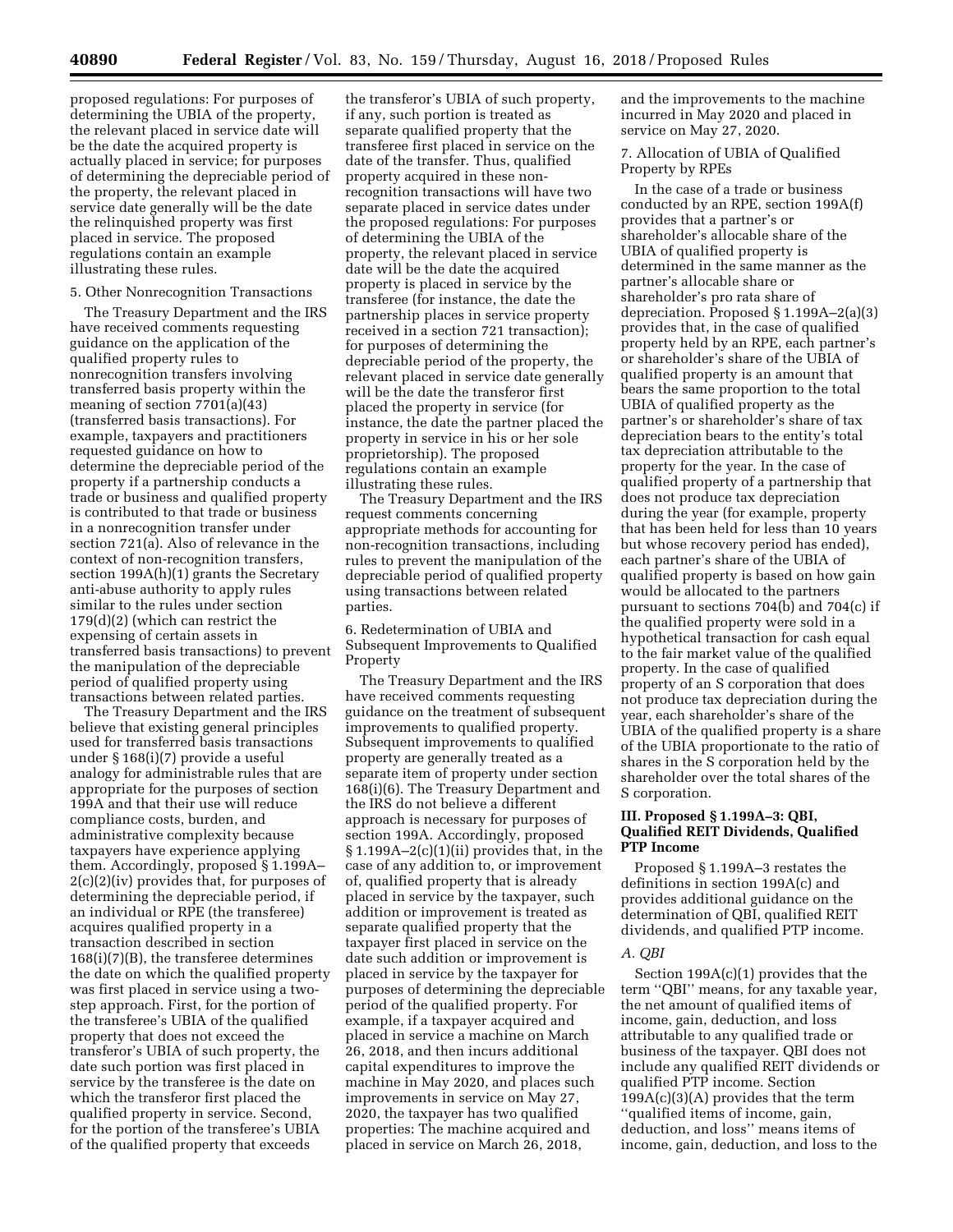proposed regulations: For purposes of determining the UBIA of the property, the relevant placed in service date will be the date the acquired property is actually placed in service; for purposes of determining the depreciable period of the property, the relevant placed in service date generally will be the date the relinquished property was first placed in service. The proposed regulations contain an example illustrating these rules.

## 5. Other Nonrecognition Transactions

The Treasury Department and the IRS have received comments requesting guidance on the application of the qualified property rules to nonrecognition transfers involving transferred basis property within the meaning of section 7701(a)(43) (transferred basis transactions). For example, taxpayers and practitioners requested guidance on how to determine the depreciable period of the property if a partnership conducts a trade or business and qualified property is contributed to that trade or business in a nonrecognition transfer under section 721(a). Also of relevance in the context of non-recognition transfers, section 199A(h)(1) grants the Secretary anti-abuse authority to apply rules similar to the rules under section 179(d)(2) (which can restrict the expensing of certain assets in transferred basis transactions) to prevent the manipulation of the depreciable period of qualified property using transactions between related parties.

The Treasury Department and the IRS believe that existing general principles used for transferred basis transactions under § 168(i)(7) provide a useful analogy for administrable rules that are appropriate for the purposes of section 199A and that their use will reduce compliance costs, burden, and administrative complexity because taxpayers have experience applying them. Accordingly, proposed § 1.199A– 2(c)(2)(iv) provides that, for purposes of determining the depreciable period, if an individual or RPE (the transferee) acquires qualified property in a transaction described in section 168(i)(7)(B), the transferee determines the date on which the qualified property was first placed in service using a twostep approach. First, for the portion of the transferee's UBIA of the qualified property that does not exceed the transferor's UBIA of such property, the date such portion was first placed in service by the transferee is the date on which the transferor first placed the qualified property in service. Second, for the portion of the transferee's UBIA of the qualified property that exceeds

the transferor's UBIA of such property, if any, such portion is treated as separate qualified property that the transferee first placed in service on the date of the transfer. Thus, qualified property acquired in these nonrecognition transactions will have two separate placed in service dates under the proposed regulations: For purposes of determining the UBIA of the property, the relevant placed in service date will be the date the acquired property is placed in service by the transferee (for instance, the date the partnership places in service property received in a section 721 transaction); for purposes of determining the depreciable period of the property, the relevant placed in service date generally will be the date the transferor first placed the property in service (for instance, the date the partner placed the property in service in his or her sole proprietorship). The proposed regulations contain an example illustrating these rules.

The Treasury Department and the IRS request comments concerning appropriate methods for accounting for non-recognition transactions, including rules to prevent the manipulation of the depreciable period of qualified property using transactions between related parties.

6. Redetermination of UBIA and Subsequent Improvements to Qualified Property

The Treasury Department and the IRS have received comments requesting guidance on the treatment of subsequent improvements to qualified property. Subsequent improvements to qualified property are generally treated as a separate item of property under section 168(i)(6). The Treasury Department and the IRS do not believe a different approach is necessary for purposes of section 199A. Accordingly, proposed  $§ 1.199A-2(c)(1)(ii)$  provides that, in the case of any addition to, or improvement of, qualified property that is already placed in service by the taxpayer, such addition or improvement is treated as separate qualified property that the taxpayer first placed in service on the date such addition or improvement is placed in service by the taxpayer for purposes of determining the depreciable period of the qualified property. For example, if a taxpayer acquired and placed in service a machine on March 26, 2018, and then incurs additional capital expenditures to improve the machine in May 2020, and places such improvements in service on May 27, 2020, the taxpayer has two qualified properties: The machine acquired and placed in service on March 26, 2018,

and the improvements to the machine incurred in May 2020 and placed in service on May 27, 2020.

7. Allocation of UBIA of Qualified Property by RPEs

In the case of a trade or business conducted by an RPE, section 199A(f) provides that a partner's or shareholder's allocable share of the UBIA of qualified property is determined in the same manner as the partner's allocable share or shareholder's pro rata share of depreciation. Proposed § 1.199A–2(a)(3) provides that, in the case of qualified property held by an RPE, each partner's or shareholder's share of the UBIA of qualified property is an amount that bears the same proportion to the total UBIA of qualified property as the partner's or shareholder's share of tax depreciation bears to the entity's total tax depreciation attributable to the property for the year. In the case of qualified property of a partnership that does not produce tax depreciation during the year (for example, property that has been held for less than 10 years but whose recovery period has ended), each partner's share of the UBIA of qualified property is based on how gain would be allocated to the partners pursuant to sections 704(b) and 704(c) if the qualified property were sold in a hypothetical transaction for cash equal to the fair market value of the qualified property. In the case of qualified property of an S corporation that does not produce tax depreciation during the year, each shareholder's share of the UBIA of the qualified property is a share of the UBIA proportionate to the ratio of shares in the S corporation held by the shareholder over the total shares of the S corporation.

# **III. Proposed § 1.199A–3: QBI, Qualified REIT Dividends, Qualified PTP Income**

Proposed § 1.199A–3 restates the definitions in section 199A(c) and provides additional guidance on the determination of QBI, qualified REIT dividends, and qualified PTP income.

### *A. QBI*

Section 199A(c)(1) provides that the term ''QBI'' means, for any taxable year, the net amount of qualified items of income, gain, deduction, and loss attributable to any qualified trade or business of the taxpayer. QBI does not include any qualified REIT dividends or qualified PTP income. Section 199A(c)(3)(A) provides that the term ''qualified items of income, gain, deduction, and loss'' means items of income, gain, deduction, and loss to the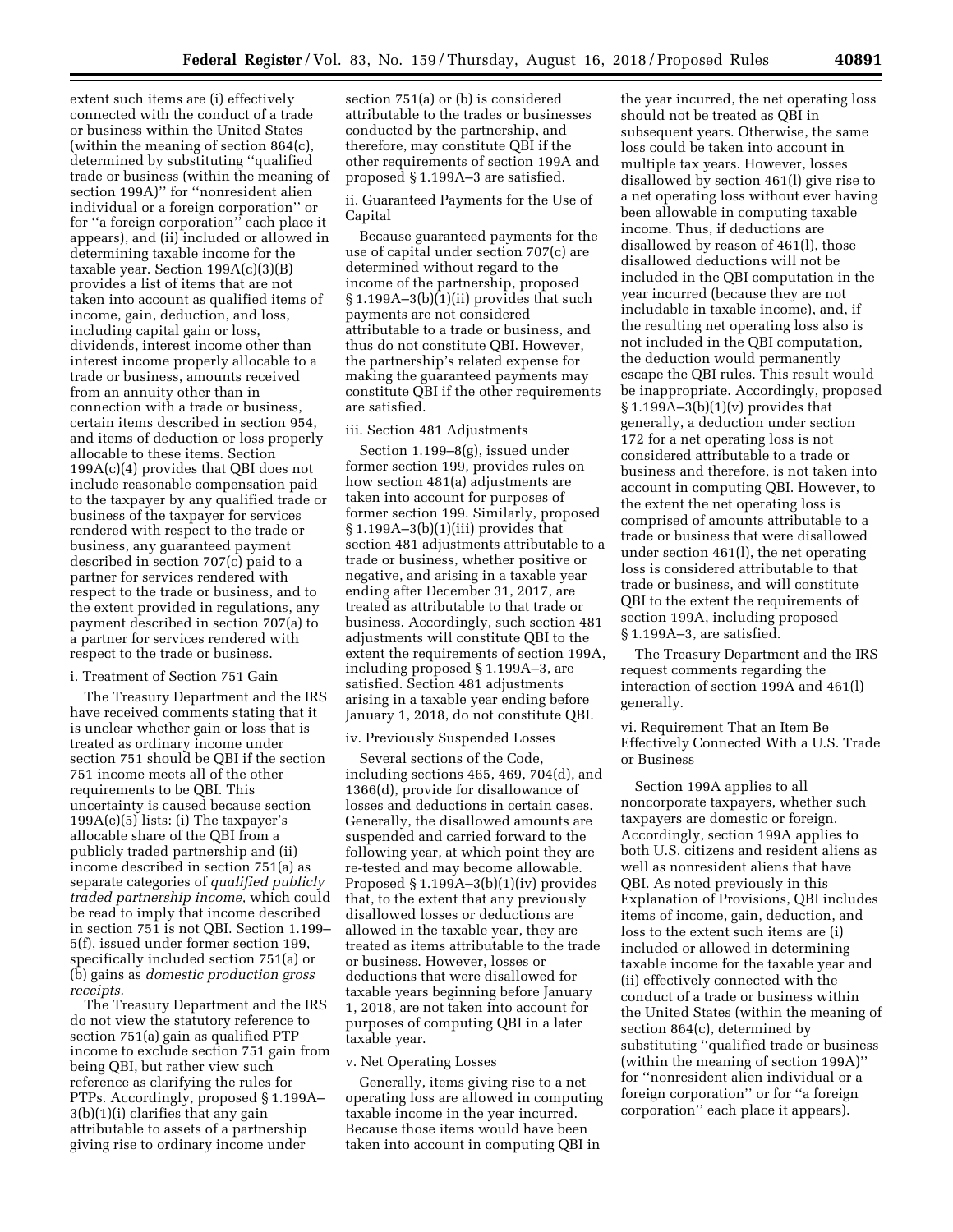extent such items are (i) effectively connected with the conduct of a trade or business within the United States (within the meaning of section 864(c), determined by substituting ''qualified trade or business (within the meaning of section 199A)'' for ''nonresident alien individual or a foreign corporation'' or for ''a foreign corporation'' each place it appears), and (ii) included or allowed in determining taxable income for the taxable year. Section 199A(c)(3)(B) provides a list of items that are not taken into account as qualified items of income, gain, deduction, and loss, including capital gain or loss, dividends, interest income other than interest income properly allocable to a trade or business, amounts received from an annuity other than in connection with a trade or business, certain items described in section 954, and items of deduction or loss properly allocable to these items. Section 199A(c)(4) provides that QBI does not include reasonable compensation paid to the taxpayer by any qualified trade or business of the taxpayer for services rendered with respect to the trade or business, any guaranteed payment described in section 707(c) paid to a partner for services rendered with respect to the trade or business, and to the extent provided in regulations, any payment described in section 707(a) to a partner for services rendered with respect to the trade or business.

### i. Treatment of Section 751 Gain

The Treasury Department and the IRS have received comments stating that it is unclear whether gain or loss that is treated as ordinary income under section 751 should be QBI if the section 751 income meets all of the other requirements to be QBI. This uncertainty is caused because section  $199A(e)(5)$  lists: (i) The taxpayer's allocable share of the QBI from a publicly traded partnership and (ii) income described in section 751(a) as separate categories of *qualified publicly traded partnership income,* which could be read to imply that income described in section 751 is not QBI. Section 1.199– 5(f), issued under former section 199, specifically included section 751(a) or (b) gains as *domestic production gross receipts.* 

The Treasury Department and the IRS do not view the statutory reference to section 751(a) gain as qualified PTP income to exclude section 751 gain from being QBI, but rather view such reference as clarifying the rules for PTPs. Accordingly, proposed § 1.199A– 3(b)(1)(i) clarifies that any gain attributable to assets of a partnership giving rise to ordinary income under

section 751(a) or (b) is considered attributable to the trades or businesses conducted by the partnership, and therefore, may constitute QBI if the other requirements of section 199A and proposed § 1.199A–3 are satisfied.

ii. Guaranteed Payments for the Use of Capital

Because guaranteed payments for the use of capital under section 707(c) are determined without regard to the income of the partnership, proposed § 1.199A–3(b)(1)(ii) provides that such payments are not considered attributable to a trade or business, and thus do not constitute QBI. However, the partnership's related expense for making the guaranteed payments may constitute QBI if the other requirements are satisfied.

### iii. Section 481 Adjustments

Section 1.199–8(g), issued under former section 199, provides rules on how section 481(a) adjustments are taken into account for purposes of former section 199. Similarly, proposed § 1.199A–3(b)(1)(iii) provides that section 481 adjustments attributable to a trade or business, whether positive or negative, and arising in a taxable year ending after December 31, 2017, are treated as attributable to that trade or business. Accordingly, such section 481 adjustments will constitute QBI to the extent the requirements of section 199A, including proposed § 1.199A–3, are satisfied. Section 481 adjustments arising in a taxable year ending before January 1, 2018, do not constitute QBI.

### iv. Previously Suspended Losses

Several sections of the Code, including sections 465, 469, 704(d), and 1366(d), provide for disallowance of losses and deductions in certain cases. Generally, the disallowed amounts are suspended and carried forward to the following year, at which point they are re-tested and may become allowable. Proposed § 1.199A–3(b)(1)(iv) provides that, to the extent that any previously disallowed losses or deductions are allowed in the taxable year, they are treated as items attributable to the trade or business. However, losses or deductions that were disallowed for taxable years beginning before January 1, 2018, are not taken into account for purposes of computing QBI in a later taxable year.

#### v. Net Operating Losses

Generally, items giving rise to a net operating loss are allowed in computing taxable income in the year incurred. Because those items would have been taken into account in computing QBI in

the year incurred, the net operating loss should not be treated as QBI in subsequent years. Otherwise, the same loss could be taken into account in multiple tax years. However, losses disallowed by section 461(l) give rise to a net operating loss without ever having been allowable in computing taxable income. Thus, if deductions are disallowed by reason of 461(l), those disallowed deductions will not be included in the QBI computation in the year incurred (because they are not includable in taxable income), and, if the resulting net operating loss also is not included in the QBI computation, the deduction would permanently escape the QBI rules. This result would be inappropriate. Accordingly, proposed  $§ 1.199A-3(b)(1)(v)$  provides that generally, a deduction under section 172 for a net operating loss is not considered attributable to a trade or business and therefore, is not taken into account in computing QBI. However, to the extent the net operating loss is comprised of amounts attributable to a trade or business that were disallowed under section 461(l), the net operating loss is considered attributable to that trade or business, and will constitute QBI to the extent the requirements of section 199A, including proposed § 1.199A–3, are satisfied.

The Treasury Department and the IRS request comments regarding the interaction of section 199A and 461(l) generally.

vi. Requirement That an Item Be Effectively Connected With a U.S. Trade or Business

Section 199A applies to all noncorporate taxpayers, whether such taxpayers are domestic or foreign. Accordingly, section 199A applies to both U.S. citizens and resident aliens as well as nonresident aliens that have QBI. As noted previously in this Explanation of Provisions, QBI includes items of income, gain, deduction, and loss to the extent such items are (i) included or allowed in determining taxable income for the taxable year and (ii) effectively connected with the conduct of a trade or business within the United States (within the meaning of section 864(c), determined by substituting ''qualified trade or business (within the meaning of section 199A)'' for ''nonresident alien individual or a foreign corporation'' or for ''a foreign corporation'' each place it appears).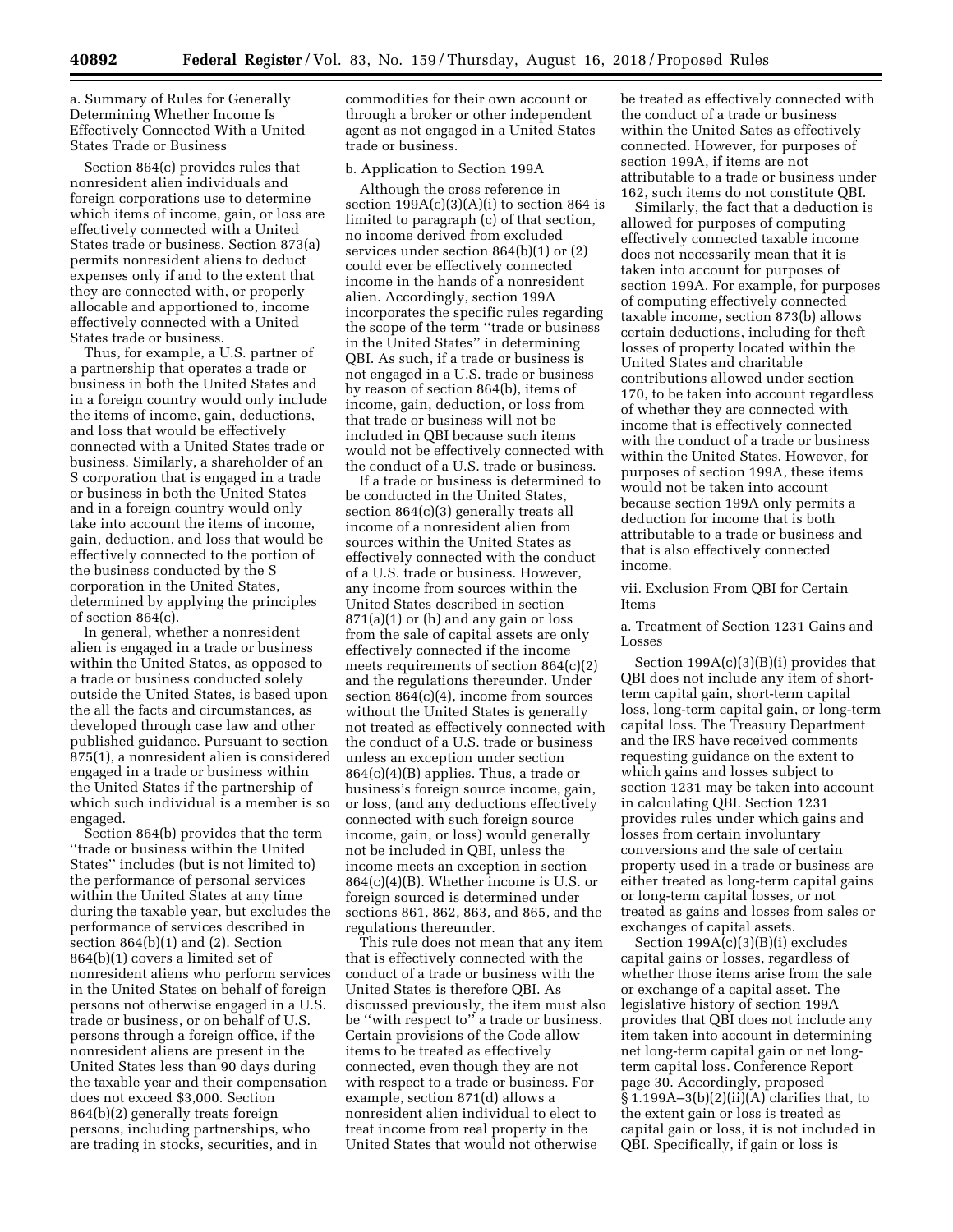a. Summary of Rules for Generally Determining Whether Income Is Effectively Connected With a United States Trade or Business

Section 864(c) provides rules that nonresident alien individuals and foreign corporations use to determine which items of income, gain, or loss are effectively connected with a United States trade or business. Section 873(a) permits nonresident aliens to deduct expenses only if and to the extent that they are connected with, or properly allocable and apportioned to, income effectively connected with a United States trade or business.

Thus, for example, a U.S. partner of a partnership that operates a trade or business in both the United States and in a foreign country would only include the items of income, gain, deductions, and loss that would be effectively connected with a United States trade or business. Similarly, a shareholder of an S corporation that is engaged in a trade or business in both the United States and in a foreign country would only take into account the items of income, gain, deduction, and loss that would be effectively connected to the portion of the business conducted by the S corporation in the United States, determined by applying the principles of section 864(c).

In general, whether a nonresident alien is engaged in a trade or business within the United States, as opposed to a trade or business conducted solely outside the United States, is based upon the all the facts and circumstances, as developed through case law and other published guidance. Pursuant to section 875(1), a nonresident alien is considered engaged in a trade or business within the United States if the partnership of which such individual is a member is so engaged.

Section 864(b) provides that the term ''trade or business within the United States'' includes (but is not limited to) the performance of personal services within the United States at any time during the taxable year, but excludes the performance of services described in section 864(b)(1) and (2). Section 864(b)(1) covers a limited set of nonresident aliens who perform services in the United States on behalf of foreign persons not otherwise engaged in a U.S. trade or business, or on behalf of U.S. persons through a foreign office, if the nonresident aliens are present in the United States less than 90 days during the taxable year and their compensation does not exceed \$3,000. Section 864(b)(2) generally treats foreign persons, including partnerships, who are trading in stocks, securities, and in

commodities for their own account or through a broker or other independent agent as not engaged in a United States trade or business.

### b. Application to Section 199A

Although the cross reference in section  $199A(c)(3)(A)(i)$  to section 864 is limited to paragraph (c) of that section, no income derived from excluded services under section 864(b)(1) or (2) could ever be effectively connected income in the hands of a nonresident alien. Accordingly, section 199A incorporates the specific rules regarding the scope of the term ''trade or business in the United States'' in determining QBI. As such, if a trade or business is not engaged in a U.S. trade or business by reason of section 864(b), items of income, gain, deduction, or loss from that trade or business will not be included in QBI because such items would not be effectively connected with the conduct of a U.S. trade or business.

If a trade or business is determined to be conducted in the United States, section 864(c)(3) generally treats all income of a nonresident alien from sources within the United States as effectively connected with the conduct of a U.S. trade or business. However, any income from sources within the United States described in section  $871(a)(1)$  or (h) and any gain or loss from the sale of capital assets are only effectively connected if the income meets requirements of section 864(c)(2) and the regulations thereunder. Under section 864(c)(4), income from sources without the United States is generally not treated as effectively connected with the conduct of a U.S. trade or business unless an exception under section 864(c)(4)(B) applies. Thus, a trade or business's foreign source income, gain, or loss, (and any deductions effectively connected with such foreign source income, gain, or loss) would generally not be included in QBI, unless the income meets an exception in section 864(c)(4)(B). Whether income is U.S. or foreign sourced is determined under sections 861, 862, 863, and 865, and the regulations thereunder.

This rule does not mean that any item that is effectively connected with the conduct of a trade or business with the United States is therefore QBI. As discussed previously, the item must also be ''with respect to'' a trade or business. Certain provisions of the Code allow items to be treated as effectively connected, even though they are not with respect to a trade or business. For example, section 871(d) allows a nonresident alien individual to elect to treat income from real property in the United States that would not otherwise

be treated as effectively connected with the conduct of a trade or business within the United Sates as effectively connected. However, for purposes of section 199A, if items are not attributable to a trade or business under 162, such items do not constitute QBI.

Similarly, the fact that a deduction is allowed for purposes of computing effectively connected taxable income does not necessarily mean that it is taken into account for purposes of section 199A. For example, for purposes of computing effectively connected taxable income, section 873(b) allows certain deductions, including for theft losses of property located within the United States and charitable contributions allowed under section 170, to be taken into account regardless of whether they are connected with income that is effectively connected with the conduct of a trade or business within the United States. However, for purposes of section 199A, these items would not be taken into account because section 199A only permits a deduction for income that is both attributable to a trade or business and that is also effectively connected income.

# vii. Exclusion From QBI for Certain Items

a. Treatment of Section 1231 Gains and Losses

Section 199A(c)(3)(B)(i) provides that QBI does not include any item of shortterm capital gain, short-term capital loss, long-term capital gain, or long-term capital loss. The Treasury Department and the IRS have received comments requesting guidance on the extent to which gains and losses subject to section 1231 may be taken into account in calculating QBI. Section 1231 provides rules under which gains and losses from certain involuntary conversions and the sale of certain property used in a trade or business are either treated as long-term capital gains or long-term capital losses, or not treated as gains and losses from sales or exchanges of capital assets.

Section 199A(c)(3)(B)(i) excludes capital gains or losses, regardless of whether those items arise from the sale or exchange of a capital asset. The legislative history of section 199A provides that QBI does not include any item taken into account in determining net long-term capital gain or net longterm capital loss. Conference Report page 30. Accordingly, proposed  $\S 1.199A-3(b)(2)(ii)(A)$  clarifies that, to the extent gain or loss is treated as capital gain or loss, it is not included in QBI. Specifically, if gain or loss is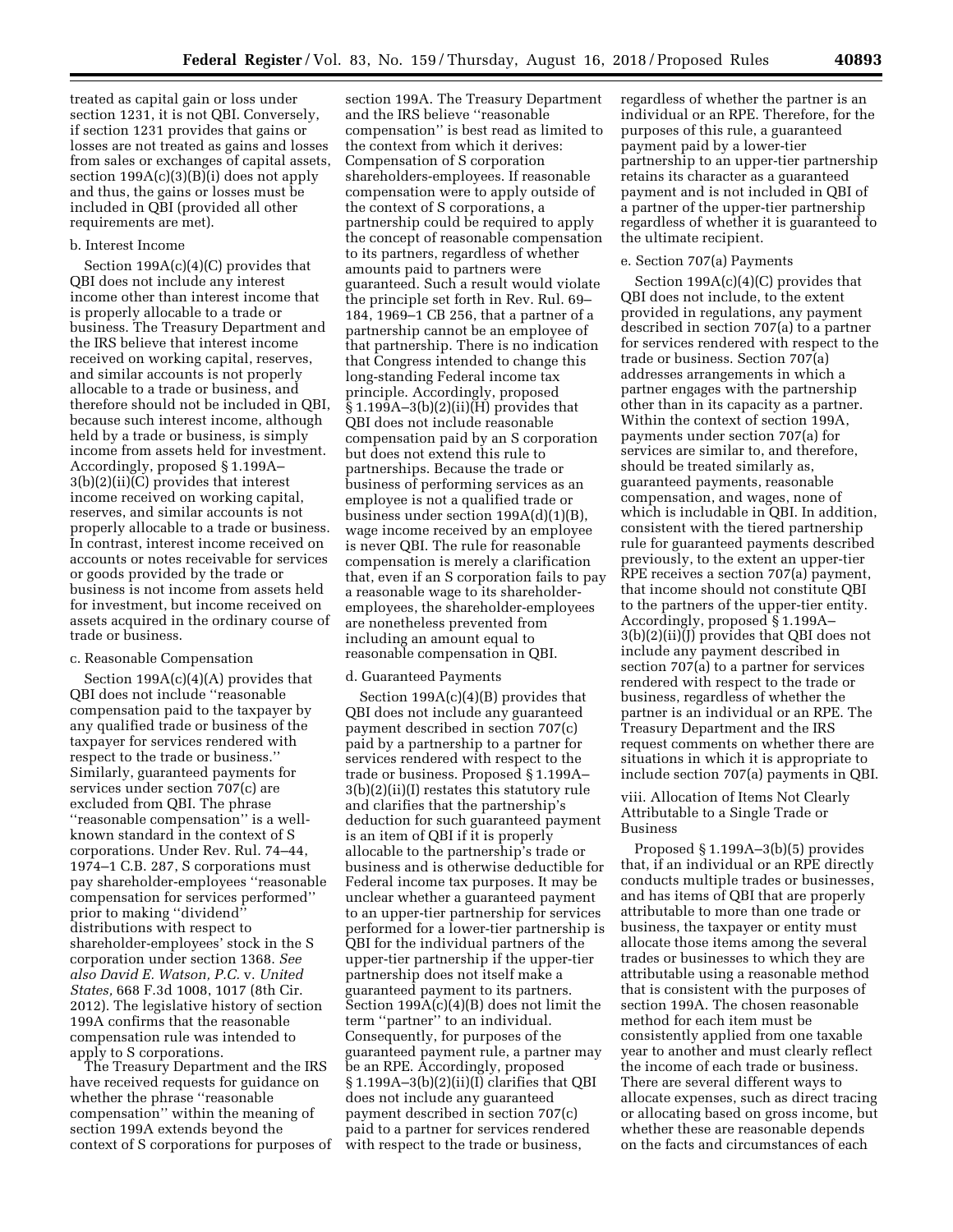treated as capital gain or loss under section 1231, it is not QBI. Conversely, if section 1231 provides that gains or losses are not treated as gains and losses from sales or exchanges of capital assets, section  $199A(c)(3)(B)(i)$  does not apply and thus, the gains or losses must be included in QBI (provided all other requirements are met).

# b. Interest Income

Section 199A(c)(4)(C) provides that QBI does not include any interest income other than interest income that is properly allocable to a trade or business. The Treasury Department and the IRS believe that interest income received on working capital, reserves, and similar accounts is not properly allocable to a trade or business, and therefore should not be included in QBI, because such interest income, although held by a trade or business, is simply income from assets held for investment. Accordingly, proposed § 1.199A– 3(b)(2)(ii)(C) provides that interest income received on working capital, reserves, and similar accounts is not properly allocable to a trade or business. In contrast, interest income received on accounts or notes receivable for services or goods provided by the trade or business is not income from assets held for investment, but income received on assets acquired in the ordinary course of trade or business.

#### c. Reasonable Compensation

Section  $199A(c)(4)(A)$  provides that QBI does not include ''reasonable compensation paid to the taxpayer by any qualified trade or business of the taxpayer for services rendered with respect to the trade or business.'' Similarly, guaranteed payments for services under section 707(c) are excluded from QBI. The phrase ''reasonable compensation'' is a wellknown standard in the context of S corporations. Under Rev. Rul. 74–44, 1974–1 C.B. 287, S corporations must pay shareholder-employees ''reasonable compensation for services performed'' prior to making ''dividend'' distributions with respect to shareholder-employees' stock in the S corporation under section 1368. *See also David E. Watson, P.C.* v. *United States,* 668 F.3d 1008, 1017 (8th Cir. 2012). The legislative history of section 199A confirms that the reasonable compensation rule was intended to apply to S corporations.

The Treasury Department and the IRS have received requests for guidance on whether the phrase ''reasonable compensation'' within the meaning of section 199A extends beyond the context of S corporations for purposes of

section 199A. The Treasury Department and the IRS believe ''reasonable compensation'' is best read as limited to the context from which it derives: Compensation of S corporation shareholders-employees. If reasonable compensation were to apply outside of the context of S corporations, a partnership could be required to apply the concept of reasonable compensation to its partners, regardless of whether amounts paid to partners were guaranteed. Such a result would violate the principle set forth in Rev. Rul. 69– 184, 1969–1 CB 256, that a partner of a partnership cannot be an employee of that partnership. There is no indication that Congress intended to change this long-standing Federal income tax principle. Accordingly, proposed  $§ 1.199A-3(b)(2)(ii)(H)$  provides that QBI does not include reasonable compensation paid by an S corporation but does not extend this rule to partnerships. Because the trade or business of performing services as an employee is not a qualified trade or business under section 199A(d)(1)(B), wage income received by an employee is never QBI. The rule for reasonable compensation is merely a clarification that, even if an S corporation fails to pay a reasonable wage to its shareholderemployees, the shareholder-employees are nonetheless prevented from including an amount equal to reasonable compensation in QBI.

### d. Guaranteed Payments

Section  $199A(c)(4)(B)$  provides that QBI does not include any guaranteed payment described in section 707(c) paid by a partnership to a partner for services rendered with respect to the trade or business. Proposed § 1.199A– 3(b)(2)(ii)(I) restates this statutory rule and clarifies that the partnership's deduction for such guaranteed payment is an item of QBI if it is properly allocable to the partnership's trade or business and is otherwise deductible for Federal income tax purposes. It may be unclear whether a guaranteed payment to an upper-tier partnership for services performed for a lower-tier partnership is QBI for the individual partners of the upper-tier partnership if the upper-tier partnership does not itself make a guaranteed payment to its partners. Section 199A(c)(4)(B) does not limit the term ''partner'' to an individual. Consequently, for purposes of the guaranteed payment rule, a partner may be an RPE. Accordingly, proposed § 1.199A–3(b)(2)(ii)(I) clarifies that QBI does not include any guaranteed payment described in section 707(c) paid to a partner for services rendered with respect to the trade or business,

regardless of whether the partner is an individual or an RPE. Therefore, for the purposes of this rule, a guaranteed payment paid by a lower-tier partnership to an upper-tier partnership retains its character as a guaranteed payment and is not included in QBI of a partner of the upper-tier partnership regardless of whether it is guaranteed to the ultimate recipient.

### e. Section 707(a) Payments

Section  $199A(c)(4)(C)$  provides that QBI does not include, to the extent provided in regulations, any payment described in section 707(a) to a partner for services rendered with respect to the trade or business. Section 707(a) addresses arrangements in which a partner engages with the partnership other than in its capacity as a partner. Within the context of section 199A, payments under section 707(a) for services are similar to, and therefore, should be treated similarly as, guaranteed payments, reasonable compensation, and wages, none of which is includable in QBI. In addition, consistent with the tiered partnership rule for guaranteed payments described previously, to the extent an upper-tier RPE receives a section 707(a) payment, that income should not constitute QBI to the partners of the upper-tier entity. Accordingly, proposed § 1.199A– 3(b)(2)(ii)(J) provides that QBI does not include any payment described in section 707(a) to a partner for services rendered with respect to the trade or business, regardless of whether the partner is an individual or an RPE. The Treasury Department and the IRS request comments on whether there are situations in which it is appropriate to include section 707(a) payments in QBI.

# viii. Allocation of Items Not Clearly Attributable to a Single Trade or Business

Proposed § 1.199A–3(b)(5) provides that, if an individual or an RPE directly conducts multiple trades or businesses, and has items of QBI that are properly attributable to more than one trade or business, the taxpayer or entity must allocate those items among the several trades or businesses to which they are attributable using a reasonable method that is consistent with the purposes of section 199A. The chosen reasonable method for each item must be consistently applied from one taxable year to another and must clearly reflect the income of each trade or business. There are several different ways to allocate expenses, such as direct tracing or allocating based on gross income, but whether these are reasonable depends on the facts and circumstances of each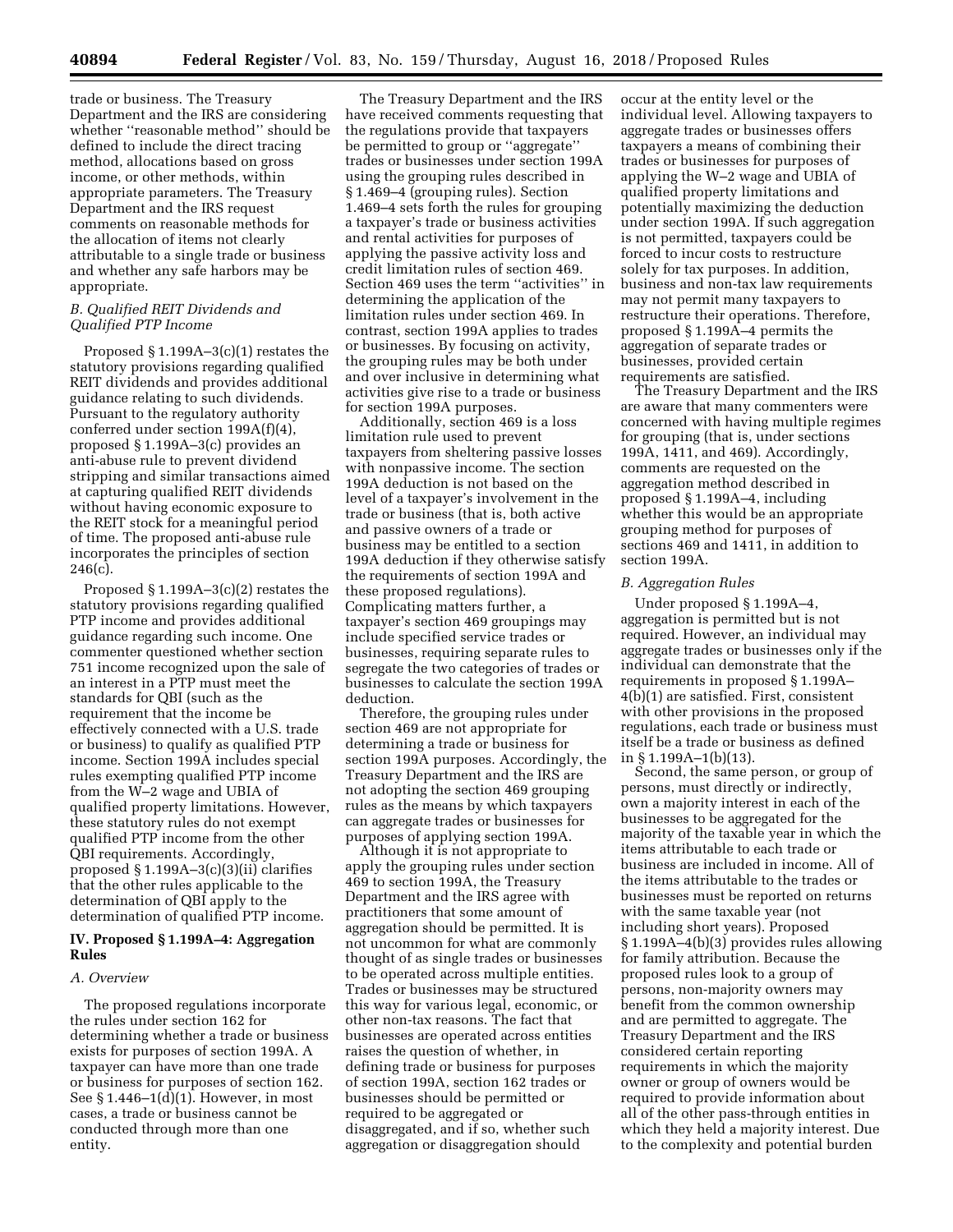trade or business. The Treasury Department and the IRS are considering whether ''reasonable method'' should be defined to include the direct tracing method, allocations based on gross income, or other methods, within appropriate parameters. The Treasury Department and the IRS request comments on reasonable methods for the allocation of items not clearly attributable to a single trade or business and whether any safe harbors may be appropriate.

# *B. Qualified REIT Dividends and Qualified PTP Income*

Proposed § 1.199A–3(c)(1) restates the statutory provisions regarding qualified REIT dividends and provides additional guidance relating to such dividends. Pursuant to the regulatory authority conferred under section 199A(f)(4), proposed § 1.199A–3(c) provides an anti-abuse rule to prevent dividend stripping and similar transactions aimed at capturing qualified REIT dividends without having economic exposure to the REIT stock for a meaningful period of time. The proposed anti-abuse rule incorporates the principles of section  $246(c)$ .

Proposed § 1.199A–3(c)(2) restates the statutory provisions regarding qualified PTP income and provides additional guidance regarding such income. One commenter questioned whether section 751 income recognized upon the sale of an interest in a PTP must meet the standards for QBI (such as the requirement that the income be effectively connected with a U.S. trade or business) to qualify as qualified PTP income. Section 199A includes special rules exempting qualified PTP income from the W–2 wage and UBIA of qualified property limitations. However, these statutory rules do not exempt qualified PTP income from the other QBI requirements. Accordingly, proposed § 1.199A–3(c)(3)(ii) clarifies that the other rules applicable to the determination of QBI apply to the determination of qualified PTP income.

# **IV. Proposed § 1.199A–4: Aggregation Rules**

### *A. Overview*

The proposed regulations incorporate the rules under section 162 for determining whether a trade or business exists for purposes of section 199A. A taxpayer can have more than one trade or business for purposes of section 162. See § 1.446–1(d)(1). However, in most cases, a trade or business cannot be conducted through more than one entity.

The Treasury Department and the IRS have received comments requesting that the regulations provide that taxpayers be permitted to group or ''aggregate'' trades or businesses under section 199A using the grouping rules described in § 1.469–4 (grouping rules). Section 1.469–4 sets forth the rules for grouping a taxpayer's trade or business activities and rental activities for purposes of applying the passive activity loss and credit limitation rules of section 469. Section 469 uses the term ''activities'' in determining the application of the limitation rules under section 469. In contrast, section 199A applies to trades or businesses. By focusing on activity, the grouping rules may be both under and over inclusive in determining what activities give rise to a trade or business for section 199A purposes.

Additionally, section 469 is a loss limitation rule used to prevent taxpayers from sheltering passive losses with nonpassive income. The section 199A deduction is not based on the level of a taxpayer's involvement in the trade or business (that is, both active and passive owners of a trade or business may be entitled to a section 199A deduction if they otherwise satisfy the requirements of section 199A and these proposed regulations). Complicating matters further, a taxpayer's section 469 groupings may include specified service trades or businesses, requiring separate rules to segregate the two categories of trades or businesses to calculate the section 199A deduction.

Therefore, the grouping rules under section 469 are not appropriate for determining a trade or business for section 199A purposes. Accordingly, the Treasury Department and the IRS are not adopting the section 469 grouping rules as the means by which taxpayers can aggregate trades or businesses for purposes of applying section 199A.

Although it is not appropriate to apply the grouping rules under section 469 to section 199A, the Treasury Department and the IRS agree with practitioners that some amount of aggregation should be permitted. It is not uncommon for what are commonly thought of as single trades or businesses to be operated across multiple entities. Trades or businesses may be structured this way for various legal, economic, or other non-tax reasons. The fact that businesses are operated across entities raises the question of whether, in defining trade or business for purposes of section 199A, section 162 trades or businesses should be permitted or required to be aggregated or disaggregated, and if so, whether such aggregation or disaggregation should

occur at the entity level or the individual level. Allowing taxpayers to aggregate trades or businesses offers taxpayers a means of combining their trades or businesses for purposes of applying the W–2 wage and UBIA of qualified property limitations and potentially maximizing the deduction under section 199A. If such aggregation is not permitted, taxpayers could be forced to incur costs to restructure solely for tax purposes. In addition, business and non-tax law requirements may not permit many taxpayers to restructure their operations. Therefore, proposed § 1.199A–4 permits the aggregation of separate trades or businesses, provided certain requirements are satisfied.

The Treasury Department and the IRS are aware that many commenters were concerned with having multiple regimes for grouping (that is, under sections 199A, 1411, and 469). Accordingly, comments are requested on the aggregation method described in proposed § 1.199A–4, including whether this would be an appropriate grouping method for purposes of sections 469 and 1411, in addition to section 199A.

### *B. Aggregation Rules*

Under proposed § 1.199A–4, aggregation is permitted but is not required. However, an individual may aggregate trades or businesses only if the individual can demonstrate that the requirements in proposed § 1.199A– 4(b)(1) are satisfied. First, consistent with other provisions in the proposed regulations, each trade or business must itself be a trade or business as defined in  $§ 1.199A-1(b)(13)$ .

Second, the same person, or group of persons, must directly or indirectly, own a majority interest in each of the businesses to be aggregated for the majority of the taxable year in which the items attributable to each trade or business are included in income. All of the items attributable to the trades or businesses must be reported on returns with the same taxable year (not including short years). Proposed § 1.199A–4(b)(3) provides rules allowing for family attribution. Because the proposed rules look to a group of persons, non-majority owners may benefit from the common ownership and are permitted to aggregate. The Treasury Department and the IRS considered certain reporting requirements in which the majority owner or group of owners would be required to provide information about all of the other pass-through entities in which they held a majority interest. Due to the complexity and potential burden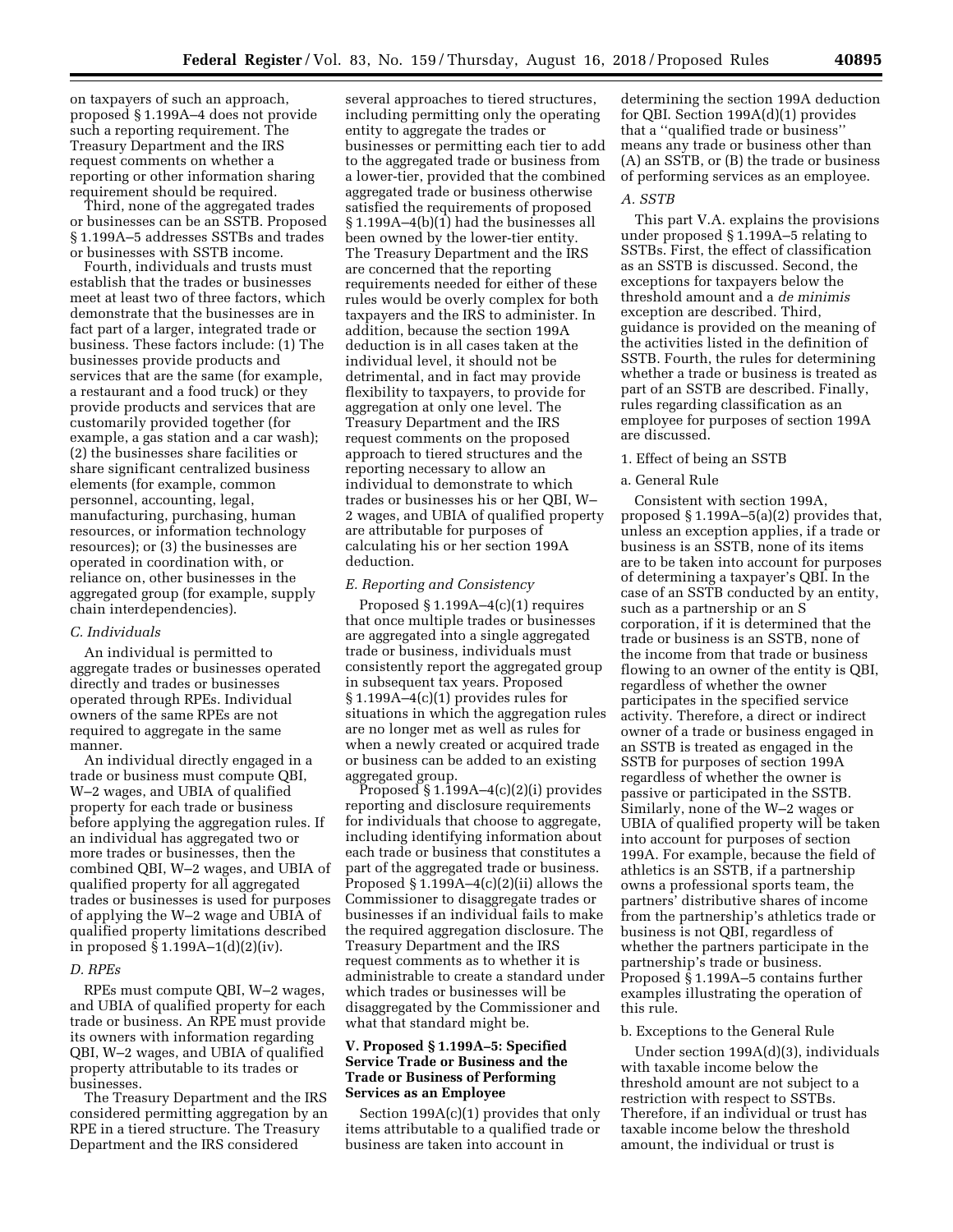on taxpayers of such an approach, proposed § 1.199A–4 does not provide such a reporting requirement. The Treasury Department and the IRS request comments on whether a reporting or other information sharing requirement should be required.

Third, none of the aggregated trades or businesses can be an SSTB. Proposed § 1.199A–5 addresses SSTBs and trades or businesses with SSTB income.

Fourth, individuals and trusts must establish that the trades or businesses meet at least two of three factors, which demonstrate that the businesses are in fact part of a larger, integrated trade or business. These factors include: (1) The businesses provide products and services that are the same (for example, a restaurant and a food truck) or they provide products and services that are customarily provided together (for example, a gas station and a car wash); (2) the businesses share facilities or share significant centralized business elements (for example, common personnel, accounting, legal, manufacturing, purchasing, human resources, or information technology resources); or (3) the businesses are operated in coordination with, or reliance on, other businesses in the aggregated group (for example, supply chain interdependencies).

#### *C. Individuals*

An individual is permitted to aggregate trades or businesses operated directly and trades or businesses operated through RPEs. Individual owners of the same RPEs are not required to aggregate in the same manner.

An individual directly engaged in a trade or business must compute QBI, W–2 wages, and UBIA of qualified property for each trade or business before applying the aggregation rules. If an individual has aggregated two or more trades or businesses, then the combined QBI, W–2 wages, and UBIA of qualified property for all aggregated trades or businesses is used for purposes of applying the W–2 wage and UBIA of qualified property limitations described in proposed § 1.199A–1(d)(2)(iv).

### *D. RPEs*

RPEs must compute QBI, W–2 wages, and UBIA of qualified property for each trade or business. An RPE must provide its owners with information regarding QBI, W–2 wages, and UBIA of qualified property attributable to its trades or businesses.

The Treasury Department and the IRS considered permitting aggregation by an RPE in a tiered structure. The Treasury Department and the IRS considered

several approaches to tiered structures, including permitting only the operating entity to aggregate the trades or businesses or permitting each tier to add to the aggregated trade or business from a lower-tier, provided that the combined aggregated trade or business otherwise satisfied the requirements of proposed § 1.199A–4(b)(1) had the businesses all been owned by the lower-tier entity. The Treasury Department and the IRS are concerned that the reporting requirements needed for either of these rules would be overly complex for both taxpayers and the IRS to administer. In addition, because the section 199A deduction is in all cases taken at the individual level, it should not be detrimental, and in fact may provide flexibility to taxpayers, to provide for aggregation at only one level. The Treasury Department and the IRS request comments on the proposed approach to tiered structures and the reporting necessary to allow an individual to demonstrate to which trades or businesses his or her QBI, W– 2 wages, and UBIA of qualified property are attributable for purposes of calculating his or her section 199A deduction.

### *E. Reporting and Consistency*

Proposed § 1.199A–4(c)(1) requires that once multiple trades or businesses are aggregated into a single aggregated trade or business, individuals must consistently report the aggregated group in subsequent tax years. Proposed § 1.199A–4(c)(1) provides rules for situations in which the aggregation rules are no longer met as well as rules for when a newly created or acquired trade or business can be added to an existing aggregated group.

Proposed  $\S 1.199A-4(c)(2)(i)$  provides reporting and disclosure requirements for individuals that choose to aggregate, including identifying information about each trade or business that constitutes a part of the aggregated trade or business. Proposed  $\S 1.199A-4(c)(2)(ii)$  allows the Commissioner to disaggregate trades or businesses if an individual fails to make the required aggregation disclosure. The Treasury Department and the IRS request comments as to whether it is administrable to create a standard under which trades or businesses will be disaggregated by the Commissioner and what that standard might be.

# **V. Proposed § 1.199A–5: Specified Service Trade or Business and the Trade or Business of Performing Services as an Employee**

Section 199A(c)(1) provides that only items attributable to a qualified trade or business are taken into account in

determining the section 199A deduction for QBI. Section 199A(d)(1) provides that a ''qualified trade or business'' means any trade or business other than (A) an SSTB, or (B) the trade or business of performing services as an employee.

#### *A. SSTB*

This part V.A. explains the provisions under proposed § 1.199A–5 relating to SSTBs. First, the effect of classification as an SSTB is discussed. Second, the exceptions for taxpayers below the threshold amount and a *de minimis*  exception are described. Third, guidance is provided on the meaning of the activities listed in the definition of SSTB. Fourth, the rules for determining whether a trade or business is treated as part of an SSTB are described. Finally, rules regarding classification as an employee for purposes of section 199A are discussed.

### 1. Effect of being an SSTB

# a. General Rule

Consistent with section 199A, proposed § 1.199A–5(a)(2) provides that, unless an exception applies, if a trade or business is an SSTB, none of its items are to be taken into account for purposes of determining a taxpayer's QBI. In the case of an SSTB conducted by an entity, such as a partnership or an S corporation, if it is determined that the trade or business is an SSTB, none of the income from that trade or business flowing to an owner of the entity is QBI, regardless of whether the owner participates in the specified service activity. Therefore, a direct or indirect owner of a trade or business engaged in an SSTB is treated as engaged in the SSTB for purposes of section 199A regardless of whether the owner is passive or participated in the SSTB. Similarly, none of the W–2 wages or UBIA of qualified property will be taken into account for purposes of section 199A. For example, because the field of athletics is an SSTB, if a partnership owns a professional sports team, the partners' distributive shares of income from the partnership's athletics trade or business is not QBI, regardless of whether the partners participate in the partnership's trade or business. Proposed § 1.199A–5 contains further examples illustrating the operation of this rule.

# b. Exceptions to the General Rule

Under section 199A(d)(3), individuals with taxable income below the threshold amount are not subject to a restriction with respect to SSTBs. Therefore, if an individual or trust has taxable income below the threshold amount, the individual or trust is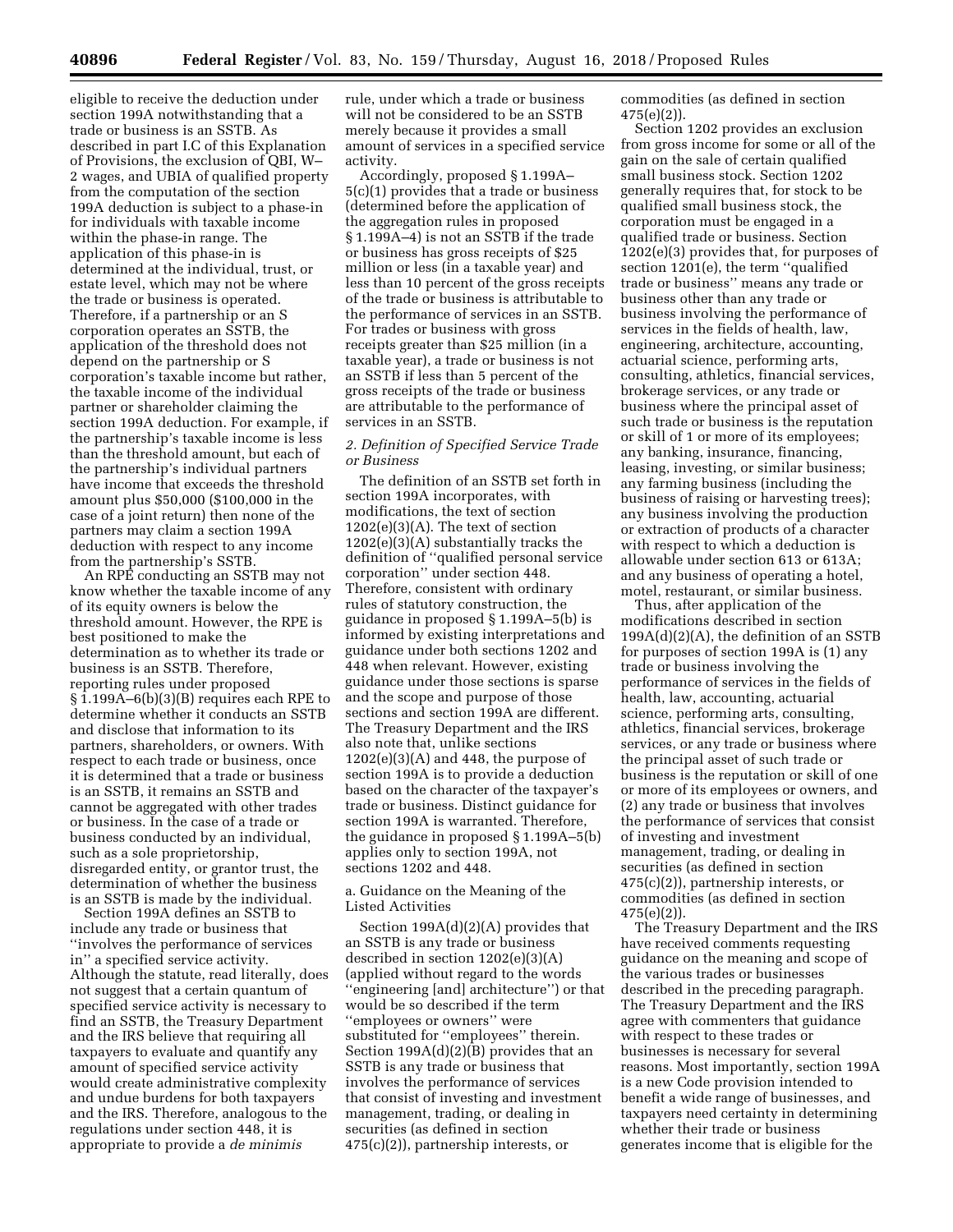eligible to receive the deduction under section 199A notwithstanding that a trade or business is an SSTB. As described in part I.C of this Explanation of Provisions, the exclusion of QBI, W– 2 wages, and UBIA of qualified property from the computation of the section 199A deduction is subject to a phase-in for individuals with taxable income within the phase-in range. The application of this phase-in is determined at the individual, trust, or estate level, which may not be where the trade or business is operated. Therefore, if a partnership or an S corporation operates an SSTB, the application of the threshold does not depend on the partnership or S corporation's taxable income but rather, the taxable income of the individual partner or shareholder claiming the section 199A deduction. For example, if the partnership's taxable income is less than the threshold amount, but each of the partnership's individual partners have income that exceeds the threshold amount plus \$50,000 (\$100,000 in the case of a joint return) then none of the partners may claim a section 199A deduction with respect to any income from the partnership's SSTB.

An RPE conducting an SSTB may not know whether the taxable income of any of its equity owners is below the threshold amount. However, the RPE is best positioned to make the determination as to whether its trade or business is an SSTB. Therefore, reporting rules under proposed § 1.199A–6(b)(3)(B) requires each RPE to determine whether it conducts an SSTB and disclose that information to its partners, shareholders, or owners. With respect to each trade or business, once it is determined that a trade or business is an SSTB, it remains an SSTB and cannot be aggregated with other trades or business. In the case of a trade or business conducted by an individual, such as a sole proprietorship, disregarded entity, or grantor trust, the determination of whether the business is an SSTB is made by the individual.

Section 199A defines an SSTB to include any trade or business that ''involves the performance of services in'' a specified service activity. Although the statute, read literally, does not suggest that a certain quantum of specified service activity is necessary to find an SSTB, the Treasury Department and the IRS believe that requiring all taxpayers to evaluate and quantify any amount of specified service activity would create administrative complexity and undue burdens for both taxpayers and the IRS. Therefore, analogous to the regulations under section 448, it is appropriate to provide a *de minimis* 

rule, under which a trade or business will not be considered to be an SSTB merely because it provides a small amount of services in a specified service activity.

Accordingly, proposed § 1.199A– 5(c)(1) provides that a trade or business (determined before the application of the aggregation rules in proposed § 1.199A–4) is not an SSTB if the trade or business has gross receipts of \$25 million or less (in a taxable year) and less than 10 percent of the gross receipts of the trade or business is attributable to the performance of services in an SSTB. For trades or business with gross receipts greater than \$25 million (in a taxable year), a trade or business is not an SSTB if less than 5 percent of the gross receipts of the trade or business are attributable to the performance of services in an SSTB.

# *2. Definition of Specified Service Trade or Business*

The definition of an SSTB set forth in section 199A incorporates, with modifications, the text of section  $1202(e)(3)(A)$ . The text of section  $1202(e)(3)(A)$  substantially tracks the definition of ''qualified personal service corporation'' under section 448. Therefore, consistent with ordinary rules of statutory construction, the guidance in proposed § 1.199A–5(b) is informed by existing interpretations and guidance under both sections 1202 and 448 when relevant. However, existing guidance under those sections is sparse and the scope and purpose of those sections and section 199A are different. The Treasury Department and the IRS also note that, unlike sections  $1202(e)(3)(A)$  and 448, the purpose of section 199A is to provide a deduction based on the character of the taxpayer's trade or business. Distinct guidance for section 199A is warranted. Therefore, the guidance in proposed § 1.199A–5(b) applies only to section 199A, not sections 1202 and 448.

# a. Guidance on the Meaning of the Listed Activities

Section 199A(d)(2)(A) provides that an SSTB is any trade or business described in section 1202(e)(3)(A) (applied without regard to the words ''engineering [and] architecture'') or that would be so described if the term ''employees or owners'' were substituted for ''employees'' therein. Section  $199A(d)(2)(B)$  provides that an SSTB is any trade or business that involves the performance of services that consist of investing and investment management, trading, or dealing in securities (as defined in section 475(c)(2)), partnership interests, or

commodities (as defined in section 475(e)(2)).

Section 1202 provides an exclusion from gross income for some or all of the gain on the sale of certain qualified small business stock. Section 1202 generally requires that, for stock to be qualified small business stock, the corporation must be engaged in a qualified trade or business. Section 1202(e)(3) provides that, for purposes of section 1201(e), the term ''qualified trade or business'' means any trade or business other than any trade or business involving the performance of services in the fields of health, law, engineering, architecture, accounting, actuarial science, performing arts, consulting, athletics, financial services, brokerage services, or any trade or business where the principal asset of such trade or business is the reputation or skill of 1 or more of its employees; any banking, insurance, financing, leasing, investing, or similar business; any farming business (including the business of raising or harvesting trees); any business involving the production or extraction of products of a character with respect to which a deduction is allowable under section 613 or 613A; and any business of operating a hotel, motel, restaurant, or similar business.

Thus, after application of the modifications described in section 199A(d)(2)(A), the definition of an SSTB for purposes of section 199A is (1) any trade or business involving the performance of services in the fields of health, law, accounting, actuarial science, performing arts, consulting, athletics, financial services, brokerage services, or any trade or business where the principal asset of such trade or business is the reputation or skill of one or more of its employees or owners, and (2) any trade or business that involves the performance of services that consist of investing and investment management, trading, or dealing in securities (as defined in section 475(c)(2)), partnership interests, or commodities (as defined in section 475(e)(2)).

The Treasury Department and the IRS have received comments requesting guidance on the meaning and scope of the various trades or businesses described in the preceding paragraph. The Treasury Department and the IRS agree with commenters that guidance with respect to these trades or businesses is necessary for several reasons. Most importantly, section 199A is a new Code provision intended to benefit a wide range of businesses, and taxpayers need certainty in determining whether their trade or business generates income that is eligible for the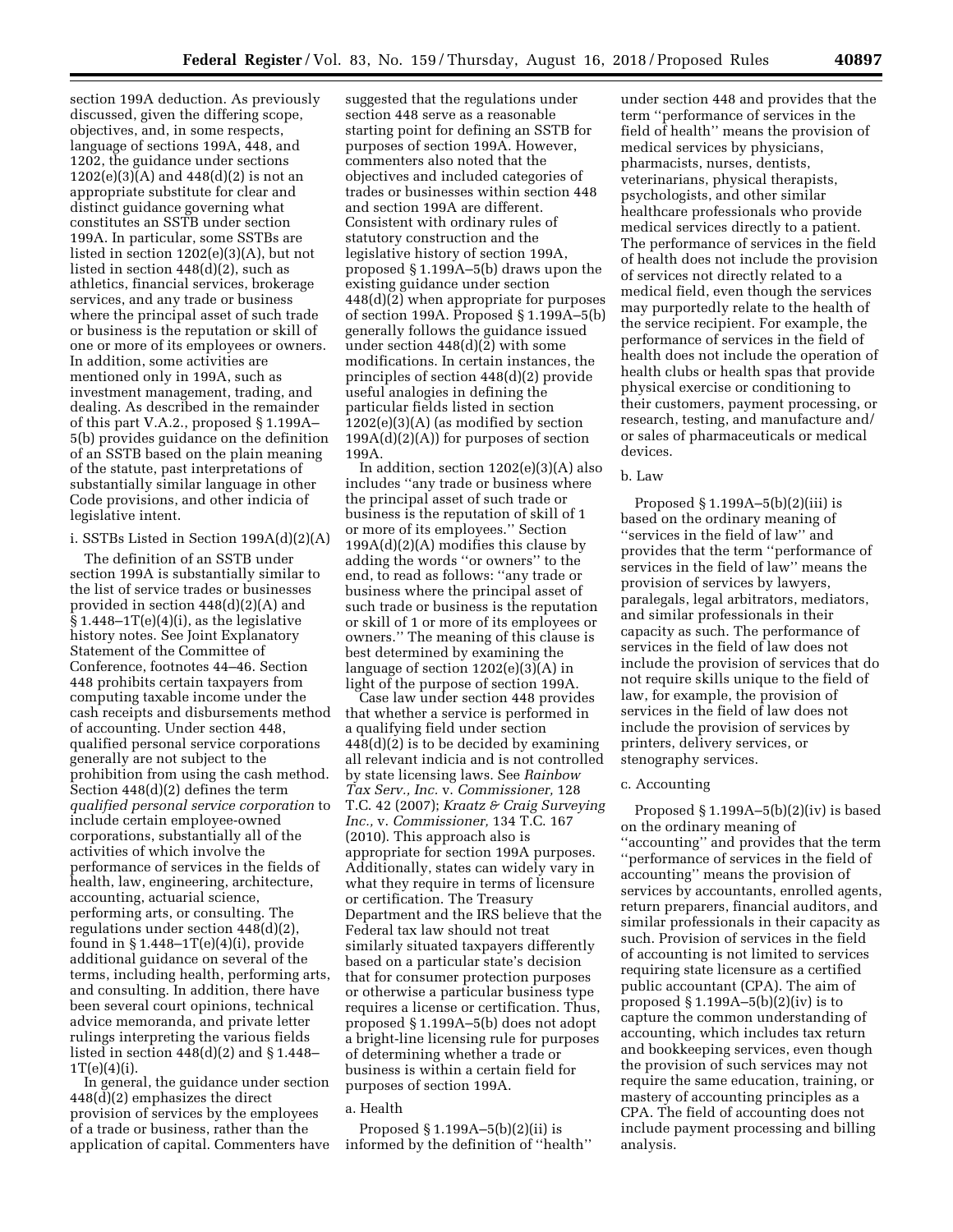section 199A deduction. As previously discussed, given the differing scope, objectives, and, in some respects, language of sections 199A, 448, and 1202, the guidance under sections  $1202(e)(3)(A)$  and  $448(d)(2)$  is not an appropriate substitute for clear and distinct guidance governing what constitutes an SSTB under section 199A. In particular, some SSTBs are listed in section 1202(e)(3)(A), but not listed in section 448(d)(2), such as athletics, financial services, brokerage services, and any trade or business where the principal asset of such trade or business is the reputation or skill of one or more of its employees or owners. In addition, some activities are mentioned only in 199A, such as investment management, trading, and dealing. As described in the remainder of this part V.A.2., proposed § 1.199A– 5(b) provides guidance on the definition of an SSTB based on the plain meaning of the statute, past interpretations of substantially similar language in other Code provisions, and other indicia of legislative intent.

# i. SSTBs Listed in Section 199A(d)(2)(A)

The definition of an SSTB under section 199A is substantially similar to the list of service trades or businesses provided in section 448(d)(2)(A) and  $$1.448-1T(e)(4)(i)$ , as the legislative history notes. See Joint Explanatory Statement of the Committee of Conference, footnotes 44–46. Section 448 prohibits certain taxpayers from computing taxable income under the cash receipts and disbursements method of accounting. Under section 448, qualified personal service corporations generally are not subject to the prohibition from using the cash method. Section 448(d)(2) defines the term *qualified personal service corporation* to include certain employee-owned corporations, substantially all of the activities of which involve the performance of services in the fields of health, law, engineering, architecture, accounting, actuarial science, performing arts, or consulting. The regulations under section 448(d)(2), found in  $$1.448-1T(e)(4)(i)$ , provide additional guidance on several of the terms, including health, performing arts, and consulting. In addition, there have been several court opinions, technical advice memoranda, and private letter rulings interpreting the various fields listed in section 448(d)(2) and § 1.448–  $1T(e)(4)(i)$ .

In general, the guidance under section 448(d)(2) emphasizes the direct provision of services by the employees of a trade or business, rather than the application of capital. Commenters have suggested that the regulations under section 448 serve as a reasonable starting point for defining an SSTB for purposes of section 199A. However, commenters also noted that the objectives and included categories of trades or businesses within section 448 and section 199A are different. Consistent with ordinary rules of statutory construction and the legislative history of section 199A, proposed § 1.199A–5(b) draws upon the existing guidance under section 448(d)(2) when appropriate for purposes of section 199A. Proposed § 1.199A–5(b) generally follows the guidance issued under section 448(d)(2) with some modifications. In certain instances, the principles of section 448(d)(2) provide useful analogies in defining the particular fields listed in section 1202(e)(3)(A) (as modified by section  $199A(d)(2)(A)$  for purposes of section 199A.

In addition, section 1202(e)(3)(A) also includes ''any trade or business where the principal asset of such trade or business is the reputation of skill of 1 or more of its employees.'' Section  $199A(d)(2)(A)$  modifies this clause by adding the words ''or owners'' to the end, to read as follows: ''any trade or business where the principal asset of such trade or business is the reputation or skill of 1 or more of its employees or owners.'' The meaning of this clause is best determined by examining the language of section 1202(e)(3)(A) in light of the purpose of section 199A.

Case law under section 448 provides that whether a service is performed in a qualifying field under section 448(d)(2) is to be decided by examining all relevant indicia and is not controlled by state licensing laws. See *Rainbow Tax Serv., Inc.* v. *Commissioner,* 128 T.C. 42 (2007); *Kraatz & Craig Surveying Inc.,* v. *Commissioner,* 134 T.C. 167 (2010). This approach also is appropriate for section 199A purposes. Additionally, states can widely vary in what they require in terms of licensure or certification. The Treasury Department and the IRS believe that the Federal tax law should not treat similarly situated taxpayers differently based on a particular state's decision that for consumer protection purposes or otherwise a particular business type requires a license or certification. Thus, proposed § 1.199A–5(b) does not adopt a bright-line licensing rule for purposes of determining whether a trade or business is within a certain field for purposes of section 199A.

#### a. Health

Proposed § 1.199A–5(b)(2)(ii) is informed by the definition of ''health''

under section 448 and provides that the term ''performance of services in the field of health'' means the provision of medical services by physicians, pharmacists, nurses, dentists, veterinarians, physical therapists, psychologists, and other similar healthcare professionals who provide medical services directly to a patient. The performance of services in the field of health does not include the provision of services not directly related to a medical field, even though the services may purportedly relate to the health of the service recipient. For example, the performance of services in the field of health does not include the operation of health clubs or health spas that provide physical exercise or conditioning to their customers, payment processing, or research, testing, and manufacture and/ or sales of pharmaceuticals or medical devices.

### b. Law

Proposed  $\S 1.199A-5(b)(2)(iii)$  is based on the ordinary meaning of ''services in the field of law'' and provides that the term ''performance of services in the field of law'' means the provision of services by lawyers, paralegals, legal arbitrators, mediators, and similar professionals in their capacity as such. The performance of services in the field of law does not include the provision of services that do not require skills unique to the field of law, for example, the provision of services in the field of law does not include the provision of services by printers, delivery services, or stenography services.

# c. Accounting

Proposed  $§ 1.199A-5(b)(2)(iv)$  is based on the ordinary meaning of ''accounting'' and provides that the term ''performance of services in the field of accounting'' means the provision of services by accountants, enrolled agents, return preparers, financial auditors, and similar professionals in their capacity as such. Provision of services in the field of accounting is not limited to services requiring state licensure as a certified public accountant (CPA). The aim of proposed  $§ 1.199A-5(b)(2)(iv)$  is to capture the common understanding of accounting, which includes tax return and bookkeeping services, even though the provision of such services may not require the same education, training, or mastery of accounting principles as a CPA. The field of accounting does not include payment processing and billing analysis.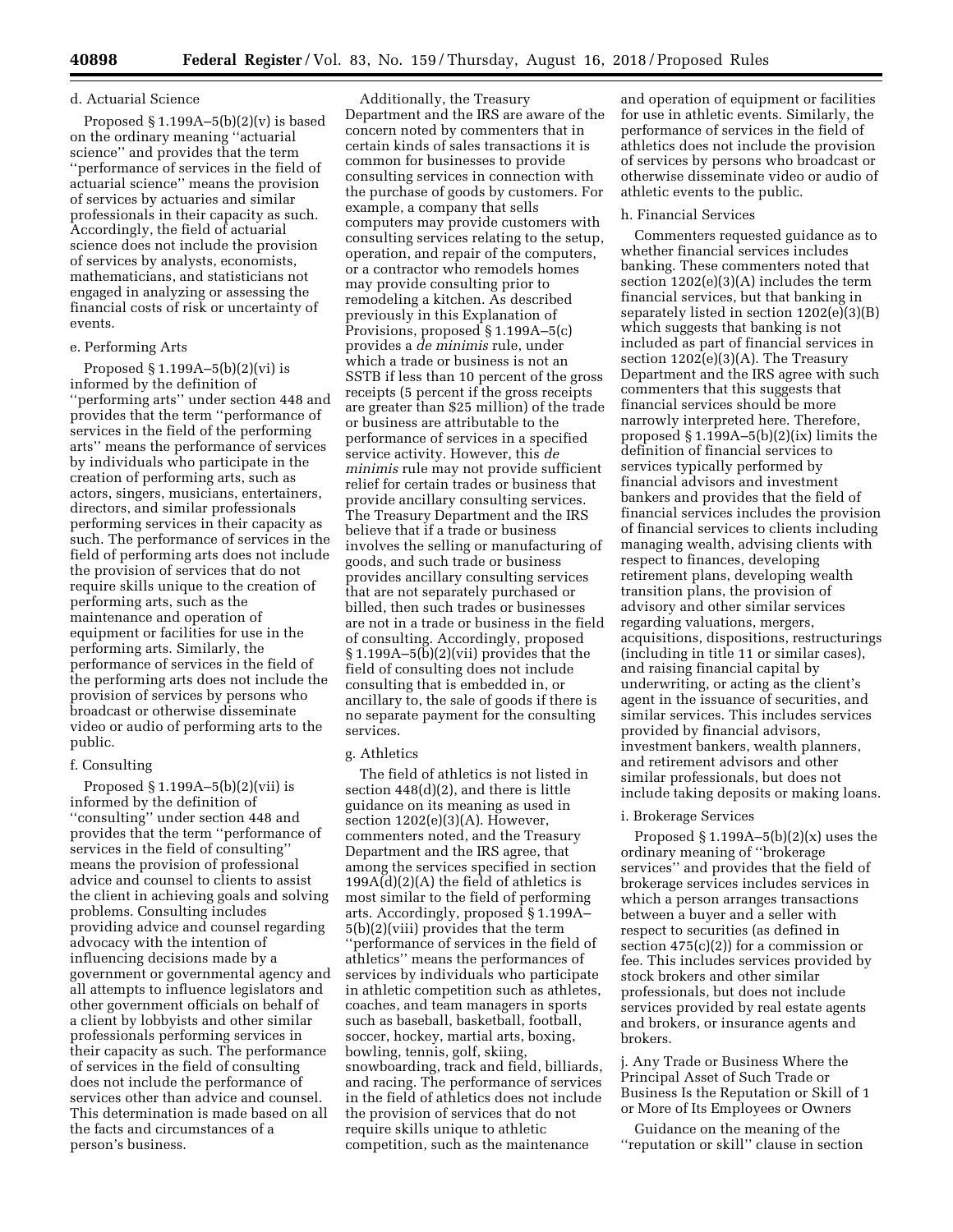### d. Actuarial Science

Proposed  $\S 1.199A-5(b)(2)(v)$  is based on the ordinary meaning ''actuarial science'' and provides that the term ''performance of services in the field of actuarial science'' means the provision of services by actuaries and similar professionals in their capacity as such. Accordingly, the field of actuarial science does not include the provision of services by analysts, economists, mathematicians, and statisticians not engaged in analyzing or assessing the financial costs of risk or uncertainty of events.

### e. Performing Arts

Proposed § 1.199A–5(b)(2)(vi) is informed by the definition of ''performing arts'' under section 448 and provides that the term ''performance of services in the field of the performing arts'' means the performance of services by individuals who participate in the creation of performing arts, such as actors, singers, musicians, entertainers, directors, and similar professionals performing services in their capacity as such. The performance of services in the field of performing arts does not include the provision of services that do not require skills unique to the creation of performing arts, such as the maintenance and operation of equipment or facilities for use in the performing arts. Similarly, the performance of services in the field of the performing arts does not include the provision of services by persons who broadcast or otherwise disseminate video or audio of performing arts to the public.

#### f. Consulting

Proposed § 1.199A–5(b)(2)(vii) is informed by the definition of ''consulting'' under section 448 and provides that the term ''performance of services in the field of consulting'' means the provision of professional advice and counsel to clients to assist the client in achieving goals and solving problems. Consulting includes providing advice and counsel regarding advocacy with the intention of influencing decisions made by a government or governmental agency and all attempts to influence legislators and other government officials on behalf of a client by lobbyists and other similar professionals performing services in their capacity as such. The performance of services in the field of consulting does not include the performance of services other than advice and counsel. This determination is made based on all the facts and circumstances of a person's business.

Additionally, the Treasury Department and the IRS are aware of the concern noted by commenters that in certain kinds of sales transactions it is common for businesses to provide consulting services in connection with the purchase of goods by customers. For example, a company that sells computers may provide customers with consulting services relating to the setup, operation, and repair of the computers, or a contractor who remodels homes may provide consulting prior to remodeling a kitchen. As described previously in this Explanation of Provisions, proposed § 1.199A–5(c) provides a *de minimis* rule, under which a trade or business is not an SSTB if less than 10 percent of the gross receipts (5 percent if the gross receipts are greater than \$25 million) of the trade or business are attributable to the performance of services in a specified service activity. However, this *de minimis* rule may not provide sufficient relief for certain trades or business that provide ancillary consulting services. The Treasury Department and the IRS believe that if a trade or business involves the selling or manufacturing of goods, and such trade or business provides ancillary consulting services that are not separately purchased or billed, then such trades or businesses are not in a trade or business in the field of consulting. Accordingly, proposed  $\S 1.199A - 5(b)(2)(vii)$  provides that the field of consulting does not include consulting that is embedded in, or ancillary to, the sale of goods if there is no separate payment for the consulting services.

#### g. Athletics

The field of athletics is not listed in section 448(d)(2), and there is little guidance on its meaning as used in section 1202(e)(3)(A). However, commenters noted, and the Treasury Department and the IRS agree, that among the services specified in section  $199A(d)(2)(A)$  the field of athletics is most similar to the field of performing arts. Accordingly, proposed § 1.199A– 5(b)(2)(viii) provides that the term ''performance of services in the field of athletics'' means the performances of services by individuals who participate in athletic competition such as athletes, coaches, and team managers in sports such as baseball, basketball, football, soccer, hockey, martial arts, boxing, bowling, tennis, golf, skiing, snowboarding, track and field, billiards, and racing. The performance of services in the field of athletics does not include the provision of services that do not require skills unique to athletic competition, such as the maintenance

and operation of equipment or facilities for use in athletic events. Similarly, the performance of services in the field of athletics does not include the provision of services by persons who broadcast or otherwise disseminate video or audio of athletic events to the public.

### h. Financial Services

Commenters requested guidance as to whether financial services includes banking. These commenters noted that section 1202(e)(3)(A) includes the term financial services, but that banking in separately listed in section 1202(e)(3)(B) which suggests that banking is not included as part of financial services in section 1202(e)(3)(A). The Treasury Department and the IRS agree with such commenters that this suggests that financial services should be more narrowly interpreted here. Therefore, proposed § 1.199A–5(b)(2)(ix) limits the definition of financial services to services typically performed by financial advisors and investment bankers and provides that the field of financial services includes the provision of financial services to clients including managing wealth, advising clients with respect to finances, developing retirement plans, developing wealth transition plans, the provision of advisory and other similar services regarding valuations, mergers, acquisitions, dispositions, restructurings (including in title 11 or similar cases), and raising financial capital by underwriting, or acting as the client's agent in the issuance of securities, and similar services. This includes services provided by financial advisors, investment bankers, wealth planners, and retirement advisors and other similar professionals, but does not include taking deposits or making loans.

#### i. Brokerage Services

Proposed  $\S 1.199A-5(b)(2)(x)$  uses the ordinary meaning of ''brokerage services'' and provides that the field of brokerage services includes services in which a person arranges transactions between a buyer and a seller with respect to securities (as defined in section 475(c)(2)) for a commission or fee. This includes services provided by stock brokers and other similar professionals, but does not include services provided by real estate agents and brokers, or insurance agents and brokers.

j. Any Trade or Business Where the Principal Asset of Such Trade or Business Is the Reputation or Skill of 1 or More of Its Employees or Owners

Guidance on the meaning of the ''reputation or skill'' clause in section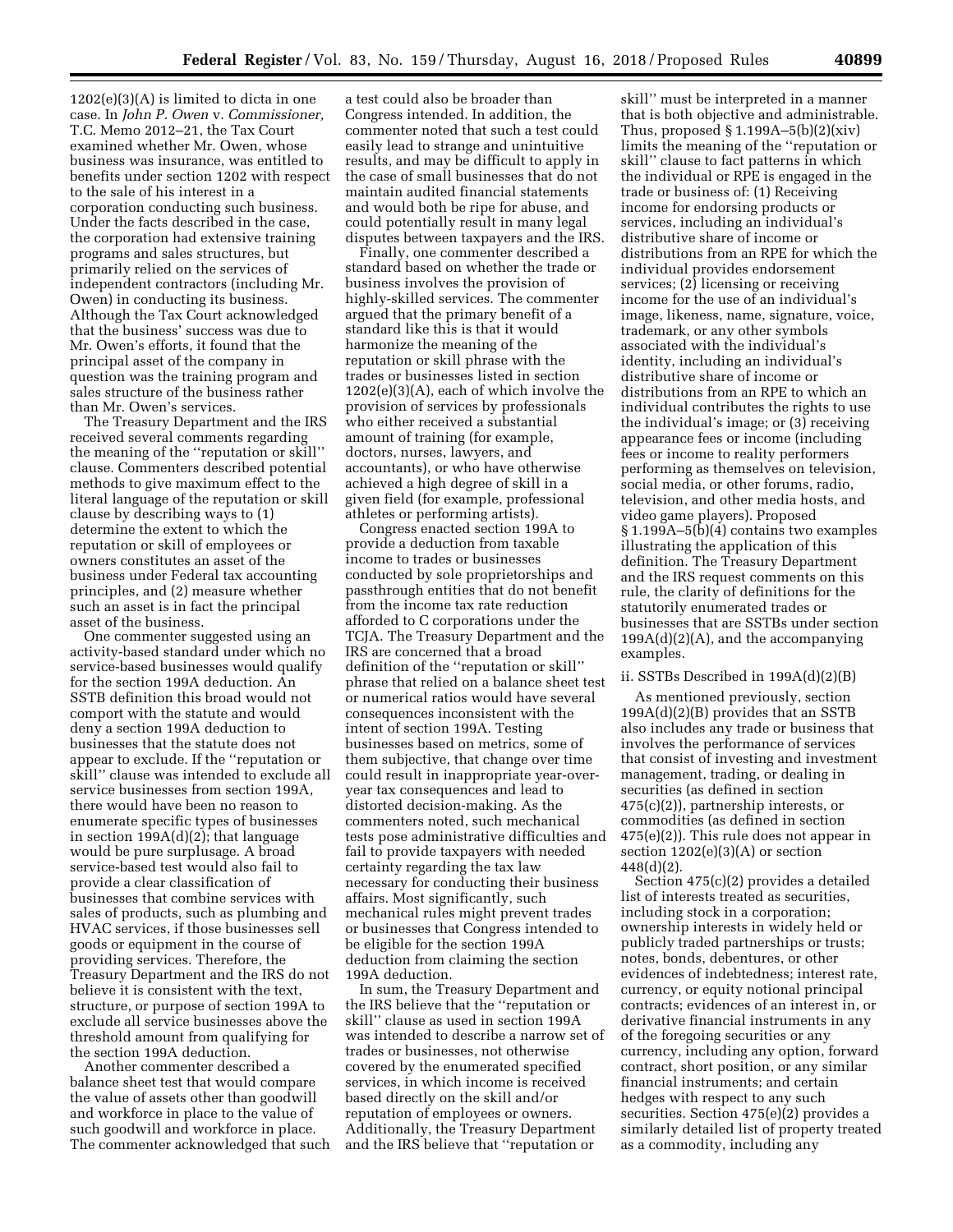1202(e)(3)(A) is limited to dicta in one case. In *John P. Owen* v. *Commissioner,*  T.C. Memo 2012–21, the Tax Court examined whether Mr. Owen, whose business was insurance, was entitled to benefits under section 1202 with respect to the sale of his interest in a corporation conducting such business. Under the facts described in the case, the corporation had extensive training programs and sales structures, but primarily relied on the services of independent contractors (including Mr. Owen) in conducting its business. Although the Tax Court acknowledged that the business' success was due to Mr. Owen's efforts, it found that the principal asset of the company in question was the training program and sales structure of the business rather than Mr. Owen's services.

The Treasury Department and the IRS received several comments regarding the meaning of the ''reputation or skill'' clause. Commenters described potential methods to give maximum effect to the literal language of the reputation or skill clause by describing ways to (1) determine the extent to which the reputation or skill of employees or owners constitutes an asset of the business under Federal tax accounting principles, and (2) measure whether such an asset is in fact the principal asset of the business.

One commenter suggested using an activity-based standard under which no service-based businesses would qualify for the section 199A deduction. An SSTB definition this broad would not comport with the statute and would deny a section 199A deduction to businesses that the statute does not appear to exclude. If the ''reputation or skill'' clause was intended to exclude all service businesses from section 199A, there would have been no reason to enumerate specific types of businesses in section 199A(d)(2); that language would be pure surplusage. A broad service-based test would also fail to provide a clear classification of businesses that combine services with sales of products, such as plumbing and HVAC services, if those businesses sell goods or equipment in the course of providing services. Therefore, the Treasury Department and the IRS do not believe it is consistent with the text, structure, or purpose of section 199A to exclude all service businesses above the threshold amount from qualifying for the section 199A deduction.

Another commenter described a balance sheet test that would compare the value of assets other than goodwill and workforce in place to the value of such goodwill and workforce in place. The commenter acknowledged that such

a test could also be broader than Congress intended. In addition, the commenter noted that such a test could easily lead to strange and unintuitive results, and may be difficult to apply in the case of small businesses that do not maintain audited financial statements and would both be ripe for abuse, and could potentially result in many legal disputes between taxpayers and the IRS.

Finally, one commenter described a standard based on whether the trade or business involves the provision of highly-skilled services. The commenter argued that the primary benefit of a standard like this is that it would harmonize the meaning of the reputation or skill phrase with the trades or businesses listed in section 1202(e)(3)(A), each of which involve the provision of services by professionals who either received a substantial amount of training (for example, doctors, nurses, lawyers, and accountants), or who have otherwise achieved a high degree of skill in a given field (for example, professional athletes or performing artists).

Congress enacted section 199A to provide a deduction from taxable income to trades or businesses conducted by sole proprietorships and passthrough entities that do not benefit from the income tax rate reduction afforded to C corporations under the TCJA. The Treasury Department and the IRS are concerned that a broad definition of the ''reputation or skill'' phrase that relied on a balance sheet test or numerical ratios would have several consequences inconsistent with the intent of section 199A. Testing businesses based on metrics, some of them subjective, that change over time could result in inappropriate year-overyear tax consequences and lead to distorted decision-making. As the commenters noted, such mechanical tests pose administrative difficulties and fail to provide taxpayers with needed certainty regarding the tax law necessary for conducting their business affairs. Most significantly, such mechanical rules might prevent trades or businesses that Congress intended to be eligible for the section 199A deduction from claiming the section 199A deduction.

In sum, the Treasury Department and the IRS believe that the ''reputation or skill'' clause as used in section 199A was intended to describe a narrow set of trades or businesses, not otherwise covered by the enumerated specified services, in which income is received based directly on the skill and/or reputation of employees or owners. Additionally, the Treasury Department and the IRS believe that ''reputation or

skill'' must be interpreted in a manner that is both objective and administrable. Thus, proposed  $\S 1.199A - 5(b)(2)(xiv)$ limits the meaning of the ''reputation or skill'' clause to fact patterns in which the individual or RPE is engaged in the trade or business of: (1) Receiving income for endorsing products or services, including an individual's distributive share of income or distributions from an RPE for which the individual provides endorsement services; (2) licensing or receiving income for the use of an individual's image, likeness, name, signature, voice, trademark, or any other symbols associated with the individual's identity, including an individual's distributive share of income or distributions from an RPE to which an individual contributes the rights to use the individual's image; or (3) receiving appearance fees or income (including fees or income to reality performers performing as themselves on television, social media, or other forums, radio, television, and other media hosts, and video game players). Proposed § 1.199A–5(b)(4) contains two examples illustrating the application of this definition. The Treasury Department and the IRS request comments on this rule, the clarity of definitions for the statutorily enumerated trades or businesses that are SSTBs under section  $199A(d)(2)(A)$ , and the accompanying examples.

### ii. SSTBs Described in 199A(d)(2)(B)

As mentioned previously, section 199A(d)(2)(B) provides that an SSTB also includes any trade or business that involves the performance of services that consist of investing and investment management, trading, or dealing in securities (as defined in section 475(c)(2)), partnership interests, or commodities (as defined in section 475(e)(2)). This rule does not appear in section  $1202(e)(3)(A)$  or section 448(d)(2).

Section 475(c)(2) provides a detailed list of interests treated as securities, including stock in a corporation; ownership interests in widely held or publicly traded partnerships or trusts; notes, bonds, debentures, or other evidences of indebtedness; interest rate, currency, or equity notional principal contracts; evidences of an interest in, or derivative financial instruments in any of the foregoing securities or any currency, including any option, forward contract, short position, or any similar financial instruments; and certain hedges with respect to any such securities. Section 475(e)(2) provides a similarly detailed list of property treated as a commodity, including any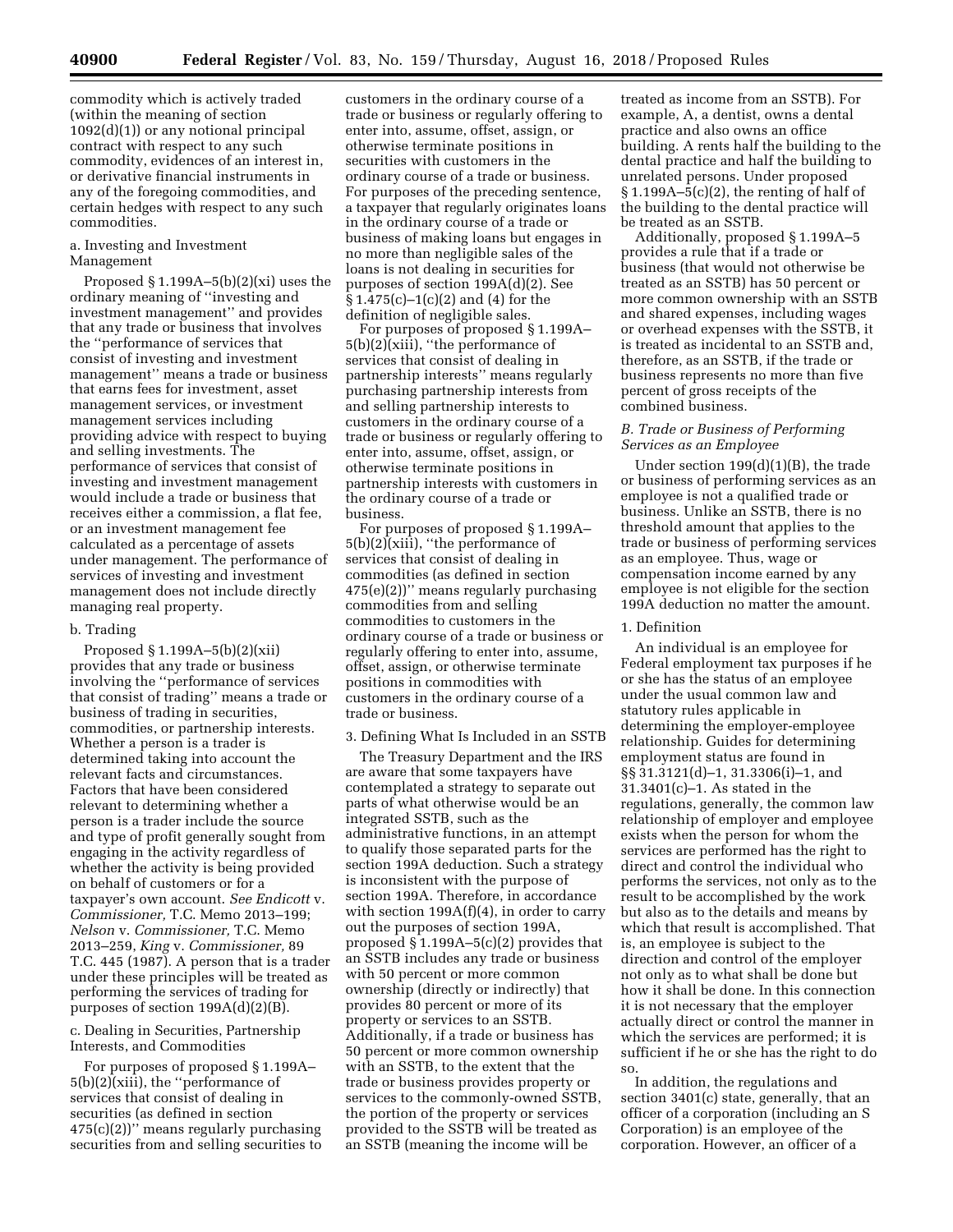commodity which is actively traded (within the meaning of section 1092(d)(1)) or any notional principal contract with respect to any such commodity, evidences of an interest in, or derivative financial instruments in any of the foregoing commodities, and certain hedges with respect to any such commodities.

# a. Investing and Investment Management

Proposed  $§ 1.199A-5(b)(2)(xi)$  uses the ordinary meaning of ''investing and investment management'' and provides that any trade or business that involves the ''performance of services that consist of investing and investment management'' means a trade or business that earns fees for investment, asset management services, or investment management services including providing advice with respect to buying and selling investments. The performance of services that consist of investing and investment management would include a trade or business that receives either a commission, a flat fee, or an investment management fee calculated as a percentage of assets under management. The performance of services of investing and investment management does not include directly managing real property.

#### b. Trading

Proposed § 1.199A–5(b)(2)(xii) provides that any trade or business involving the ''performance of services that consist of trading'' means a trade or business of trading in securities, commodities, or partnership interests. Whether a person is a trader is determined taking into account the relevant facts and circumstances. Factors that have been considered relevant to determining whether a person is a trader include the source and type of profit generally sought from engaging in the activity regardless of whether the activity is being provided on behalf of customers or for a taxpayer's own account. *See Endicott* v. *Commissioner,* T.C. Memo 2013–199; *Nelson* v. *Commissioner,* T.C. Memo 2013–259, *King* v. *Commissioner,* 89 T.C. 445 (1987). A person that is a trader under these principles will be treated as performing the services of trading for purposes of section 199A(d)(2)(B).

# c. Dealing in Securities, Partnership Interests, and Commodities

For purposes of proposed § 1.199A– 5(b)(2)(xiii), the ''performance of services that consist of dealing in securities (as defined in section  $475(c)(2)$ )" means regularly purchasing securities from and selling securities to

customers in the ordinary course of a trade or business or regularly offering to enter into, assume, offset, assign, or otherwise terminate positions in securities with customers in the ordinary course of a trade or business. For purposes of the preceding sentence, a taxpayer that regularly originates loans in the ordinary course of a trade or business of making loans but engages in no more than negligible sales of the loans is not dealing in securities for purposes of section 199A(d)(2). See § 1.475(c)–1(c)(2) and (4) for the definition of negligible sales.

For purposes of proposed § 1.199A– 5(b)(2)(xiii), ''the performance of services that consist of dealing in partnership interests'' means regularly purchasing partnership interests from and selling partnership interests to customers in the ordinary course of a trade or business or regularly offering to enter into, assume, offset, assign, or otherwise terminate positions in partnership interests with customers in the ordinary course of a trade or business.

For purposes of proposed § 1.199A– 5(b)(2)(xiii), ''the performance of services that consist of dealing in commodities (as defined in section 475(e)(2))'' means regularly purchasing commodities from and selling commodities to customers in the ordinary course of a trade or business or regularly offering to enter into, assume, offset, assign, or otherwise terminate positions in commodities with customers in the ordinary course of a trade or business.

# 3. Defining What Is Included in an SSTB

The Treasury Department and the IRS are aware that some taxpayers have contemplated a strategy to separate out parts of what otherwise would be an integrated SSTB, such as the administrative functions, in an attempt to qualify those separated parts for the section 199A deduction. Such a strategy is inconsistent with the purpose of section 199A. Therefore, in accordance with section 199A(f)(4), in order to carry out the purposes of section 199A, proposed § 1.199A–5(c)(2) provides that an SSTB includes any trade or business with 50 percent or more common ownership (directly or indirectly) that provides 80 percent or more of its property or services to an SSTB. Additionally, if a trade or business has 50 percent or more common ownership with an SSTB, to the extent that the trade or business provides property or services to the commonly-owned SSTB, the portion of the property or services provided to the SSTB will be treated as an SSTB (meaning the income will be

treated as income from an SSTB). For example, A, a dentist, owns a dental practice and also owns an office building. A rents half the building to the dental practice and half the building to unrelated persons. Under proposed  $\S 1.199A - 5(c)(2)$ , the renting of half of the building to the dental practice will be treated as an SSTB.

Additionally, proposed § 1.199A–5 provides a rule that if a trade or business (that would not otherwise be treated as an SSTB) has 50 percent or more common ownership with an SSTB and shared expenses, including wages or overhead expenses with the SSTB, it is treated as incidental to an SSTB and, therefore, as an SSTB, if the trade or business represents no more than five percent of gross receipts of the combined business.

## *B. Trade or Business of Performing Services as an Employee*

Under section 199(d)(1)(B), the trade or business of performing services as an employee is not a qualified trade or business. Unlike an SSTB, there is no threshold amount that applies to the trade or business of performing services as an employee. Thus, wage or compensation income earned by any employee is not eligible for the section 199A deduction no matter the amount.

#### 1. Definition

An individual is an employee for Federal employment tax purposes if he or she has the status of an employee under the usual common law and statutory rules applicable in determining the employer-employee relationship. Guides for determining employment status are found in §§ 31.3121(d)–1, 31.3306(i)–1, and 31.3401(c)–1. As stated in the regulations, generally, the common law relationship of employer and employee exists when the person for whom the services are performed has the right to direct and control the individual who performs the services, not only as to the result to be accomplished by the work but also as to the details and means by which that result is accomplished. That is, an employee is subject to the direction and control of the employer not only as to what shall be done but how it shall be done. In this connection it is not necessary that the employer actually direct or control the manner in which the services are performed; it is sufficient if he or she has the right to do so.

In addition, the regulations and section 3401(c) state, generally, that an officer of a corporation (including an S Corporation) is an employee of the corporation. However, an officer of a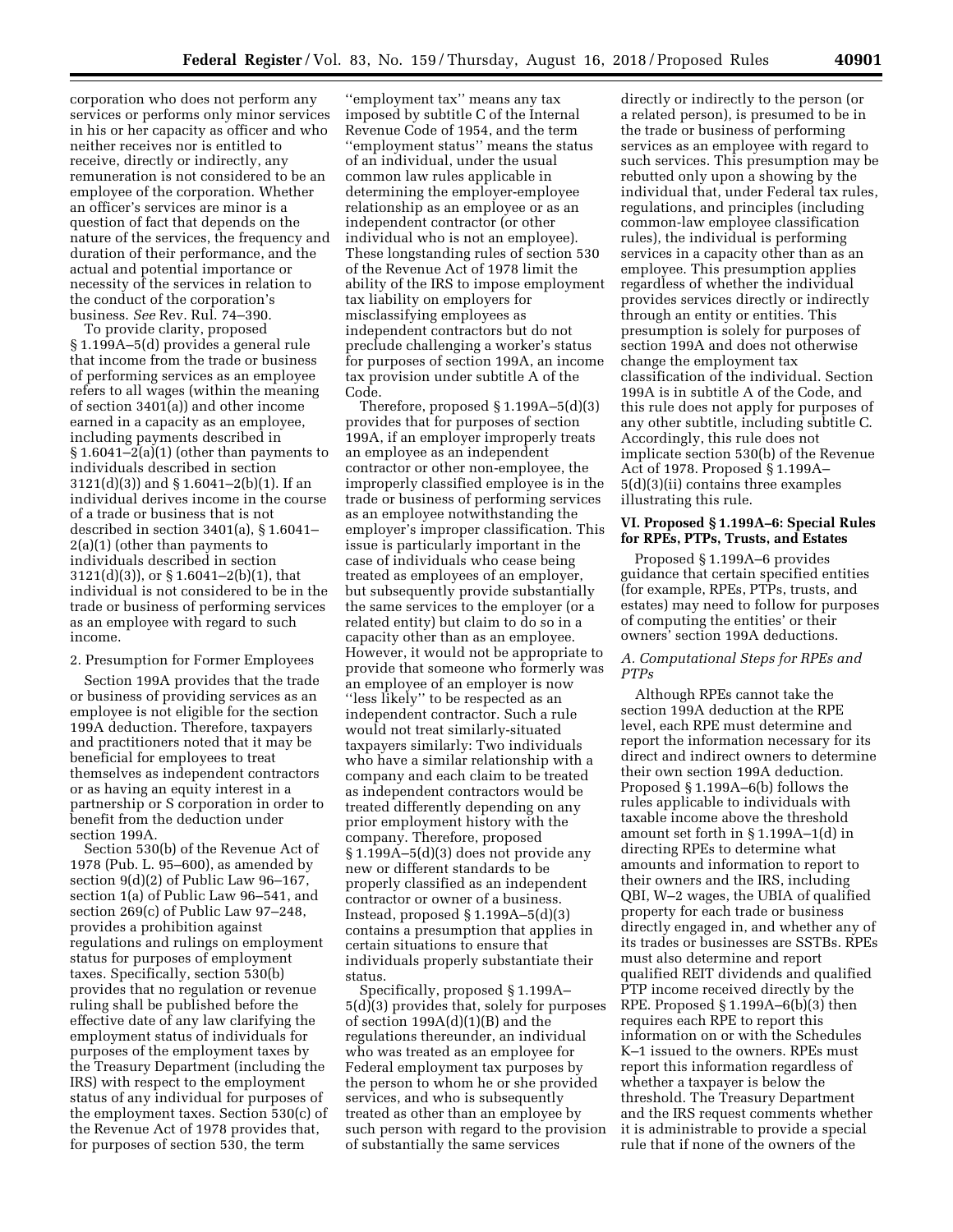corporation who does not perform any services or performs only minor services in his or her capacity as officer and who neither receives nor is entitled to receive, directly or indirectly, any remuneration is not considered to be an employee of the corporation. Whether an officer's services are minor is a question of fact that depends on the nature of the services, the frequency and duration of their performance, and the actual and potential importance or necessity of the services in relation to the conduct of the corporation's business. *See* Rev. Rul. 74–390.

To provide clarity, proposed § 1.199A–5(d) provides a general rule that income from the trade or business of performing services as an employee refers to all wages (within the meaning of section 3401(a)) and other income earned in a capacity as an employee, including payments described in § 1.6041–2(a)(1) (other than payments to individuals described in section 3121(d)(3)) and § 1.6041–2(b)(1). If an individual derives income in the course of a trade or business that is not described in section 3401(a), § 1.6041– 2(a)(1) (other than payments to individuals described in section 3121(d)(3)), or § 1.6041–2(b)(1), that individual is not considered to be in the trade or business of performing services as an employee with regard to such income.

# 2. Presumption for Former Employees

Section 199A provides that the trade or business of providing services as an employee is not eligible for the section 199A deduction. Therefore, taxpayers and practitioners noted that it may be beneficial for employees to treat themselves as independent contractors or as having an equity interest in a partnership or S corporation in order to benefit from the deduction under section 199A.

Section 530(b) of the Revenue Act of 1978 (Pub. L. 95–600), as amended by section 9(d)(2) of Public Law 96–167, section 1(a) of Public Law 96–541, and section 269(c) of Public Law 97–248, provides a prohibition against regulations and rulings on employment status for purposes of employment taxes. Specifically, section 530(b) provides that no regulation or revenue ruling shall be published before the effective date of any law clarifying the employment status of individuals for purposes of the employment taxes by the Treasury Department (including the IRS) with respect to the employment status of any individual for purposes of the employment taxes. Section 530(c) of the Revenue Act of 1978 provides that, for purposes of section 530, the term

''employment tax'' means any tax imposed by subtitle C of the Internal Revenue Code of 1954, and the term ''employment status'' means the status of an individual, under the usual common law rules applicable in determining the employer-employee relationship as an employee or as an independent contractor (or other individual who is not an employee). These longstanding rules of section 530 of the Revenue Act of 1978 limit the ability of the IRS to impose employment tax liability on employers for misclassifying employees as independent contractors but do not preclude challenging a worker's status for purposes of section 199A, an income tax provision under subtitle A of the Code.

Therefore, proposed § 1.199A–5(d)(3) provides that for purposes of section 199A, if an employer improperly treats an employee as an independent contractor or other non-employee, the improperly classified employee is in the trade or business of performing services as an employee notwithstanding the employer's improper classification. This issue is particularly important in the case of individuals who cease being treated as employees of an employer, but subsequently provide substantially the same services to the employer (or a related entity) but claim to do so in a capacity other than as an employee. However, it would not be appropriate to provide that someone who formerly was an employee of an employer is now ''less likely'' to be respected as an independent contractor. Such a rule would not treat similarly-situated taxpayers similarly: Two individuals who have a similar relationship with a company and each claim to be treated as independent contractors would be treated differently depending on any prior employment history with the company. Therefore, proposed § 1.199A–5(d)(3) does not provide any new or different standards to be properly classified as an independent contractor or owner of a business. Instead, proposed § 1.199A–5(d)(3) contains a presumption that applies in certain situations to ensure that individuals properly substantiate their status.

Specifically, proposed § 1.199A– 5(d)(3) provides that, solely for purposes of section 199A(d)(1)(B) and the regulations thereunder, an individual who was treated as an employee for Federal employment tax purposes by the person to whom he or she provided services, and who is subsequently treated as other than an employee by such person with regard to the provision of substantially the same services

directly or indirectly to the person (or a related person), is presumed to be in the trade or business of performing services as an employee with regard to such services. This presumption may be rebutted only upon a showing by the individual that, under Federal tax rules, regulations, and principles (including common-law employee classification rules), the individual is performing services in a capacity other than as an employee. This presumption applies regardless of whether the individual provides services directly or indirectly through an entity or entities. This presumption is solely for purposes of section 199A and does not otherwise change the employment tax classification of the individual. Section 199A is in subtitle A of the Code, and this rule does not apply for purposes of any other subtitle, including subtitle C. Accordingly, this rule does not implicate section 530(b) of the Revenue Act of 1978. Proposed § 1.199A– 5(d)(3)(ii) contains three examples illustrating this rule.

## **VI. Proposed § 1.199A–6: Special Rules for RPEs, PTPs, Trusts, and Estates**

Proposed § 1.199A–6 provides guidance that certain specified entities (for example, RPEs, PTPs, trusts, and estates) may need to follow for purposes of computing the entities' or their owners' section 199A deductions.

### *A. Computational Steps for RPEs and PTPs*

Although RPEs cannot take the section 199A deduction at the RPE level, each RPE must determine and report the information necessary for its direct and indirect owners to determine their own section 199A deduction. Proposed § 1.199A–6(b) follows the rules applicable to individuals with taxable income above the threshold amount set forth in § 1.199A–1(d) in directing RPEs to determine what amounts and information to report to their owners and the IRS, including QBI, W–2 wages, the UBIA of qualified property for each trade or business directly engaged in, and whether any of its trades or businesses are SSTBs. RPEs must also determine and report qualified REIT dividends and qualified PTP income received directly by the RPE. Proposed  $\S 1.199A - 6(b)(3)$  then requires each RPE to report this information on or with the Schedules K–1 issued to the owners. RPEs must report this information regardless of whether a taxpayer is below the threshold. The Treasury Department and the IRS request comments whether it is administrable to provide a special rule that if none of the owners of the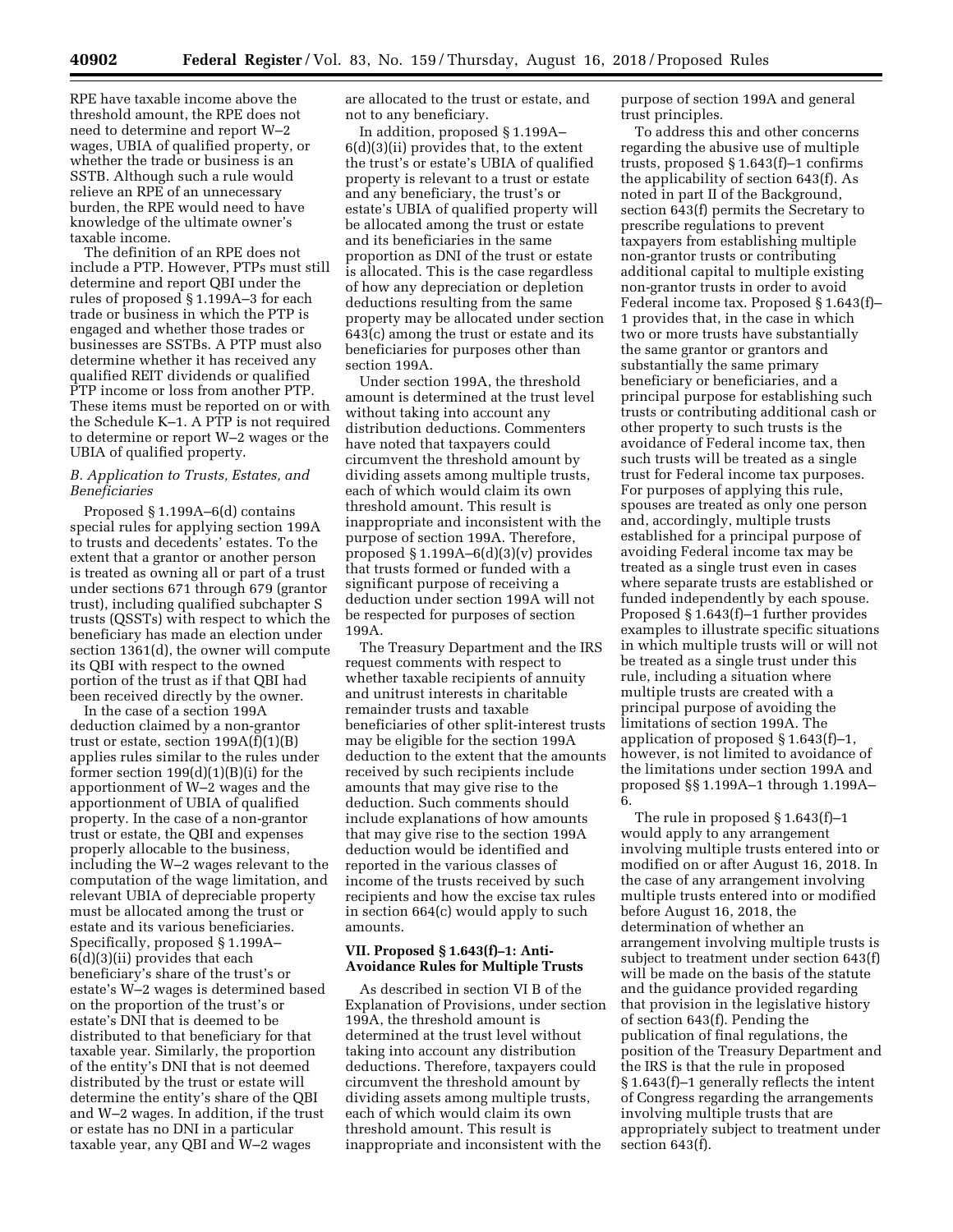RPE have taxable income above the threshold amount, the RPE does not need to determine and report W–2 wages, UBIA of qualified property, or whether the trade or business is an SSTB. Although such a rule would relieve an RPE of an unnecessary burden, the RPE would need to have knowledge of the ultimate owner's taxable income.

The definition of an RPE does not include a PTP. However, PTPs must still determine and report QBI under the rules of proposed § 1.199A–3 for each trade or business in which the PTP is engaged and whether those trades or businesses are SSTBs. A PTP must also determine whether it has received any qualified REIT dividends or qualified PTP income or loss from another PTP. These items must be reported on or with the Schedule K–1. A PTP is not required to determine or report W–2 wages or the UBIA of qualified property.

# *B. Application to Trusts, Estates, and Beneficiaries*

Proposed § 1.199A–6(d) contains special rules for applying section 199A to trusts and decedents' estates. To the extent that a grantor or another person is treated as owning all or part of a trust under sections 671 through 679 (grantor trust), including qualified subchapter S trusts (QSSTs) with respect to which the beneficiary has made an election under section 1361(d), the owner will compute its QBI with respect to the owned portion of the trust as if that QBI had been received directly by the owner.

In the case of a section 199A deduction claimed by a non-grantor trust or estate, section  $199A(f)(1)(B)$ applies rules similar to the rules under former section  $199(d)(1)(B)(i)$  for the apportionment of W–2 wages and the apportionment of UBIA of qualified property. In the case of a non-grantor trust or estate, the QBI and expenses properly allocable to the business, including the W–2 wages relevant to the computation of the wage limitation, and relevant UBIA of depreciable property must be allocated among the trust or estate and its various beneficiaries. Specifically, proposed § 1.199A– 6(d)(3)(ii) provides that each beneficiary's share of the trust's or estate's W–2 wages is determined based on the proportion of the trust's or estate's DNI that is deemed to be distributed to that beneficiary for that taxable year. Similarly, the proportion of the entity's DNI that is not deemed distributed by the trust or estate will determine the entity's share of the QBI and W–2 wages. In addition, if the trust or estate has no DNI in a particular taxable year, any QBI and W–2 wages

are allocated to the trust or estate, and not to any beneficiary.

In addition, proposed § 1.199A– 6(d)(3)(ii) provides that, to the extent the trust's or estate's UBIA of qualified property is relevant to a trust or estate and any beneficiary, the trust's or estate's UBIA of qualified property will be allocated among the trust or estate and its beneficiaries in the same proportion as DNI of the trust or estate is allocated. This is the case regardless of how any depreciation or depletion deductions resulting from the same property may be allocated under section 643(c) among the trust or estate and its beneficiaries for purposes other than section 199A.

Under section 199A, the threshold amount is determined at the trust level without taking into account any distribution deductions. Commenters have noted that taxpayers could circumvent the threshold amount by dividing assets among multiple trusts, each of which would claim its own threshold amount. This result is inappropriate and inconsistent with the purpose of section 199A. Therefore, proposed  $\S 1.199A-6(d)(3)(v)$  provides that trusts formed or funded with a significant purpose of receiving a deduction under section 199A will not be respected for purposes of section 199A.

The Treasury Department and the IRS request comments with respect to whether taxable recipients of annuity and unitrust interests in charitable remainder trusts and taxable beneficiaries of other split-interest trusts may be eligible for the section 199A deduction to the extent that the amounts received by such recipients include amounts that may give rise to the deduction. Such comments should include explanations of how amounts that may give rise to the section 199A deduction would be identified and reported in the various classes of income of the trusts received by such recipients and how the excise tax rules in section 664(c) would apply to such amounts.

# **VII. Proposed § 1.643(f)–1: Anti-Avoidance Rules for Multiple Trusts**

As described in section VI B of the Explanation of Provisions, under section 199A, the threshold amount is determined at the trust level without taking into account any distribution deductions. Therefore, taxpayers could circumvent the threshold amount by dividing assets among multiple trusts, each of which would claim its own threshold amount. This result is inappropriate and inconsistent with the

purpose of section 199A and general trust principles.

To address this and other concerns regarding the abusive use of multiple trusts, proposed § 1.643(f)–1 confirms the applicability of section 643(f). As noted in part II of the Background, section 643(f) permits the Secretary to prescribe regulations to prevent taxpayers from establishing multiple non-grantor trusts or contributing additional capital to multiple existing non-grantor trusts in order to avoid Federal income tax. Proposed § 1.643(f)– 1 provides that, in the case in which two or more trusts have substantially the same grantor or grantors and substantially the same primary beneficiary or beneficiaries, and a principal purpose for establishing such trusts or contributing additional cash or other property to such trusts is the avoidance of Federal income tax, then such trusts will be treated as a single trust for Federal income tax purposes. For purposes of applying this rule, spouses are treated as only one person and, accordingly, multiple trusts established for a principal purpose of avoiding Federal income tax may be treated as a single trust even in cases where separate trusts are established or funded independently by each spouse. Proposed § 1.643(f)–1 further provides examples to illustrate specific situations in which multiple trusts will or will not be treated as a single trust under this rule, including a situation where multiple trusts are created with a principal purpose of avoiding the limitations of section 199A. The application of proposed § 1.643(f)–1, however, is not limited to avoidance of the limitations under section 199A and proposed §§ 1.199A–1 through 1.199A– 6.

The rule in proposed § 1.643(f)–1 would apply to any arrangement involving multiple trusts entered into or modified on or after August 16, 2018. In the case of any arrangement involving multiple trusts entered into or modified before August 16, 2018, the determination of whether an arrangement involving multiple trusts is subject to treatment under section 643(f) will be made on the basis of the statute and the guidance provided regarding that provision in the legislative history of section 643(f). Pending the publication of final regulations, the position of the Treasury Department and the IRS is that the rule in proposed § 1.643(f)–1 generally reflects the intent of Congress regarding the arrangements involving multiple trusts that are appropriately subject to treatment under section 643(f).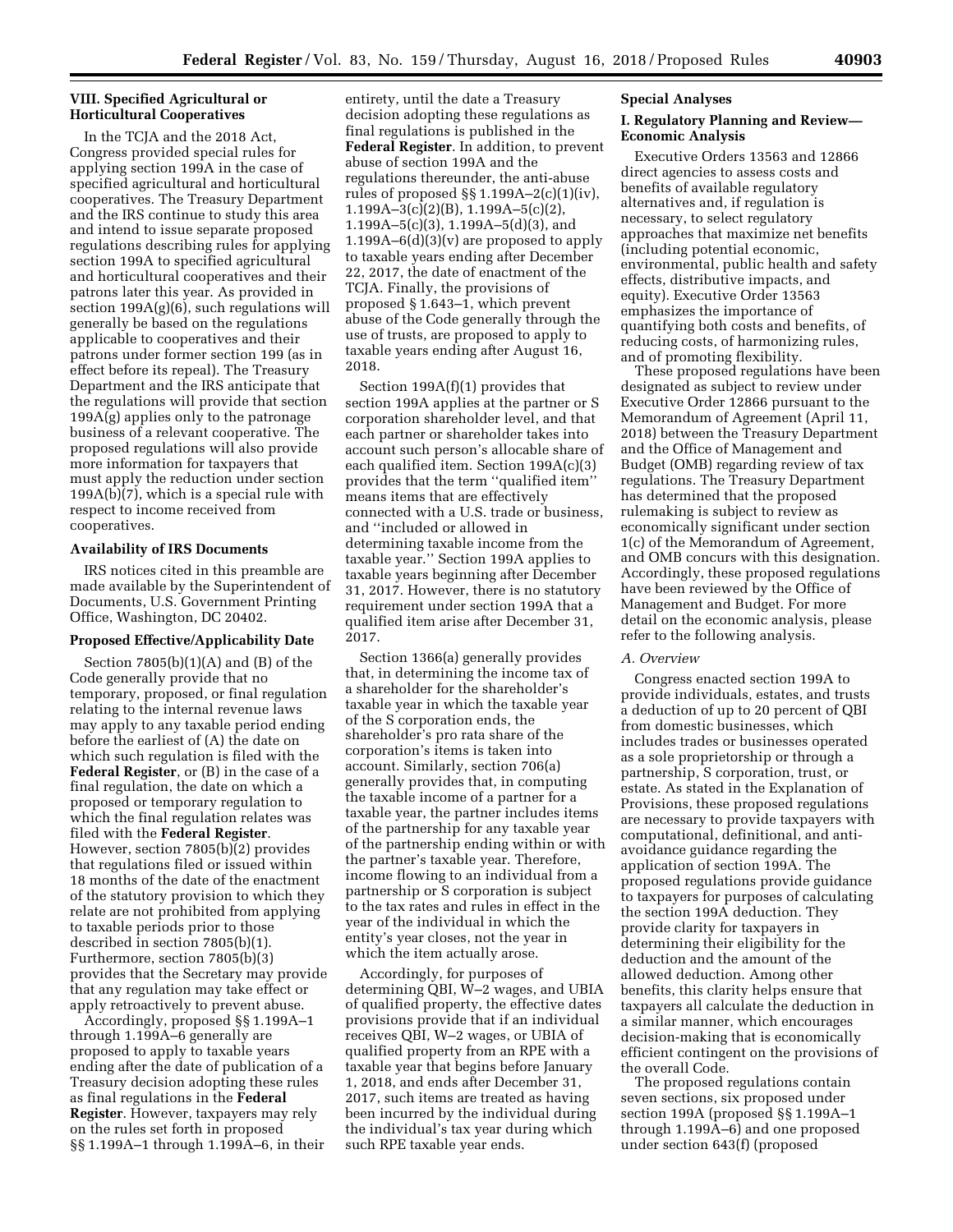# **VIII. Specified Agricultural or Horticultural Cooperatives**

In the TCJA and the 2018 Act, Congress provided special rules for applying section 199A in the case of specified agricultural and horticultural cooperatives. The Treasury Department and the IRS continue to study this area and intend to issue separate proposed regulations describing rules for applying section 199A to specified agricultural and horticultural cooperatives and their patrons later this year. As provided in section 199A(g)(6), such regulations will generally be based on the regulations applicable to cooperatives and their patrons under former section 199 (as in effect before its repeal). The Treasury Department and the IRS anticipate that the regulations will provide that section 199A(g) applies only to the patronage business of a relevant cooperative. The proposed regulations will also provide more information for taxpayers that must apply the reduction under section 199A(b)(7), which is a special rule with respect to income received from cooperatives.

### **Availability of IRS Documents**

IRS notices cited in this preamble are made available by the Superintendent of Documents, U.S. Government Printing Office, Washington, DC 20402.

### **Proposed Effective/Applicability Date**

Section 7805(b)(1)(A) and (B) of the Code generally provide that no temporary, proposed, or final regulation relating to the internal revenue laws may apply to any taxable period ending before the earliest of (A) the date on which such regulation is filed with the **Federal Register**, or (B) in the case of a final regulation, the date on which a proposed or temporary regulation to which the final regulation relates was filed with the **Federal Register**. However, section 7805(b)(2) provides that regulations filed or issued within 18 months of the date of the enactment of the statutory provision to which they relate are not prohibited from applying to taxable periods prior to those described in section 7805(b)(1). Furthermore, section 7805(b)(3) provides that the Secretary may provide that any regulation may take effect or apply retroactively to prevent abuse.

Accordingly, proposed §§ 1.199A–1 through 1.199A–6 generally are proposed to apply to taxable years ending after the date of publication of a Treasury decision adopting these rules as final regulations in the **Federal Register**. However, taxpayers may rely on the rules set forth in proposed §§ 1.199A–1 through 1.199A–6, in their

entirety, until the date a Treasury decision adopting these regulations as final regulations is published in the **Federal Register**. In addition, to prevent abuse of section 199A and the regulations thereunder, the anti-abuse rules of proposed  $\S$  1.199A-2(c)(1)(iv), 1.199A–3(c)(2)(B), 1.199A–5(c)(2), 1.199A–5(c)(3), 1.199A–5(d)(3), and 1.199A– $6(d)(3)(v)$  are proposed to apply to taxable years ending after December 22, 2017, the date of enactment of the TCJA. Finally, the provisions of proposed § 1.643–1, which prevent abuse of the Code generally through the use of trusts, are proposed to apply to taxable years ending after August 16, 2018.

Section 199A(f)(1) provides that section 199A applies at the partner or S corporation shareholder level, and that each partner or shareholder takes into account such person's allocable share of each qualified item. Section 199A(c)(3) provides that the term ''qualified item'' means items that are effectively connected with a U.S. trade or business, and ''included or allowed in determining taxable income from the taxable year.'' Section 199A applies to taxable years beginning after December 31, 2017. However, there is no statutory requirement under section 199A that a qualified item arise after December 31, 2017.

Section 1366(a) generally provides that, in determining the income tax of a shareholder for the shareholder's taxable year in which the taxable year of the S corporation ends, the shareholder's pro rata share of the corporation's items is taken into account. Similarly, section 706(a) generally provides that, in computing the taxable income of a partner for a taxable year, the partner includes items of the partnership for any taxable year of the partnership ending within or with the partner's taxable year. Therefore, income flowing to an individual from a partnership or S corporation is subject to the tax rates and rules in effect in the year of the individual in which the entity's year closes, not the year in which the item actually arose.

Accordingly, for purposes of determining QBI, W–2 wages, and UBIA of qualified property, the effective dates provisions provide that if an individual receives QBI, W–2 wages, or UBIA of qualified property from an RPE with a taxable year that begins before January 1, 2018, and ends after December 31, 2017, such items are treated as having been incurred by the individual during the individual's tax year during which such RPE taxable year ends.

#### **Special Analyses**

## **I. Regulatory Planning and Review— Economic Analysis**

Executive Orders 13563 and 12866 direct agencies to assess costs and benefits of available regulatory alternatives and, if regulation is necessary, to select regulatory approaches that maximize net benefits (including potential economic, environmental, public health and safety effects, distributive impacts, and equity). Executive Order 13563 emphasizes the importance of quantifying both costs and benefits, of reducing costs, of harmonizing rules, and of promoting flexibility.

These proposed regulations have been designated as subject to review under Executive Order 12866 pursuant to the Memorandum of Agreement (April 11, 2018) between the Treasury Department and the Office of Management and Budget (OMB) regarding review of tax regulations. The Treasury Department has determined that the proposed rulemaking is subject to review as economically significant under section 1(c) of the Memorandum of Agreement, and OMB concurs with this designation. Accordingly, these proposed regulations have been reviewed by the Office of Management and Budget. For more detail on the economic analysis, please refer to the following analysis.

#### *A. Overview*

Congress enacted section 199A to provide individuals, estates, and trusts a deduction of up to 20 percent of QBI from domestic businesses, which includes trades or businesses operated as a sole proprietorship or through a partnership, S corporation, trust, or estate. As stated in the Explanation of Provisions, these proposed regulations are necessary to provide taxpayers with computational, definitional, and antiavoidance guidance regarding the application of section 199A. The proposed regulations provide guidance to taxpayers for purposes of calculating the section 199A deduction. They provide clarity for taxpayers in determining their eligibility for the deduction and the amount of the allowed deduction. Among other benefits, this clarity helps ensure that taxpayers all calculate the deduction in a similar manner, which encourages decision-making that is economically efficient contingent on the provisions of the overall Code.

The proposed regulations contain seven sections, six proposed under section 199A (proposed §§ 1.199A–1 through 1.199A–6) and one proposed under section 643(f) (proposed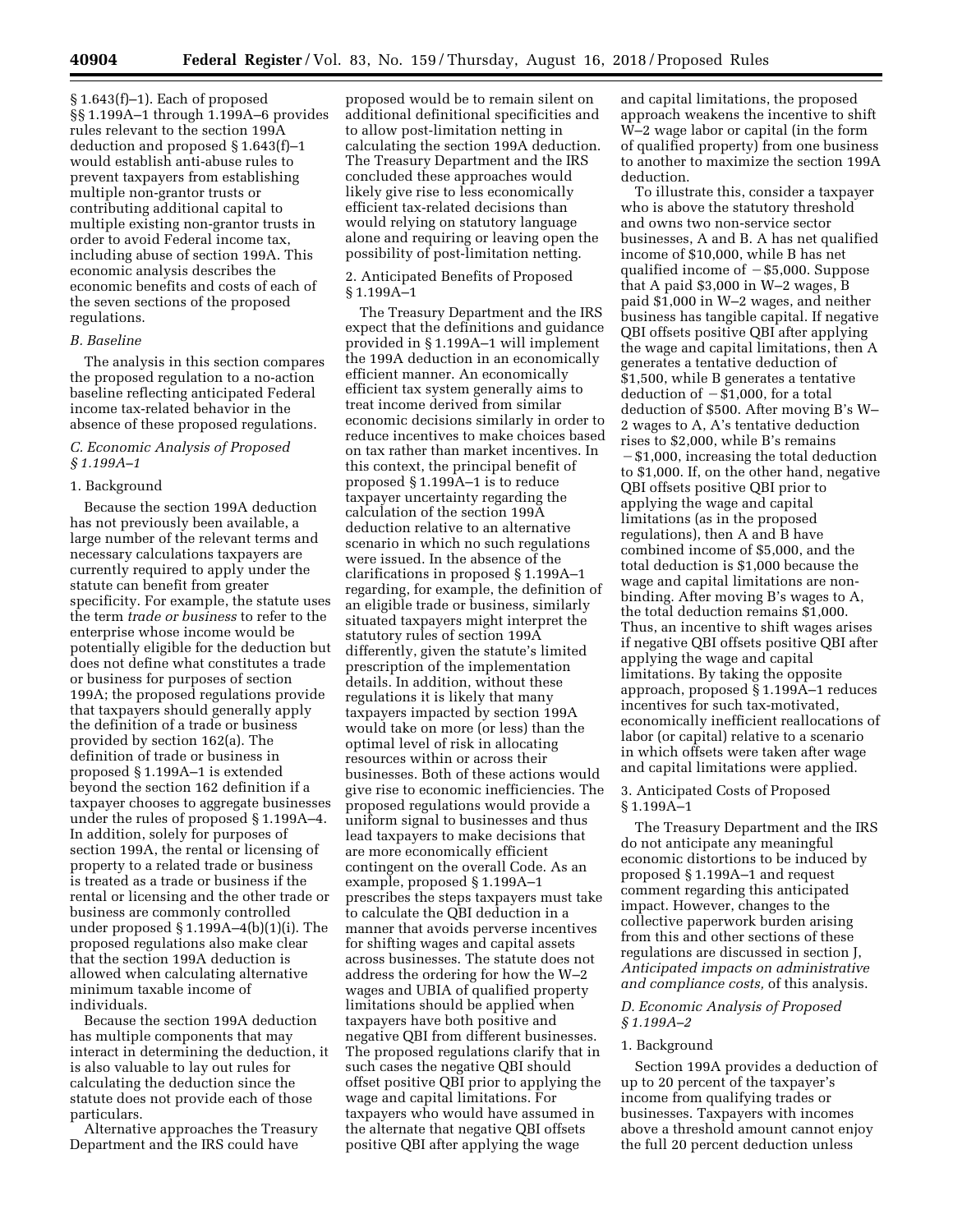§ 1.643(f)–1). Each of proposed §§1.199A-1 through 1.199A-6 provides rules relevant to the section 199A deduction and proposed § 1.643(f)–1 would establish anti-abuse rules to prevent taxpayers from establishing multiple non-grantor trusts or contributing additional capital to multiple existing non-grantor trusts in order to avoid Federal income tax, including abuse of section 199A. This economic analysis describes the economic benefits and costs of each of the seven sections of the proposed regulations.

### *B. Baseline*

The analysis in this section compares the proposed regulation to a no-action baseline reflecting anticipated Federal income tax-related behavior in the absence of these proposed regulations.

# *C. Economic Analysis of Proposed § 1.199A–1*

### 1. Background

Because the section 199A deduction has not previously been available, a large number of the relevant terms and necessary calculations taxpayers are currently required to apply under the statute can benefit from greater specificity. For example, the statute uses the term *trade or business* to refer to the enterprise whose income would be potentially eligible for the deduction but does not define what constitutes a trade or business for purposes of section 199A; the proposed regulations provide that taxpayers should generally apply the definition of a trade or business provided by section 162(a). The definition of trade or business in proposed § 1.199A–1 is extended beyond the section 162 definition if a taxpayer chooses to aggregate businesses under the rules of proposed § 1.199A–4. In addition, solely for purposes of section 199A, the rental or licensing of property to a related trade or business is treated as a trade or business if the rental or licensing and the other trade or business are commonly controlled under proposed  $\S 1.199A-4(b)(1)(i)$ . The proposed regulations also make clear that the section 199A deduction is allowed when calculating alternative minimum taxable income of individuals.

Because the section 199A deduction has multiple components that may interact in determining the deduction, it is also valuable to lay out rules for calculating the deduction since the statute does not provide each of those particulars.

Alternative approaches the Treasury Department and the IRS could have

proposed would be to remain silent on additional definitional specificities and to allow post-limitation netting in calculating the section 199A deduction. The Treasury Department and the IRS concluded these approaches would likely give rise to less economically efficient tax-related decisions than would relying on statutory language alone and requiring or leaving open the possibility of post-limitation netting.

### 2. Anticipated Benefits of Proposed § 1.199A–1

The Treasury Department and the IRS expect that the definitions and guidance provided in § 1.199A–1 will implement the 199A deduction in an economically efficient manner. An economically efficient tax system generally aims to treat income derived from similar economic decisions similarly in order to reduce incentives to make choices based on tax rather than market incentives. In this context, the principal benefit of proposed § 1.199A–1 is to reduce taxpayer uncertainty regarding the calculation of the section 199A deduction relative to an alternative scenario in which no such regulations were issued. In the absence of the clarifications in proposed § 1.199A–1 regarding, for example, the definition of an eligible trade or business, similarly situated taxpayers might interpret the statutory rules of section 199A differently, given the statute's limited prescription of the implementation details. In addition, without these regulations it is likely that many taxpayers impacted by section 199A would take on more (or less) than the optimal level of risk in allocating resources within or across their businesses. Both of these actions would give rise to economic inefficiencies. The proposed regulations would provide a uniform signal to businesses and thus lead taxpayers to make decisions that are more economically efficient contingent on the overall Code. As an example, proposed § 1.199A–1 prescribes the steps taxpayers must take to calculate the QBI deduction in a manner that avoids perverse incentives for shifting wages and capital assets across businesses. The statute does not address the ordering for how the W–2 wages and UBIA of qualified property limitations should be applied when taxpayers have both positive and negative QBI from different businesses. The proposed regulations clarify that in such cases the negative QBI should offset positive QBI prior to applying the wage and capital limitations. For taxpayers who would have assumed in the alternate that negative QBI offsets positive QBI after applying the wage

and capital limitations, the proposed approach weakens the incentive to shift W–2 wage labor or capital (in the form of qualified property) from one business to another to maximize the section 199A deduction.

To illustrate this, consider a taxpayer who is above the statutory threshold and owns two non-service sector businesses, A and B. A has net qualified income of \$10,000, while B has net qualified income of  $-$ \$5,000. Suppose that A paid \$3,000 in W–2 wages, B paid \$1,000 in W–2 wages, and neither business has tangible capital. If negative QBI offsets positive QBI after applying the wage and capital limitations, then A generates a tentative deduction of \$1,500, while B generates a tentative deduction of  $-\overline{$}1,000$ , for a total deduction of \$500. After moving B's W– 2 wages to A, A's tentative deduction rises to \$2,000, while B's remains  $-$ \$1,000, increasing the total deduction to \$1,000. If, on the other hand, negative QBI offsets positive QBI prior to applying the wage and capital limitations (as in the proposed regulations), then A and B have combined income of \$5,000, and the total deduction is \$1,000 because the wage and capital limitations are nonbinding. After moving B's wages to A, the total deduction remains \$1,000. Thus, an incentive to shift wages arises if negative QBI offsets positive QBI after applying the wage and capital limitations. By taking the opposite approach, proposed § 1.199A–1 reduces incentives for such tax-motivated, economically inefficient reallocations of labor (or capital) relative to a scenario in which offsets were taken after wage and capital limitations were applied.

### 3. Anticipated Costs of Proposed § 1.199A–1

The Treasury Department and the IRS do not anticipate any meaningful economic distortions to be induced by proposed § 1.199A–1 and request comment regarding this anticipated impact. However, changes to the collective paperwork burden arising from this and other sections of these regulations are discussed in section J, *Anticipated impacts on administrative and compliance costs,* of this analysis.

### *D. Economic Analysis of Proposed § 1.199A–2*

### 1. Background

Section 199A provides a deduction of up to 20 percent of the taxpayer's income from qualifying trades or businesses. Taxpayers with incomes above a threshold amount cannot enjoy the full 20 percent deduction unless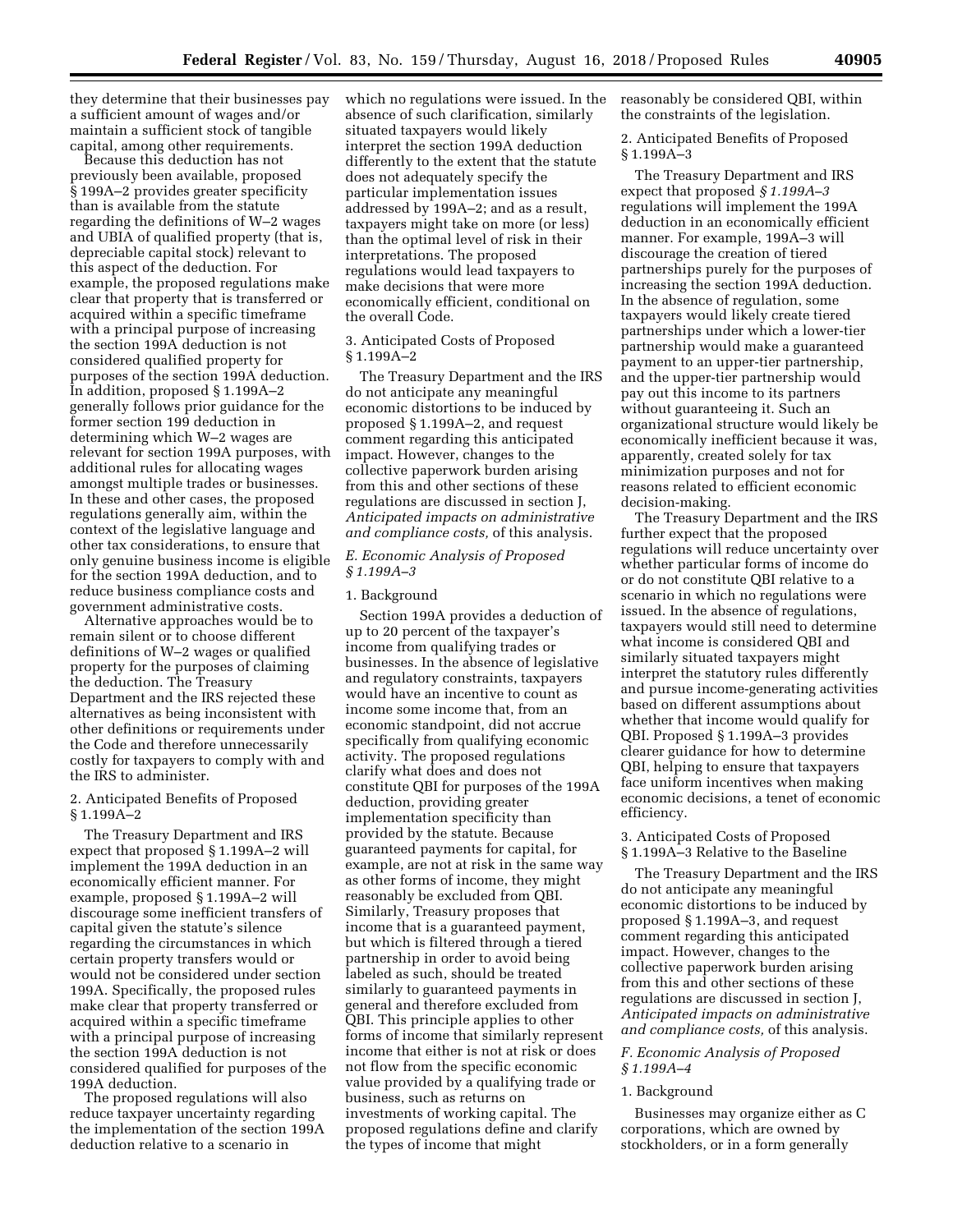they determine that their businesses pay a sufficient amount of wages and/or maintain a sufficient stock of tangible capital, among other requirements.

Because this deduction has not previously been available, proposed § 199A–2 provides greater specificity than is available from the statute regarding the definitions of W–2 wages and UBIA of qualified property (that is, depreciable capital stock) relevant to this aspect of the deduction. For example, the proposed regulations make clear that property that is transferred or acquired within a specific timeframe with a principal purpose of increasing the section 199A deduction is not considered qualified property for purposes of the section 199A deduction. In addition, proposed § 1.199A–2 generally follows prior guidance for the former section 199 deduction in determining which W–2 wages are relevant for section 199A purposes, with additional rules for allocating wages amongst multiple trades or businesses. In these and other cases, the proposed regulations generally aim, within the context of the legislative language and other tax considerations, to ensure that only genuine business income is eligible for the section 199A deduction, and to reduce business compliance costs and government administrative costs.

Alternative approaches would be to remain silent or to choose different definitions of W–2 wages or qualified property for the purposes of claiming the deduction. The Treasury Department and the IRS rejected these alternatives as being inconsistent with other definitions or requirements under the Code and therefore unnecessarily costly for taxpayers to comply with and the IRS to administer.

### 2. Anticipated Benefits of Proposed § 1.199A–2

The Treasury Department and IRS expect that proposed § 1.199A–2 will implement the 199A deduction in an economically efficient manner. For example, proposed § 1.199A–2 will discourage some inefficient transfers of capital given the statute's silence regarding the circumstances in which certain property transfers would or would not be considered under section 199A. Specifically, the proposed rules make clear that property transferred or acquired within a specific timeframe with a principal purpose of increasing the section 199A deduction is not considered qualified for purposes of the 199A deduction.

The proposed regulations will also reduce taxpayer uncertainty regarding the implementation of the section 199A deduction relative to a scenario in

which no regulations were issued. In the absence of such clarification, similarly situated taxpayers would likely interpret the section 199A deduction differently to the extent that the statute does not adequately specify the particular implementation issues addressed by 199A–2; and as a result, taxpayers might take on more (or less) than the optimal level of risk in their interpretations. The proposed regulations would lead taxpayers to make decisions that were more economically efficient, conditional on the overall Code.

# 3. Anticipated Costs of Proposed § 1.199A–2

The Treasury Department and the IRS do not anticipate any meaningful economic distortions to be induced by proposed § 1.199A–2, and request comment regarding this anticipated impact. However, changes to the collective paperwork burden arising from this and other sections of these regulations are discussed in section J, *Anticipated impacts on administrative and compliance costs,* of this analysis.

### *E. Economic Analysis of Proposed § 1.199A–3*

### 1. Background

Section 199A provides a deduction of up to 20 percent of the taxpayer's income from qualifying trades or businesses. In the absence of legislative and regulatory constraints, taxpayers would have an incentive to count as income some income that, from an economic standpoint, did not accrue specifically from qualifying economic activity. The proposed regulations clarify what does and does not constitute QBI for purposes of the 199A deduction, providing greater implementation specificity than provided by the statute. Because guaranteed payments for capital, for example, are not at risk in the same way as other forms of income, they might reasonably be excluded from QBI. Similarly, Treasury proposes that income that is a guaranteed payment, but which is filtered through a tiered partnership in order to avoid being labeled as such, should be treated similarly to guaranteed payments in general and therefore excluded from QBI. This principle applies to other forms of income that similarly represent income that either is not at risk or does not flow from the specific economic value provided by a qualifying trade or business, such as returns on investments of working capital. The proposed regulations define and clarify the types of income that might

reasonably be considered QBI, within the constraints of the legislation.

2. Anticipated Benefits of Proposed § 1.199A–3

The Treasury Department and IRS expect that proposed *§ 1.199A–3*  regulations will implement the 199A deduction in an economically efficient manner. For example, 199A–3 will discourage the creation of tiered partnerships purely for the purposes of increasing the section 199A deduction. In the absence of regulation, some taxpayers would likely create tiered partnerships under which a lower-tier partnership would make a guaranteed payment to an upper-tier partnership, and the upper-tier partnership would pay out this income to its partners without guaranteeing it. Such an organizational structure would likely be economically inefficient because it was, apparently, created solely for tax minimization purposes and not for reasons related to efficient economic decision-making.

The Treasury Department and the IRS further expect that the proposed regulations will reduce uncertainty over whether particular forms of income do or do not constitute QBI relative to a scenario in which no regulations were issued. In the absence of regulations, taxpayers would still need to determine what income is considered QBI and similarly situated taxpayers might interpret the statutory rules differently and pursue income-generating activities based on different assumptions about whether that income would qualify for QBI. Proposed § 1.199A–3 provides clearer guidance for how to determine QBI, helping to ensure that taxpayers face uniform incentives when making economic decisions, a tenet of economic efficiency.

# 3. Anticipated Costs of Proposed § 1.199A–3 Relative to the Baseline

The Treasury Department and the IRS do not anticipate any meaningful economic distortions to be induced by proposed § 1.199A–3, and request comment regarding this anticipated impact. However, changes to the collective paperwork burden arising from this and other sections of these regulations are discussed in section J, *Anticipated impacts on administrative and compliance costs,* of this analysis.

# *F. Economic Analysis of Proposed § 1.199A–4*

### 1. Background

Businesses may organize either as C corporations, which are owned by stockholders, or in a form generally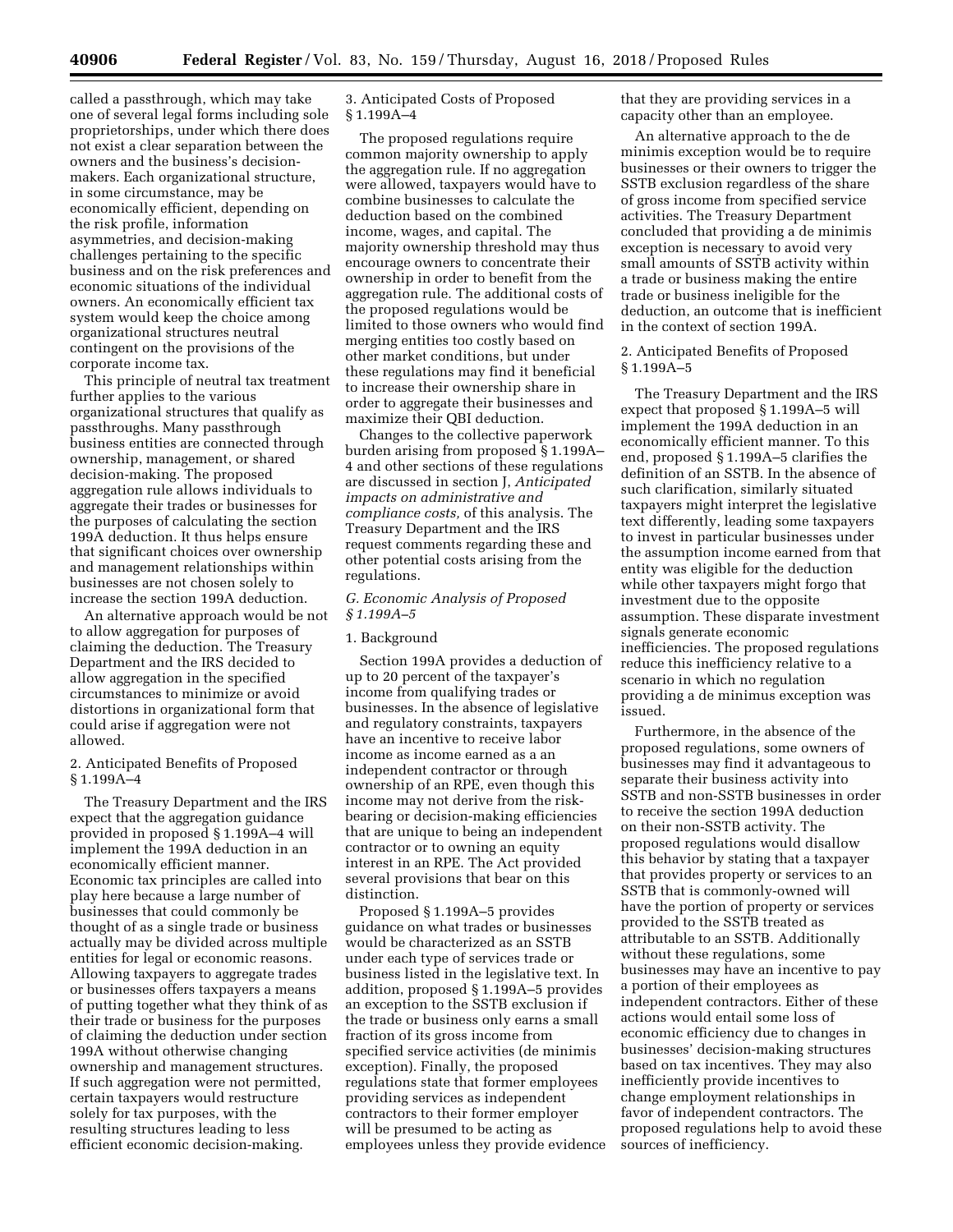called a passthrough, which may take one of several legal forms including sole proprietorships, under which there does not exist a clear separation between the owners and the business's decisionmakers. Each organizational structure, in some circumstance, may be economically efficient, depending on the risk profile, information asymmetries, and decision-making challenges pertaining to the specific business and on the risk preferences and economic situations of the individual owners. An economically efficient tax system would keep the choice among organizational structures neutral contingent on the provisions of the corporate income tax.

This principle of neutral tax treatment further applies to the various organizational structures that qualify as passthroughs. Many passthrough business entities are connected through ownership, management, or shared decision-making. The proposed aggregation rule allows individuals to aggregate their trades or businesses for the purposes of calculating the section 199A deduction. It thus helps ensure that significant choices over ownership and management relationships within businesses are not chosen solely to increase the section 199A deduction.

An alternative approach would be not to allow aggregation for purposes of claiming the deduction. The Treasury Department and the IRS decided to allow aggregation in the specified circumstances to minimize or avoid distortions in organizational form that could arise if aggregation were not allowed.

# 2. Anticipated Benefits of Proposed § 1.199A–4

The Treasury Department and the IRS expect that the aggregation guidance provided in proposed § 1.199A–4 will implement the 199A deduction in an economically efficient manner. Economic tax principles are called into play here because a large number of businesses that could commonly be thought of as a single trade or business actually may be divided across multiple entities for legal or economic reasons. Allowing taxpayers to aggregate trades or businesses offers taxpayers a means of putting together what they think of as their trade or business for the purposes of claiming the deduction under section 199A without otherwise changing ownership and management structures. If such aggregation were not permitted, certain taxpayers would restructure solely for tax purposes, with the resulting structures leading to less efficient economic decision-making.

# 3. Anticipated Costs of Proposed § 1.199A–4

The proposed regulations require common majority ownership to apply the aggregation rule. If no aggregation were allowed, taxpayers would have to combine businesses to calculate the deduction based on the combined income, wages, and capital. The majority ownership threshold may thus encourage owners to concentrate their ownership in order to benefit from the aggregation rule. The additional costs of the proposed regulations would be limited to those owners who would find merging entities too costly based on other market conditions, but under these regulations may find it beneficial to increase their ownership share in order to aggregate their businesses and maximize their QBI deduction.

Changes to the collective paperwork burden arising from proposed § 1.199A– 4 and other sections of these regulations are discussed in section J, *Anticipated impacts on administrative and compliance costs,* of this analysis. The Treasury Department and the IRS request comments regarding these and other potential costs arising from the regulations.

# *G. Economic Analysis of Proposed § 1.199A–5*

# 1. Background

Section 199A provides a deduction of up to 20 percent of the taxpayer's income from qualifying trades or businesses. In the absence of legislative and regulatory constraints, taxpayers have an incentive to receive labor income as income earned as a an independent contractor or through ownership of an RPE, even though this income may not derive from the riskbearing or decision-making efficiencies that are unique to being an independent contractor or to owning an equity interest in an RPE. The Act provided several provisions that bear on this distinction.

Proposed § 1.199A–5 provides guidance on what trades or businesses would be characterized as an SSTB under each type of services trade or business listed in the legislative text. In addition, proposed § 1.199A–5 provides an exception to the SSTB exclusion if the trade or business only earns a small fraction of its gross income from specified service activities (de minimis exception). Finally, the proposed regulations state that former employees providing services as independent contractors to their former employer will be presumed to be acting as employees unless they provide evidence that they are providing services in a capacity other than an employee.

An alternative approach to the de minimis exception would be to require businesses or their owners to trigger the SSTB exclusion regardless of the share of gross income from specified service activities. The Treasury Department concluded that providing a de minimis exception is necessary to avoid very small amounts of SSTB activity within a trade or business making the entire trade or business ineligible for the deduction, an outcome that is inefficient in the context of section 199A.

# 2. Anticipated Benefits of Proposed § 1.199A–5

The Treasury Department and the IRS expect that proposed § 1.199A–5 will implement the 199A deduction in an economically efficient manner. To this end, proposed § 1.199A–5 clarifies the definition of an SSTB. In the absence of such clarification, similarly situated taxpayers might interpret the legislative text differently, leading some taxpayers to invest in particular businesses under the assumption income earned from that entity was eligible for the deduction while other taxpayers might forgo that investment due to the opposite assumption. These disparate investment signals generate economic inefficiencies. The proposed regulations reduce this inefficiency relative to a scenario in which no regulation providing a de minimus exception was issued.

Furthermore, in the absence of the proposed regulations, some owners of businesses may find it advantageous to separate their business activity into SSTB and non-SSTB businesses in order to receive the section 199A deduction on their non-SSTB activity. The proposed regulations would disallow this behavior by stating that a taxpayer that provides property or services to an SSTB that is commonly-owned will have the portion of property or services provided to the SSTB treated as attributable to an SSTB. Additionally without these regulations, some businesses may have an incentive to pay a portion of their employees as independent contractors. Either of these actions would entail some loss of economic efficiency due to changes in businesses' decision-making structures based on tax incentives. They may also inefficiently provide incentives to change employment relationships in favor of independent contractors. The proposed regulations help to avoid these sources of inefficiency.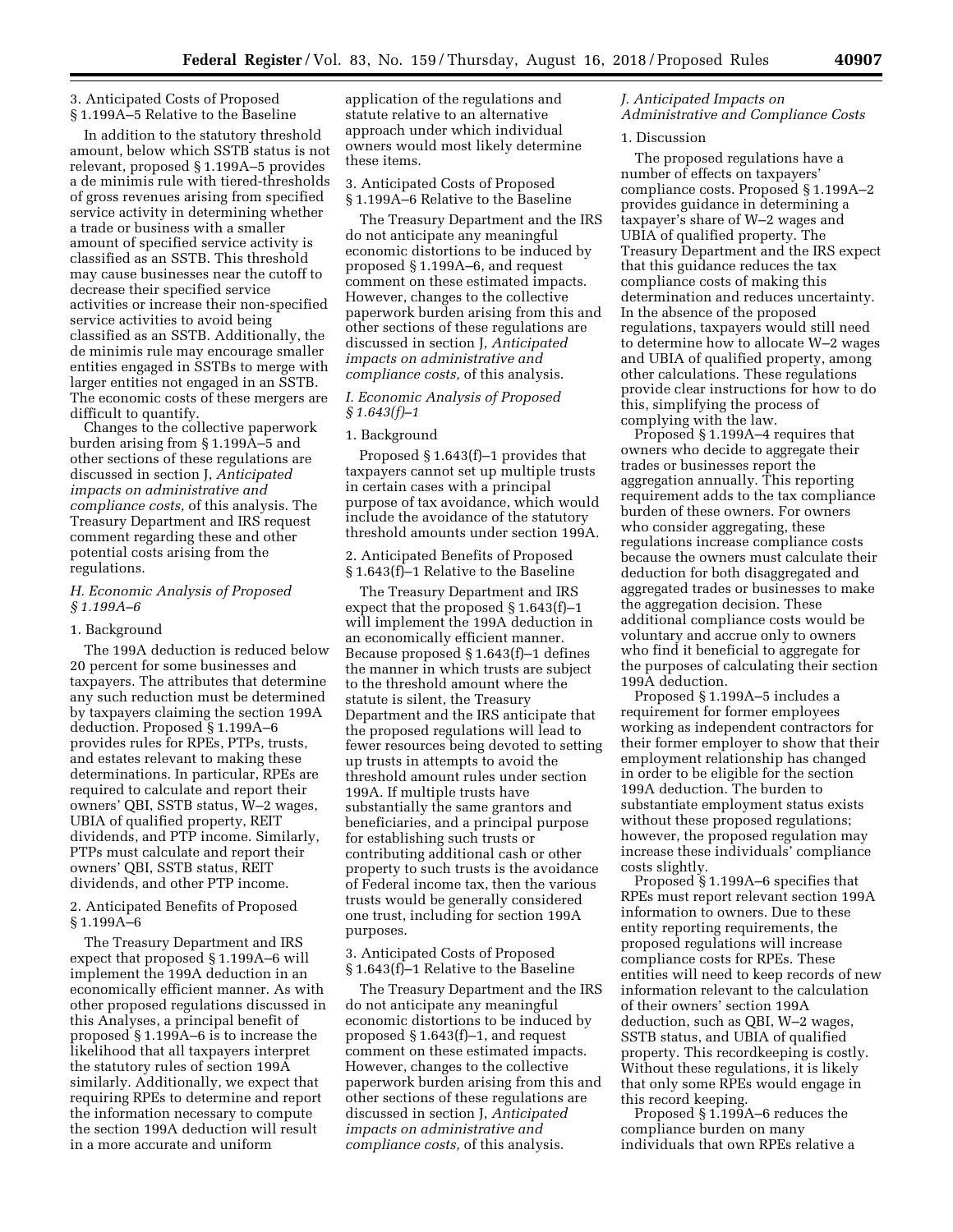# 3. Anticipated Costs of Proposed § 1.199A–5 Relative to the Baseline

In addition to the statutory threshold amount, below which SSTB status is not relevant, proposed § 1.199A–5 provides a de minimis rule with tiered-thresholds of gross revenues arising from specified service activity in determining whether a trade or business with a smaller amount of specified service activity is classified as an SSTB. This threshold may cause businesses near the cutoff to decrease their specified service activities or increase their non-specified service activities to avoid being classified as an SSTB. Additionally, the de minimis rule may encourage smaller entities engaged in SSTBs to merge with larger entities not engaged in an SSTB. The economic costs of these mergers are difficult to quantify.

Changes to the collective paperwork burden arising from § 1.199A–5 and other sections of these regulations are discussed in section J, *Anticipated impacts on administrative and compliance costs,* of this analysis. The Treasury Department and IRS request comment regarding these and other potential costs arising from the regulations.

# *H. Economic Analysis of Proposed § 1.199A–6*

## 1. Background

The 199A deduction is reduced below 20 percent for some businesses and taxpayers. The attributes that determine any such reduction must be determined by taxpayers claiming the section 199A deduction. Proposed § 1.199A–6 provides rules for RPEs, PTPs, trusts, and estates relevant to making these determinations. In particular, RPEs are required to calculate and report their owners' QBI, SSTB status, W–2 wages, UBIA of qualified property, REIT dividends, and PTP income. Similarly, PTPs must calculate and report their owners' QBI, SSTB status, REIT dividends, and other PTP income.

2. Anticipated Benefits of Proposed § 1.199A–6

The Treasury Department and IRS expect that proposed § 1.199A–6 will implement the 199A deduction in an economically efficient manner. As with other proposed regulations discussed in this Analyses, a principal benefit of proposed § 1.199A–6 is to increase the likelihood that all taxpayers interpret the statutory rules of section 199A similarly. Additionally, we expect that requiring RPEs to determine and report the information necessary to compute the section 199A deduction will result in a more accurate and uniform

application of the regulations and statute relative to an alternative approach under which individual owners would most likely determine these items.

### 3. Anticipated Costs of Proposed § 1.199A–6 Relative to the Baseline

The Treasury Department and the IRS do not anticipate any meaningful economic distortions to be induced by proposed § 1.199A–6, and request comment on these estimated impacts. However, changes to the collective paperwork burden arising from this and other sections of these regulations are discussed in section J, *Anticipated impacts on administrative and compliance costs,* of this analysis.

# *I. Economic Analysis of Proposed § 1.643(f)–1*

### 1. Background

Proposed § 1.643(f)–1 provides that taxpayers cannot set up multiple trusts in certain cases with a principal purpose of tax avoidance, which would include the avoidance of the statutory threshold amounts under section 199A.

2. Anticipated Benefits of Proposed § 1.643(f)–1 Relative to the Baseline

The Treasury Department and IRS expect that the proposed § 1.643(f)–1 will implement the 199A deduction in an economically efficient manner. Because proposed § 1.643(f)–1 defines the manner in which trusts are subject to the threshold amount where the statute is silent, the Treasury Department and the IRS anticipate that the proposed regulations will lead to fewer resources being devoted to setting up trusts in attempts to avoid the threshold amount rules under section 199A. If multiple trusts have substantially the same grantors and beneficiaries, and a principal purpose for establishing such trusts or contributing additional cash or other property to such trusts is the avoidance of Federal income tax, then the various trusts would be generally considered one trust, including for section 199A purposes.

3. Anticipated Costs of Proposed § 1.643(f)–1 Relative to the Baseline

The Treasury Department and the IRS do not anticipate any meaningful economic distortions to be induced by proposed § 1.643(f)–1, and request comment on these estimated impacts. However, changes to the collective paperwork burden arising from this and other sections of these regulations are discussed in section J, *Anticipated impacts on administrative and compliance costs,* of this analysis.

# *J. Anticipated Impacts on Administrative and Compliance Costs*

### 1. Discussion

The proposed regulations have a number of effects on taxpayers' compliance costs. Proposed § 1.199A–2 provides guidance in determining a taxpayer's share of W–2 wages and UBIA of qualified property. The Treasury Department and the IRS expect that this guidance reduces the tax compliance costs of making this determination and reduces uncertainty. In the absence of the proposed regulations, taxpayers would still need to determine how to allocate W–2 wages and UBIA of qualified property, among other calculations. These regulations provide clear instructions for how to do this, simplifying the process of complying with the law.

Proposed § 1.199A–4 requires that owners who decide to aggregate their trades or businesses report the aggregation annually. This reporting requirement adds to the tax compliance burden of these owners. For owners who consider aggregating, these regulations increase compliance costs because the owners must calculate their deduction for both disaggregated and aggregated trades or businesses to make the aggregation decision. These additional compliance costs would be voluntary and accrue only to owners who find it beneficial to aggregate for the purposes of calculating their section 199A deduction.

Proposed § 1.199A–5 includes a requirement for former employees working as independent contractors for their former employer to show that their employment relationship has changed in order to be eligible for the section 199A deduction. The burden to substantiate employment status exists without these proposed regulations; however, the proposed regulation may increase these individuals' compliance costs slightly.

Proposed § 1.199A–6 specifies that RPEs must report relevant section 199A information to owners. Due to these entity reporting requirements, the proposed regulations will increase compliance costs for RPEs. These entities will need to keep records of new information relevant to the calculation of their owners' section 199A deduction, such as QBI, W–2 wages, SSTB status, and UBIA of qualified property. This recordkeeping is costly. Without these regulations, it is likely that only some RPEs would engage in this record keeping.

Proposed § 1.199A–6 reduces the compliance burden on many individuals that own RPEs relative a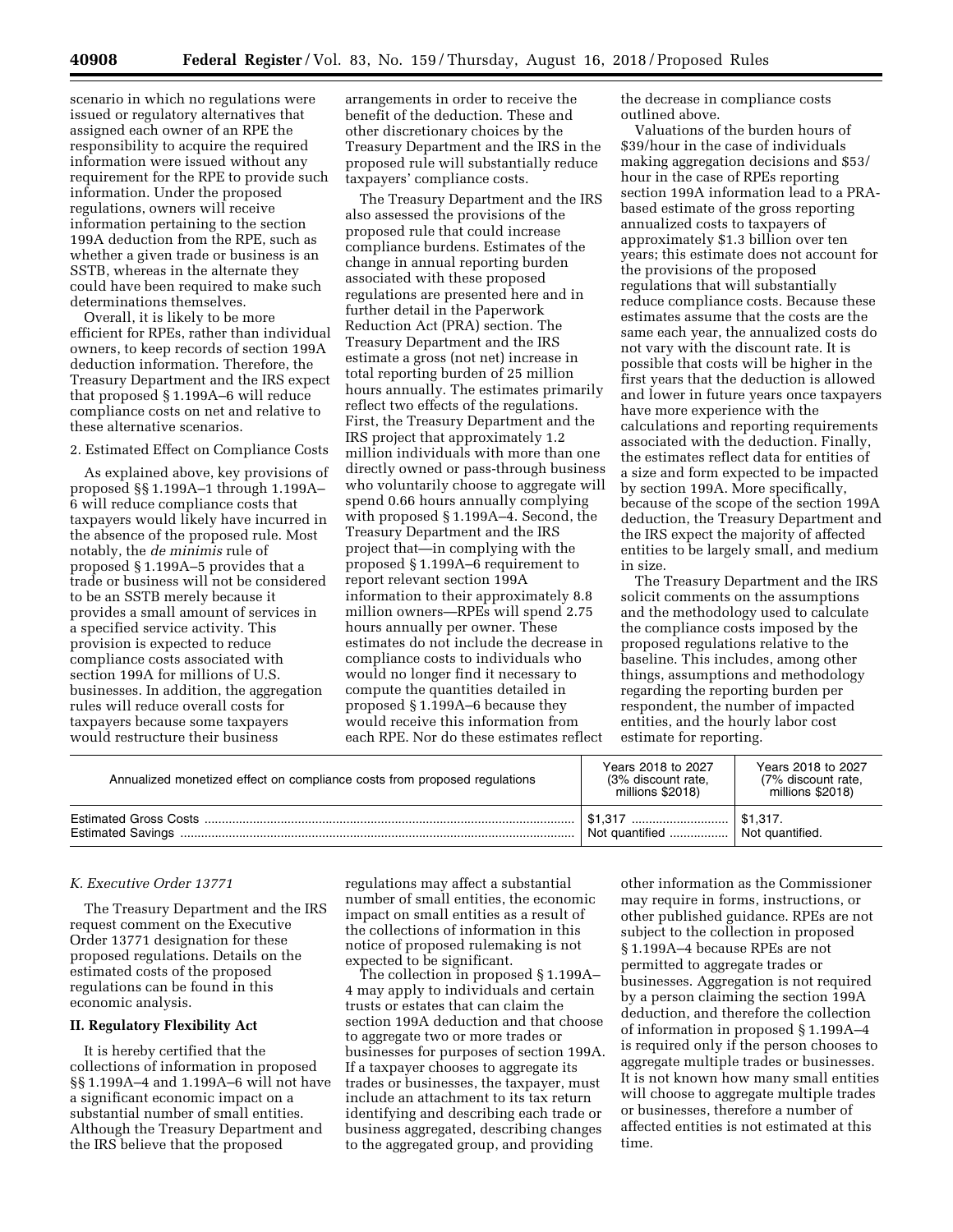scenario in which no regulations were issued or regulatory alternatives that assigned each owner of an RPE the responsibility to acquire the required information were issued without any requirement for the RPE to provide such information. Under the proposed regulations, owners will receive information pertaining to the section 199A deduction from the RPE, such as whether a given trade or business is an SSTB, whereas in the alternate they could have been required to make such determinations themselves.

Overall, it is likely to be more efficient for RPEs, rather than individual owners, to keep records of section 199A deduction information. Therefore, the Treasury Department and the IRS expect that proposed § 1.199A–6 will reduce compliance costs on net and relative to these alternative scenarios.

# 2. Estimated Effect on Compliance Costs

As explained above, key provisions of proposed §§ 1.199A–1 through 1.199A– 6 will reduce compliance costs that taxpayers would likely have incurred in the absence of the proposed rule. Most notably, the *de minimis* rule of proposed § 1.199A–5 provides that a trade or business will not be considered to be an SSTB merely because it provides a small amount of services in a specified service activity. This provision is expected to reduce compliance costs associated with section 199A for millions of U.S. businesses. In addition, the aggregation rules will reduce overall costs for taxpayers because some taxpayers would restructure their business

arrangements in order to receive the benefit of the deduction. These and other discretionary choices by the Treasury Department and the IRS in the proposed rule will substantially reduce taxpayers' compliance costs.

The Treasury Department and the IRS also assessed the provisions of the proposed rule that could increase compliance burdens. Estimates of the change in annual reporting burden associated with these proposed regulations are presented here and in further detail in the Paperwork Reduction Act (PRA) section. The Treasury Department and the IRS estimate a gross (not net) increase in total reporting burden of 25 million hours annually. The estimates primarily reflect two effects of the regulations. First, the Treasury Department and the IRS project that approximately 1.2 million individuals with more than one directly owned or pass-through business who voluntarily choose to aggregate will spend 0.66 hours annually complying with proposed § 1.199A–4. Second, the Treasury Department and the IRS project that—in complying with the proposed § 1.199A–6 requirement to report relevant section 199A information to their approximately 8.8 million owners—RPEs will spend 2.75 hours annually per owner. These estimates do not include the decrease in compliance costs to individuals who would no longer find it necessary to compute the quantities detailed in proposed § 1.199A–6 because they would receive this information from each RPE. Nor do these estimates reflect

the decrease in compliance costs outlined above.

Valuations of the burden hours of \$39/hour in the case of individuals making aggregation decisions and \$53/ hour in the case of RPEs reporting section 199A information lead to a PRAbased estimate of the gross reporting annualized costs to taxpayers of approximately \$1.3 billion over ten years; this estimate does not account for the provisions of the proposed regulations that will substantially reduce compliance costs. Because these estimates assume that the costs are the same each year, the annualized costs do not vary with the discount rate. It is possible that costs will be higher in the first years that the deduction is allowed and lower in future years once taxpayers have more experience with the calculations and reporting requirements associated with the deduction. Finally, the estimates reflect data for entities of a size and form expected to be impacted by section 199A. More specifically, because of the scope of the section 199A deduction, the Treasury Department and the IRS expect the majority of affected entities to be largely small, and medium in size.

The Treasury Department and the IRS solicit comments on the assumptions and the methodology used to calculate the compliance costs imposed by the proposed regulations relative to the baseline. This includes, among other things, assumptions and methodology regarding the reporting burden per respondent, the number of impacted entities, and the hourly labor cost estimate for reporting.

| Annualized monetized effect on compliance costs from proposed regulations | Years 2018 to 2027<br>(3% discount rate.<br>millions \$2018) | Years 2018 to 2027<br>(7% discount rate,<br>millions \$2018) |
|---------------------------------------------------------------------------|--------------------------------------------------------------|--------------------------------------------------------------|
|                                                                           | Not quantified                                               | Not quantified.                                              |

### *K. Executive Order 13771*

The Treasury Department and the IRS request comment on the Executive Order 13771 designation for these proposed regulations. Details on the estimated costs of the proposed regulations can be found in this economic analysis.

### **II. Regulatory Flexibility Act**

It is hereby certified that the collections of information in proposed §§ 1.199A–4 and 1.199A–6 will not have a significant economic impact on a substantial number of small entities. Although the Treasury Department and the IRS believe that the proposed

regulations may affect a substantial number of small entities, the economic impact on small entities as a result of the collections of information in this notice of proposed rulemaking is not expected to be significant.

The collection in proposed § 1.199A– 4 may apply to individuals and certain trusts or estates that can claim the section 199A deduction and that choose to aggregate two or more trades or businesses for purposes of section 199A. If a taxpayer chooses to aggregate its trades or businesses, the taxpayer, must include an attachment to its tax return identifying and describing each trade or business aggregated, describing changes to the aggregated group, and providing

other information as the Commissioner may require in forms, instructions, or other published guidance. RPEs are not subject to the collection in proposed § 1.199A–4 because RPEs are not permitted to aggregate trades or businesses. Aggregation is not required by a person claiming the section 199A deduction, and therefore the collection of information in proposed § 1.199A–4 is required only if the person chooses to aggregate multiple trades or businesses. It is not known how many small entities will choose to aggregate multiple trades or businesses, therefore a number of affected entities is not estimated at this time.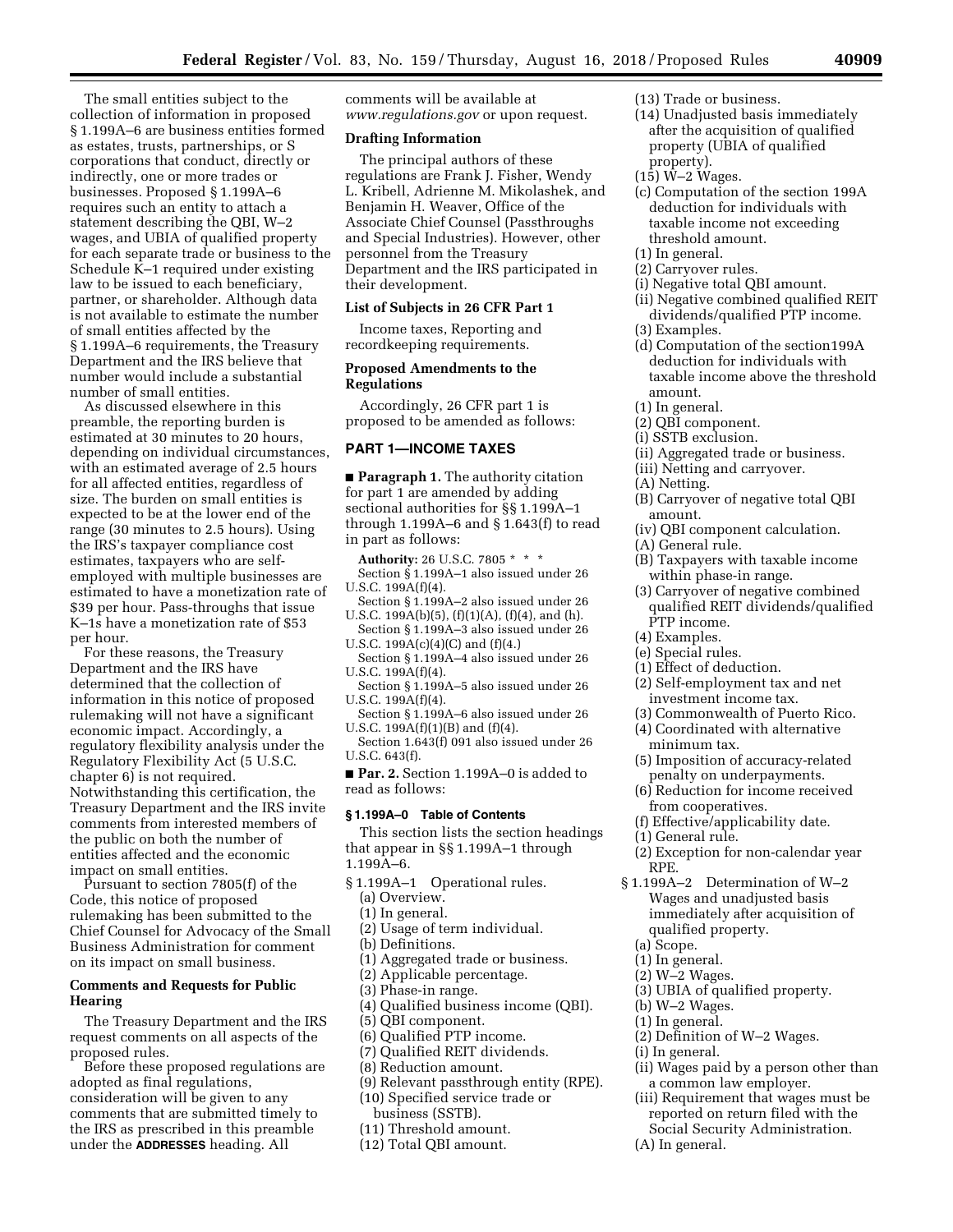The small entities subject to the collection of information in proposed § 1.199A–6 are business entities formed as estates, trusts, partnerships, or S corporations that conduct, directly or indirectly, one or more trades or businesses. Proposed § 1.199A–6 requires such an entity to attach a statement describing the QBI, W–2 wages, and UBIA of qualified property for each separate trade or business to the Schedule K–1 required under existing law to be issued to each beneficiary, partner, or shareholder. Although data is not available to estimate the number of small entities affected by the § 1.199A–6 requirements, the Treasury Department and the IRS believe that number would include a substantial number of small entities.

As discussed elsewhere in this preamble, the reporting burden is estimated at 30 minutes to 20 hours, depending on individual circumstances, with an estimated average of 2.5 hours for all affected entities, regardless of size. The burden on small entities is expected to be at the lower end of the range (30 minutes to 2.5 hours). Using the IRS's taxpayer compliance cost estimates, taxpayers who are selfemployed with multiple businesses are estimated to have a monetization rate of \$39 per hour. Pass-throughs that issue K–1s have a monetization rate of \$53 per hour.

For these reasons, the Treasury Department and the IRS have determined that the collection of information in this notice of proposed rulemaking will not have a significant economic impact. Accordingly, a regulatory flexibility analysis under the Regulatory Flexibility Act (5 U.S.C. chapter 6) is not required. Notwithstanding this certification, the Treasury Department and the IRS invite comments from interested members of the public on both the number of entities affected and the economic impact on small entities.

Pursuant to section 7805(f) of the Code, this notice of proposed rulemaking has been submitted to the Chief Counsel for Advocacy of the Small Business Administration for comment on its impact on small business.

# **Comments and Requests for Public Hearing**

The Treasury Department and the IRS request comments on all aspects of the proposed rules.

Before these proposed regulations are adopted as final regulations, consideration will be given to any comments that are submitted timely to the IRS as prescribed in this preamble under the **ADDRESSES** heading. All

comments will be available at *[www.regulations.gov](http://www.regulations.gov)* or upon request.

# **Drafting Information**

The principal authors of these regulations are Frank J. Fisher, Wendy L. Kribell, Adrienne M. Mikolashek, and Benjamin H. Weaver, Office of the Associate Chief Counsel (Passthroughs and Special Industries). However, other personnel from the Treasury Department and the IRS participated in their development.

# **List of Subjects in 26 CFR Part 1**

Income taxes, Reporting and recordkeeping requirements.

# **Proposed Amendments to the Regulations**

Accordingly, 26 CFR part 1 is proposed to be amended as follows:

# **PART 1—INCOME TAXES**

■ **Paragraph 1.** The authority citation for part 1 are amended by adding sectional authorities for §§ 1.199A–1 through 1.199A–6 and § 1.643(f) to read in part as follows:

**Authority:** 26 U.S.C. 7805 \* \* \* Section § 1.199A–1 also issued under 26 U.S.C. 199A(f)(4).

- Section § 1.199A–2 also issued under 26 U.S.C. 199A(b)(5), (f)(1)(A), (f)(4), and (h).
- Section § 1.199A–3 also issued under 26 U.S.C.  $199A(c)(4)(C)$  and  $(f)(4.)$
- Section § 1.199A–4 also issued under 26 U.S.C. 199A(f)(4).
- Section § 1.199A–5 also issued under 26 U.S.C. 199A(f)(4).
- Section § 1.199A–6 also issued under 26 U.S.C. 199A(f)(1)(B) and (f)(4).
- Section 1.643(f) 091 also issued under 26 U.S.C. 643(f).
- **Par. 2.** Section 1.199A–0 is added to read as follows:

# **§ 1.199A–0 Table of Contents**

This section lists the section headings that appear in §§ 1.199A–1 through 1.199A–6.

- § 1.199A–1 Operational rules.
	- (a) Overview.
	- (1) In general.
	- (2) Usage of term individual.
	- (b) Definitions.
	- (1) Aggregated trade or business.
	- (2) Applicable percentage.
	- (3) Phase-in range.
	- (4) Qualified business income (QBI).
	- (5) QBI component.
	- (6) Qualified PTP income.
	- (7) Qualified REIT dividends.
	- (8) Reduction amount.
	- (9) Relevant passthrough entity (RPE).
	- (10) Specified service trade or
		- business (SSTB).
	- (11) Threshold amount.
	- (12) Total QBI amount.
- (13) Trade or business.
- (14) Unadjusted basis immediately after the acquisition of qualified property (UBIA of qualified property).
- $(15)$  W-2 Wages.
- (c) Computation of the section 199A deduction for individuals with taxable income not exceeding threshold amount.
- (1) In general.
- (2) Carryover rules.
- (i) Negative total QBI amount.
- (ii) Negative combined qualified REIT dividends/qualified PTP income. (3) Examples.
- (d) Computation of the section199A deduction for individuals with taxable income above the threshold amount.
- (1) In general.
- (2) QBI component.
- (i) SSTB exclusion.
- (ii) Aggregated trade or business.
- (iii) Netting and carryover.
- (A) Netting.
- (B) Carryover of negative total QBI amount.
- (iv) QBI component calculation.
- (A) General rule.
- (B) Taxpayers with taxable income within phase-in range.
- (3) Carryover of negative combined qualified REIT dividends/qualified PTP income.
- (4) Examples.
- (e) Special rules.
- (1) Effect of deduction.
- (2) Self-employment tax and net investment income tax.
- (3) Commonwealth of Puerto Rico.
- (4) Coordinated with alternative minimum tax.
- (5) Imposition of accuracy-related penalty on underpayments.
- (6) Reduction for income received from cooperatives.
- (f) Effective/applicability date.
- (1) General rule.
- (2) Exception for non-calendar year RPE.
- § 1.199A–2 Determination of W–2 Wages and unadjusted basis immediately after acquisition of qualified property.
	- (a) Scope.
	- (1) In general.
	- (2) W–2 Wages.
	- (3) UBIA of qualified property.
	- (b) W–2 Wages.
	- (1) In general.
	- (2) Definition of W–2 Wages.
	- (i) In general.
	- (ii) Wages paid by a person other than a common law employer.
	- (iii) Requirement that wages must be reported on return filed with the Social Security Administration.
	- (A) In general.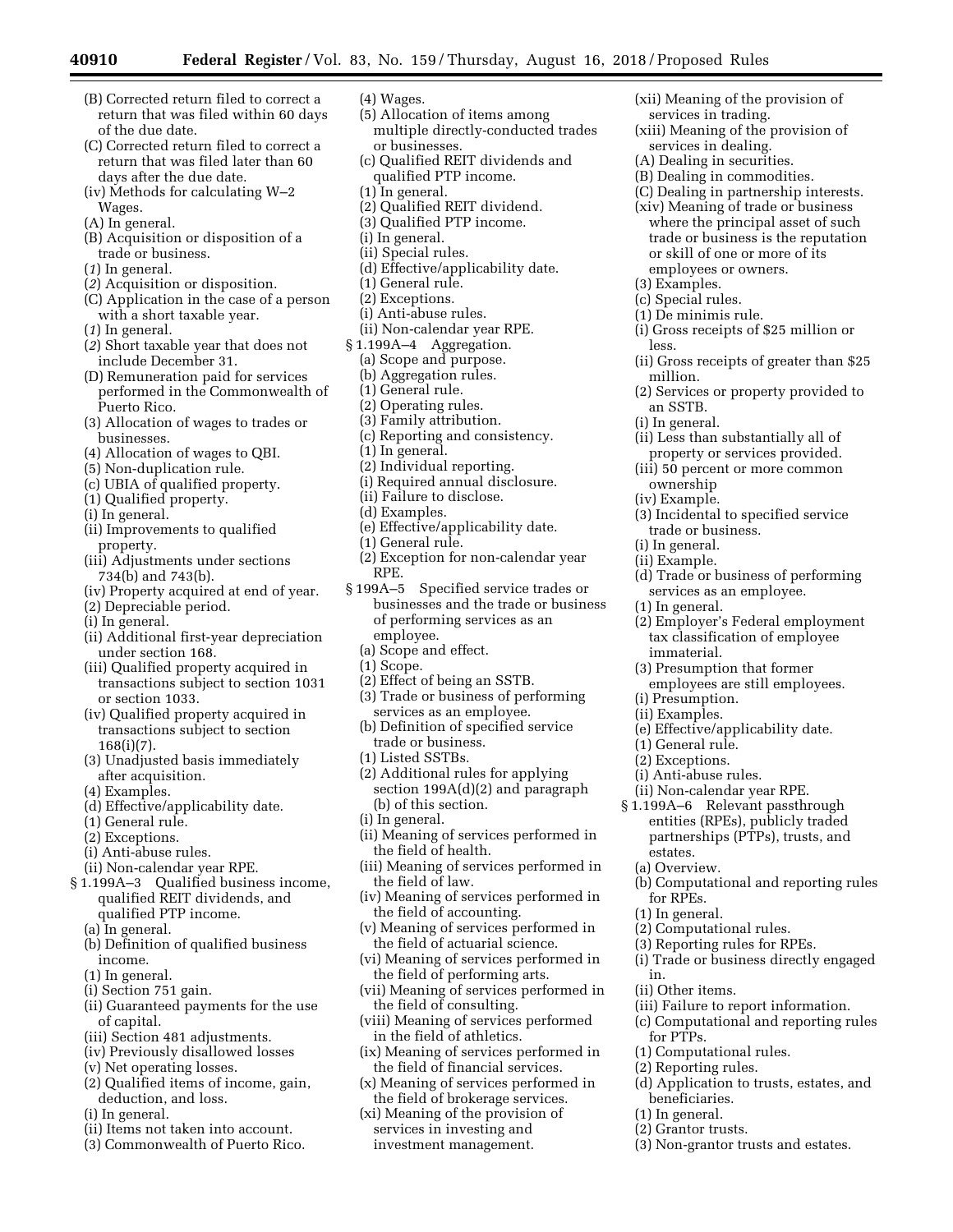- (B) Corrected return filed to correct a return that was filed within 60 days of the due date.
- (C) Corrected return filed to correct a return that was filed later than 60 days after the due date.
- (iv) Methods for calculating W–2 Wages.
- (A) In general.
- (B) Acquisition or disposition of a trade or business.
- (*1*) In general.
- (*2*) Acquisition or disposition.
- (C) Application in the case of a person with a short taxable year.
- (*1*) In general.
- (*2*) Short taxable year that does not include December 31.
- (D) Remuneration paid for services performed in the Commonwealth of Puerto Rico.
- (3) Allocation of wages to trades or businesses.
- (4) Allocation of wages to QBI.
- (5) Non-duplication rule.
- (c) UBIA of qualified property.
- (1) Qualified property.
- (i) In general.
- (ii) Improvements to qualified property.
- (iii) Adjustments under sections 734(b) and 743(b).
- (iv) Property acquired at end of year.
- (2) Depreciable period.
- (i) In general.
- (ii) Additional first-year depreciation under section 168.
- (iii) Qualified property acquired in transactions subject to section 1031 or section 1033.
- (iv) Qualified property acquired in transactions subject to section 168(i)(7).
- (3) Unadjusted basis immediately after acquisition.
- (4) Examples.
- (d) Effective/applicability date.
- (1) General rule.
- (2) Exceptions.
- (i) Anti-abuse rules.
- (ii) Non-calendar year RPE.
- § 1.199A–3 Qualified business income, qualified REIT dividends, and qualified PTP income.
	- (a) In general.
	- (b) Definition of qualified business income.
	- (1) In general.
	- (i) Section 751 gain.
	- (ii) Guaranteed payments for the use of capital.
	- (iii) Section 481 adjustments.
	- (iv) Previously disallowed losses
	- (v) Net operating losses.
	- (2) Qualified items of income, gain, deduction, and loss.
	- (i) In general.
	- (ii) Items not taken into account.
	- (3) Commonwealth of Puerto Rico.
- (4) Wages.
- (5) Allocation of items among multiple directly-conducted trades or businesses.
- (c) Qualified REIT dividends and qualified PTP income.
- (1) In general.
- (2) Qualified REIT dividend.
- (3) Qualified PTP income.
- (i) In general.
- (ii) Special rules.
- (d) Effective/applicability date.
- (1) General rule.
- (2) Exceptions.
- (i) Anti-abuse rules.
- (ii) Non-calendar year RPE.
- § 1.199A–4 Aggregation.
	- (a) Scope and purpose.
	- (b) Aggregation rules.
	- (1) General rule.
	- (2) Operating rules.
	- (3) Family attribution.
	- (c) Reporting and consistency.
	- (1) In general.
	- (2) Individual reporting.
	- (i) Required annual disclosure.
	- (ii) Failure to disclose.
	- (d) Examples.
	- (e) Effective/applicability date.
	- (1) General rule.
	- (2) Exception for non-calendar year RPE.
- § 199A–5 Specified service trades or businesses and the trade or business of performing services as an employee.
	- (a) Scope and effect.
	- (1) Scope.
	- (2) Effect of being an SSTB.
	- (3) Trade or business of performing services as an employee.
	- (b) Definition of specified service trade or business.
	- (1) Listed SSTBs.
	- (2) Additional rules for applying section 199A(d)(2) and paragraph (b) of this section.
	- (i) In general.
	- (ii) Meaning of services performed in the field of health.
	- (iii) Meaning of services performed in the field of law.
	- (iv) Meaning of services performed in the field of accounting.
	- (v) Meaning of services performed in the field of actuarial science.
	- (vi) Meaning of services performed in the field of performing arts.
	- (vii) Meaning of services performed in the field of consulting.
	- (viii) Meaning of services performed in the field of athletics.
	- (ix) Meaning of services performed in the field of financial services.
	- (x) Meaning of services performed in the field of brokerage services.
	- (xi) Meaning of the provision of services in investing and investment management.
- (xii) Meaning of the provision of services in trading.
- (xiii) Meaning of the provision of services in dealing.
- (A) Dealing in securities.

(3) Examples. (c) Special rules. (1) De minimis rule.

less.

million.

an SSTB. (i) In general.

ownership (iv) Example.

(1) In general.

immaterial.

(i) Presumption. (ii) Examples.

(1) General rule. (2) Exceptions. (i) Anti-abuse rules. (ii) Non-calendar year RPE. § 1.199A–6 Relevant passthrough entities (RPEs), publicly traded partnerships (PTPs), trusts, and

estates. (a) Overview.

for RPEs. (1) In general.

(ii) Other items.

for PTPs.

beneficiaries. (1) In general. (2) Grantor trusts.

in.

(2) Computational rules. (3) Reporting rules for RPEs.

(1) Computational rules. (2) Reporting rules.

trade or business. (i) In general. (ii) Example.

- (B) Dealing in commodities.
- (C) Dealing in partnership interests.
- (xiv) Meaning of trade or business where the principal asset of such trade or business is the reputation or skill of one or more of its employees or owners.

(i) Gross receipts of \$25 million or

(ii) Gross receipts of greater than \$25

(2) Services or property provided to

(ii) Less than substantially all of property or services provided. (iii) 50 percent or more common

(3) Incidental to specified service

(d) Trade or business of performing services as an employee.

(2) Employer's Federal employment tax classification of employee

(3) Presumption that former employees are still employees.

(e) Effective/applicability date.

(b) Computational and reporting rules

(i) Trade or business directly engaged

(iii) Failure to report information. (c) Computational and reporting rules

(d) Application to trusts, estates, and

(3) Non-grantor trusts and estates.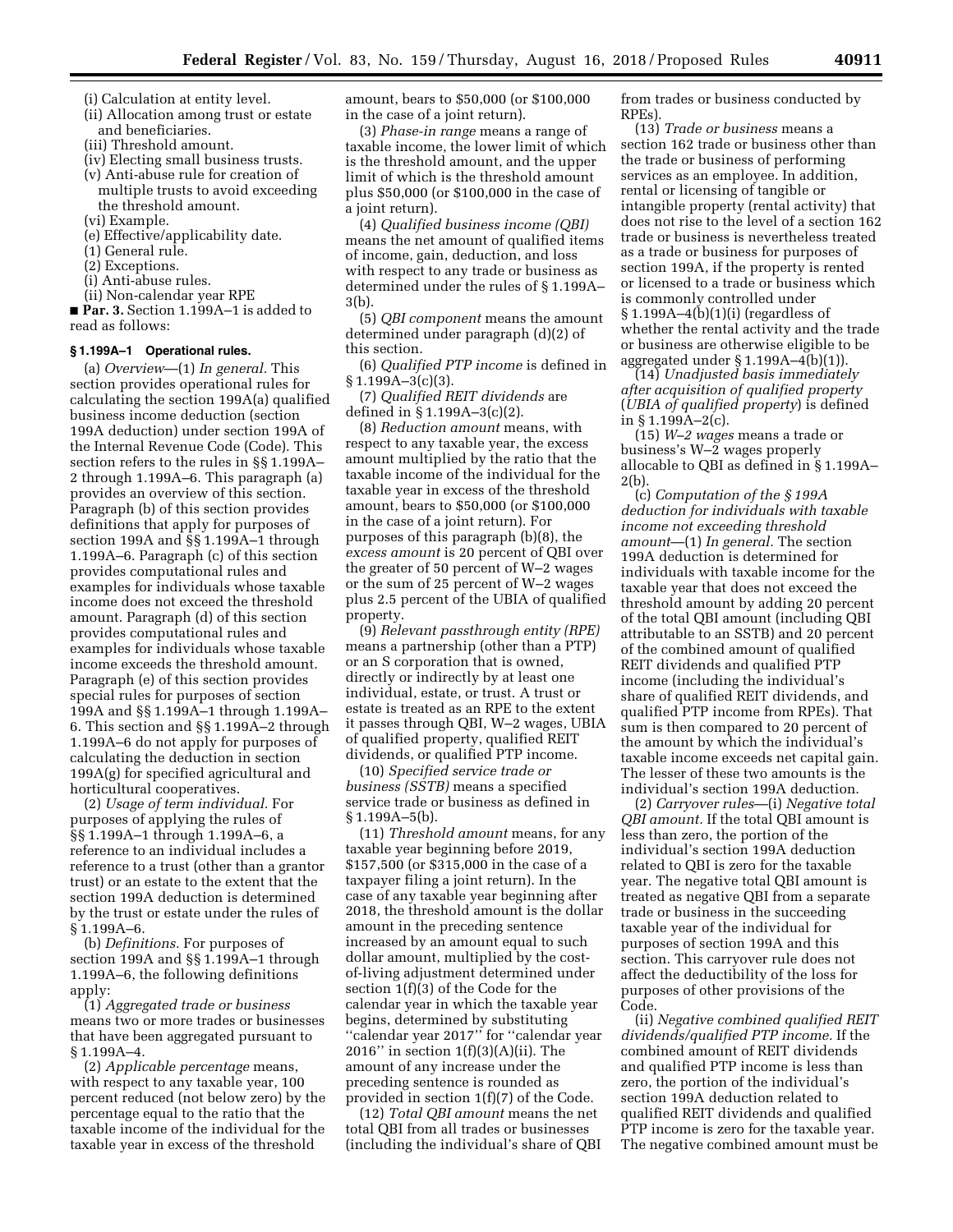- (i) Calculation at entity level.
- (ii) Allocation among trust or estate and beneficiaries.
- (iii) Threshold amount.
- (iv) Electing small business trusts.
- (v) Anti-abuse rule for creation of multiple trusts to avoid exceeding the threshold amount.
- (vi) Example.
- (e) Effective/applicability date.
- (1) General rule.
- (2) Exceptions.
- (i) Anti-abuse rules.
- (ii) Non-calendar year RPE

■ **Par. 3.** Section 1.199A–1 is added to read as follows:

## **§ 1.199A–1 Operational rules.**

(a) *Overview*—(1) *In general.* This section provides operational rules for calculating the section 199A(a) qualified business income deduction (section 199A deduction) under section 199A of the Internal Revenue Code (Code). This section refers to the rules in §§ 1.199A– 2 through 1.199A–6. This paragraph (a) provides an overview of this section. Paragraph (b) of this section provides definitions that apply for purposes of section 199A and §§ 1.199A–1 through 1.199A–6. Paragraph (c) of this section provides computational rules and examples for individuals whose taxable income does not exceed the threshold amount. Paragraph (d) of this section provides computational rules and examples for individuals whose taxable income exceeds the threshold amount. Paragraph (e) of this section provides special rules for purposes of section 199A and §§ 1.199A–1 through 1.199A– 6. This section and §§ 1.199A–2 through 1.199A–6 do not apply for purposes of calculating the deduction in section 199A(g) for specified agricultural and horticultural cooperatives.

(2) *Usage of term individual.* For purposes of applying the rules of §§ 1.199A–1 through 1.199A–6, a reference to an individual includes a reference to a trust (other than a grantor trust) or an estate to the extent that the section 199A deduction is determined by the trust or estate under the rules of § 1.199A–6.

(b) *Definitions.* For purposes of section 199A and §§ 1.199A–1 through 1.199A–6, the following definitions apply:

(1) *Aggregated trade or business*  means two or more trades or businesses that have been aggregated pursuant to § 1.199A–4.

(2) *Applicable percentage* means, with respect to any taxable year, 100 percent reduced (not below zero) by the percentage equal to the ratio that the taxable income of the individual for the taxable year in excess of the threshold

amount, bears to \$50,000 (or \$100,000 in the case of a joint return).

(3) *Phase-in range* means a range of taxable income, the lower limit of which is the threshold amount, and the upper limit of which is the threshold amount plus \$50,000 (or \$100,000 in the case of a joint return).

(4) *Qualified business income (QBI)*  means the net amount of qualified items of income, gain, deduction, and loss with respect to any trade or business as determined under the rules of § 1.199A– 3(b).

(5) *QBI component* means the amount determined under paragraph (d)(2) of this section.

(6) *Qualified PTP income* is defined in  $§ 1.199A - 3(c)(3).$ 

(7) *Qualified REIT dividends* are defined in § 1.199A–3(c)(2).

(8) *Reduction amount* means, with respect to any taxable year, the excess amount multiplied by the ratio that the taxable income of the individual for the taxable year in excess of the threshold amount, bears to \$50,000 (or \$100,000 in the case of a joint return). For purposes of this paragraph (b)(8), the *excess amount* is 20 percent of QBI over the greater of 50 percent of W–2 wages or the sum of 25 percent of W–2 wages plus 2.5 percent of the UBIA of qualified property.

(9) *Relevant passthrough entity (RPE)*  means a partnership (other than a PTP) or an S corporation that is owned, directly or indirectly by at least one individual, estate, or trust. A trust or estate is treated as an RPE to the extent it passes through QBI, W–2 wages, UBIA of qualified property, qualified REIT dividends, or qualified PTP income.

(10) *Specified service trade or business (SSTB)* means a specified service trade or business as defined in § 1.199A–5(b).

(11) *Threshold amount* means, for any taxable year beginning before 2019, \$157,500 (or \$315,000 in the case of a taxpayer filing a joint return). In the case of any taxable year beginning after 2018, the threshold amount is the dollar amount in the preceding sentence increased by an amount equal to such dollar amount, multiplied by the costof-living adjustment determined under section 1(f)(3) of the Code for the calendar year in which the taxable year begins, determined by substituting ''calendar year 2017'' for ''calendar year 2016" in section  $1(f)(3)(A)(ii)$ . The amount of any increase under the preceding sentence is rounded as provided in section 1(f)(7) of the Code.

(12) *Total QBI amount* means the net total QBI from all trades or businesses (including the individual's share of QBI from trades or business conducted by RPEs).

(13) *Trade or business* means a section 162 trade or business other than the trade or business of performing services as an employee. In addition, rental or licensing of tangible or intangible property (rental activity) that does not rise to the level of a section 162 trade or business is nevertheless treated as a trade or business for purposes of section 199A, if the property is rented or licensed to a trade or business which is commonly controlled under § 1.199A–4(b)(1)(i) (regardless of whether the rental activity and the trade or business are otherwise eligible to be aggregated under § 1.199A–4(b)(1)).

(14) *Unadjusted basis immediately after acquisition of qualified property*  (*UBIA of qualified property*) is defined in § 1.199A–2(c).

(15) *W–2 wages* means a trade or business's W–2 wages properly allocable to QBI as defined in § 1.199A–  $2(h)$ 

(c) *Computation of the § 199A deduction for individuals with taxable income not exceeding threshold amount*—(1) *In general.* The section 199A deduction is determined for individuals with taxable income for the taxable year that does not exceed the threshold amount by adding 20 percent of the total QBI amount (including QBI attributable to an SSTB) and 20 percent of the combined amount of qualified REIT dividends and qualified PTP income (including the individual's share of qualified REIT dividends, and qualified PTP income from RPEs). That sum is then compared to 20 percent of the amount by which the individual's taxable income exceeds net capital gain. The lesser of these two amounts is the individual's section 199A deduction.

(2) *Carryover rules*—(i) *Negative total QBI amount.* If the total QBI amount is less than zero, the portion of the individual's section 199A deduction related to QBI is zero for the taxable year. The negative total QBI amount is treated as negative QBI from a separate trade or business in the succeeding taxable year of the individual for purposes of section 199A and this section. This carryover rule does not affect the deductibility of the loss for purposes of other provisions of the Code.

(ii) *Negative combined qualified REIT dividends/qualified PTP income.* If the combined amount of REIT dividends and qualified PTP income is less than zero, the portion of the individual's section 199A deduction related to qualified REIT dividends and qualified PTP income is zero for the taxable year. The negative combined amount must be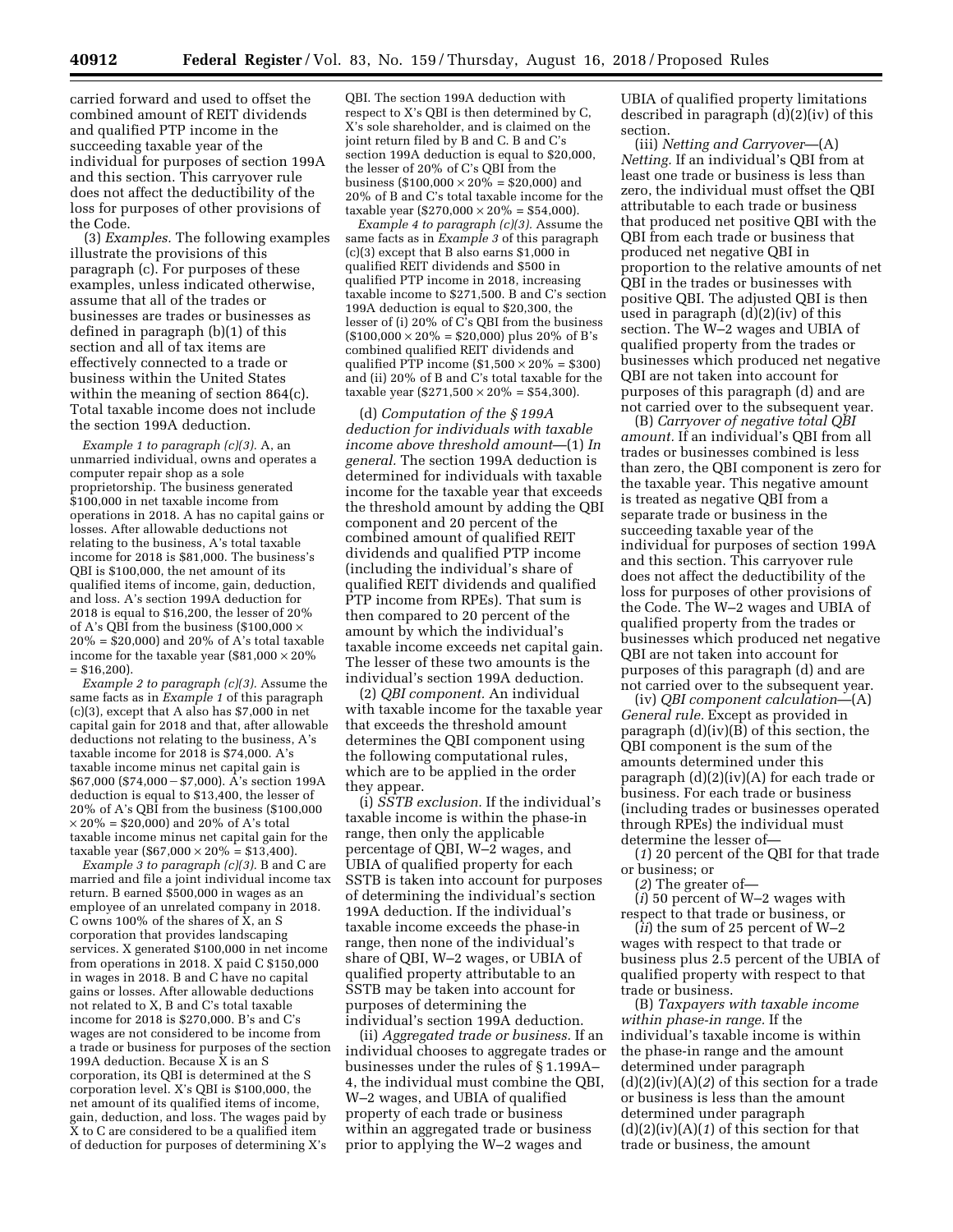carried forward and used to offset the combined amount of REIT dividends and qualified PTP income in the succeeding taxable year of the individual for purposes of section 199A and this section. This carryover rule does not affect the deductibility of the loss for purposes of other provisions of the Code.

(3) *Examples.* The following examples illustrate the provisions of this paragraph (c). For purposes of these examples, unless indicated otherwise, assume that all of the trades or businesses are trades or businesses as defined in paragraph (b)(1) of this section and all of tax items are effectively connected to a trade or business within the United States within the meaning of section 864(c). Total taxable income does not include the section 199A deduction.

*Example 1 to paragraph (c)(3).* A, an unmarried individual, owns and operates a computer repair shop as a sole proprietorship. The business generated \$100,000 in net taxable income from operations in 2018. A has no capital gains or losses. After allowable deductions not relating to the business, A's total taxable income for 2018 is \$81,000. The business's QBI is \$100,000, the net amount of its qualified items of income, gain, deduction, and loss. A's section 199A deduction for 2018 is equal to \$16,200, the lesser of 20% of A's QBI from the business (\$100,000  $\times$  $20\% = $20,000$  and  $20\%$  of A's total taxable income for the taxable year  $(\$81,000 \times 20\%$  $=$  \$16,200).

*Example 2 to paragraph (c)(3).* Assume the same facts as in *Example 1* of this paragraph  $(c)(3)$ , except that A also has \$7,000 in net capital gain for 2018 and that, after allowable deductions not relating to the business, A's taxable income for 2018 is \$74,000. A's taxable income minus net capital gain is  $$67,000$  (\$74,000 – \$7,000). A's section 199A deduction is equal to \$13,400, the lesser of 20% of A's QBI from the business (\$100,000  $\times$  20% = \$20,000) and 20% of A's total taxable income minus net capital gain for the taxable year  $(S67,000 \times 20\% = S13,400)$ .

*Example 3 to paragraph (c)(3).* B and C are married and file a joint individual income tax return. B earned \$500,000 in wages as an employee of an unrelated company in 2018. C owns 100% of the shares of  $\hat{X}$ , an S corporation that provides landscaping services. X generated \$100,000 in net income from operations in 2018. X paid C \$150,000 in wages in 2018. B and C have no capital gains or losses. After allowable deductions not related to X, B and C's total taxable income for 2018 is \$270,000. B's and C's wages are not considered to be income from a trade or business for purposes of the section 199A deduction. Because X is an S corporation, its QBI is determined at the S corporation level. X's QBI is \$100,000, the net amount of its qualified items of income, gain, deduction, and loss. The wages paid by X to C are considered to be a qualified item of deduction for purposes of determining X's

QBI. The section 199A deduction with respect to X's QBI is then determined by C, X's sole shareholder, and is claimed on the joint return filed by B and C. B and C's section 199A deduction is equal to \$20,000, the lesser of 20% of C's QBI from the business (\$100,000  $\times$  20% = \$20,000) and 20% of B and C's total taxable income for the taxable year (\$270,000  $\times$  20% = \$54,000).

*Example 4 to paragraph (c)(3).* Assume the same facts as in *Example 3* of this paragraph (c)(3) except that B also earns \$1,000 in qualified REIT dividends and \$500 in qualified PTP income in 2018, increasing taxable income to \$271,500. B and C's section 199A deduction is equal to \$20,300, the lesser of (i) 20% of C's QBI from the business  $($100,000 \times 20\% = $20,000)$  plus 20% of B's combined qualified REIT dividends and qualified PTP income  $($1,500 \times 20\% = $300)$ and (ii) 20% of B and C's total taxable for the taxable year (\$271,500  $\times$  20% = \$54,300).

(d) *Computation of the § 199A deduction for individuals with taxable income above threshold amount*—(1) *In general.* The section 199A deduction is determined for individuals with taxable income for the taxable year that exceeds the threshold amount by adding the QBI component and 20 percent of the combined amount of qualified REIT dividends and qualified PTP income (including the individual's share of qualified REIT dividends and qualified PTP income from RPEs). That sum is then compared to 20 percent of the amount by which the individual's taxable income exceeds net capital gain. The lesser of these two amounts is the individual's section 199A deduction.

(2) *QBI component.* An individual with taxable income for the taxable year that exceeds the threshold amount determines the QBI component using the following computational rules, which are to be applied in the order they appear.

(i) *SSTB exclusion.* If the individual's taxable income is within the phase-in range, then only the applicable percentage of QBI, W–2 wages, and UBIA of qualified property for each SSTB is taken into account for purposes of determining the individual's section 199A deduction. If the individual's taxable income exceeds the phase-in range, then none of the individual's share of QBI, W–2 wages, or UBIA of qualified property attributable to an SSTB may be taken into account for purposes of determining the individual's section 199A deduction.

(ii) *Aggregated trade or business.* If an individual chooses to aggregate trades or businesses under the rules of § 1.199A– 4, the individual must combine the QBI, W–2 wages, and UBIA of qualified property of each trade or business within an aggregated trade or business prior to applying the W–2 wages and

UBIA of qualified property limitations described in paragraph (d)(2)(iv) of this section.

(iii) *Netting and Carryover*—(A) *Netting.* If an individual's QBI from at least one trade or business is less than zero, the individual must offset the QBI attributable to each trade or business that produced net positive QBI with the QBI from each trade or business that produced net negative QBI in proportion to the relative amounts of net QBI in the trades or businesses with positive QBI. The adjusted QBI is then used in paragraph (d)(2)(iv) of this section. The W–2 wages and UBIA of qualified property from the trades or businesses which produced net negative QBI are not taken into account for purposes of this paragraph (d) and are not carried over to the subsequent year.

(B) *Carryover of negative total QBI amount.* If an individual's QBI from all trades or businesses combined is less than zero, the QBI component is zero for the taxable year. This negative amount is treated as negative QBI from a separate trade or business in the succeeding taxable year of the individual for purposes of section 199A and this section. This carryover rule does not affect the deductibility of the loss for purposes of other provisions of the Code. The W–2 wages and UBIA of qualified property from the trades or businesses which produced net negative QBI are not taken into account for purposes of this paragraph (d) and are not carried over to the subsequent year.

(iv) *QBI component calculation*—(A) *General rule.* Except as provided in paragraph (d)(iv)(B) of this section, the QBI component is the sum of the amounts determined under this paragraph (d)(2)(iv)(A) for each trade or business. For each trade or business (including trades or businesses operated through RPEs) the individual must determine the lesser of—

(*1*) 20 percent of the QBI for that trade or business; or

(*2*) The greater of—

(*i*) 50 percent of W–2 wages with respect to that trade or business, or

(*ii*) the sum of 25 percent of W–2 wages with respect to that trade or business plus 2.5 percent of the UBIA of qualified property with respect to that trade or business.

(B) *Taxpayers with taxable income within phase-in range.* If the individual's taxable income is within the phase-in range and the amount determined under paragraph (d)(2)(iv)(A)(*2*) of this section for a trade or business is less than the amount determined under paragraph (d)(2)(iv)(A)(*1*) of this section for that trade or business, the amount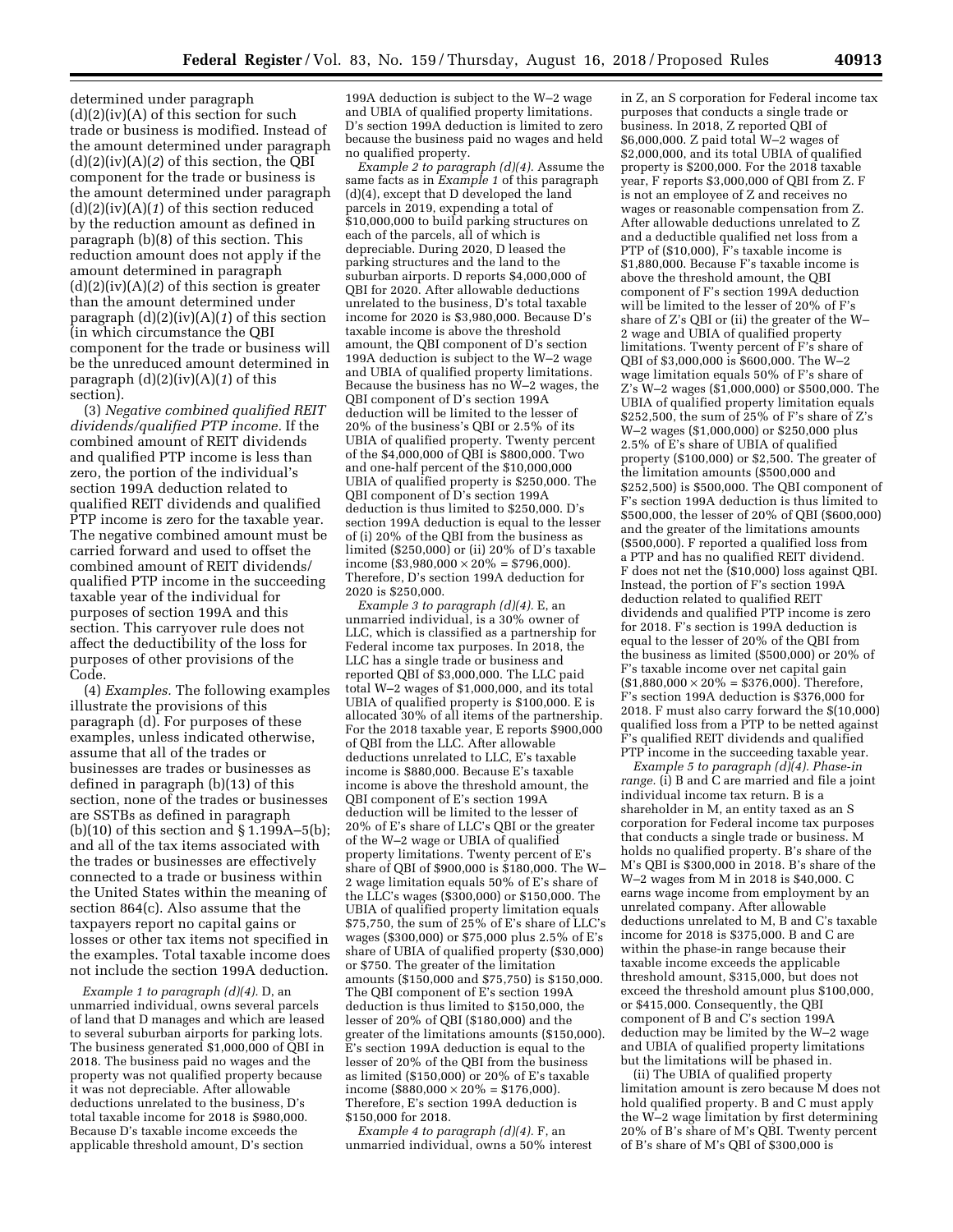determined under paragraph  $(d)(2)(iv)(A)$  of this section for such trade or business is modified. Instead of the amount determined under paragraph (d)(2)(iv)(A)(*2*) of this section, the QBI component for the trade or business is the amount determined under paragraph (d)(2)(iv)(A)(*1*) of this section reduced by the reduction amount as defined in paragraph (b)(8) of this section. This reduction amount does not apply if the amount determined in paragraph (d)(2)(iv)(A)(*2*) of this section is greater than the amount determined under paragraph (d)(2)(iv)(A)(*1*) of this section (in which circumstance the QBI component for the trade or business will be the unreduced amount determined in paragraph (d)(2)(iv)(A)(*1*) of this section).

(3) *Negative combined qualified REIT dividends/qualified PTP income.* If the combined amount of REIT dividends and qualified PTP income is less than zero, the portion of the individual's section 199A deduction related to qualified REIT dividends and qualified PTP income is zero for the taxable year. The negative combined amount must be carried forward and used to offset the combined amount of REIT dividends/ qualified PTP income in the succeeding taxable year of the individual for purposes of section 199A and this section. This carryover rule does not affect the deductibility of the loss for purposes of other provisions of the Code.

(4) *Examples.* The following examples illustrate the provisions of this paragraph (d). For purposes of these examples, unless indicated otherwise, assume that all of the trades or businesses are trades or businesses as defined in paragraph (b)(13) of this section, none of the trades or businesses are SSTBs as defined in paragraph (b)(10) of this section and § 1.199A–5(b); and all of the tax items associated with the trades or businesses are effectively connected to a trade or business within the United States within the meaning of section 864(c). Also assume that the taxpayers report no capital gains or losses or other tax items not specified in the examples. Total taxable income does not include the section 199A deduction.

*Example 1 to paragraph (d)(4).* D, an unmarried individual, owns several parcels of land that D manages and which are leased to several suburban airports for parking lots. The business generated \$1,000,000 of OBI in 2018. The business paid no wages and the property was not qualified property because it was not depreciable. After allowable deductions unrelated to the business, D's total taxable income for 2018 is \$980,000. Because D's taxable income exceeds the applicable threshold amount, D's section

199A deduction is subject to the W–2 wage and UBIA of qualified property limitations. D's section 199A deduction is limited to zero because the business paid no wages and held no qualified property.

*Example 2 to paragraph (d)(4).* Assume the same facts as in *Example 1* of this paragraph  $(d)(4)$ , except that D developed the land parcels in 2019, expending a total of \$10,000,000 to build parking structures on each of the parcels, all of which is depreciable. During 2020, D leased the parking structures and the land to the suburban airports. D reports \$4,000,000 of QBI for 2020. After allowable deductions unrelated to the business, D's total taxable income for 2020 is \$3,980,000. Because D's taxable income is above the threshold amount, the QBI component of D's section 199A deduction is subject to the W–2 wage and UBIA of qualified property limitations. Because the business has no W–2 wages, the QBI component of D's section 199A deduction will be limited to the lesser of 20% of the business's QBI or 2.5% of its UBIA of qualified property. Twenty percent of the \$4,000,000 of QBI is \$800,000. Two and one-half percent of the \$10,000,000 UBIA of qualified property is \$250,000. The QBI component of D's section 199A deduction is thus limited to \$250,000. D's section 199A deduction is equal to the lesser of (i) 20% of the QBI from the business as limited (\$250,000) or (ii) 20% of D's taxable income (\$3,980,000  $\times$  20% = \$796,000). Therefore, D's section 199A deduction for 2020 is \$250,000.

*Example 3 to paragraph (d)(4).* E, an unmarried individual, is a 30% owner of LLC, which is classified as a partnership for Federal income tax purposes. In 2018, the LLC has a single trade or business and reported QBI of \$3,000,000. The LLC paid total W–2 wages of \$1,000,000, and its total UBIA of qualified property is \$100,000. E is allocated 30% of all items of the partnership. For the 2018 taxable year, E reports \$900,000 of QBI from the LLC. After allowable deductions unrelated to LLC, E's taxable income is \$880,000. Because E's taxable income is above the threshold amount, the QBI component of E's section 199A deduction will be limited to the lesser of 20% of E's share of LLC's QBI or the greater of the W–2 wage or UBIA of qualified property limitations. Twenty percent of E's share of QBI of \$900,000 is \$180,000. The W– 2 wage limitation equals 50% of E's share of the LLC's wages (\$300,000) or \$150,000. The UBIA of qualified property limitation equals \$75,750, the sum of 25% of E's share of LLC's wages (\$300,000) or \$75,000 plus 2.5% of E's share of UBIA of qualified property (\$30,000) or \$750. The greater of the limitation amounts (\$150,000 and \$75,750) is \$150,000. The QBI component of E's section 199A deduction is thus limited to \$150,000, the lesser of 20% of QBI (\$180,000) and the greater of the limitations amounts (\$150,000). E's section 199A deduction is equal to the lesser of 20% of the QBI from the business as limited (\$150,000) or 20% of E's taxable income (\$880,000  $\times$  20% = \$176,000). Therefore, E's section 199A deduction is \$150,000 for 2018.

*Example 4 to paragraph (d)(4).* F, an unmarried individual, owns a 50% interest

in Z, an S corporation for Federal income tax purposes that conducts a single trade or business. In 2018, Z reported QBI of \$6,000,000. Z paid total W–2 wages of \$2,000,000, and its total UBIA of qualified property is \$200,000. For the 2018 taxable year, F reports \$3,000,000 of QBI from Z. F is not an employee of Z and receives no wages or reasonable compensation from Z. After allowable deductions unrelated to Z and a deductible qualified net loss from a PTP of (\$10,000), F's taxable income is \$1,880,000. Because F's taxable income is above the threshold amount, the QBI component of F's section 199A deduction will be limited to the lesser of 20% of F's share of Z's QBI or (ii) the greater of the W– 2 wage and UBIA of qualified property limitations. Twenty percent of F's share of QBI of \$3,000,000 is \$600,000. The W–2 wage limitation equals 50% of F's share of Z's W–2 wages (\$1,000,000) or \$500,000. The UBIA of qualified property limitation equals \$252,500, the sum of 25% of F's share of Z's W–2 wages (\$1,000,000) or \$250,000 plus 2.5% of E's share of UBIA of qualified property (\$100,000) or \$2,500. The greater of the limitation amounts (\$500,000 and \$252,500) is \$500,000. The QBI component of F's section 199A deduction is thus limited to \$500,000, the lesser of 20% of QBI (\$600,000) and the greater of the limitations amounts (\$500,000). F reported a qualified loss from a PTP and has no qualified REIT dividend. F does not net the (\$10,000) loss against QBI. Instead, the portion of F's section 199A deduction related to qualified REIT dividends and qualified PTP income is zero for 2018. F's section is 199A deduction is equal to the lesser of 20% of the QBI from the business as limited (\$500,000) or 20% of F's taxable income over net capital gain  $$1,880,000 \times 20\% = $376,000$ . Therefore, F's section 199A deduction is \$376,000 for 2018. F must also carry forward the \$(10,000) qualified loss from a PTP to be netted against F's qualified REIT dividends and qualified PTP income in the succeeding taxable year.

*Example 5 to paragraph (d)(4). Phase-in range.* (i) B and C are married and file a joint individual income tax return. B is a shareholder in M, an entity taxed as an S corporation for Federal income tax purposes that conducts a single trade or business. M holds no qualified property. B's share of the M's QBI is \$300,000 in 2018. B's share of the W–2 wages from M in 2018 is \$40,000. C earns wage income from employment by an unrelated company. After allowable deductions unrelated to M, B and C's taxable income for 2018 is \$375,000. B and C are within the phase-in range because their taxable income exceeds the applicable threshold amount, \$315,000, but does not exceed the threshold amount plus \$100,000, or \$415,000. Consequently, the QBI component of B and C's section 199A deduction may be limited by the W–2 wage and UBIA of qualified property limitations but the limitations will be phased in.

(ii) The UBIA of qualified property limitation amount is zero because M does not hold qualified property. B and C must apply the W–2 wage limitation by first determining 20% of B's share of M's QBI. Twenty percent of B's share of M's QBI of \$300,000 is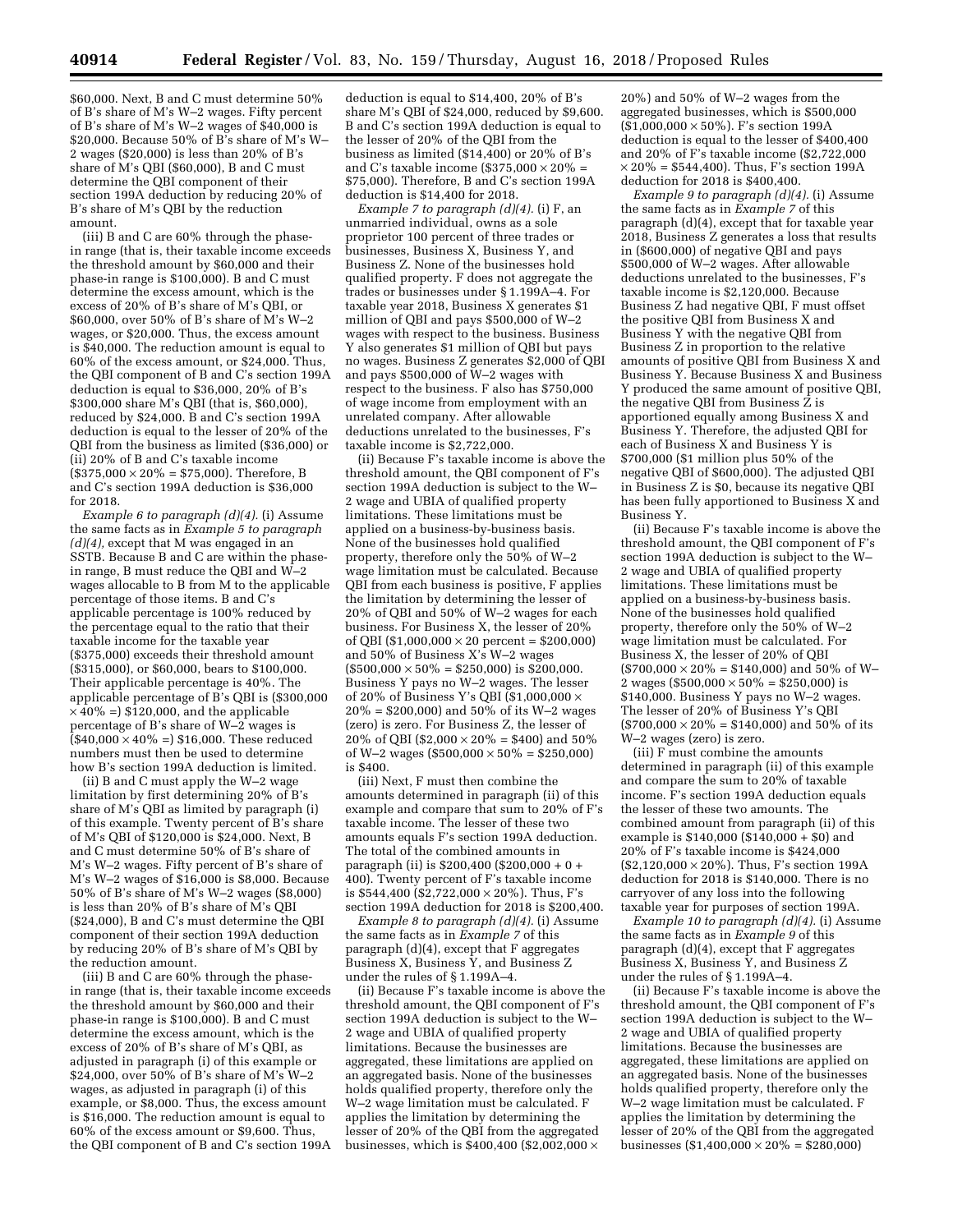\$60,000. Next, B and C must determine 50% of B's share of M's W–2 wages. Fifty percent of B's share of M's W–2 wages of \$40,000 is \$20,000. Because 50% of B's share of M's W– 2 wages (\$20,000) is less than 20% of B's share of M's QBI (\$60,000), B and C must determine the QBI component of their section 199A deduction by reducing 20% of B's share of M's QBI by the reduction amount.

(iii) B and C are 60% through the phasein range (that is, their taxable income exceeds the threshold amount by \$60,000 and their phase-in range is \$100,000). B and C must determine the excess amount, which is the excess of 20% of B's share of M's QBI, or \$60,000, over 50% of B's share of M's W–2 wages, or \$20,000. Thus, the excess amount is \$40,000. The reduction amount is equal to 60% of the excess amount, or \$24,000. Thus, the QBI component of B and C's section 199A deduction is equal to \$36,000, 20% of B's \$300,000 share M's QBI (that is, \$60,000), reduced by \$24,000. B and C's section 199A deduction is equal to the lesser of 20% of the QBI from the business as limited (\$36,000) or (ii) 20% of B and C's taxable income  $($375,000 \times 20\% = $75,000)$ . Therefore, B and C's section 199A deduction is \$36,000 for 2018.

*Example 6 to paragraph (d)(4).* (i) Assume the same facts as in *Example 5 to paragraph (d)(4),* except that M was engaged in an SSTB. Because B and C are within the phasein range, B must reduce the QBI and W–2 wages allocable to B from M to the applicable percentage of those items. B and C's applicable percentage is 100% reduced by the percentage equal to the ratio that their taxable income for the taxable year (\$375,000) exceeds their threshold amount (\$315,000), or \$60,000, bears to \$100,000. Their applicable percentage is 40%. The applicable percentage of B's QBI is (\$300,000  $\times$  40% =) \$120,000, and the applicable percentage of B's share of W–2 wages is  $($ \$40,000  $\times$  40% =) \$16,000. These reduced numbers must then be used to determine how B's section 199A deduction is limited.

(ii) B and C must apply the W–2 wage limitation by first determining 20% of B's share of M's QBI as limited by paragraph (i) of this example. Twenty percent of B's share of M's QBI of \$120,000 is \$24,000. Next, B and C must determine 50% of B's share of M's W–2 wages. Fifty percent of B's share of M's W–2 wages of \$16,000 is \$8,000. Because 50% of B's share of M's W–2 wages (\$8,000) is less than 20% of B's share of M's QBI (\$24,000), B and C's must determine the QBI component of their section 199A deduction by reducing 20% of B's share of M's QBI by the reduction amount.

(iii) B and C are 60% through the phasein range (that is, their taxable income exceeds the threshold amount by \$60,000 and their phase-in range is \$100,000). B and C must determine the excess amount, which is the excess of 20% of B's share of M's QBI, as adjusted in paragraph (i) of this example or \$24,000, over 50% of B's share of M's W–2 wages, as adjusted in paragraph (i) of this example, or \$8,000. Thus, the excess amount is \$16,000. The reduction amount is equal to 60% of the excess amount or \$9,600. Thus, the QBI component of B and C's section 199A

deduction is equal to \$14,400, 20% of B's share M's QBI of \$24,000, reduced by \$9,600. B and C's section 199A deduction is equal to the lesser of 20% of the QBI from the business as limited (\$14,400) or 20% of B's and C's taxable income (\$375,000  $\times$  20% = \$75,000). Therefore, B and C's section 199A deduction is \$14,400 for 2018.

*Example 7 to paragraph (d)(4).* (i) F, an unmarried individual, owns as a sole proprietor 100 percent of three trades or businesses, Business X, Business Y, and Business Z. None of the businesses hold qualified property. F does not aggregate the trades or businesses under § 1.199A–4. For taxable year 2018, Business X generates \$1 million of QBI and pays  $$500,000$  of W-2 wages with respect to the business. Business Y also generates \$1 million of QBI but pays no wages. Business Z generates \$2,000 of QBI and pays \$500,000 of W–2 wages with respect to the business. F also has \$750,000 of wage income from employment with an unrelated company. After allowable deductions unrelated to the businesses, F's taxable income is \$2,722,000.

(ii) Because F's taxable income is above the threshold amount, the QBI component of F's section 199A deduction is subject to the W– 2 wage and UBIA of qualified property limitations. These limitations must be applied on a business-by-business basis. None of the businesses hold qualified property, therefore only the 50% of W–2 wage limitation must be calculated. Because QBI from each business is positive, F applies the limitation by determining the lesser of 20% of QBI and 50% of W–2 wages for each business. For Business X, the lesser of 20% of QBI (\$1,000,000  $\times$  20 percent = \$200,000) and 50% of Business X's W–2 wages  $($500,000 \times 50\% = $250,000) \text{ is } $200,000.$ Business Y pays no W–2 wages. The lesser of 20% of Business Y's QBI (\$1,000,000 ×  $20\% = $200,000$  and  $50\%$  of its W-2 wages (zero) is zero. For Business Z, the lesser of 20% of QBI (\$2,000  $\times$  20% = \$400) and 50% of W–2 wages (\$500,000  $\times$  50% = \$250,000) is \$400.

(iii) Next, F must then combine the amounts determined in paragraph (ii) of this example and compare that sum to 20% of F's taxable income. The lesser of these two amounts equals F's section 199A deduction. The total of the combined amounts in paragraph (ii) is \$200,400 (\$200,000 + 0 + 400). Twenty percent of F's taxable income is \$544,400 (\$2,722,000  $\times$  20%). Thus, F's section 199A deduction for 2018 is \$200,400.

*Example 8 to paragraph (d)(4).* (i) Assume the same facts as in *Example 7* of this paragraph (d)(4), except that F aggregates Business X, Business Y, and Business Z under the rules of § 1.199A–4.

(ii) Because F's taxable income is above the threshold amount, the QBI component of F's section 199A deduction is subject to the W– 2 wage and UBIA of qualified property limitations. Because the businesses are aggregated, these limitations are applied on an aggregated basis. None of the businesses holds qualified property, therefore only the W–2 wage limitation must be calculated. F applies the limitation by determining the lesser of 20% of the QBI from the aggregated businesses, which is \$400,400 (\$2,002,000  $\times$ 

20%) and 50% of W–2 wages from the aggregated businesses, which is \$500,000 (\$1,000,000 × 50%). F's section 199A deduction is equal to the lesser of \$400,400 and 20% of F's taxable income (\$2,722,000  $\times$  20% = \$544,400). Thus, F's section 199A deduction for 2018 is \$400,400.

*Example 9 to paragraph (d)(4).* (i) Assume the same facts as in *Example 7* of this paragraph (d)(4), except that for taxable year 2018, Business Z generates a loss that results in (\$600,000) of negative QBI and pays \$500,000 of W–2 wages. After allowable deductions unrelated to the businesses, F's taxable income is \$2,120,000. Because Business Z had negative QBI, F must offset the positive QBI from Business X and Business Y with the negative QBI from Business Z in proportion to the relative amounts of positive QBI from Business X and Business Y. Because Business X and Business Y produced the same amount of positive QBI, the negative QBI from Business Z is apportioned equally among Business X and Business Y. Therefore, the adjusted QBI for each of Business X and Business Y is \$700,000 (\$1 million plus 50% of the negative QBI of \$600,000). The adjusted QBI in Business Z is \$0, because its negative QBI has been fully apportioned to Business X and Business Y.

(ii) Because F's taxable income is above the threshold amount, the QBI component of F's section 199A deduction is subject to the W– 2 wage and UBIA of qualified property limitations. These limitations must be applied on a business-by-business basis. None of the businesses hold qualified property, therefore only the 50% of W–2 wage limitation must be calculated. For Business X, the lesser of 20% of QBI  $($700,000 \times 20\% = $140,000)$  and 50% of W-2 wages (\$500,000  $\times$  50% = \$250,000) is \$140,000. Business Y pays no W–2 wages. The lesser of 20% of Business Y's QBI  $(\$700,000\times20\%=\$140,000)$  and  $50\%$  of its W–2 wages (zero) is zero.

(iii) F must combine the amounts determined in paragraph (ii) of this example and compare the sum to 20% of taxable income. F's section 199A deduction equals the lesser of these two amounts. The combined amount from paragraph (ii) of this example is  $$140,000$  ( $$140,000 + $0$ ) and 20% of F's taxable income is \$424,000 (\$2,120,000 × 20%). Thus, F's section 199A deduction for 2018 is \$140,000. There is no carryover of any loss into the following taxable year for purposes of section 199A.

*Example 10 to paragraph (d)(4).* (i) Assume the same facts as in *Example 9* of this paragraph (d)(4), except that F aggregates Business X, Business Y, and Business Z under the rules of § 1.199A–4.

(ii) Because F's taxable income is above the threshold amount, the QBI component of F's section 199A deduction is subject to the W– 2 wage and UBIA of qualified property limitations. Because the businesses are aggregated, these limitations are applied on an aggregated basis. None of the businesses holds qualified property, therefore only the W–2 wage limitation must be calculated. F applies the limitation by determining the lesser of 20% of the QBI from the aggregated businesses (\$1,400,000  $\times$  20% = \$280,000)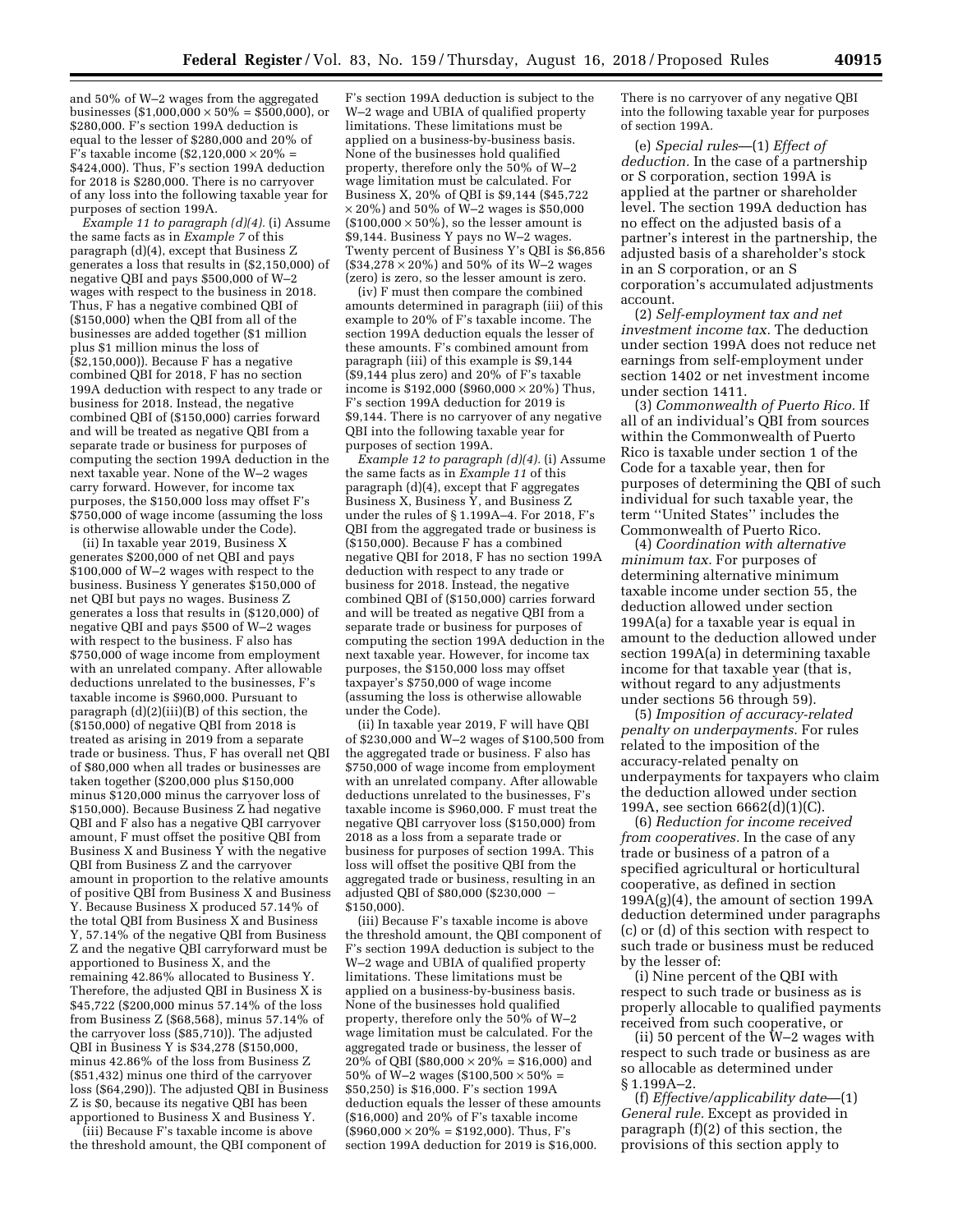and 50% of W–2 wages from the aggregated businesses (\$1,000,000  $\times$  50% = \$500,000), or \$280,000. F's section 199A deduction is equal to the lesser of \$280,000 and 20% of F's taxable income (\$2,120,000  $\times$  20% = \$424,000). Thus, F's section 199A deduction for 2018 is \$280,000. There is no carryover of any loss into the following taxable year for purposes of section 199A.

*Example 11 to paragraph (d)(4).* (i) Assume the same facts as in *Example 7* of this paragraph (d)(4), except that Business Z generates a loss that results in (\$2,150,000) of negative QBI and pays \$500,000 of W–2 wages with respect to the business in 2018. Thus, F has a negative combined QBI of (\$150,000) when the QBI from all of the businesses are added together (\$1 million plus \$1 million minus the loss of (\$2,150,000)). Because F has a negative combined QBI for 2018, F has no section 199A deduction with respect to any trade or business for 2018. Instead, the negative combined QBI of (\$150,000) carries forward and will be treated as negative QBI from a separate trade or business for purposes of computing the section 199A deduction in the next taxable year. None of the W–2 wages carry forward. However, for income tax purposes, the \$150,000 loss may offset F's \$750,000 of wage income (assuming the loss is otherwise allowable under the Code).

(ii) In taxable year 2019, Business X generates \$200,000 of net QBI and pays \$100,000 of W–2 wages with respect to the business. Business Y generates \$150,000 of net QBI but pays no wages. Business Z generates a loss that results in (\$120,000) of negative QBI and pays \$500 of W–2 wages with respect to the business. F also has \$750,000 of wage income from employment with an unrelated company. After allowable deductions unrelated to the businesses, F's taxable income is \$960,000. Pursuant to paragraph (d)(2)(iii)(B) of this section, the (\$150,000) of negative QBI from 2018 is treated as arising in 2019 from a separate trade or business. Thus, F has overall net QBI of \$80,000 when all trades or businesses are taken together (\$200,000 plus \$150,000 minus \$120,000 minus the carryover loss of \$150,000). Because Business Z had negative QBI and F also has a negative QBI carryover amount, F must offset the positive QBI from Business X and Business  $\hat{Y}$  with the negative QBI from Business Z and the carryover amount in proportion to the relative amounts of positive QBI from Business X and Business Y. Because Business X produced 57.14% of the total QBI from Business X and Business Y, 57.14% of the negative QBI from Business Z and the negative QBI carryforward must be apportioned to Business X, and the remaining 42.86% allocated to Business Y. Therefore, the adjusted QBI in Business X is \$45,722 (\$200,000 minus 57.14% of the loss from Business Z (\$68,568), minus 57.14% of the carryover loss (\$85,710)). The adjusted QBI in Business Y is \$34,278 (\$150,000, minus 42.86% of the loss from Business Z (\$51,432) minus one third of the carryover loss (\$64,290)). The adjusted QBI in Business Z is \$0, because its negative QBI has been apportioned to Business X and Business Y.

(iii) Because F's taxable income is above the threshold amount, the QBI component of

F's section 199A deduction is subject to the W–2 wage and UBIA of qualified property limitations. These limitations must be applied on a business-by-business basis. None of the businesses hold qualified property, therefore only the 50% of W–2 wage limitation must be calculated. For Business X, 20% of QBI is \$9,144 (\$45,722  $\times$  20%) and 50% of W–2 wages is \$50,000  $($100,000 \times 50\%)$ , so the lesser amount is \$9,144. Business Y pays no W–2 wages. Twenty percent of Business Y's QBI is \$6,856  $($34,278 \times 20\%)$  and 50% of its W-2 wages (zero) is zero, so the lesser amount is zero.

(iv) F must then compare the combined amounts determined in paragraph (iii) of this example to 20% of F's taxable income. The section 199A deduction equals the lesser of these amounts. F's combined amount from paragraph (iii) of this example is \$9,144  $($ \$9,144 plus zero) and 20% of F's taxable income is \$192,000 (\$960,000  $\times$  20%) Thus, F's section 199A deduction for 2019 is \$9,144. There is no carryover of any negative QBI into the following taxable year for purposes of section 199A.

*Example 12 to paragraph (d)(4).* (i) Assume the same facts as in *Example 11* of this paragraph (d)(4), except that F aggregates Business X, Business Y, and Business Z under the rules of § 1.199A–4. For 2018, F's QBI from the aggregated trade or business is (\$150,000). Because F has a combined negative QBI for 2018, F has no section 199A deduction with respect to any trade or business for 2018. Instead, the negative combined QBI of (\$150,000) carries forward and will be treated as negative QBI from a separate trade or business for purposes of computing the section 199A deduction in the next taxable year. However, for income tax purposes, the \$150,000 loss may offset taxpayer's \$750,000 of wage income (assuming the loss is otherwise allowable under the Code).

(ii) In taxable year 2019, F will have QBI of \$230,000 and W–2 wages of \$100,500 from the aggregated trade or business. F also has \$750,000 of wage income from employment with an unrelated company. After allowable deductions unrelated to the businesses, F's taxable income is \$960,000. F must treat the negative QBI carryover loss (\$150,000) from 2018 as a loss from a separate trade or business for purposes of section 199A. This loss will offset the positive QBI from the aggregated trade or business, resulting in an adjusted QBI of \$80,000 (\$230,000 – \$150,000).

(iii) Because F's taxable income is above the threshold amount, the QBI component of F's section 199A deduction is subject to the W–2 wage and UBIA of qualified property limitations. These limitations must be applied on a business-by-business basis. None of the businesses hold qualified property, therefore only the 50% of W–2 wage limitation must be calculated. For the aggregated trade or business, the lesser of  $20\%$  of QBI (\$80,000  $\times$  20% = \$16,000) and 50% of W-2 wages (\$100,500  $\times$  50% = \$50,250) is \$16,000. F's section 199A deduction equals the lesser of these amounts (\$16,000) and 20% of F's taxable income  $($960,000 \times 20\% = $192,000)$ . Thus, F's section 199A deduction for 2019 is \$16,000.

There is no carryover of any negative QBI into the following taxable year for purposes of section 199A.

(e) *Special rules*—(1) *Effect of deduction.* In the case of a partnership or S corporation, section 199A is applied at the partner or shareholder level. The section 199A deduction has no effect on the adjusted basis of a partner's interest in the partnership, the adjusted basis of a shareholder's stock in an S corporation, or an S corporation's accumulated adjustments account.

(2) *Self-employment tax and net investment income tax.* The deduction under section 199A does not reduce net earnings from self-employment under section 1402 or net investment income under section 1411.

(3) *Commonwealth of Puerto Rico.* If all of an individual's QBI from sources within the Commonwealth of Puerto Rico is taxable under section 1 of the Code for a taxable year, then for purposes of determining the QBI of such individual for such taxable year, the term ''United States'' includes the Commonwealth of Puerto Rico.

(4) *Coordination with alternative minimum tax.* For purposes of determining alternative minimum taxable income under section 55, the deduction allowed under section 199A(a) for a taxable year is equal in amount to the deduction allowed under section 199A(a) in determining taxable income for that taxable year (that is, without regard to any adjustments under sections 56 through 59).

(5) *Imposition of accuracy-related penalty on underpayments.* For rules related to the imposition of the accuracy-related penalty on underpayments for taxpayers who claim the deduction allowed under section 199A, see section 6662(d)(1)(C).

(6) *Reduction for income received from cooperatives.* In the case of any trade or business of a patron of a specified agricultural or horticultural cooperative, as defined in section  $199A(g)(4)$ , the amount of section 199A deduction determined under paragraphs (c) or (d) of this section with respect to such trade or business must be reduced by the lesser of:

(i) Nine percent of the QBI with respect to such trade or business as is properly allocable to qualified payments received from such cooperative, or

(ii) 50 percent of the W–2 wages with respect to such trade or business as are so allocable as determined under § 1.199A–2.

(f) *Effective/applicability date*—(1) *General rule.* Except as provided in paragraph (f)(2) of this section, the provisions of this section apply to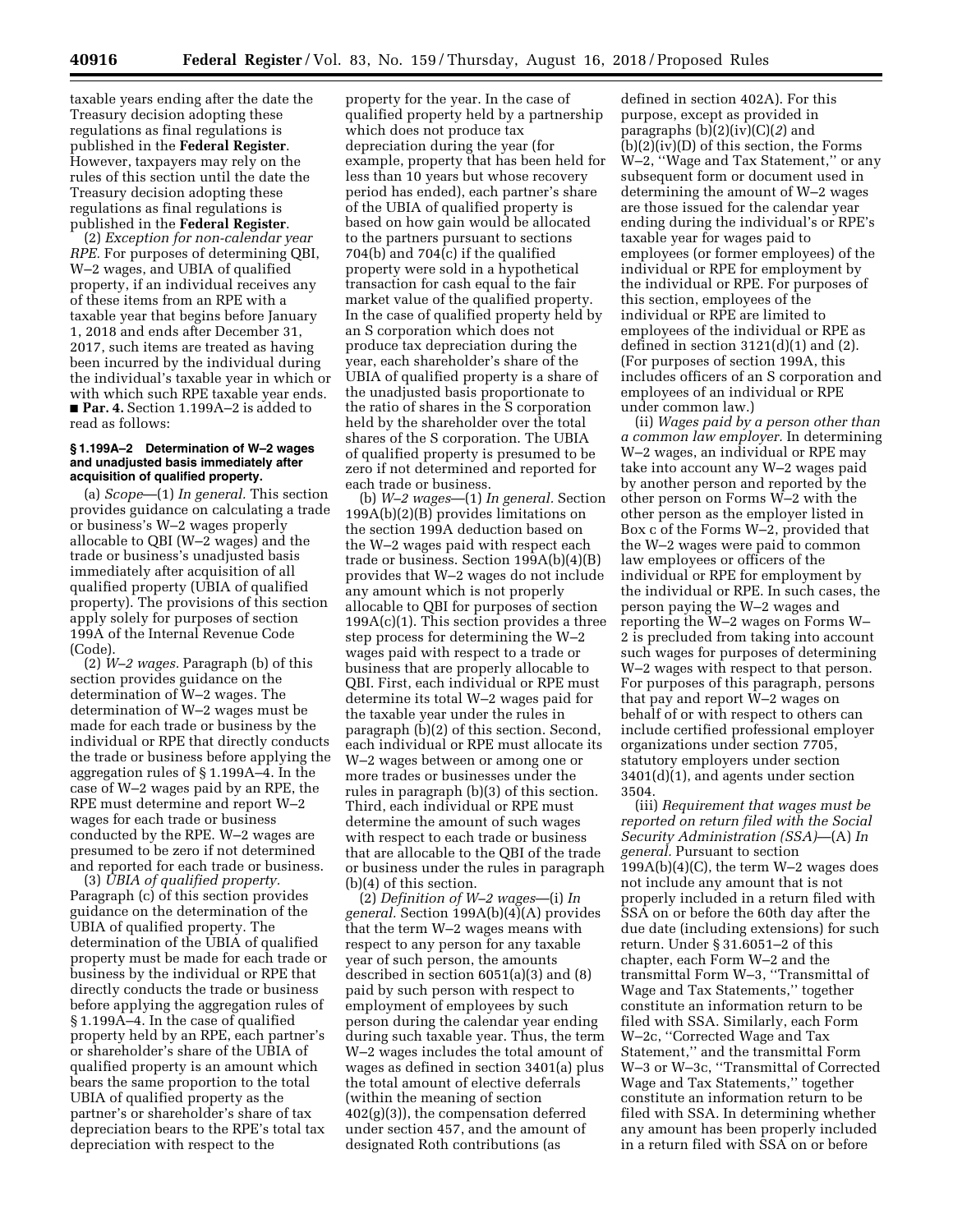taxable years ending after the date the Treasury decision adopting these regulations as final regulations is published in the **Federal Register**. However, taxpayers may rely on the rules of this section until the date the Treasury decision adopting these regulations as final regulations is published in the **Federal Register**.

(2) *Exception for non-calendar year RPE.* For purposes of determining QBI, W–2 wages, and UBIA of qualified property, if an individual receives any of these items from an RPE with a taxable year that begins before January 1, 2018 and ends after December 31, 2017, such items are treated as having been incurred by the individual during the individual's taxable year in which or with which such RPE taxable year ends. ■ **Par. 4.** Section 1.199A–2 is added to read as follows:

### **§ 1.199A–2 Determination of W–2 wages and unadjusted basis immediately after acquisition of qualified property.**

(a) *Scope*—(1) *In general.* This section provides guidance on calculating a trade or business's W–2 wages properly allocable to QBI (W–2 wages) and the trade or business's unadjusted basis immediately after acquisition of all qualified property (UBIA of qualified property). The provisions of this section apply solely for purposes of section 199A of the Internal Revenue Code (Code).

(2) *W–2 wages.* Paragraph (b) of this section provides guidance on the determination of W–2 wages. The determination of W–2 wages must be made for each trade or business by the individual or RPE that directly conducts the trade or business before applying the aggregation rules of § 1.199A–4. In the case of W–2 wages paid by an RPE, the RPE must determine and report W–2 wages for each trade or business conducted by the RPE. W–2 wages are presumed to be zero if not determined and reported for each trade or business.

(3) *UBIA of qualified property.*  Paragraph (c) of this section provides guidance on the determination of the UBIA of qualified property. The determination of the UBIA of qualified property must be made for each trade or business by the individual or RPE that directly conducts the trade or business before applying the aggregation rules of § 1.199A–4. In the case of qualified property held by an RPE, each partner's or shareholder's share of the UBIA of qualified property is an amount which bears the same proportion to the total UBIA of qualified property as the partner's or shareholder's share of tax depreciation bears to the RPE's total tax depreciation with respect to the

property for the year. In the case of qualified property held by a partnership which does not produce tax depreciation during the year (for example, property that has been held for less than 10 years but whose recovery period has ended), each partner's share of the UBIA of qualified property is based on how gain would be allocated to the partners pursuant to sections 704(b) and 704(c) if the qualified property were sold in a hypothetical transaction for cash equal to the fair market value of the qualified property. In the case of qualified property held by an S corporation which does not produce tax depreciation during the year, each shareholder's share of the UBIA of qualified property is a share of the unadjusted basis proportionate to the ratio of shares in the S corporation held by the shareholder over the total shares of the S corporation. The UBIA of qualified property is presumed to be zero if not determined and reported for each trade or business.

(b) *W–2 wages*—(1) *In general.* Section 199A(b)(2)(B) provides limitations on the section 199A deduction based on the W–2 wages paid with respect each trade or business. Section 199A(b)(4)(B) provides that W–2 wages do not include any amount which is not properly allocable to QBI for purposes of section  $199A(c)(1)$ . This section provides a three step process for determining the W–2 wages paid with respect to a trade or business that are properly allocable to QBI. First, each individual or RPE must determine its total W–2 wages paid for the taxable year under the rules in paragraph (b)(2) of this section. Second, each individual or RPE must allocate its W–2 wages between or among one or more trades or businesses under the rules in paragraph (b)(3) of this section. Third, each individual or RPE must determine the amount of such wages with respect to each trade or business that are allocable to the QBI of the trade or business under the rules in paragraph (b)(4) of this section.

(2) *Definition of W–2 wages*—(i) *In general.* Section 199A(b)(4)(A) provides that the term W–2 wages means with respect to any person for any taxable year of such person, the amounts described in section 6051(a)(3) and (8) paid by such person with respect to employment of employees by such person during the calendar year ending during such taxable year. Thus, the term W–2 wages includes the total amount of wages as defined in section 3401(a) plus the total amount of elective deferrals (within the meaning of section 402(g)(3)), the compensation deferred under section 457, and the amount of designated Roth contributions (as

defined in section 402A). For this purpose, except as provided in paragraphs (b)(2)(iv)(C)(*2*) and  $(b)(2)(iv)(D)$  of this section, the Forms W–2, ''Wage and Tax Statement,'' or any subsequent form or document used in determining the amount of W–2 wages are those issued for the calendar year ending during the individual's or RPE's taxable year for wages paid to employees (or former employees) of the individual or RPE for employment by the individual or RPE. For purposes of this section, employees of the individual or RPE are limited to employees of the individual or RPE as defined in section  $3121(d)(1)$  and  $(2)$ . (For purposes of section 199A, this includes officers of an S corporation and employees of an individual or RPE under common law.)

(ii) *Wages paid by a person other than a common law employer.* In determining W–2 wages, an individual or RPE may take into account any W–2 wages paid by another person and reported by the other person on Forms W–2 with the other person as the employer listed in Box c of the Forms W–2, provided that the W–2 wages were paid to common law employees or officers of the individual or RPE for employment by the individual or RPE. In such cases, the person paying the W–2 wages and reporting the W–2 wages on Forms W– 2 is precluded from taking into account such wages for purposes of determining W–2 wages with respect to that person. For purposes of this paragraph, persons that pay and report W–2 wages on behalf of or with respect to others can include certified professional employer organizations under section 7705, statutory employers under section 3401(d)(1), and agents under section 3504.

(iii) *Requirement that wages must be reported on return filed with the Social Security Administration (SSA)*—(A) *In general.* Pursuant to section  $199A(b)(4)(C)$ , the term W-2 wages does not include any amount that is not properly included in a return filed with SSA on or before the 60th day after the due date (including extensions) for such return. Under § 31.6051–2 of this chapter, each Form W–2 and the transmittal Form W–3, ''Transmittal of Wage and Tax Statements,'' together constitute an information return to be filed with SSA. Similarly, each Form W–2c, ''Corrected Wage and Tax Statement,'' and the transmittal Form W–3 or W–3c, ''Transmittal of Corrected Wage and Tax Statements,'' together constitute an information return to be filed with SSA. In determining whether any amount has been properly included in a return filed with SSA on or before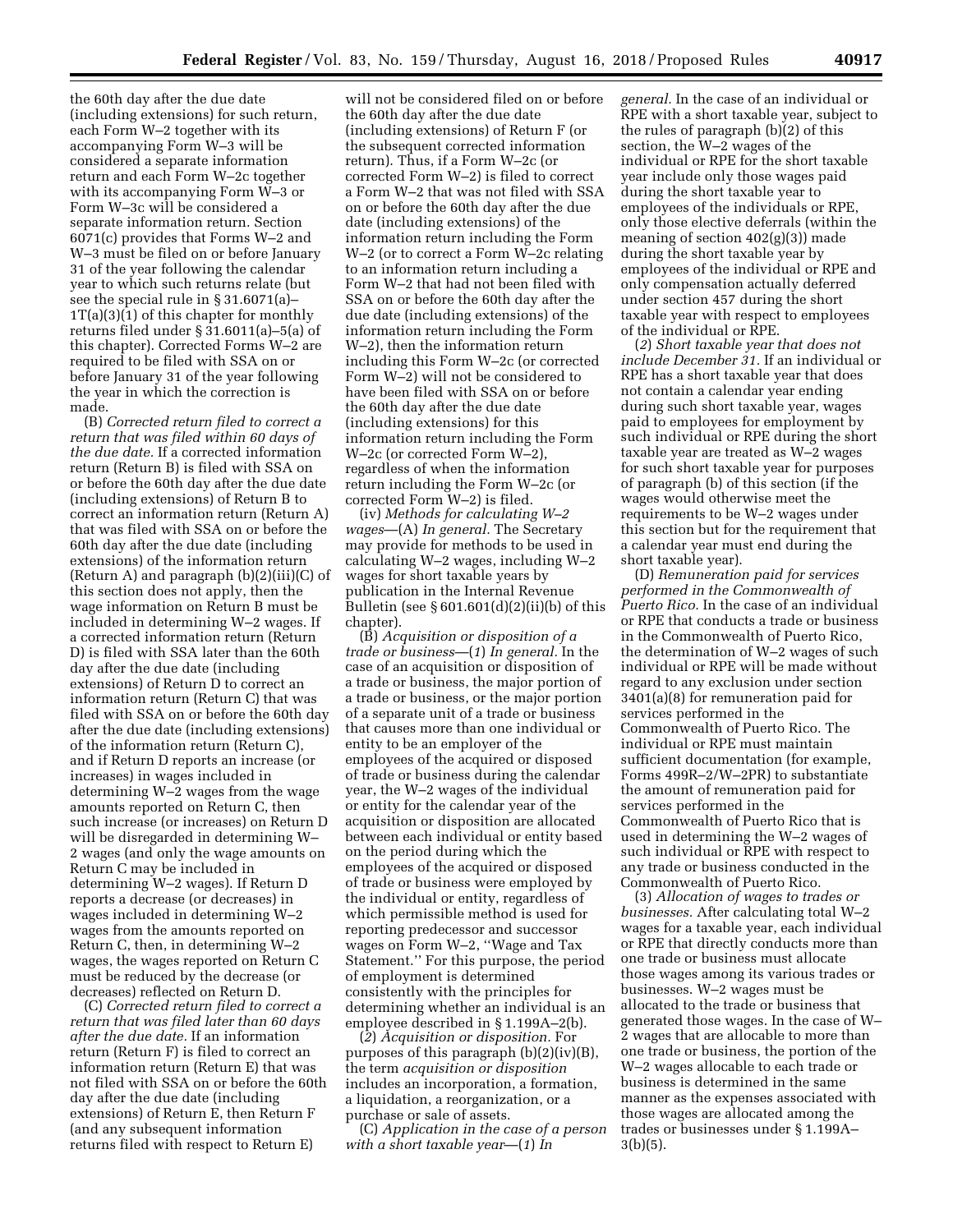the 60th day after the due date (including extensions) for such return, each Form W–2 together with its accompanying Form W–3 will be considered a separate information return and each Form W–2c together with its accompanying Form W–3 or Form W–3c will be considered a separate information return. Section 6071(c) provides that Forms W–2 and W–3 must be filed on or before January 31 of the year following the calendar year to which such returns relate (but see the special rule in § 31.6071(a)–  $1T(a)(3)(1)$  of this chapter for monthly returns filed under § 31.6011(a)–5(a) of this chapter). Corrected Forms W–2 are required to be filed with SSA on or before January 31 of the year following the year in which the correction is made.

(B) *Corrected return filed to correct a return that was filed within 60 days of the due date.* If a corrected information return (Return B) is filed with SSA on or before the 60th day after the due date (including extensions) of Return B to correct an information return (Return A) that was filed with SSA on or before the 60th day after the due date (including extensions) of the information return (Return A) and paragraph  $(b)(2)(iii)(C)$  of this section does not apply, then the wage information on Return B must be included in determining W–2 wages. If a corrected information return (Return D) is filed with SSA later than the 60th day after the due date (including extensions) of Return D to correct an information return (Return C) that was filed with SSA on or before the 60th day after the due date (including extensions) of the information return (Return C), and if Return D reports an increase (or increases) in wages included in determining W–2 wages from the wage amounts reported on Return C, then such increase (or increases) on Return D will be disregarded in determining W– 2 wages (and only the wage amounts on Return C may be included in determining W–2 wages). If Return D reports a decrease (or decreases) in wages included in determining W–2 wages from the amounts reported on Return C, then, in determining W–2 wages, the wages reported on Return C must be reduced by the decrease (or decreases) reflected on Return D.

(C) *Corrected return filed to correct a return that was filed later than 60 days after the due date.* If an information return (Return F) is filed to correct an information return (Return E) that was not filed with SSA on or before the 60th day after the due date (including extensions) of Return E, then Return F (and any subsequent information returns filed with respect to Return E)

will not be considered filed on or before the 60th day after the due date (including extensions) of Return F (or the subsequent corrected information return). Thus, if a Form W–2c (or corrected Form W–2) is filed to correct a Form W–2 that was not filed with SSA on or before the 60th day after the due date (including extensions) of the information return including the Form W–2 (or to correct a Form W–2c relating to an information return including a Form W–2 that had not been filed with SSA on or before the 60th day after the due date (including extensions) of the information return including the Form W–2), then the information return including this Form W–2c (or corrected Form W–2) will not be considered to have been filed with SSA on or before the 60th day after the due date (including extensions) for this information return including the Form W–2c (or corrected Form W–2), regardless of when the information return including the Form W–2c (or corrected Form W–2) is filed.

(iv) *Methods for calculating W–2 wages*—(A) *In general.* The Secretary may provide for methods to be used in calculating W–2 wages, including W–2 wages for short taxable years by publication in the Internal Revenue Bulletin (see  $\S 601.601(d)(2)(ii)(b)$  of this chapter).

(B) *Acquisition or disposition of a trade or business*—(*1*) *In general.* In the case of an acquisition or disposition of a trade or business, the major portion of a trade or business, or the major portion of a separate unit of a trade or business that causes more than one individual or entity to be an employer of the employees of the acquired or disposed of trade or business during the calendar year, the W–2 wages of the individual or entity for the calendar year of the acquisition or disposition are allocated between each individual or entity based on the period during which the employees of the acquired or disposed of trade or business were employed by the individual or entity, regardless of which permissible method is used for reporting predecessor and successor wages on Form W-2, "Wage and Tax Statement.'' For this purpose, the period of employment is determined consistently with the principles for determining whether an individual is an employee described in § 1.199A–2(b).

(*2*) *Acquisition or disposition.* For purposes of this paragraph (b)(2)(iv)(B), the term *acquisition or disposition*  includes an incorporation, a formation, a liquidation, a reorganization, or a purchase or sale of assets.

(C) *Application in the case of a person with a short taxable year*—(*1*) *In* 

*general.* In the case of an individual or RPE with a short taxable year, subject to the rules of paragraph (b)(2) of this section, the W–2 wages of the individual or RPE for the short taxable year include only those wages paid during the short taxable year to employees of the individuals or RPE, only those elective deferrals (within the meaning of section 402(g)(3)) made during the short taxable year by employees of the individual or RPE and only compensation actually deferred under section 457 during the short taxable year with respect to employees of the individual or RPE.

(*2*) *Short taxable year that does not include December 31.* If an individual or RPE has a short taxable year that does not contain a calendar year ending during such short taxable year, wages paid to employees for employment by such individual or RPE during the short taxable year are treated as W–2 wages for such short taxable year for purposes of paragraph (b) of this section (if the wages would otherwise meet the requirements to be W–2 wages under this section but for the requirement that a calendar year must end during the short taxable year).

(D) *Remuneration paid for services performed in the Commonwealth of Puerto Rico.* In the case of an individual or RPE that conducts a trade or business in the Commonwealth of Puerto Rico, the determination of W–2 wages of such individual or RPE will be made without regard to any exclusion under section 3401(a)(8) for remuneration paid for services performed in the Commonwealth of Puerto Rico. The individual or RPE must maintain sufficient documentation (for example, Forms 499R–2/W–2PR) to substantiate the amount of remuneration paid for services performed in the Commonwealth of Puerto Rico that is used in determining the W–2 wages of such individual or RPE with respect to any trade or business conducted in the Commonwealth of Puerto Rico.

(3) *Allocation of wages to trades or businesses.* After calculating total W–2 wages for a taxable year, each individual or RPE that directly conducts more than one trade or business must allocate those wages among its various trades or businesses. W–2 wages must be allocated to the trade or business that generated those wages. In the case of W– 2 wages that are allocable to more than one trade or business, the portion of the W–2 wages allocable to each trade or business is determined in the same manner as the expenses associated with those wages are allocated among the trades or businesses under § 1.199A– 3(b)(5).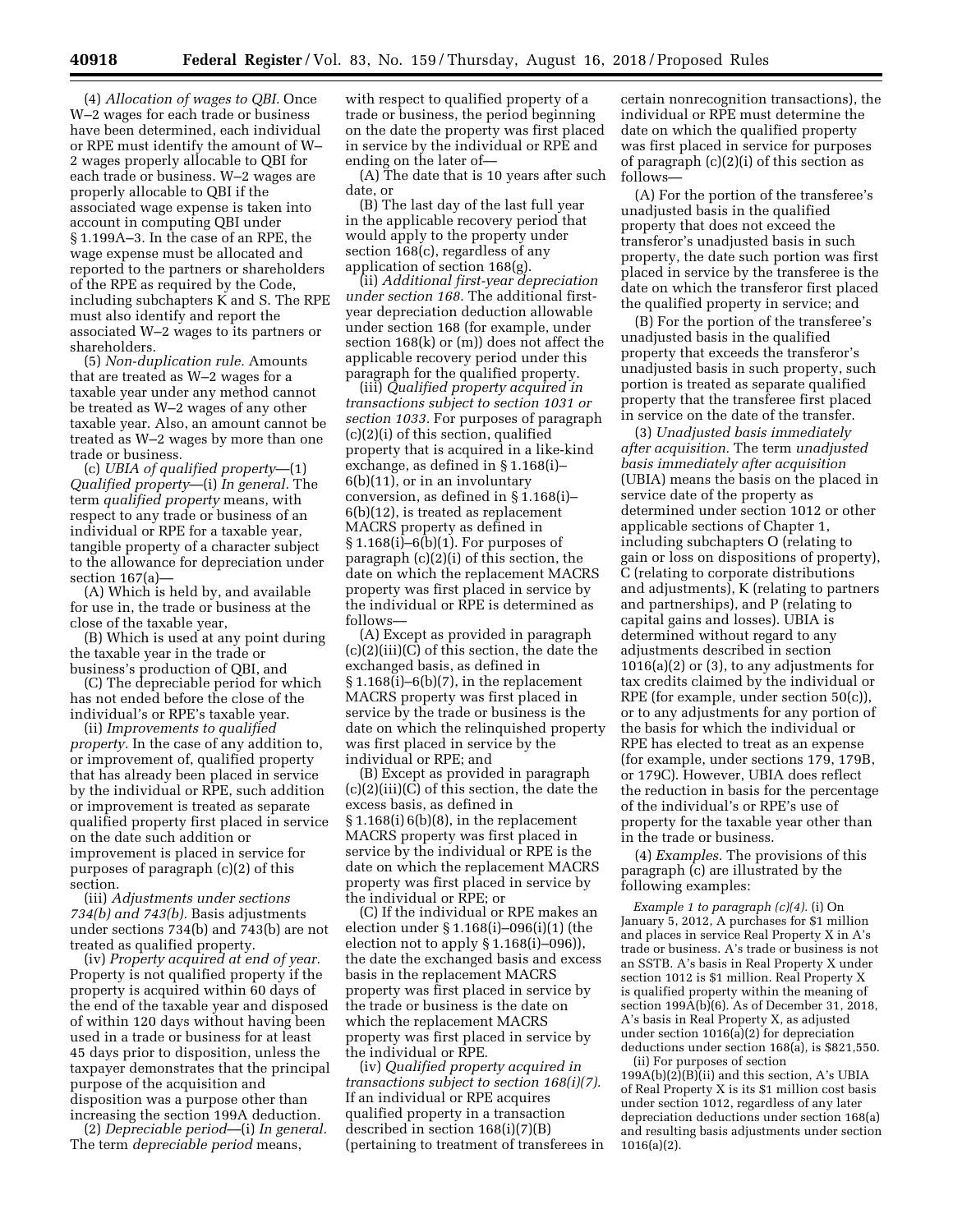(4) *Allocation of wages to QBI.* Once W–2 wages for each trade or business have been determined, each individual or RPE must identify the amount of W– 2 wages properly allocable to QBI for each trade or business. W–2 wages are properly allocable to QBI if the associated wage expense is taken into account in computing QBI under § 1.199A–3. In the case of an RPE, the wage expense must be allocated and reported to the partners or shareholders of the RPE as required by the Code, including subchapters K and S. The RPE must also identify and report the associated W–2 wages to its partners or shareholders.

(5) *Non-duplication rule.* Amounts that are treated as W–2 wages for a taxable year under any method cannot be treated as W–2 wages of any other taxable year. Also, an amount cannot be treated as W–2 wages by more than one trade or business.

(c) *UBIA of qualified property*—(1) *Qualified property*—(i) *In general.* The term *qualified property* means, with respect to any trade or business of an individual or RPE for a taxable year, tangible property of a character subject to the allowance for depreciation under section 167(a)—

(A) Which is held by, and available for use in, the trade or business at the close of the taxable year,

(B) Which is used at any point during the taxable year in the trade or business's production of QBI, and

(C) The depreciable period for which has not ended before the close of the individual's or RPE's taxable year.

(ii) *Improvements to qualified property.* In the case of any addition to, or improvement of, qualified property that has already been placed in service by the individual or RPE, such addition or improvement is treated as separate qualified property first placed in service on the date such addition or improvement is placed in service for purposes of paragraph (c)(2) of this section.

(iii) *Adjustments under sections 734(b) and 743(b).* Basis adjustments under sections 734(b) and 743(b) are not treated as qualified property.

(iv) *Property acquired at end of year.*  Property is not qualified property if the property is acquired within 60 days of the end of the taxable year and disposed of within 120 days without having been used in a trade or business for at least 45 days prior to disposition, unless the taxpayer demonstrates that the principal purpose of the acquisition and disposition was a purpose other than increasing the section 199A deduction.

(2) *Depreciable period*—(i) *In general.*  The term *depreciable period* means,

with respect to qualified property of a trade or business, the period beginning on the date the property was first placed in service by the individual or RPE and ending on the later of—

(A) The date that is 10 years after such date, or

(B) The last day of the last full year in the applicable recovery period that would apply to the property under section 168(c), regardless of any application of section 168(g).

(ii) *Additional first-year depreciation under section 168.* The additional firstyear depreciation deduction allowable under section 168 (for example, under section 168(k) or (m)) does not affect the applicable recovery period under this paragraph for the qualified property.

(iii) *Qualified property acquired in transactions subject to section 1031 or section 1033.* For purposes of paragraph (c)(2)(i) of this section, qualified property that is acquired in a like-kind exchange, as defined in § 1.168(i)– 6(b)(11), or in an involuntary conversion, as defined in § 1.168(i)– 6(b)(12), is treated as replacement MACRS property as defined in § 1.168(i)–6(b)(1). For purposes of paragraph (c)(2)(i) of this section, the date on which the replacement MACRS property was first placed in service by the individual or RPE is determined as follows—

(A) Except as provided in paragraph (c)(2)(iii)(C) of this section, the date the exchanged basis, as defined in § 1.168(i)–6(b)(7), in the replacement MACRS property was first placed in service by the trade or business is the date on which the relinquished property was first placed in service by the individual or RPE; and

(B) Except as provided in paragraph (c)(2)(iii)(C) of this section, the date the excess basis, as defined in § 1.168(i) 6(b)(8), in the replacement MACRS property was first placed in service by the individual or RPE is the date on which the replacement MACRS property was first placed in service by the individual or RPE; or

(C) If the individual or RPE makes an election under § 1.168(i)–096(i)(1) (the election not to apply  $\S 1.168(i) - 096$ ), the date the exchanged basis and excess basis in the replacement MACRS property was first placed in service by the trade or business is the date on which the replacement MACRS property was first placed in service by the individual or RPE.

(iv) *Qualified property acquired in transactions subject to section 168(i)(7).*  If an individual or RPE acquires qualified property in a transaction described in section 168(i)(7)(B) (pertaining to treatment of transferees in

certain nonrecognition transactions), the individual or RPE must determine the date on which the qualified property was first placed in service for purposes of paragraph (c)(2)(i) of this section as follows—

(A) For the portion of the transferee's unadjusted basis in the qualified property that does not exceed the transferor's unadjusted basis in such property, the date such portion was first placed in service by the transferee is the date on which the transferor first placed the qualified property in service; and

(B) For the portion of the transferee's unadjusted basis in the qualified property that exceeds the transferor's unadjusted basis in such property, such portion is treated as separate qualified property that the transferee first placed in service on the date of the transfer.

(3) *Unadjusted basis immediately after acquisition.* The term *unadjusted basis immediately after acquisition*  (UBIA) means the basis on the placed in service date of the property as determined under section 1012 or other applicable sections of Chapter 1, including subchapters O (relating to gain or loss on dispositions of property), C (relating to corporate distributions and adjustments), K (relating to partners and partnerships), and P (relating to capital gains and losses). UBIA is determined without regard to any adjustments described in section 1016(a)(2) or (3), to any adjustments for tax credits claimed by the individual or RPE (for example, under section 50(c)), or to any adjustments for any portion of the basis for which the individual or RPE has elected to treat as an expense (for example, under sections 179, 179B, or 179C). However, UBIA does reflect the reduction in basis for the percentage of the individual's or RPE's use of property for the taxable year other than in the trade or business.

(4) *Examples.* The provisions of this paragraph (c) are illustrated by the following examples:

*Example 1 to paragraph (c)(4).* (i) On January 5, 2012, A purchases for \$1 million and places in service Real Property X in A's trade or business. A's trade or business is not an SSTB. A's basis in Real Property X under section 1012 is \$1 million. Real Property X is qualified property within the meaning of section  $199A(b)(6)$ . As of December 31, 2018, A's basis in Real Property X, as adjusted under section 1016(a)(2) for depreciation deductions under section 168(a), is \$821,550.

(ii) For purposes of section  $199A(b)(2)(B)(ii)$  and this section, A's UBIA of Real Property X is its \$1 million cost basis under section 1012, regardless of any later depreciation deductions under section 168(a) and resulting basis adjustments under section 1016(a)(2).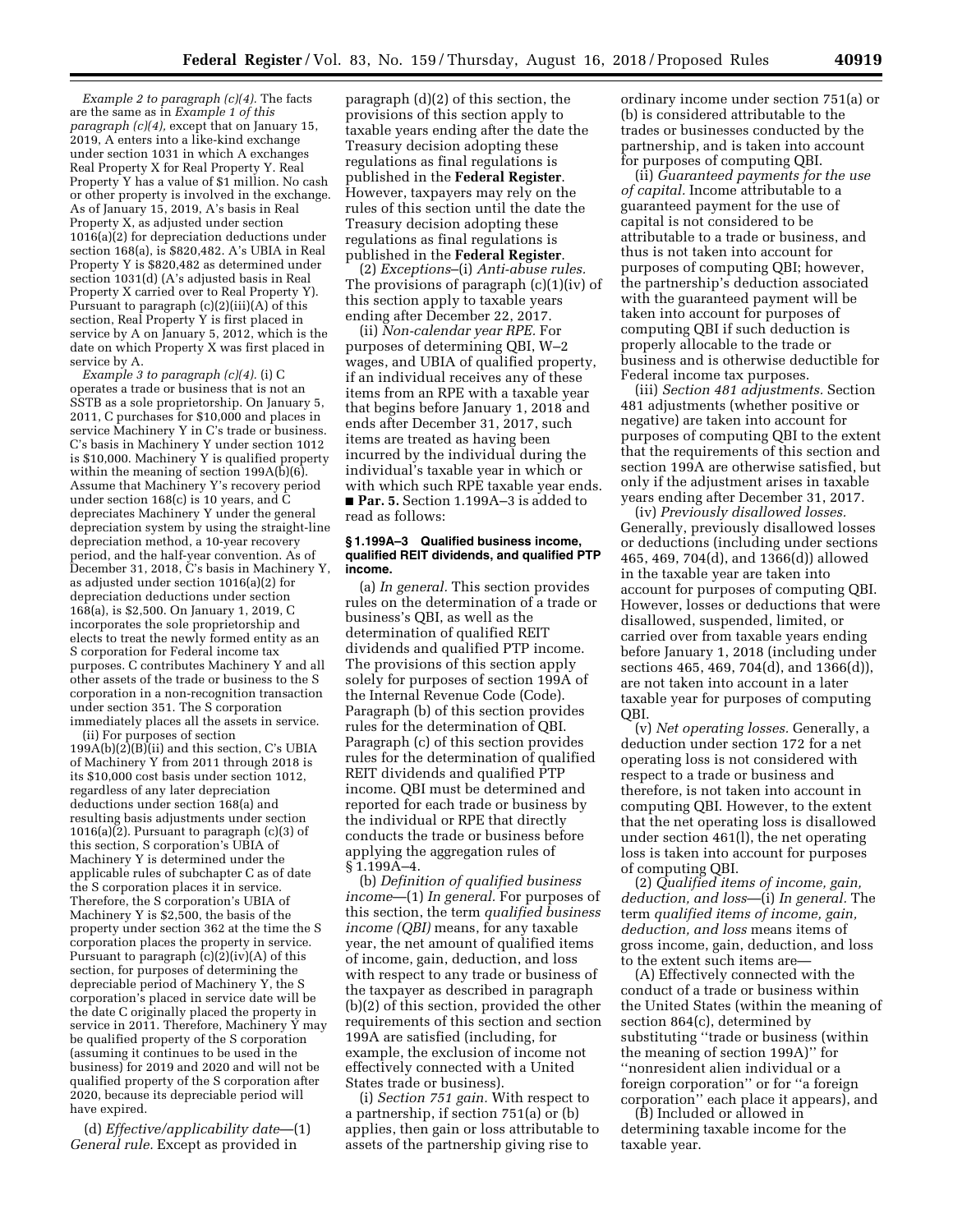*Example 2 to paragraph (c)(4).* The facts are the same as in *Example 1 of this paragraph (c)(4),* except that on January 15, 2019, A enters into a like-kind exchange under section 1031 in which A exchanges Real Property X for Real Property Y. Real Property Y has a value of \$1 million. No cash or other property is involved in the exchange. As of January 15, 2019, A's basis in Real Property X, as adjusted under section  $1016(a)(2)$  for depreciation deductions under section 168(a), is \$820,482. A's UBIA in Real Property Y is \$820,482 as determined under section 1031(d) (A's adjusted basis in Real Property X carried over to Real Property Y). Pursuant to paragraph (c)(2)(iii)(A) of this section, Real Property Y is first placed in service by A on January 5, 2012, which is the date on which Property X was first placed in service by A.

*Example 3 to paragraph (c)(4).* (i) C operates a trade or business that is not an SSTB as a sole proprietorship. On January 5, 2011, C purchases for \$10,000 and places in service Machinery Y in C's trade or business. C's basis in Machinery Y under section 1012 is \$10,000. Machinery Y is qualified property within the meaning of section  $199A(\hat{b})(6)$ . Assume that Machinery Y's recovery period under section 168(c) is 10 years, and C depreciates Machinery Y under the general depreciation system by using the straight-line depreciation method, a 10-year recovery period, and the half-year convention. As of December 31, 2018, C's basis in Machinery Y, as adjusted under section 1016(a)(2) for depreciation deductions under section 168(a), is \$2,500. On January 1, 2019, C incorporates the sole proprietorship and elects to treat the newly formed entity as an S corporation for Federal income tax purposes. C contributes Machinery Y and all other assets of the trade or business to the S corporation in a non-recognition transaction under section 351. The S corporation immediately places all the assets in service.

(ii) For purposes of section  $199A(b)(2)B(ii)$  and this section, C's UBIA of Machinery Y from 2011 through 2018 is its \$10,000 cost basis under section 1012, regardless of any later depreciation deductions under section 168(a) and resulting basis adjustments under section 1016(a)(2). Pursuant to paragraph (c)(3) of this section, S corporation's UBIA of Machinery Y is determined under the applicable rules of subchapter C as of date the S corporation places it in service. Therefore, the S corporation's UBIA of Machinery Y is \$2,500, the basis of the property under section 362 at the time the S corporation places the property in service. Pursuant to paragraph  $(c)(2)(iv)(A)$  of this section, for purposes of determining the depreciable period of Machinery Y, the S corporation's placed in service date will be the date C originally placed the property in service in 2011. Therefore, Machinery Y may be qualified property of the S corporation (assuming it continues to be used in the business) for 2019 and 2020 and will not be qualified property of the S corporation after 2020, because its depreciable period will have expired.

(d) *Effective/applicability date*—(1) *General rule.* Except as provided in

paragraph (d)(2) of this section, the provisions of this section apply to taxable years ending after the date the Treasury decision adopting these regulations as final regulations is published in the **Federal Register**. However, taxpayers may rely on the rules of this section until the date the Treasury decision adopting these regulations as final regulations is published in the **Federal Register**.

(2) *Exceptions*–(i) *Anti-abuse rules.*  The provisions of paragraph (c)(1)(iv) of this section apply to taxable years ending after December 22, 2017.

(ii) *Non-calendar year RPE.* For purposes of determining QBI, W–2 wages, and UBIA of qualified property, if an individual receives any of these items from an RPE with a taxable year that begins before January 1, 2018 and ends after December 31, 2017, such items are treated as having been incurred by the individual during the individual's taxable year in which or with which such RPE taxable year ends. ■ **Par. 5.** Section 1.199A–3 is added to read as follows:

#### **§ 1.199A–3 Qualified business income, qualified REIT dividends, and qualified PTP income.**

(a) *In general.* This section provides rules on the determination of a trade or business's QBI, as well as the determination of qualified REIT dividends and qualified PTP income. The provisions of this section apply solely for purposes of section 199A of the Internal Revenue Code (Code). Paragraph (b) of this section provides rules for the determination of QBI. Paragraph (c) of this section provides rules for the determination of qualified REIT dividends and qualified PTP income. QBI must be determined and reported for each trade or business by the individual or RPE that directly conducts the trade or business before applying the aggregation rules of § 1.199A–4.

(b) *Definition of qualified business income*—(1) *In general.* For purposes of this section, the term *qualified business income (QBI)* means, for any taxable year, the net amount of qualified items of income, gain, deduction, and loss with respect to any trade or business of the taxpayer as described in paragraph (b)(2) of this section, provided the other requirements of this section and section 199A are satisfied (including, for example, the exclusion of income not effectively connected with a United States trade or business).

(i) *Section 751 gain.* With respect to a partnership, if section 751(a) or (b) applies, then gain or loss attributable to assets of the partnership giving rise to

ordinary income under section 751(a) or (b) is considered attributable to the trades or businesses conducted by the partnership, and is taken into account for purposes of computing QBI.

(ii) *Guaranteed payments for the use of capital.* Income attributable to a guaranteed payment for the use of capital is not considered to be attributable to a trade or business, and thus is not taken into account for purposes of computing QBI; however, the partnership's deduction associated with the guaranteed payment will be taken into account for purposes of computing QBI if such deduction is properly allocable to the trade or business and is otherwise deductible for Federal income tax purposes.

(iii) *Section 481 adjustments.* Section 481 adjustments (whether positive or negative) are taken into account for purposes of computing QBI to the extent that the requirements of this section and section 199A are otherwise satisfied, but only if the adjustment arises in taxable years ending after December 31, 2017.

(iv) *Previously disallowed losses.*  Generally, previously disallowed losses or deductions (including under sections 465, 469, 704(d), and 1366(d)) allowed in the taxable year are taken into account for purposes of computing QBI. However, losses or deductions that were disallowed, suspended, limited, or carried over from taxable years ending before January 1, 2018 (including under sections 465, 469, 704(d), and 1366(d)), are not taken into account in a later taxable year for purposes of computing QBI.

(v) *Net operating losses.* Generally, a deduction under section 172 for a net operating loss is not considered with respect to a trade or business and therefore, is not taken into account in computing QBI. However, to the extent that the net operating loss is disallowed under section 461(l), the net operating loss is taken into account for purposes of computing QBI.

(2) *Qualified items of income, gain, deduction, and loss*—(i) *In general.* The term *qualified items of income, gain, deduction, and loss* means items of gross income, gain, deduction, and loss to the extent such items are—

(A) Effectively connected with the conduct of a trade or business within the United States (within the meaning of section 864(c), determined by substituting ''trade or business (within the meaning of section 199A)'' for ''nonresident alien individual or a foreign corporation'' or for ''a foreign corporation'' each place it appears), and

(B) Included or allowed in determining taxable income for the taxable year.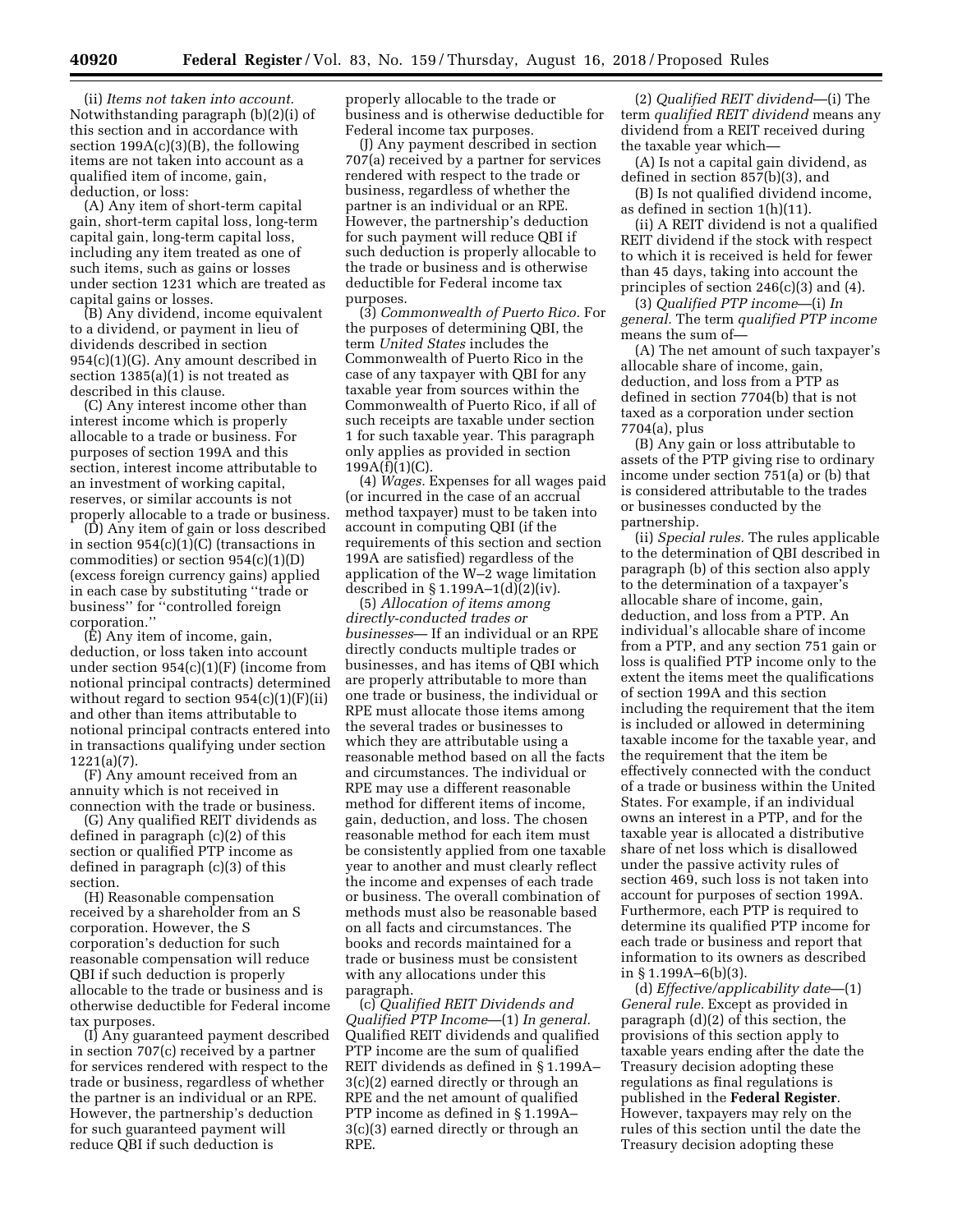(ii) *Items not taken into account.*  Notwithstanding paragraph (b)(2)(i) of this section and in accordance with section  $199A(c)(3)(B)$ , the following items are not taken into account as a qualified item of income, gain, deduction, or loss:

(A) Any item of short-term capital gain, short-term capital loss, long-term capital gain, long-term capital loss, including any item treated as one of such items, such as gains or losses under section 1231 which are treated as capital gains or losses.

(B) Any dividend, income equivalent to a dividend, or payment in lieu of dividends described in section 954(c)(1)(G). Any amount described in section 1385(a)(1) is not treated as described in this clause.

(C) Any interest income other than interest income which is properly allocable to a trade or business. For purposes of section 199A and this section, interest income attributable to an investment of working capital, reserves, or similar accounts is not properly allocable to a trade or business.

(D) Any item of gain or loss described in section  $954(c)(1)(C)$  (transactions in commodities) or section 954(c)(1)(D) (excess foreign currency gains) applied in each case by substituting ''trade or business'' for ''controlled foreign corporation.''

(E) Any item of income, gain, deduction, or loss taken into account under section 954(c)(1)(F) (income from notional principal contracts) determined without regard to section 954(c)(1)(F)(ii) and other than items attributable to notional principal contracts entered into in transactions qualifying under section 1221(a)(7).

(F) Any amount received from an annuity which is not received in connection with the trade or business.

(G) Any qualified REIT dividends as defined in paragraph (c)(2) of this section or qualified PTP income as defined in paragraph (c)(3) of this section.

(H) Reasonable compensation received by a shareholder from an S corporation. However, the S corporation's deduction for such reasonable compensation will reduce QBI if such deduction is properly allocable to the trade or business and is otherwise deductible for Federal income tax purposes.

(I) Any guaranteed payment described in section 707(c) received by a partner for services rendered with respect to the trade or business, regardless of whether the partner is an individual or an RPE. However, the partnership's deduction for such guaranteed payment will reduce QBI if such deduction is

properly allocable to the trade or business and is otherwise deductible for Federal income tax purposes.

(J) Any payment described in section 707(a) received by a partner for services rendered with respect to the trade or business, regardless of whether the partner is an individual or an RPE. However, the partnership's deduction for such payment will reduce QBI if such deduction is properly allocable to the trade or business and is otherwise deductible for Federal income tax purposes.

(3) *Commonwealth of Puerto Rico.* For the purposes of determining QBI, the term *United States* includes the Commonwealth of Puerto Rico in the case of any taxpayer with QBI for any taxable year from sources within the Commonwealth of Puerto Rico, if all of such receipts are taxable under section 1 for such taxable year. This paragraph only applies as provided in section  $199A(f)(1)(C)$ .

(4) *Wages.* Expenses for all wages paid (or incurred in the case of an accrual method taxpayer) must to be taken into account in computing QBI (if the requirements of this section and section 199A are satisfied) regardless of the application of the W–2 wage limitation described in § 1.199A-1(d) $(2)(iv)$ .

(5) *Allocation of items among directly-conducted trades or businesses*— If an individual or an RPE directly conducts multiple trades or businesses, and has items of QBI which are properly attributable to more than one trade or business, the individual or RPE must allocate those items among the several trades or businesses to which they are attributable using a reasonable method based on all the facts and circumstances. The individual or RPE may use a different reasonable method for different items of income, gain, deduction, and loss. The chosen reasonable method for each item must be consistently applied from one taxable year to another and must clearly reflect the income and expenses of each trade or business. The overall combination of methods must also be reasonable based on all facts and circumstances. The books and records maintained for a trade or business must be consistent with any allocations under this paragraph.

(c) *Qualified REIT Dividends and Qualified PTP Income*—(1) *In general.*  Qualified REIT dividends and qualified PTP income are the sum of qualified REIT dividends as defined in § 1.199A– 3(c)(2) earned directly or through an RPE and the net amount of qualified PTP income as defined in § 1.199A– 3(c)(3) earned directly or through an RPE.

(2) *Qualified REIT dividend*—(i) The term *qualified REIT dividend* means any dividend from a REIT received during the taxable year which—

(A) Is not a capital gain dividend, as defined in section 857(b)(3), and

(B) Is not qualified dividend income, as defined in section 1(h)(11).

(ii) A REIT dividend is not a qualified REIT dividend if the stock with respect to which it is received is held for fewer than 45 days, taking into account the principles of section 246(c)(3) and (4).

(3) *Qualified PTP income*—(i) *In general.* The term *qualified PTP income*  means the sum of—

(A) The net amount of such taxpayer's allocable share of income, gain, deduction, and loss from a PTP as defined in section 7704(b) that is not taxed as a corporation under section 7704(a), plus

(B) Any gain or loss attributable to assets of the PTP giving rise to ordinary income under section 751(a) or (b) that is considered attributable to the trades or businesses conducted by the partnership.

(ii) *Special rules.* The rules applicable to the determination of QBI described in paragraph (b) of this section also apply to the determination of a taxpayer's allocable share of income, gain, deduction, and loss from a PTP. An individual's allocable share of income from a PTP, and any section 751 gain or loss is qualified PTP income only to the extent the items meet the qualifications of section 199A and this section including the requirement that the item is included or allowed in determining taxable income for the taxable year, and the requirement that the item be effectively connected with the conduct of a trade or business within the United States. For example, if an individual owns an interest in a PTP, and for the taxable year is allocated a distributive share of net loss which is disallowed under the passive activity rules of section 469, such loss is not taken into account for purposes of section 199A. Furthermore, each PTP is required to determine its qualified PTP income for each trade or business and report that information to its owners as described in § 1.199A–6(b)(3).

(d) *Effective/applicability date*—(1) *General rule.* Except as provided in paragraph (d)(2) of this section, the provisions of this section apply to taxable years ending after the date the Treasury decision adopting these regulations as final regulations is published in the **Federal Register**. However, taxpayers may rely on the rules of this section until the date the Treasury decision adopting these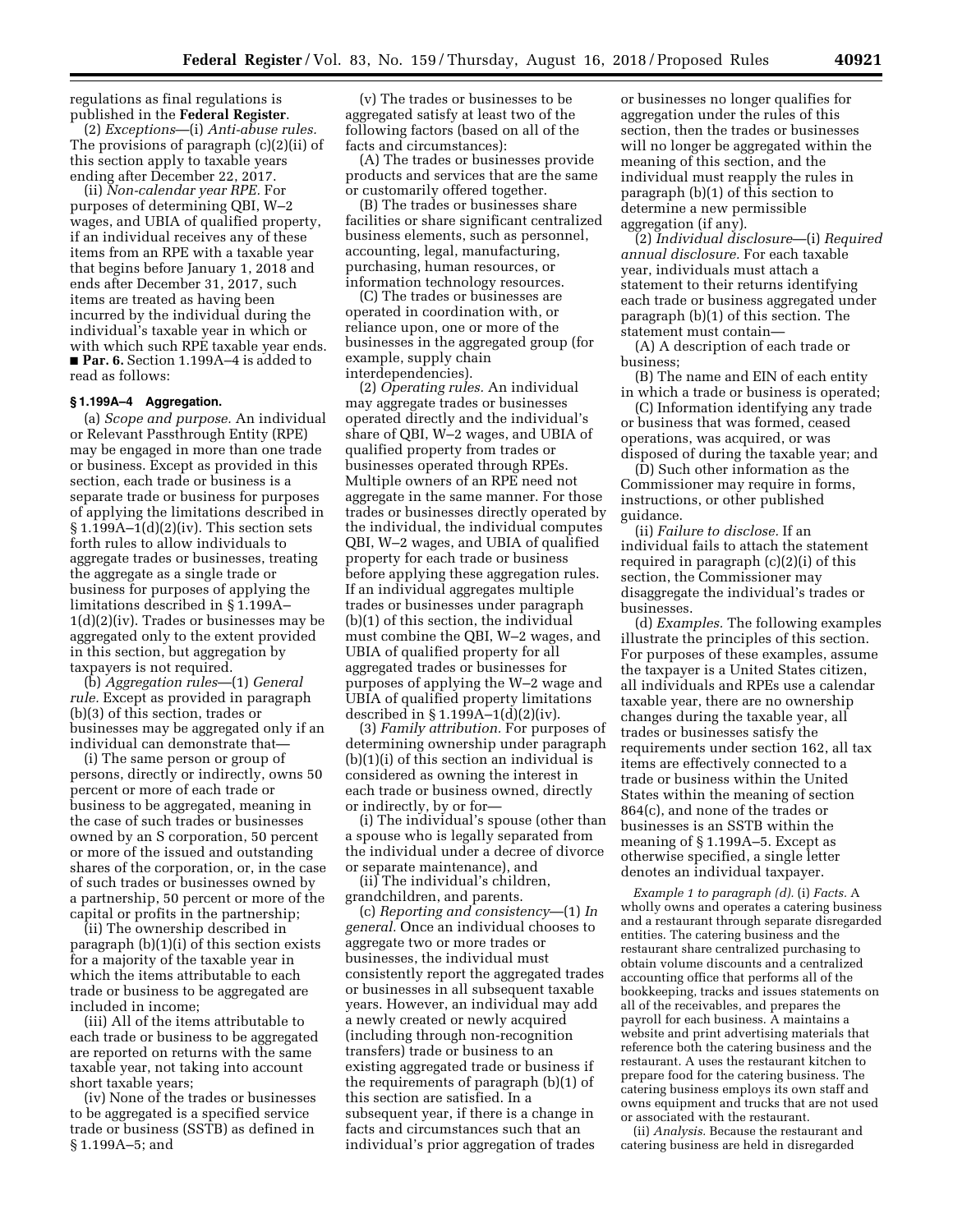regulations as final regulations is published in the **Federal Register**.

(2) *Exceptions*—(i) *Anti-abuse rules.*  The provisions of paragraph (c)(2)(ii) of this section apply to taxable years ending after December 22, 2017.

(ii) *Non-calendar year RPE.* For purposes of determining QBI, W–2 wages, and UBIA of qualified property, if an individual receives any of these items from an RPE with a taxable year that begins before January 1, 2018 and ends after December 31, 2017, such items are treated as having been incurred by the individual during the individual's taxable year in which or with which such RPE taxable year ends. ■ **Par. 6.** Section 1.199A–4 is added to read as follows:

# **§ 1.199A–4 Aggregation.**

(a) *Scope and purpose.* An individual or Relevant Passthrough Entity (RPE) may be engaged in more than one trade or business. Except as provided in this section, each trade or business is a separate trade or business for purposes of applying the limitations described in § 1.199A–1(d)(2)(iv). This section sets forth rules to allow individuals to aggregate trades or businesses, treating the aggregate as a single trade or business for purposes of applying the limitations described in § 1.199A– 1(d)(2)(iv). Trades or businesses may be aggregated only to the extent provided in this section, but aggregation by taxpayers is not required.

(b) *Aggregation rules*—(1) *General rule.* Except as provided in paragraph (b)(3) of this section, trades or businesses may be aggregated only if an individual can demonstrate that—

(i) The same person or group of persons, directly or indirectly, owns 50 percent or more of each trade or business to be aggregated, meaning in the case of such trades or businesses owned by an S corporation, 50 percent or more of the issued and outstanding shares of the corporation, or, in the case of such trades or businesses owned by a partnership, 50 percent or more of the capital or profits in the partnership;

(ii) The ownership described in paragraph (b)(1)(i) of this section exists for a majority of the taxable year in which the items attributable to each trade or business to be aggregated are included in income;

(iii) All of the items attributable to each trade or business to be aggregated are reported on returns with the same taxable year, not taking into account short taxable years;

(iv) None of the trades or businesses to be aggregated is a specified service trade or business (SSTB) as defined in § 1.199A–5; and

(v) The trades or businesses to be aggregated satisfy at least two of the following factors (based on all of the facts and circumstances):

(A) The trades or businesses provide products and services that are the same or customarily offered together.

(B) The trades or businesses share facilities or share significant centralized business elements, such as personnel, accounting, legal, manufacturing, purchasing, human resources, or information technology resources.

(C) The trades or businesses are operated in coordination with, or reliance upon, one or more of the businesses in the aggregated group (for example, supply chain interdependencies).

(2) *Operating rules.* An individual may aggregate trades or businesses operated directly and the individual's share of QBI, W–2 wages, and UBIA of qualified property from trades or businesses operated through RPEs. Multiple owners of an RPE need not aggregate in the same manner. For those trades or businesses directly operated by the individual, the individual computes QBI, W–2 wages, and UBIA of qualified property for each trade or business before applying these aggregation rules. If an individual aggregates multiple trades or businesses under paragraph (b)(1) of this section, the individual must combine the QBI, W–2 wages, and UBIA of qualified property for all aggregated trades or businesses for purposes of applying the W–2 wage and UBIA of qualified property limitations described in  $\S 1.199A-1(d)(2)(iv)$ .

(3) *Family attribution.* For purposes of determining ownership under paragraph (b)(1)(i) of this section an individual is considered as owning the interest in each trade or business owned, directly or indirectly, by or for—

(i) The individual's spouse (other than a spouse who is legally separated from the individual under a decree of divorce or separate maintenance), and

(ii) The individual's children, grandchildren, and parents.

(c) *Reporting and consistency*—(1) *In general.* Once an individual chooses to aggregate two or more trades or businesses, the individual must consistently report the aggregated trades or businesses in all subsequent taxable years. However, an individual may add a newly created or newly acquired (including through non-recognition transfers) trade or business to an existing aggregated trade or business if the requirements of paragraph (b)(1) of this section are satisfied. In a subsequent year, if there is a change in facts and circumstances such that an individual's prior aggregation of trades

or businesses no longer qualifies for aggregation under the rules of this section, then the trades or businesses will no longer be aggregated within the meaning of this section, and the individual must reapply the rules in paragraph (b)(1) of this section to determine a new permissible aggregation (if any).

(2) *Individual disclosure*—(i) *Required annual disclosure.* For each taxable year, individuals must attach a statement to their returns identifying each trade or business aggregated under paragraph (b)(1) of this section. The statement must contain—

(A) A description of each trade or business;

(B) The name and EIN of each entity in which a trade or business is operated;

(C) Information identifying any trade or business that was formed, ceased operations, was acquired, or was disposed of during the taxable year; and

(D) Such other information as the Commissioner may require in forms, instructions, or other published guidance.

(ii) *Failure to disclose.* If an individual fails to attach the statement required in paragraph (c)(2)(i) of this section, the Commissioner may disaggregate the individual's trades or businesses.

(d) *Examples.* The following examples illustrate the principles of this section. For purposes of these examples, assume the taxpayer is a United States citizen, all individuals and RPEs use a calendar taxable year, there are no ownership changes during the taxable year, all trades or businesses satisfy the requirements under section 162, all tax items are effectively connected to a trade or business within the United States within the meaning of section 864(c), and none of the trades or businesses is an SSTB within the meaning of § 1.199A–5. Except as otherwise specified, a single letter denotes an individual taxpayer.

*Example 1 to paragraph (d).* (i) *Facts.* A wholly owns and operates a catering business and a restaurant through separate disregarded entities. The catering business and the restaurant share centralized purchasing to obtain volume discounts and a centralized accounting office that performs all of the bookkeeping, tracks and issues statements on all of the receivables, and prepares the payroll for each business. A maintains a website and print advertising materials that reference both the catering business and the restaurant. A uses the restaurant kitchen to prepare food for the catering business. The catering business employs its own staff and owns equipment and trucks that are not used or associated with the restaurant.

(ii) *Analysis.* Because the restaurant and catering business are held in disregarded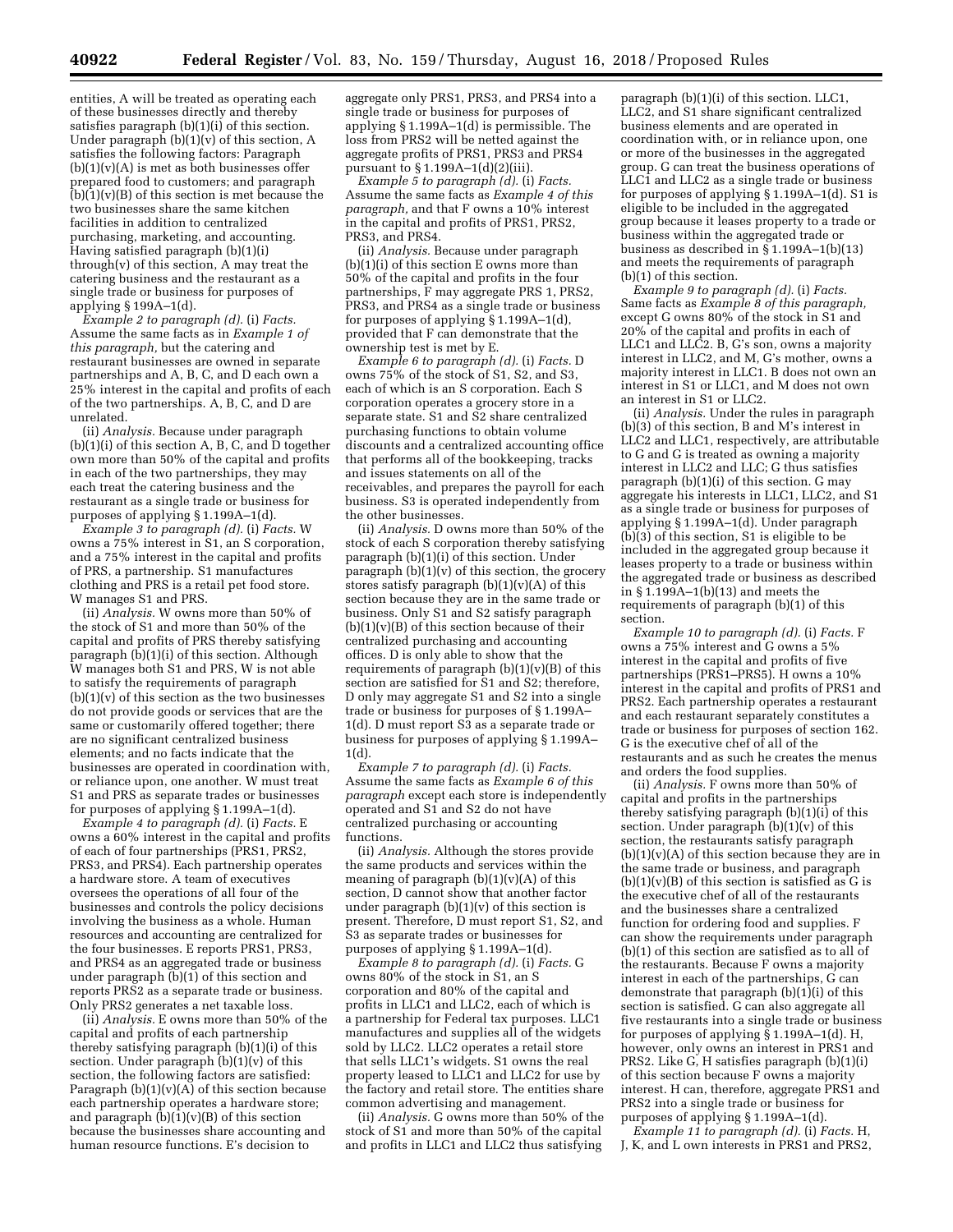entities, A will be treated as operating each of these businesses directly and thereby satisfies paragraph (b)(1)(i) of this section. Under paragraph  $(b)(1)(v)$  of this section, A satisfies the following factors: Paragraph  $(b)(1)(v)(A)$  is met as both businesses offer prepared food to customers; and paragraph  $(b)(1)(v)(B)$  of this section is met because the two businesses share the same kitchen facilities in addition to centralized purchasing, marketing, and accounting. Having satisfied paragraph (b)(1)(i) through(v) of this section, A may treat the catering business and the restaurant as a single trade or business for purposes of applying § 199A–1(d).

*Example 2 to paragraph (d).* (i) *Facts.*  Assume the same facts as in *Example 1 of this paragraph,* but the catering and restaurant businesses are owned in separate partnerships and A, B, C, and D each own a 25% interest in the capital and profits of each of the two partnerships. A, B, C, and D are unrelated.

(ii) *Analysis.* Because under paragraph (b)(1)(i) of this section A, B, C, and D together own more than 50% of the capital and profits in each of the two partnerships, they may each treat the catering business and the restaurant as a single trade or business for purposes of applying § 1.199A–1(d).

*Example 3 to paragraph (d).* (i) *Facts.* W owns a 75% interest in S1, an S corporation, and a 75% interest in the capital and profits of PRS, a partnership. S1 manufactures clothing and PRS is a retail pet food store. W manages S1 and PRS.

(ii) *Analysis.* W owns more than 50% of the stock of S1 and more than 50% of the capital and profits of PRS thereby satisfying paragraph (b)(1)(i) of this section. Although W manages both S1 and PRS, W is not able to satisfy the requirements of paragraph  $(b)(1)(v)$  of this section as the two businesses do not provide goods or services that are the same or customarily offered together; there are no significant centralized business elements; and no facts indicate that the businesses are operated in coordination with, or reliance upon, one another. W must treat S1 and PRS as separate trades or businesses for purposes of applying § 1.199A–1(d).

*Example 4 to paragraph (d).* (i) *Facts.* E owns a 60% interest in the capital and profits of each of four partnerships (PRS1, PRS2, PRS3, and PRS4). Each partnership operates a hardware store. A team of executives oversees the operations of all four of the businesses and controls the policy decisions involving the business as a whole. Human resources and accounting are centralized for the four businesses. E reports PRS1, PRS3, and PRS4 as an aggregated trade or business under paragraph (b)(1) of this section and reports PRS2 as a separate trade or business. Only PRS2 generates a net taxable loss.

(ii) *Analysis.* E owns more than 50% of the capital and profits of each partnership thereby satisfying paragraph (b)(1)(i) of this section. Under paragraph (b)(1)(v) of this section, the following factors are satisfied: Paragraph  $(b)(1)(v)(A)$  of this section because each partnership operates a hardware store; and paragraph  $(b)(1)(v)(B)$  of this section because the businesses share accounting and human resource functions. E's decision to

aggregate only PRS1, PRS3, and PRS4 into a single trade or business for purposes of applying § 1.199A–1(d) is permissible. The loss from PRS2 will be netted against the aggregate profits of PRS1, PRS3 and PRS4 pursuant to § 1.199A–1(d)(2)(iii).

*Example 5 to paragraph (d).* (i) *Facts.*  Assume the same facts as *Example 4 of this paragraph,* and that F owns a 10% interest in the capital and profits of PRS1, PRS2, PRS3, and PRS4.

(ii) *Analysis.* Because under paragraph  $(b)(1)(i)$  of this section E owns more than 50% of the capital and profits in the four partnerships, F may aggregate PRS 1, PRS2, PRS3, and PRS4 as a single trade or business for purposes of applying § 1.199A–1(d), provided that F can demonstrate that the ownership test is met by E.

*Example 6 to paragraph (d).* (i) *Facts.* D owns 75% of the stock of S1, S2, and S3, each of which is an S corporation. Each S corporation operates a grocery store in a separate state. S1 and S2 share centralized purchasing functions to obtain volume discounts and a centralized accounting office that performs all of the bookkeeping, tracks and issues statements on all of the receivables, and prepares the payroll for each business. S3 is operated independently from the other businesses.

(ii) *Analysis.* D owns more than 50% of the stock of each S corporation thereby satisfying paragraph (b)(1)(i) of this section. Under paragraph  $(b)(1)(v)$  of this section, the grocery stores satisfy paragraph  $(b)(1)(v)(A)$  of this section because they are in the same trade or business. Only S1 and S2 satisfy paragraph  $(b)(1)(v)(B)$  of this section because of their centralized purchasing and accounting offices. D is only able to show that the requirements of paragraph  $(b)(1)(v)(B)$  of this section are satisfied for S1 and S2; therefore, D only may aggregate S1 and S2 into a single trade or business for purposes of § 1.199A– 1(d). D must report S3 as a separate trade or business for purposes of applying § 1.199A– 1(d).

*Example 7 to paragraph (d).* (i) *Facts.*  Assume the same facts as *Example 6 of this paragraph* except each store is independently operated and S1 and S2 do not have centralized purchasing or accounting functions.

(ii) *Analysis.* Although the stores provide the same products and services within the meaning of paragraph  $(b)(1)(v)(A)$  of this section, D cannot show that another factor under paragraph  $(b)(1)(v)$  of this section is present. Therefore, D must report S1, S2, and S3 as separate trades or businesses for purposes of applying § 1.199A–1(d).

*Example 8 to paragraph (d).* (i) *Facts.* G owns 80% of the stock in S1, an S corporation and 80% of the capital and profits in LLC1 and LLC2, each of which is a partnership for Federal tax purposes. LLC1 manufactures and supplies all of the widgets sold by LLC2. LLC2 operates a retail store that sells LLC1's widgets. S1 owns the real property leased to LLC1 and LLC2 for use by the factory and retail store. The entities share common advertising and management.

(ii) *Analysis.* G owns more than 50% of the stock of S1 and more than 50% of the capital and profits in LLC1 and LLC2 thus satisfying

paragraph (b)(1)(i) of this section. LLC1, LLC2, and S1 share significant centralized business elements and are operated in coordination with, or in reliance upon, one or more of the businesses in the aggregated group. G can treat the business operations of LLC1 and LLC2 as a single trade or business for purposes of applying § 1.199A–1(d). S1 is eligible to be included in the aggregated group because it leases property to a trade or business within the aggregated trade or business as described in § 1.199A–1(b)(13) and meets the requirements of paragraph (b)(1) of this section.

*Example 9 to paragraph (d).* (i) *Facts.*  Same facts as *Example 8 of this paragraph,*  except G owns 80% of the stock in S1 and 20% of the capital and profits in each of LLC1 and LLC2. B, G's son, owns a majority interest in LLC2, and M, G's mother, owns a majority interest in LLC1. B does not own an interest in S1 or LLC1, and M does not own an interest in S1 or LLC2.

(ii) *Analysis.* Under the rules in paragraph (b)(3) of this section, B and M's interest in LLC2 and LLC1, respectively, are attributable to G and G is treated as owning a majority interest in LLC2 and LLC; G thus satisfies paragraph (b)(1)(i) of this section. G may aggregate his interests in LLC1, LLC2, and S1 as a single trade or business for purposes of applying § 1.199A–1(d). Under paragraph  $(b)(3)$  of this section, S1 is eligible to be included in the aggregated group because it leases property to a trade or business within the aggregated trade or business as described in § 1.199A–1(b)(13) and meets the requirements of paragraph (b)(1) of this section.

*Example 10 to paragraph (d).* (i) *Facts.* F owns a 75% interest and G owns a 5% interest in the capital and profits of five partnerships (PRS1-PRS5). H owns a 10% interest in the capital and profits of PRS1 and PRS2. Each partnership operates a restaurant and each restaurant separately constitutes a trade or business for purposes of section 162. G is the executive chef of all of the restaurants and as such he creates the menus and orders the food supplies.

(ii) *Analysis.* F owns more than 50% of capital and profits in the partnerships thereby satisfying paragraph (b)(1)(i) of this section. Under paragraph  $(b)(1)(v)$  of this section, the restaurants satisfy paragraph  $(b)(1)(v)(A)$  of this section because they are in the same trade or business, and paragraph  $(b)(1)(v)(B)$  of this section is satisfied as G is the executive chef of all of the restaurants and the businesses share a centralized function for ordering food and supplies. F can show the requirements under paragraph (b)(1) of this section are satisfied as to all of the restaurants. Because F owns a majority interest in each of the partnerships, G can demonstrate that paragraph  $(b)(1)(i)$  of this section is satisfied. G can also aggregate all five restaurants into a single trade or business for purposes of applying  $\bar{\S}$  1.199A–1(d). H, however, only owns an interest in PRS1 and PRS2. Like G, H satisfies paragraph (b)(1)(i) of this section because F owns a majority interest. H can, therefore, aggregate PRS1 and PRS2 into a single trade or business for purposes of applying § 1.199A–1(d).

*Example 11 to paragraph (d).* (i) *Facts.* H, J, K, and L own interests in PRS1 and PRS2,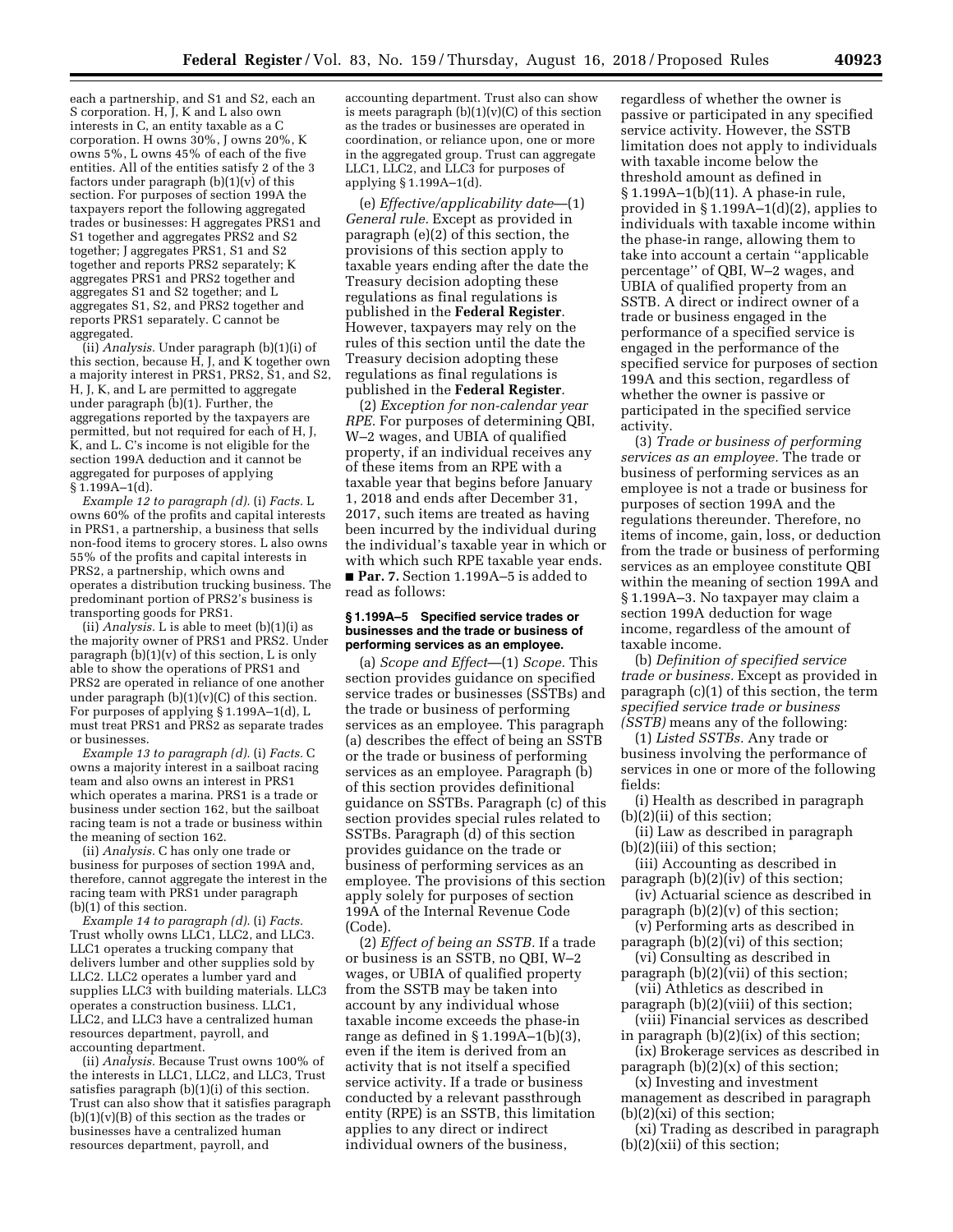each a partnership, and S1 and S2, each an S corporation. H, J, K and L also own interests in C, an entity taxable as a C corporation. H owns 30%, J owns 20%, K owns 5%, L owns 45% of each of the five entities. All of the entities satisfy 2 of the 3 factors under paragraph  $(b)(1)(v)$  of this section. For purposes of section 199A the taxpayers report the following aggregated trades or businesses: H aggregates PRS1 and S1 together and aggregates PRS2 and S2 together; J aggregates PRS1, S1 and S2 together and reports PRS2 separately; K aggregates PRS1 and PRS2 together and aggregates S1 and S2 together; and L aggregates S1, S2, and PRS2 together and reports PRS1 separately. C cannot be aggregated.

(ii) *Analysis.* Under paragraph (b)(1)(i) of this section, because  $H$ , J, and K together own a majority interest in PRS1, PRS2, S1, and S2, H, J, K, and L are permitted to aggregate under paragraph (b)(1). Further, the aggregations reported by the taxpayers are permitted, but not required for each of H, J, K, and L. C's income is not eligible for the section 199A deduction and it cannot be aggregated for purposes of applying § 1.199A–1(d).

*Example 12 to paragraph (d).* (i) *Facts.* L owns 60% of the profits and capital interests in PRS1, a partnership, a business that sells non-food items to grocery stores. L also owns 55% of the profits and capital interests in PRS2, a partnership, which owns and operates a distribution trucking business. The predominant portion of PRS2's business is transporting goods for PRS1.

(ii) *Analysis.* L is able to meet (b)(1)(i) as the majority owner of PRS1 and PRS2. Under paragraph  $(b)(1)(v)$  of this section, L is only able to show the operations of PRS1 and PRS2 are operated in reliance of one another under paragraph  $(b)(1)(v)(C)$  of this section. For purposes of applying § 1.199A–1(d), L must treat PRS1 and PRS2 as separate trades or businesses.

*Example 13 to paragraph (d).* (i) *Facts.* C owns a majority interest in a sailboat racing team and also owns an interest in PRS1 which operates a marina. PRS1 is a trade or business under section 162, but the sailboat racing team is not a trade or business within the meaning of section 162.

(ii) *Analysis.* C has only one trade or business for purposes of section 199A and, therefore, cannot aggregate the interest in the racing team with PRS1 under paragraph (b)(1) of this section.

*Example 14 to paragraph (d).* (i) *Facts.*  Trust wholly owns LLC1, LLC2, and LLC3. LLC1 operates a trucking company that delivers lumber and other supplies sold by LLC2. LLC2 operates a lumber yard and supplies LLC3 with building materials. LLC3 operates a construction business. LLC1, LLC2, and LLC3 have a centralized human resources department, payroll, and accounting department.

(ii) *Analysis.* Because Trust owns 100% of the interests in LLC1, LLC2, and LLC3, Trust satisfies paragraph (b)(1)(i) of this section. Trust can also show that it satisfies paragraph  $(b)(1)(v)(B)$  of this section as the trades or businesses have a centralized human resources department, payroll, and

accounting department. Trust also can show is meets paragraph  $(b)(1)(v)(C)$  of this section as the trades or businesses are operated in coordination, or reliance upon, one or more in the aggregated group. Trust can aggregate LLC1, LLC2, and LLC3 for purposes of applying § 1.199A–1(d).

(e) *Effective/applicability date*—(1) *General rule.* Except as provided in paragraph (e)(2) of this section, the provisions of this section apply to taxable years ending after the date the Treasury decision adopting these regulations as final regulations is published in the **Federal Register**. However, taxpayers may rely on the rules of this section until the date the Treasury decision adopting these regulations as final regulations is published in the **Federal Register**.

(2) *Exception for non-calendar year RPE.* For purposes of determining QBI, W–2 wages, and UBIA of qualified property, if an individual receives any of these items from an RPE with a taxable year that begins before January 1, 2018 and ends after December 31, 2017, such items are treated as having been incurred by the individual during the individual's taxable year in which or with which such RPE taxable year ends. ■ Par. 7. Section 1.199A-5 is added to read as follows:

### **§ 1.199A–5 Specified service trades or businesses and the trade or business of performing services as an employee.**

(a) *Scope and Effect*—(1) *Scope.* This section provides guidance on specified service trades or businesses (SSTBs) and the trade or business of performing services as an employee. This paragraph (a) describes the effect of being an SSTB or the trade or business of performing services as an employee. Paragraph (b) of this section provides definitional guidance on SSTBs. Paragraph (c) of this section provides special rules related to SSTBs. Paragraph (d) of this section provides guidance on the trade or business of performing services as an employee. The provisions of this section apply solely for purposes of section 199A of the Internal Revenue Code (Code).

(2) *Effect of being an SSTB.* If a trade or business is an SSTB, no QBI, W–2 wages, or UBIA of qualified property from the SSTB may be taken into account by any individual whose taxable income exceeds the phase-in range as defined in § 1.199A–1(b)(3), even if the item is derived from an activity that is not itself a specified service activity. If a trade or business conducted by a relevant passthrough entity (RPE) is an SSTB, this limitation applies to any direct or indirect individual owners of the business,

regardless of whether the owner is passive or participated in any specified service activity. However, the SSTB limitation does not apply to individuals with taxable income below the threshold amount as defined in § 1.199A–1(b)(11). A phase-in rule, provided in § 1.199A–1(d)(2), applies to individuals with taxable income within the phase-in range, allowing them to take into account a certain ''applicable percentage'' of QBI, W–2 wages, and UBIA of qualified property from an SSTB. A direct or indirect owner of a trade or business engaged in the performance of a specified service is engaged in the performance of the specified service for purposes of section 199A and this section, regardless of whether the owner is passive or participated in the specified service activity.

(3) *Trade or business of performing services as an employee.* The trade or business of performing services as an employee is not a trade or business for purposes of section 199A and the regulations thereunder. Therefore, no items of income, gain, loss, or deduction from the trade or business of performing services as an employee constitute QBI within the meaning of section 199A and § 1.199A–3. No taxpayer may claim a section 199A deduction for wage income, regardless of the amount of taxable income.

(b) *Definition of specified service trade or business.* Except as provided in paragraph (c)(1) of this section, the term *specified service trade or business (SSTB)* means any of the following:

(1) *Listed SSTBs.* Any trade or business involving the performance of services in one or more of the following fields:

- (i) Health as described in paragraph (b)(2)(ii) of this section;
- (ii) Law as described in paragraph (b)(2)(iii) of this section;
- (iii) Accounting as described in paragraph (b)(2)(iv) of this section;
- (iv) Actuarial science as described in paragraph  $(b)(2)(v)$  of this section;
- (v) Performing arts as described in paragraph (b)(2)(vi) of this section;
- (vi) Consulting as described in paragraph  $(b)(2)(\tilde{v}$ ii) of this section;
- (vii) Athletics as described in paragraph (b)(2)(viii) of this section;
- (viii) Financial services as described in paragraph (b)(2)(ix) of this section;
- (ix) Brokerage services as described in paragraph  $(b)(2)(x)$  of this section;

(x) Investing and investment management as described in paragraph (b)(2)(xi) of this section;

(xi) Trading as described in paragraph (b)(2)(xii) of this section;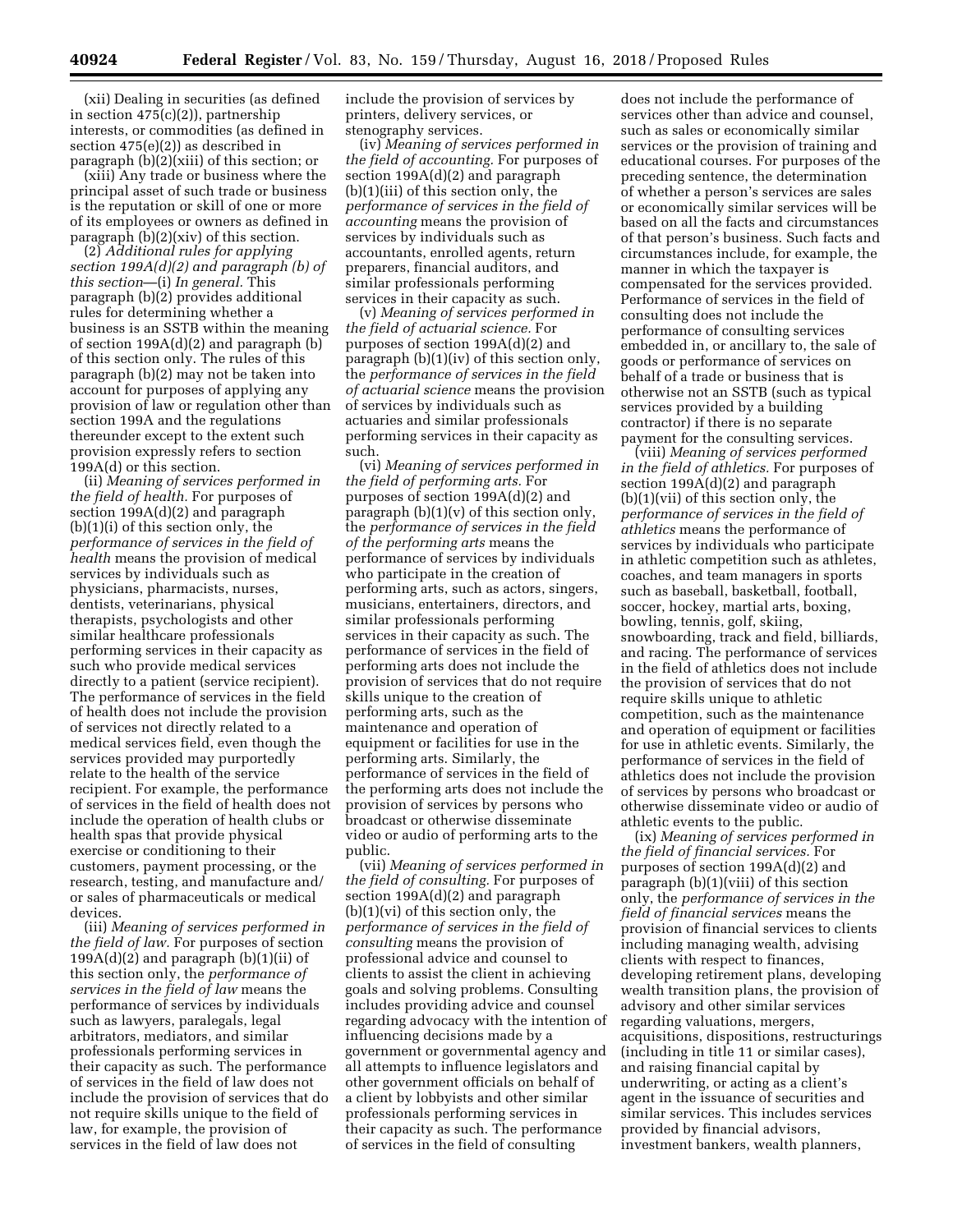(xii) Dealing in securities (as defined in section 475(c)(2)), partnership interests, or commodities (as defined in section 475(e)(2)) as described in paragraph (b)(2)(xiii) of this section; or

(xiii) Any trade or business where the principal asset of such trade or business is the reputation or skill of one or more of its employees or owners as defined in paragraph (b)(2)(xiv) of this section.

(2) *Additional rules for applying section 199A(d)(2) and paragraph (b) of this section*—(i) *In general.* This paragraph (b)(2) provides additional rules for determining whether a business is an SSTB within the meaning of section 199A(d)(2) and paragraph (b) of this section only. The rules of this paragraph (b)(2) may not be taken into account for purposes of applying any provision of law or regulation other than section 199A and the regulations thereunder except to the extent such provision expressly refers to section 199A(d) or this section.

(ii) *Meaning of services performed in the field of health.* For purposes of section 199A(d)(2) and paragraph (b)(1)(i) of this section only, the *performance of services in the field of health* means the provision of medical services by individuals such as physicians, pharmacists, nurses, dentists, veterinarians, physical therapists, psychologists and other similar healthcare professionals performing services in their capacity as such who provide medical services directly to a patient (service recipient). The performance of services in the field of health does not include the provision of services not directly related to a medical services field, even though the services provided may purportedly relate to the health of the service recipient. For example, the performance of services in the field of health does not include the operation of health clubs or health spas that provide physical exercise or conditioning to their customers, payment processing, or the research, testing, and manufacture and/ or sales of pharmaceuticals or medical devices.

(iii) *Meaning of services performed in the field of law.* For purposes of section 199 $A(d)(2)$  and paragraph  $(b)(1)(ii)$  of this section only, the *performance of services in the field of law* means the performance of services by individuals such as lawyers, paralegals, legal arbitrators, mediators, and similar professionals performing services in their capacity as such. The performance of services in the field of law does not include the provision of services that do not require skills unique to the field of law, for example, the provision of services in the field of law does not

include the provision of services by printers, delivery services, or stenography services.

(iv) *Meaning of services performed in the field of accounting.* For purposes of section 199A(d)(2) and paragraph (b)(1)(iii) of this section only, the *performance of services in the field of accounting* means the provision of services by individuals such as accountants, enrolled agents, return preparers, financial auditors, and similar professionals performing services in their capacity as such.

(v) *Meaning of services performed in the field of actuarial science.* For purposes of section 199A(d)(2) and paragraph (b)(1)(iv) of this section only, the *performance of services in the field of actuarial science* means the provision of services by individuals such as actuaries and similar professionals performing services in their capacity as such.

(vi) *Meaning of services performed in the field of performing arts.* For purposes of section 199A(d)(2) and paragraph  $(b)(1)(v)$  of this section only, the *performance of services in the field of the performing arts* means the performance of services by individuals who participate in the creation of performing arts, such as actors, singers, musicians, entertainers, directors, and similar professionals performing services in their capacity as such. The performance of services in the field of performing arts does not include the provision of services that do not require skills unique to the creation of performing arts, such as the maintenance and operation of equipment or facilities for use in the performing arts. Similarly, the performance of services in the field of the performing arts does not include the provision of services by persons who broadcast or otherwise disseminate video or audio of performing arts to the public.

(vii) *Meaning of services performed in the field of consulting.* For purposes of section 199A(d)(2) and paragraph (b)(1)(vi) of this section only, the *performance of services in the field of consulting* means the provision of professional advice and counsel to clients to assist the client in achieving goals and solving problems. Consulting includes providing advice and counsel regarding advocacy with the intention of influencing decisions made by a government or governmental agency and all attempts to influence legislators and other government officials on behalf of a client by lobbyists and other similar professionals performing services in their capacity as such. The performance of services in the field of consulting

does not include the performance of services other than advice and counsel, such as sales or economically similar services or the provision of training and educational courses. For purposes of the preceding sentence, the determination of whether a person's services are sales or economically similar services will be based on all the facts and circumstances of that person's business. Such facts and circumstances include, for example, the manner in which the taxpayer is compensated for the services provided. Performance of services in the field of consulting does not include the performance of consulting services embedded in, or ancillary to, the sale of goods or performance of services on behalf of a trade or business that is otherwise not an SSTB (such as typical services provided by a building contractor) if there is no separate payment for the consulting services.

(viii) *Meaning of services performed in the field of athletics.* For purposes of section 199A(d)(2) and paragraph (b)(1)(vii) of this section only, the *performance of services in the field of athletics* means the performance of services by individuals who participate in athletic competition such as athletes, coaches, and team managers in sports such as baseball, basketball, football, soccer, hockey, martial arts, boxing, bowling, tennis, golf, skiing, snowboarding, track and field, billiards, and racing. The performance of services in the field of athletics does not include the provision of services that do not require skills unique to athletic competition, such as the maintenance and operation of equipment or facilities for use in athletic events. Similarly, the performance of services in the field of athletics does not include the provision of services by persons who broadcast or otherwise disseminate video or audio of athletic events to the public.

(ix) *Meaning of services performed in the field of financial services.* For purposes of section 199A(d)(2) and paragraph (b)(1)(viii) of this section only, the *performance of services in the field of financial services* means the provision of financial services to clients including managing wealth, advising clients with respect to finances, developing retirement plans, developing wealth transition plans, the provision of advisory and other similar services regarding valuations, mergers, acquisitions, dispositions, restructurings (including in title 11 or similar cases), and raising financial capital by underwriting, or acting as a client's agent in the issuance of securities and similar services. This includes services provided by financial advisors, investment bankers, wealth planners,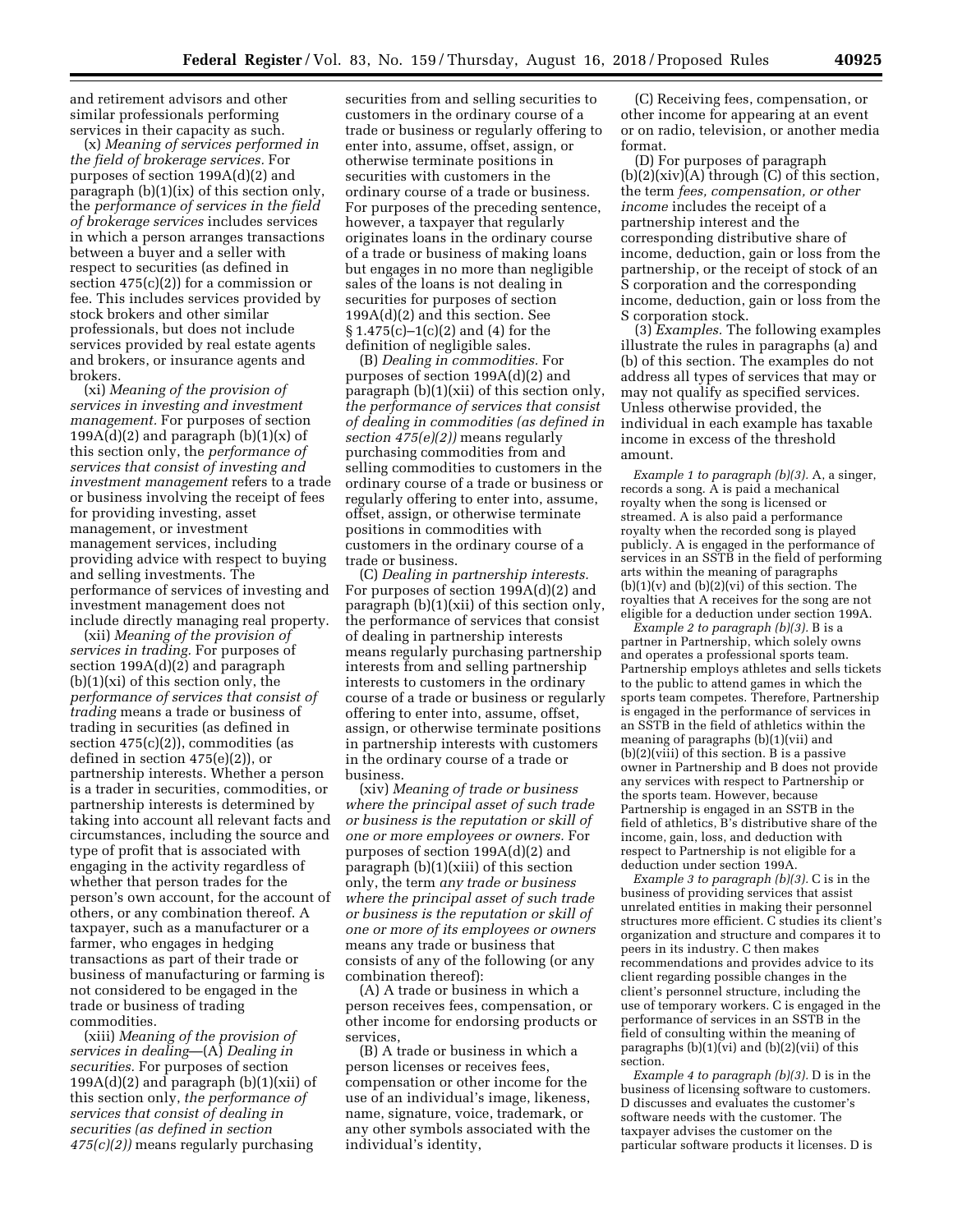and retirement advisors and other similar professionals performing services in their capacity as such.

(x) *Meaning of services performed in the field of brokerage services.* For purposes of section 199A(d)(2) and paragraph (b)(1)(ix) of this section only, the *performance of services in the field of brokerage services* includes services in which a person arranges transactions between a buyer and a seller with respect to securities (as defined in section  $475(c)(2)$  for a commission or fee. This includes services provided by stock brokers and other similar professionals, but does not include services provided by real estate agents and brokers, or insurance agents and brokers.

(xi) *Meaning of the provision of services in investing and investment management.* For purposes of section 199A(d)(2) and paragraph  $(b)(1)(x)$  of this section only, the *performance of services that consist of investing and investment management* refers to a trade or business involving the receipt of fees for providing investing, asset management, or investment management services, including providing advice with respect to buying and selling investments. The performance of services of investing and investment management does not include directly managing real property.

(xii) *Meaning of the provision of services in trading.* For purposes of section 199A(d)(2) and paragraph  $(b)(1)(xi)$  of this section only, the *performance of services that consist of trading* means a trade or business of trading in securities (as defined in section 475(c)(2)), commodities (as defined in section 475(e)(2)), or partnership interests. Whether a person is a trader in securities, commodities, or partnership interests is determined by taking into account all relevant facts and circumstances, including the source and type of profit that is associated with engaging in the activity regardless of whether that person trades for the person's own account, for the account of others, or any combination thereof. A taxpayer, such as a manufacturer or a farmer, who engages in hedging transactions as part of their trade or business of manufacturing or farming is not considered to be engaged in the trade or business of trading commodities.

(xiii) *Meaning of the provision of services in dealing*—(A) *Dealing in securities.* For purposes of section  $199A(d)(2)$  and paragraph  $(b)(1)(xii)$  of this section only, *the performance of services that consist of dealing in securities (as defined in section 475(c)(2))* means regularly purchasing

securities from and selling securities to customers in the ordinary course of a trade or business or regularly offering to enter into, assume, offset, assign, or otherwise terminate positions in securities with customers in the ordinary course of a trade or business. For purposes of the preceding sentence, however, a taxpayer that regularly originates loans in the ordinary course of a trade or business of making loans but engages in no more than negligible sales of the loans is not dealing in securities for purposes of section 199A(d)(2) and this section. See § 1.475(c)–1(c)(2) and (4) for the definition of negligible sales.

(B) *Dealing in commodities.* For purposes of section 199A(d)(2) and paragraph (b)(1)(xii) of this section only, *the performance of services that consist of dealing in commodities (as defined in section 475(e)(2))* means regularly purchasing commodities from and selling commodities to customers in the ordinary course of a trade or business or regularly offering to enter into, assume, offset, assign, or otherwise terminate positions in commodities with customers in the ordinary course of a trade or business.

(C) *Dealing in partnership interests.*  For purposes of section 199A(d)(2) and paragraph (b)(1)(xii) of this section only, the performance of services that consist of dealing in partnership interests means regularly purchasing partnership interests from and selling partnership interests to customers in the ordinary course of a trade or business or regularly offering to enter into, assume, offset, assign, or otherwise terminate positions in partnership interests with customers in the ordinary course of a trade or business.

(xiv) *Meaning of trade or business where the principal asset of such trade or business is the reputation or skill of one or more employees or owners.* For purposes of section 199A(d)(2) and paragraph (b)(1)(xiii) of this section only, the term *any trade or business where the principal asset of such trade or business is the reputation or skill of one or more of its employees or owners*  means any trade or business that consists of any of the following (or any combination thereof):

(A) A trade or business in which a person receives fees, compensation, or other income for endorsing products or services,

(B) A trade or business in which a person licenses or receives fees, compensation or other income for the use of an individual's image, likeness, name, signature, voice, trademark, or any other symbols associated with the individual's identity,

(C) Receiving fees, compensation, or other income for appearing at an event or on radio, television, or another media format.

(D) For purposes of paragraph  $(b)(2)(xiv)(A)$  through  $(C)$  of this section, the term *fees, compensation, or other income* includes the receipt of a partnership interest and the corresponding distributive share of income, deduction, gain or loss from the partnership, or the receipt of stock of an S corporation and the corresponding income, deduction, gain or loss from the S corporation stock.

(3) *Examples.* The following examples illustrate the rules in paragraphs (a) and (b) of this section. The examples do not address all types of services that may or may not qualify as specified services. Unless otherwise provided, the individual in each example has taxable income in excess of the threshold amount.

*Example 1 to paragraph (b)(3).* A, a singer, records a song. A is paid a mechanical royalty when the song is licensed or streamed. A is also paid a performance royalty when the recorded song is played publicly. A is engaged in the performance of services in an SSTB in the field of performing arts within the meaning of paragraphs  $(b)(1)(v)$  and  $(b)(2)(vi)$  of this section. The royalties that A receives for the song are not eligible for a deduction under section 199A.

*Example 2 to paragraph (b)(3).* B is a partner in Partnership, which solely owns and operates a professional sports team. Partnership employs athletes and sells tickets to the public to attend games in which the sports team competes. Therefore, Partnership is engaged in the performance of services in an SSTB in the field of athletics within the meaning of paragraphs (b)(1)(vii) and (b)(2)(viii) of this section. B is a passive owner in Partnership and B does not provide any services with respect to Partnership or the sports team. However, because Partnership is engaged in an SSTB in the field of athletics, B's distributive share of the income, gain, loss, and deduction with respect to Partnership is not eligible for a deduction under section 199A.

*Example 3 to paragraph (b)(3).* C is in the business of providing services that assist unrelated entities in making their personnel structures more efficient. C studies its client's organization and structure and compares it to peers in its industry. C then makes recommendations and provides advice to its client regarding possible changes in the client's personnel structure, including the use of temporary workers. C is engaged in the performance of services in an SSTB in the field of consulting within the meaning of paragraphs  $(b)(1)(vi)$  and  $(b)(2)(vii)$  of this section.

*Example 4 to paragraph (b)(3).* D is in the business of licensing software to customers. D discusses and evaluates the customer's software needs with the customer. The taxpayer advises the customer on the particular software products it licenses. D is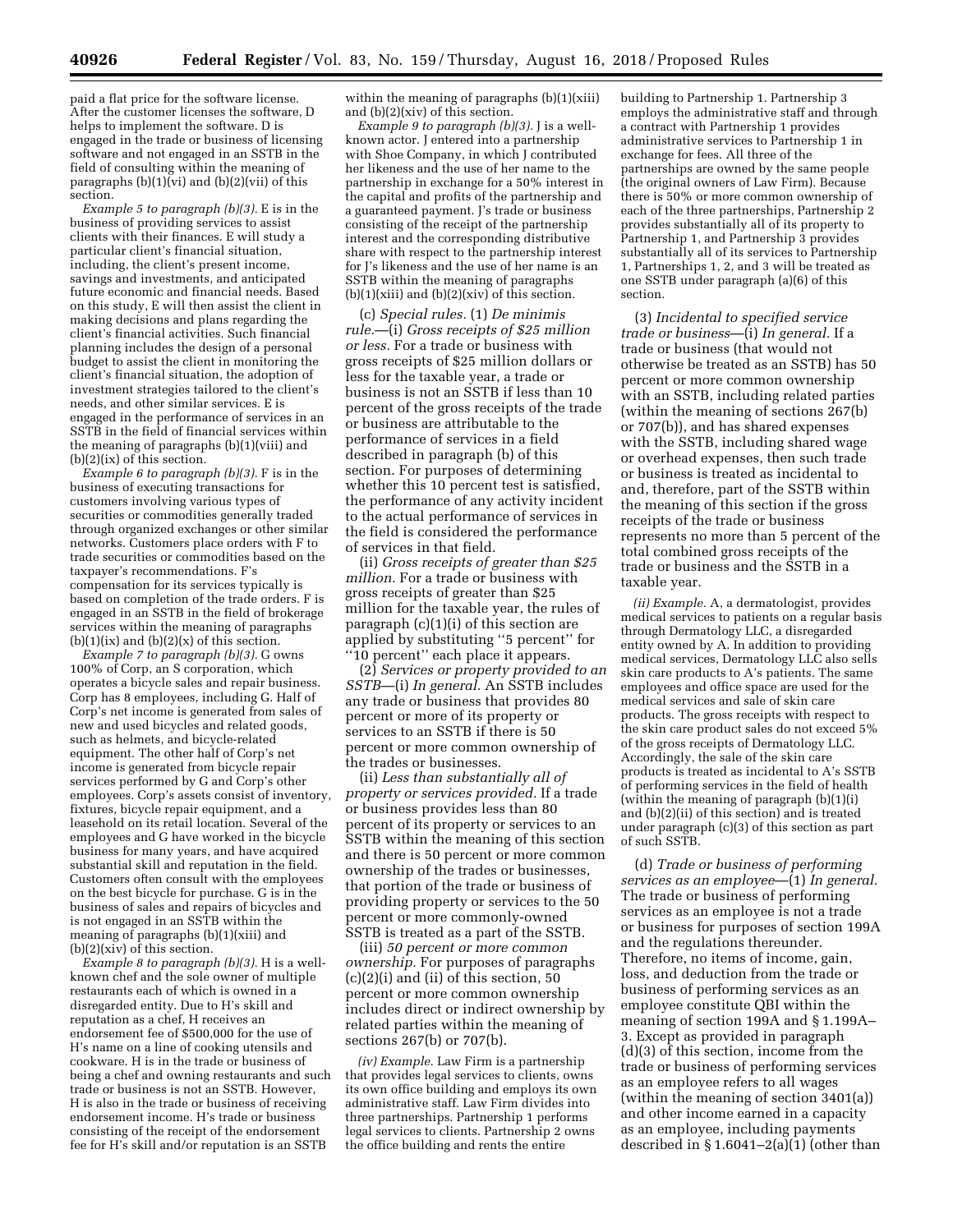paid a flat price for the software license. After the customer licenses the software, D helps to implement the software. D is engaged in the trade or business of licensing software and not engaged in an SSTB in the field of consulting within the meaning of paragraphs  $(b)(1)(vi)$  and  $(b)(2)(vii)$  of this section.

*Example 5 to paragraph (b)(3).* E is in the business of providing services to assist clients with their finances. E will study a particular client's financial situation, including, the client's present income, savings and investments, and anticipated future economic and financial needs. Based on this study, E will then assist the client in making decisions and plans regarding the client's financial activities. Such financial planning includes the design of a personal budget to assist the client in monitoring the client's financial situation, the adoption of investment strategies tailored to the client's needs, and other similar services. E is engaged in the performance of services in an SSTB in the field of financial services within the meaning of paragraphs (b)(1)(viii) and (b)(2)(ix) of this section.

*Example 6 to paragraph (b)(3).* F is in the business of executing transactions for customers involving various types of securities or commodities generally traded through organized exchanges or other similar networks. Customers place orders with F to trade securities or commodities based on the taxpayer's recommendations. F's compensation for its services typically is based on completion of the trade orders. F is engaged in an SSTB in the field of brokerage services within the meaning of paragraphs  $(b)(1)(ix)$  and  $(b)(2)(x)$  of this section.

*Example 7 to paragraph (b)(3).* G owns 100% of Corp, an S corporation, which operates a bicycle sales and repair business. Corp has 8 employees, including G. Half of Corp's net income is generated from sales of new and used bicycles and related goods, such as helmets, and bicycle-related equipment. The other half of Corp's net income is generated from bicycle repair services performed by G and Corp's other employees. Corp's assets consist of inventory, fixtures, bicycle repair equipment, and a leasehold on its retail location. Several of the employees and G have worked in the bicycle business for many years, and have acquired substantial skill and reputation in the field. Customers often consult with the employees on the best bicycle for purchase. G is in the business of sales and repairs of bicycles and is not engaged in an SSTB within the meaning of paragraphs (b)(1)(xiii) and (b)(2)(xiv) of this section.

*Example 8 to paragraph (b)(3).* H is a wellknown chef and the sole owner of multiple restaurants each of which is owned in a disregarded entity. Due to H's skill and reputation as a chef, H receives an endorsement fee of \$500,000 for the use of H's name on a line of cooking utensils and cookware. H is in the trade or business of being a chef and owning restaurants and such trade or business is not an SSTB. However, H is also in the trade or business of receiving endorsement income. H's trade or business consisting of the receipt of the endorsement fee for H's skill and/or reputation is an SSTB

within the meaning of paragraphs (b)(1)(xiii) and (b)(2)(xiv) of this section.

*Example 9 to paragraph (b)(3).* J is a wellknown actor. J entered into a partnership with Shoe Company, in which J contributed her likeness and the use of her name to the partnership in exchange for a 50% interest in the capital and profits of the partnership and a guaranteed payment. J's trade or business consisting of the receipt of the partnership interest and the corresponding distributive share with respect to the partnership interest for J's likeness and the use of her name is an SSTB within the meaning of paragraphs  $(b)(1)(xiii)$  and  $(b)(2)(xiv)$  of this section.

(c) *Special rules.* (1) *De minimis rule.*—(i) *Gross receipts of \$25 million or less.* For a trade or business with gross receipts of \$25 million dollars or less for the taxable year, a trade or business is not an SSTB if less than 10 percent of the gross receipts of the trade or business are attributable to the performance of services in a field described in paragraph (b) of this section. For purposes of determining whether this 10 percent test is satisfied, the performance of any activity incident to the actual performance of services in the field is considered the performance of services in that field.

(ii) *Gross receipts of greater than \$25 million.* For a trade or business with gross receipts of greater than \$25 million for the taxable year, the rules of paragraph  $(c)(1)(i)$  of this section are applied by substituting ''5 percent'' for "10 percent" each place it appears.

(2) *Services or property provided to an SSTB*—(i) *In general.* An SSTB includes any trade or business that provides 80 percent or more of its property or services to an SSTB if there is 50 percent or more common ownership of the trades or businesses.

(ii) *Less than substantially all of property or services provided.* If a trade or business provides less than 80 percent of its property or services to an SSTB within the meaning of this section and there is 50 percent or more common ownership of the trades or businesses, that portion of the trade or business of providing property or services to the 50 percent or more commonly-owned SSTB is treated as a part of the SSTB.

(iii) *50 percent or more common ownership.* For purposes of paragraphs  $(c)(2)(i)$  and  $(ii)$  of this section, 50 percent or more common ownership includes direct or indirect ownership by related parties within the meaning of sections 267(b) or 707(b).

*(iv) Example.* Law Firm is a partnership that provides legal services to clients, owns its own office building and employs its own administrative staff. Law Firm divides into three partnerships. Partnership 1 performs legal services to clients. Partnership 2 owns the office building and rents the entire

building to Partnership 1. Partnership 3 employs the administrative staff and through a contract with Partnership 1 provides administrative services to Partnership 1 in exchange for fees. All three of the partnerships are owned by the same people (the original owners of Law Firm). Because there is 50% or more common ownership of each of the three partnerships, Partnership 2 provides substantially all of its property to Partnership 1, and Partnership 3 provides substantially all of its services to Partnership 1, Partnerships 1, 2, and 3 will be treated as one SSTB under paragraph (a)(6) of this section.

(3) *Incidental to specified service trade or business*—(i) *In general.* If a trade or business (that would not otherwise be treated as an SSTB) has 50 percent or more common ownership with an SSTB, including related parties (within the meaning of sections 267(b) or 707(b)), and has shared expenses with the SSTB, including shared wage or overhead expenses, then such trade or business is treated as incidental to and, therefore, part of the SSTB within the meaning of this section if the gross receipts of the trade or business represents no more than 5 percent of the total combined gross receipts of the trade or business and the SSTB in a taxable year.

*(ii) Example.* A, a dermatologist, provides medical services to patients on a regular basis through Dermatology LLC, a disregarded entity owned by A. In addition to providing medical services, Dermatology LLC also sells skin care products to A's patients. The same employees and office space are used for the medical services and sale of skin care products. The gross receipts with respect to the skin care product sales do not exceed 5% of the gross receipts of Dermatology LLC. Accordingly, the sale of the skin care products is treated as incidental to A's SSTB of performing services in the field of health (within the meaning of paragraph (b)(1)(i) and (b)(2)(ii) of this section) and is treated under paragraph (c)(3) of this section as part of such SSTB.

(d) *Trade or business of performing services as an employee*—(1) *In general.*  The trade or business of performing services as an employee is not a trade or business for purposes of section 199A and the regulations thereunder. Therefore, no items of income, gain, loss, and deduction from the trade or business of performing services as an employee constitute QBI within the meaning of section 199A and § 1.199A– 3. Except as provided in paragraph (d)(3) of this section, income from the trade or business of performing services as an employee refers to all wages (within the meaning of section 3401(a)) and other income earned in a capacity as an employee, including payments described in  $\S 1.6041 - 2(a)(1)$  (other than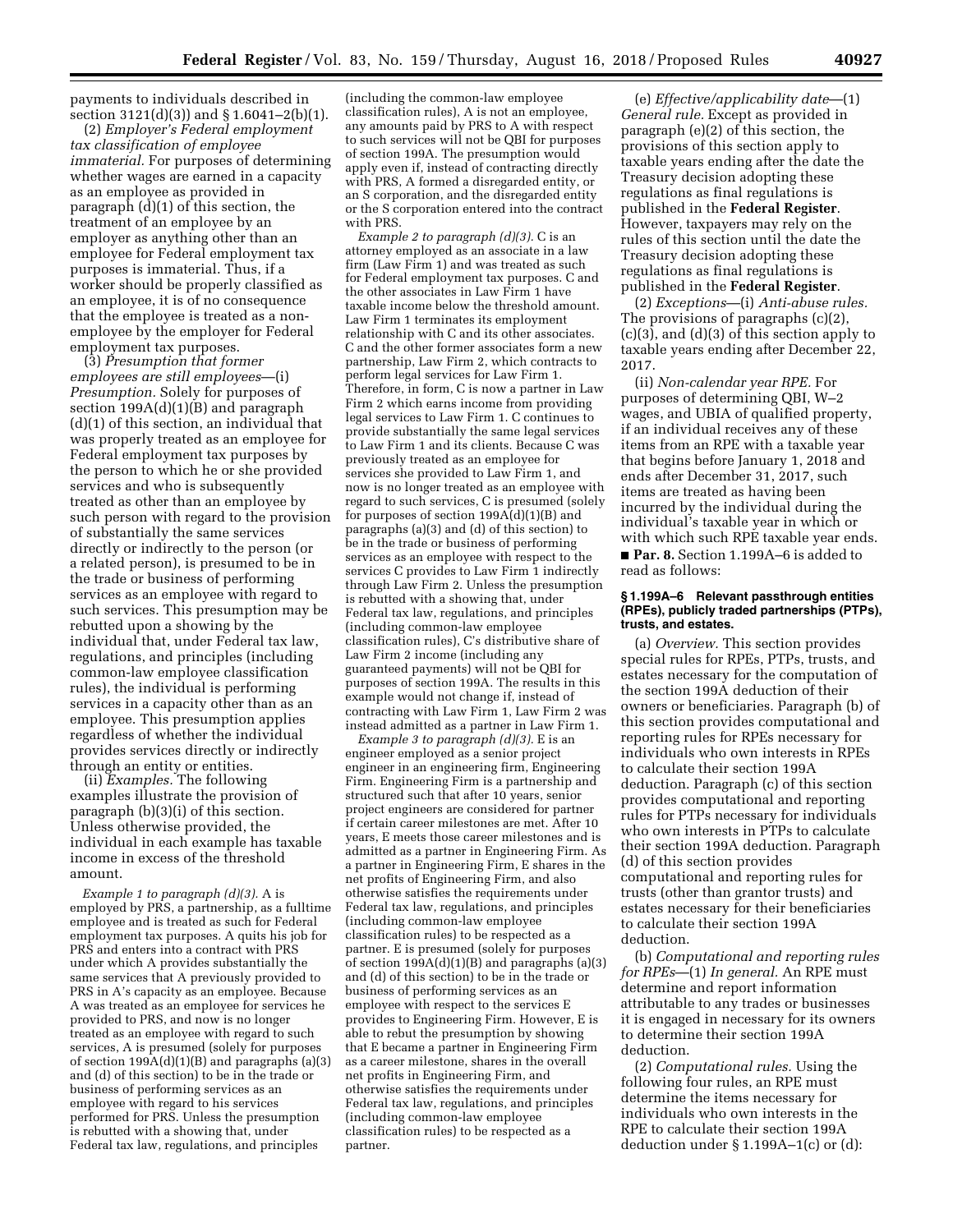payments to individuals described in section 3121(d)(3)) and § 1.6041–2(b)(1).

(2) *Employer's Federal employment tax classification of employee immaterial.* For purposes of determining whether wages are earned in a capacity as an employee as provided in paragraph (d)(1) of this section, the treatment of an employee by an employer as anything other than an employee for Federal employment tax purposes is immaterial. Thus, if a worker should be properly classified as an employee, it is of no consequence that the employee is treated as a nonemployee by the employer for Federal employment tax purposes.

(3) *Presumption that former employees are still employees*—(i) *Presumption.* Solely for purposes of section  $199A(d)(1)(B)$  and paragraph (d)(1) of this section, an individual that was properly treated as an employee for Federal employment tax purposes by the person to which he or she provided services and who is subsequently treated as other than an employee by such person with regard to the provision of substantially the same services directly or indirectly to the person (or a related person), is presumed to be in the trade or business of performing services as an employee with regard to such services. This presumption may be rebutted upon a showing by the individual that, under Federal tax law, regulations, and principles (including common-law employee classification rules), the individual is performing services in a capacity other than as an employee. This presumption applies regardless of whether the individual provides services directly or indirectly through an entity or entities.

(ii) *Examples.* The following examples illustrate the provision of paragraph (b)(3)(i) of this section. Unless otherwise provided, the individual in each example has taxable income in excess of the threshold amount.

*Example 1 to paragraph (d)(3).* A is employed by PRS, a partnership, as a fulltime employee and is treated as such for Federal employment tax purposes. A quits his job for PRS and enters into a contract with PRS under which A provides substantially the same services that A previously provided to PRS in A's capacity as an employee. Because A was treated as an employee for services he provided to PRS, and now is no longer treated as an employee with regard to such services, A is presumed (solely for purposes of section 199A(d)(1)(B) and paragraphs (a)(3) and (d) of this section) to be in the trade or business of performing services as an employee with regard to his services performed for PRS. Unless the presumption is rebutted with a showing that, under Federal tax law, regulations, and principles

(including the common-law employee classification rules), A is not an employee, any amounts paid by PRS to A with respect to such services will not be QBI for purposes of section 199A. The presumption would apply even if, instead of contracting directly with PRS, A formed a disregarded entity, or an S corporation, and the disregarded entity or the S corporation entered into the contract with PRS.

*Example 2 to paragraph (d)(3).* C is an attorney employed as an associate in a law firm (Law Firm 1) and was treated as such for Federal employment tax purposes. C and the other associates in Law Firm 1 have taxable income below the threshold amount. Law Firm 1 terminates its employment relationship with C and its other associates. C and the other former associates form a new partnership, Law Firm 2, which contracts to perform legal services for Law Firm 1. Therefore, in form, C is now a partner in Law Firm 2 which earns income from providing legal services to Law Firm 1. C continues to provide substantially the same legal services to Law Firm 1 and its clients. Because C was previously treated as an employee for services she provided to Law Firm 1, and now is no longer treated as an employee with regard to such services, C is presumed (solely for purposes of section  $199A(d)(1)(B)$  and paragraphs (a)(3) and (d) of this section) to be in the trade or business of performing services as an employee with respect to the services C provides to Law Firm 1 indirectly through Law Firm 2. Unless the presumption is rebutted with a showing that, under Federal tax law, regulations, and principles (including common-law employee classification rules), C's distributive share of Law Firm 2 income (including any guaranteed payments) will not be QBI for purposes of section 199A. The results in this example would not change if, instead of contracting with Law Firm 1, Law Firm 2 was instead admitted as a partner in Law Firm 1.

*Example 3 to paragraph (d)(3).* E is an engineer employed as a senior project engineer in an engineering firm, Engineering Firm. Engineering Firm is a partnership and structured such that after 10 years, senior project engineers are considered for partner if certain career milestones are met. After 10 years, E meets those career milestones and is admitted as a partner in Engineering Firm. As a partner in Engineering Firm, E shares in the net profits of Engineering Firm, and also otherwise satisfies the requirements under Federal tax law, regulations, and principles (including common-law employee classification rules) to be respected as a partner. E is presumed (solely for purposes of section  $199A(d)(1)(B)$  and paragraphs (a)(3) and (d) of this section) to be in the trade or business of performing services as an employee with respect to the services E provides to Engineering Firm. However, E is able to rebut the presumption by showing that E became a partner in Engineering Firm as a career milestone, shares in the overall net profits in Engineering Firm, and otherwise satisfies the requirements under Federal tax law, regulations, and principles (including common-law employee classification rules) to be respected as a partner.

(e) *Effective/applicability date*—(1) *General rule.* Except as provided in paragraph (e)(2) of this section, the provisions of this section apply to taxable years ending after the date the Treasury decision adopting these regulations as final regulations is published in the **Federal Register**. However, taxpayers may rely on the rules of this section until the date the Treasury decision adopting these regulations as final regulations is published in the **Federal Register**.

(2) *Exceptions*—(i) *Anti-abuse rules.*  The provisions of paragraphs (c)(2), (c)(3), and (d)(3) of this section apply to taxable years ending after December 22, 2017.

(ii) *Non-calendar year RPE.* For purposes of determining QBI, W–2 wages, and UBIA of qualified property, if an individual receives any of these items from an RPE with a taxable year that begins before January 1, 2018 and ends after December 31, 2017, such items are treated as having been incurred by the individual during the individual's taxable year in which or with which such RPE taxable year ends.

■ **Par. 8.** Section 1.199A–6 is added to read as follows:

### **§ 1.199A–6 Relevant passthrough entities (RPEs), publicly traded partnerships (PTPs), trusts, and estates.**

(a) *Overview.* This section provides special rules for RPEs, PTPs, trusts, and estates necessary for the computation of the section 199A deduction of their owners or beneficiaries. Paragraph (b) of this section provides computational and reporting rules for RPEs necessary for individuals who own interests in RPEs to calculate their section 199A deduction. Paragraph (c) of this section provides computational and reporting rules for PTPs necessary for individuals who own interests in PTPs to calculate their section 199A deduction. Paragraph (d) of this section provides computational and reporting rules for trusts (other than grantor trusts) and estates necessary for their beneficiaries to calculate their section 199A deduction.

(b) *Computational and reporting rules for RPEs*—(1) *In general.* An RPE must determine and report information attributable to any trades or businesses it is engaged in necessary for its owners to determine their section 199A deduction.

(2) *Computational rules.* Using the following four rules, an RPE must determine the items necessary for individuals who own interests in the RPE to calculate their section 199A deduction under § 1.199A–1(c) or (d):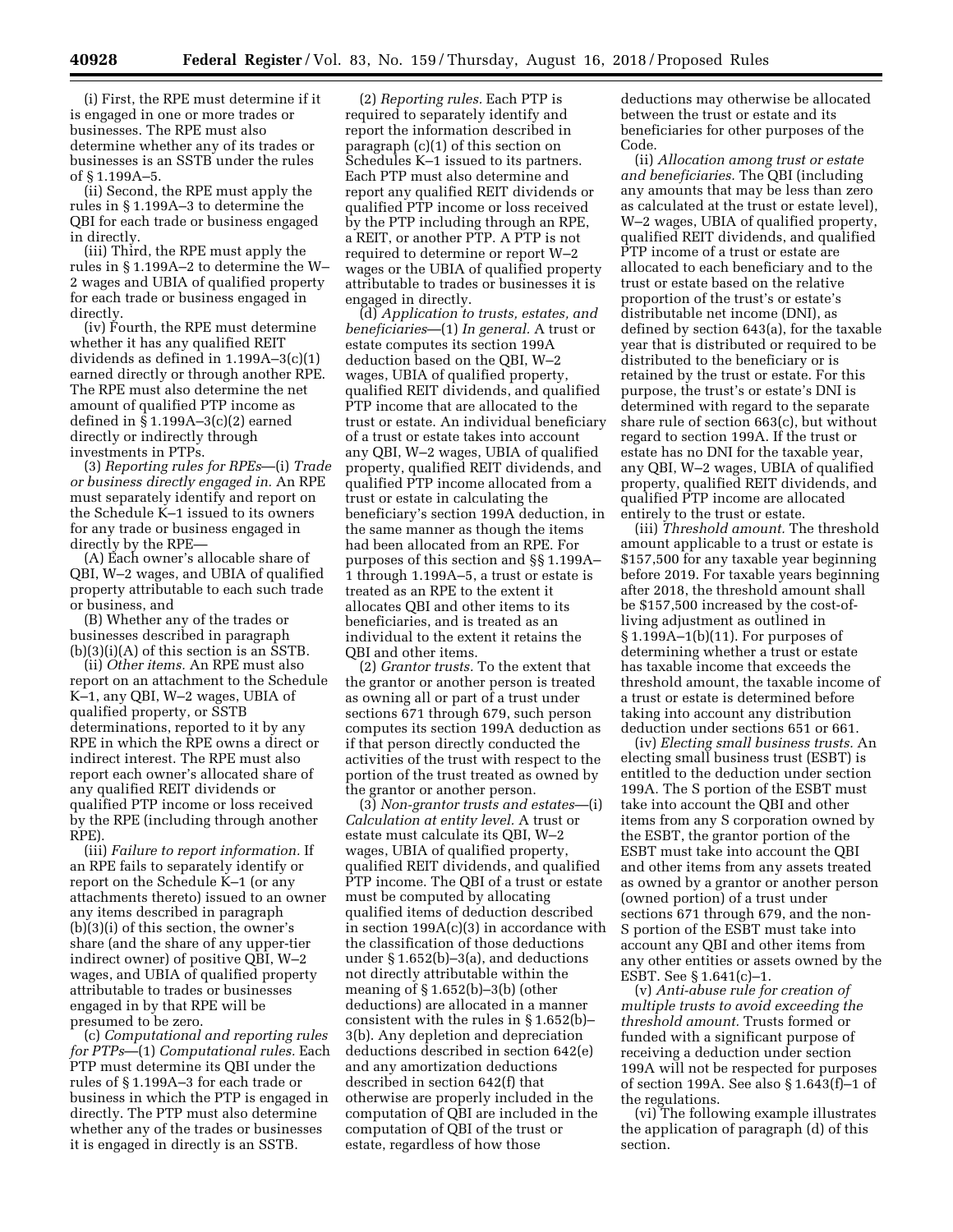(i) First, the RPE must determine if it is engaged in one or more trades or businesses. The RPE must also determine whether any of its trades or businesses is an SSTB under the rules of § 1.199A–5.

(ii) Second, the RPE must apply the rules in § 1.199A–3 to determine the QBI for each trade or business engaged in directly.

(iii) Third, the RPE must apply the rules in § 1.199A–2 to determine the W– 2 wages and UBIA of qualified property for each trade or business engaged in directly.

(iv) Fourth, the RPE must determine whether it has any qualified REIT dividends as defined in 1.199A–3(c)(1) earned directly or through another RPE. The RPE must also determine the net amount of qualified PTP income as defined in § 1.199A–3(c)(2) earned directly or indirectly through investments in PTPs.

(3) *Reporting rules for RPEs*—(i) *Trade or business directly engaged in.* An RPE must separately identify and report on the Schedule K–1 issued to its owners for any trade or business engaged in directly by the RPE—

(A) Each owner's allocable share of QBI, W–2 wages, and UBIA of qualified property attributable to each such trade or business, and

(B) Whether any of the trades or businesses described in paragraph (b)(3)(i)(A) of this section is an SSTB.

(ii) *Other items.* An RPE must also report on an attachment to the Schedule K–1, any QBI, W–2 wages, UBIA of qualified property, or SSTB determinations, reported to it by any RPE in which the RPE owns a direct or indirect interest. The RPE must also report each owner's allocated share of any qualified REIT dividends or qualified PTP income or loss received by the RPE (including through another RPE)

(iii) *Failure to report information.* If an RPE fails to separately identify or report on the Schedule K–1 (or any attachments thereto) issued to an owner any items described in paragraph (b)(3)(i) of this section, the owner's share (and the share of any upper-tier indirect owner) of positive QBI, W–2 wages, and UBIA of qualified property attributable to trades or businesses engaged in by that RPE will be presumed to be zero.

(c) *Computational and reporting rules for PTPs*—(1) *Computational rules.* Each PTP must determine its QBI under the rules of § 1.199A–3 for each trade or business in which the PTP is engaged in directly. The PTP must also determine whether any of the trades or businesses it is engaged in directly is an SSTB.

(2) *Reporting rules.* Each PTP is required to separately identify and report the information described in paragraph (c)(1) of this section on Schedules K–1 issued to its partners. Each PTP must also determine and report any qualified REIT dividends or qualified PTP income or loss received by the PTP including through an RPE, a REIT, or another PTP. A PTP is not required to determine or report W–2 wages or the UBIA of qualified property attributable to trades or businesses it is engaged in directly.

(d) *Application to trusts, estates, and beneficiaries*—(1) *In general.* A trust or estate computes its section 199A deduction based on the QBI, W–2 wages, UBIA of qualified property, qualified REIT dividends, and qualified PTP income that are allocated to the trust or estate. An individual beneficiary of a trust or estate takes into account any QBI, W–2 wages, UBIA of qualified property, qualified REIT dividends, and qualified PTP income allocated from a trust or estate in calculating the beneficiary's section 199A deduction, in the same manner as though the items had been allocated from an RPE. For purposes of this section and §§ 1.199A– 1 through 1.199A–5, a trust or estate is treated as an RPE to the extent it allocates QBI and other items to its beneficiaries, and is treated as an individual to the extent it retains the QBI and other items.

(2) *Grantor trusts.* To the extent that the grantor or another person is treated as owning all or part of a trust under sections 671 through 679, such person computes its section 199A deduction as if that person directly conducted the activities of the trust with respect to the portion of the trust treated as owned by the grantor or another person.

(3) *Non-grantor trusts and estates*—(i) *Calculation at entity level.* A trust or estate must calculate its QBI, W–2 wages, UBIA of qualified property, qualified REIT dividends, and qualified PTP income. The QBI of a trust or estate must be computed by allocating qualified items of deduction described in section  $199A(c)(3)$  in accordance with the classification of those deductions under § 1.652(b)–3(a), and deductions not directly attributable within the meaning of § 1.652(b)–3(b) (other deductions) are allocated in a manner consistent with the rules in § 1.652(b)– 3(b). Any depletion and depreciation deductions described in section 642(e) and any amortization deductions described in section 642(f) that otherwise are properly included in the computation of QBI are included in the computation of QBI of the trust or estate, regardless of how those

deductions may otherwise be allocated between the trust or estate and its beneficiaries for other purposes of the Code.

(ii) *Allocation among trust or estate and beneficiaries.* The QBI (including any amounts that may be less than zero as calculated at the trust or estate level), W–2 wages, UBIA of qualified property, qualified REIT dividends, and qualified PTP income of a trust or estate are allocated to each beneficiary and to the trust or estate based on the relative proportion of the trust's or estate's distributable net income (DNI), as defined by section 643(a), for the taxable year that is distributed or required to be distributed to the beneficiary or is retained by the trust or estate. For this purpose, the trust's or estate's DNI is determined with regard to the separate share rule of section 663(c), but without regard to section 199A. If the trust or estate has no DNI for the taxable year, any QBI, W–2 wages, UBIA of qualified property, qualified REIT dividends, and qualified PTP income are allocated entirely to the trust or estate.

(iii) *Threshold amount.* The threshold amount applicable to a trust or estate is \$157,500 for any taxable year beginning before 2019. For taxable years beginning after 2018, the threshold amount shall be \$157,500 increased by the cost-ofliving adjustment as outlined in § 1.199A–1(b)(11). For purposes of determining whether a trust or estate has taxable income that exceeds the threshold amount, the taxable income of a trust or estate is determined before taking into account any distribution deduction under sections 651 or 661.

(iv) *Electing small business trusts.* An electing small business trust (ESBT) is entitled to the deduction under section 199A. The S portion of the ESBT must take into account the QBI and other items from any S corporation owned by the ESBT, the grantor portion of the ESBT must take into account the QBI and other items from any assets treated as owned by a grantor or another person (owned portion) of a trust under sections 671 through 679, and the non-S portion of the ESBT must take into account any QBI and other items from any other entities or assets owned by the ESBT. See § 1.641(c)–1.

(v) *Anti-abuse rule for creation of multiple trusts to avoid exceeding the threshold amount.* Trusts formed or funded with a significant purpose of receiving a deduction under section 199A will not be respected for purposes of section 199A. See also § 1.643(f)–1 of the regulations.

(vi) The following example illustrates the application of paragraph (d) of this section.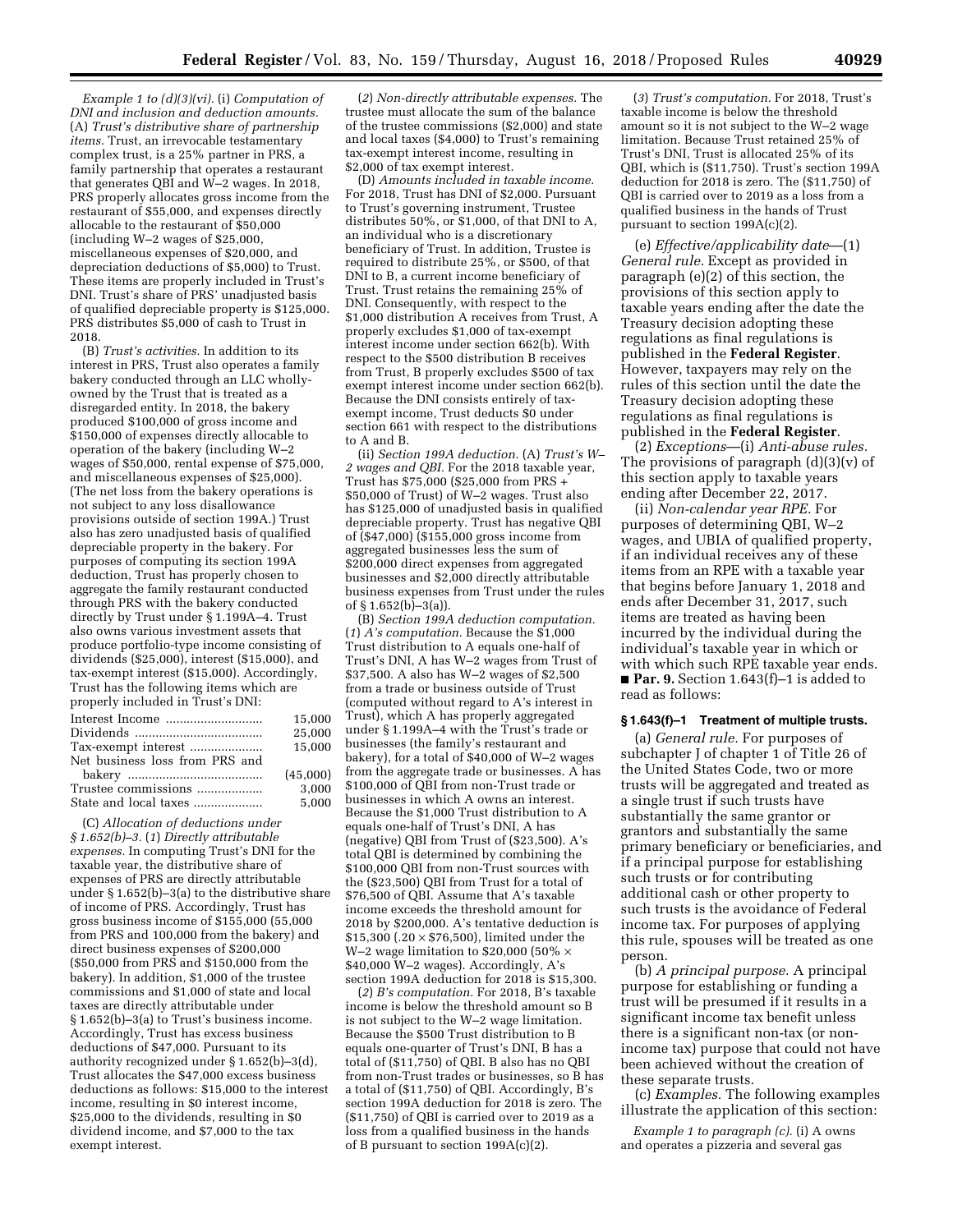*Example 1 to (d)(3)(vi).* (i) *Computation of DNI and inclusion and deduction amounts.*  (A) *Trust's distributive share of partnership items.* Trust, an irrevocable testamentary complex trust, is a 25% partner in PRS, a family partnership that operates a restaurant that generates QBI and W–2 wages. In 2018, PRS properly allocates gross income from the restaurant of \$55,000, and expenses directly allocable to the restaurant of \$50,000 (including W–2 wages of \$25,000, miscellaneous expenses of \$20,000, and depreciation deductions of \$5,000) to Trust. These items are properly included in Trust's DNI. Trust's share of PRS' unadjusted basis of qualified depreciable property is \$125,000. PRS distributes \$5,000 of cash to Trust in 2018.

(B) *Trust's activities.* In addition to its interest in PRS, Trust also operates a family bakery conducted through an LLC whollyowned by the Trust that is treated as a disregarded entity. In 2018, the bakery produced \$100,000 of gross income and  $$150,000$  of expenses directly allocable to operation of the bakery (including W–2 wages of \$50,000, rental expense of \$75,000, and miscellaneous expenses of \$25,000). (The net loss from the bakery operations is not subject to any loss disallowance provisions outside of section 199A.) Trust also has zero unadjusted basis of qualified depreciable property in the bakery. For purposes of computing its section 199A deduction, Trust has properly chosen to aggregate the family restaurant conducted through PRS with the bakery conducted directly by Trust under § 1.199A–4. Trust also owns various investment assets that produce portfolio-type income consisting of dividends (\$25,000), interest (\$15,000), and tax-exempt interest (\$15,000). Accordingly, Trust has the following items which are properly included in Trust's DNI:

|                                | 15.000   |
|--------------------------------|----------|
|                                | 25,000   |
| Tax-exempt interest            | 15.000   |
| Net business loss from PRS and |          |
|                                | (45.000) |
| Trustee commissions            | 3.000    |
| State and local taxes          | 5,000    |
|                                |          |

(C) *Allocation of deductions under § 1.652(b)–3.* (*1*) *Directly attributable expenses.* In computing Trust's DNI for the taxable year, the distributive share of expenses of PRS are directly attributable under § 1.652(b)–3(a) to the distributive share of income of PRS. Accordingly, Trust has gross business income of \$155,000 (55,000 from PRS and 100,000 from the bakery) and direct business expenses of \$200,000 (\$50,000 from PRS and \$150,000 from the bakery). In addition, \$1,000 of the trustee commissions and \$1,000 of state and local taxes are directly attributable under § 1.652(b)–3(a) to Trust's business income. Accordingly, Trust has excess business deductions of \$47,000. Pursuant to its authority recognized under § 1.652(b)–3(d), Trust allocates the \$47,000 excess business deductions as follows: \$15,000 to the interest income, resulting in \$0 interest income, \$25,000 to the dividends, resulting in \$0 dividend income, and \$7,000 to the tax exempt interest.

(*2*) *Non-directly attributable expenses.* The trustee must allocate the sum of the balance of the trustee commissions (\$2,000) and state and local taxes (\$4,000) to Trust's remaining tax-exempt interest income, resulting in \$2,000 of tax exempt interest.

(D) *Amounts included in taxable income.*  For 2018, Trust has DNI of \$2,000. Pursuant to Trust's governing instrument, Trustee distributes 50%, or \$1,000, of that DNI to A, an individual who is a discretionary beneficiary of Trust. In addition, Trustee is required to distribute 25%, or \$500, of that DNI to B, a current income beneficiary of Trust. Trust retains the remaining 25% of DNI. Consequently, with respect to the \$1,000 distribution A receives from Trust, A properly excludes \$1,000 of tax-exempt interest income under section 662(b). With respect to the \$500 distribution B receives from Trust, B properly excludes \$500 of tax exempt interest income under section 662(b). Because the DNI consists entirely of taxexempt income, Trust deducts \$0 under section 661 with respect to the distributions to A and B.

(ii) *Section 199A deduction.* (A) *Trust's W– 2 wages and QBI.* For the 2018 taxable year, Trust has \$75,000 (\$25,000 from PRS + \$50,000 of Trust) of W–2 wages. Trust also has \$125,000 of unadjusted basis in qualified depreciable property. Trust has negative QBI of (\$47,000) (\$155,000 gross income from aggregated businesses less the sum of \$200,000 direct expenses from aggregated businesses and \$2,000 directly attributable business expenses from Trust under the rules of  $$1.652(b)$ –3(a)).

(B) *Section 199A deduction computation.*  (*1*) *A's computation.* Because the \$1,000 Trust distribution to A equals one-half of Trust's DNI, A has W–2 wages from Trust of \$37,500. A also has W–2 wages of \$2,500 from a trade or business outside of Trust (computed without regard to A's interest in Trust), which A has properly aggregated under § 1.199A–4 with the Trust's trade or businesses (the family's restaurant and bakery), for a total of \$40,000 of W–2 wages from the aggregate trade or businesses. A has \$100,000 of QBI from non-Trust trade or businesses in which A owns an interest. Because the \$1,000 Trust distribution to A equals one-half of Trust's DNI, A has (negative) QBI from Trust of (\$23,500). A's total QBI is determined by combining the \$100,000 QBI from non-Trust sources with the (\$23,500) QBI from Trust for a total of \$76,500 of QBI. Assume that A's taxable income exceeds the threshold amount for 2018 by \$200,000. A's tentative deduction is  $$15,300$  (.20  $\times$  \$76,500), limited under the W-2 wage limitation to \$20,000 (50%  $\times$ \$40,000 W–2 wages). Accordingly, A's section 199A deduction for 2018 is \$15,300.

(*2*) *B's computation.* For 2018, B's taxable income is below the threshold amount so B is not subject to the W–2 wage limitation. Because the \$500 Trust distribution to B equals one-quarter of Trust's DNI, B has a total of (\$11,750) of QBI. B also has no QBI from non-Trust trades or businesses, so B has a total of (\$11,750) of QBI. Accordingly, B's section 199A deduction for 2018 is zero. The (\$11,750) of QBI is carried over to 2019 as a loss from a qualified business in the hands of B pursuant to section 199A(c)(2).

(*3*) *Trust's computation.* For 2018, Trust's taxable income is below the threshold amount so it is not subject to the W–2 wage limitation. Because Trust retained 25% of Trust's DNI, Trust is allocated 25% of its QBI, which is (\$11,750). Trust's section 199A deduction for 2018 is zero. The (\$11,750) of QBI is carried over to 2019 as a loss from a qualified business in the hands of Trust pursuant to section 199A(c)(2).

(e) *Effective/applicability date*—(1) *General rule.* Except as provided in paragraph (e)(2) of this section, the provisions of this section apply to taxable years ending after the date the Treasury decision adopting these regulations as final regulations is published in the **Federal Register**. However, taxpayers may rely on the rules of this section until the date the Treasury decision adopting these regulations as final regulations is published in the **Federal Register**.

(2) *Exceptions*—(i) *Anti-abuse rules.*  The provisions of paragraph  $(d)(3)(v)$  of this section apply to taxable years ending after December 22, 2017.

(ii) *Non-calendar year RPE.* For purposes of determining QBI, W–2 wages, and UBIA of qualified property, if an individual receives any of these items from an RPE with a taxable year that begins before January 1, 2018 and ends after December 31, 2017, such items are treated as having been incurred by the individual during the individual's taxable year in which or with which such RPE taxable year ends. ■ **Par. 9.** Section 1.643(f)–1 is added to read as follows:

# **§ 1.643(f)–1 Treatment of multiple trusts.**

(a) *General rule.* For purposes of subchapter J of chapter 1 of Title 26 of the United States Code, two or more trusts will be aggregated and treated as a single trust if such trusts have substantially the same grantor or grantors and substantially the same primary beneficiary or beneficiaries, and if a principal purpose for establishing such trusts or for contributing additional cash or other property to such trusts is the avoidance of Federal income tax. For purposes of applying this rule, spouses will be treated as one person.

(b) *A principal purpose.* A principal purpose for establishing or funding a trust will be presumed if it results in a significant income tax benefit unless there is a significant non-tax (or nonincome tax) purpose that could not have been achieved without the creation of these separate trusts.

(c) *Examples.* The following examples illustrate the application of this section:

*Example 1 to paragraph (c).* (i) A owns and operates a pizzeria and several gas